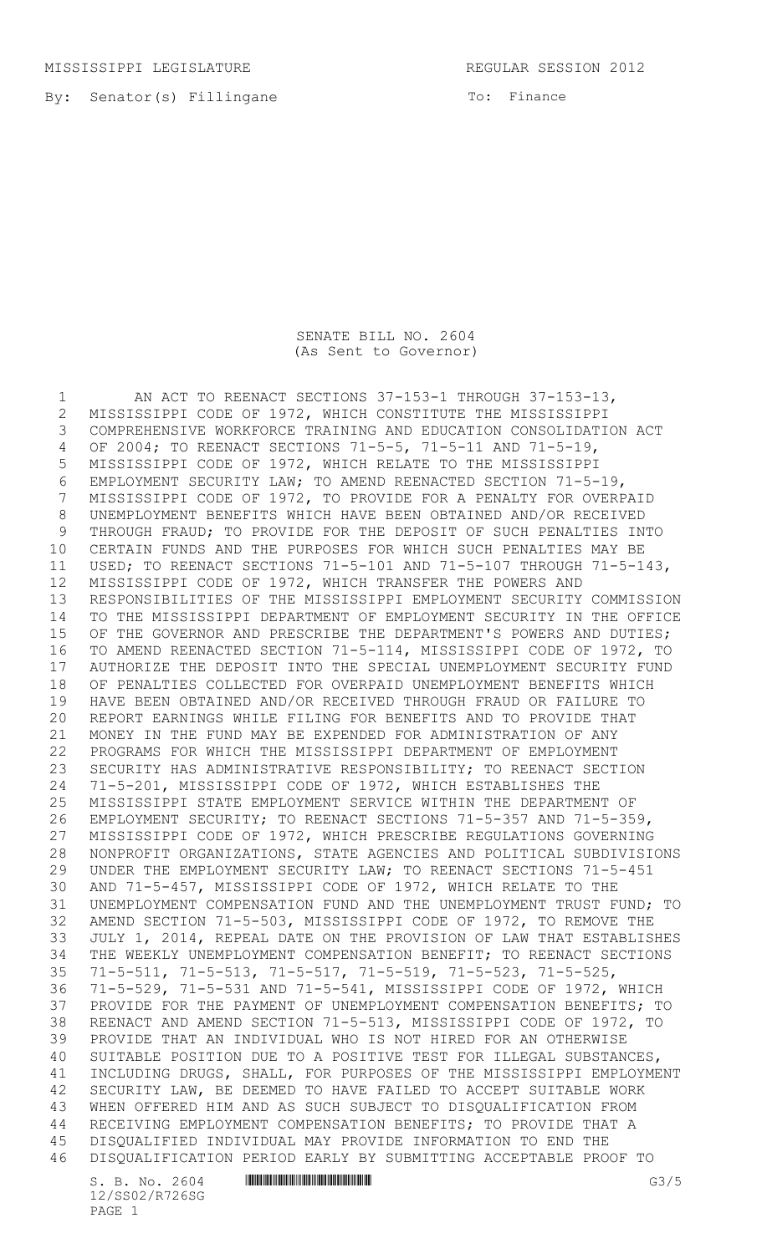MISSISSIPPI LEGISLATURE REGULAR SESSION 2012

To: Finance

## SENATE BILL NO. 2604 (As Sent to Governor)

1 AN ACT TO REENACT SECTIONS 37-153-1 THROUGH 37-153-13, MISSISSIPPI CODE OF 1972, WHICH CONSTITUTE THE MISSISSIPPI COMPREHENSIVE WORKFORCE TRAINING AND EDUCATION CONSOLIDATION ACT OF 2004; TO REENACT SECTIONS 71-5-5, 71-5-11 AND 71-5-19, MISSISSIPPI CODE OF 1972, WHICH RELATE TO THE MISSISSIPPI EMPLOYMENT SECURITY LAW; TO AMEND REENACTED SECTION 71-5-19, MISSISSIPPI CODE OF 1972, TO PROVIDE FOR A PENALTY FOR OVERPAID UNEMPLOYMENT BENEFITS WHICH HAVE BEEN OBTAINED AND/OR RECEIVED THROUGH FRAUD; TO PROVIDE FOR THE DEPOSIT OF SUCH PENALTIES INTO CERTAIN FUNDS AND THE PURPOSES FOR WHICH SUCH PENALTIES MAY BE USED; TO REENACT SECTIONS 71-5-101 AND 71-5-107 THROUGH 71-5-143, MISSISSIPPI CODE OF 1972, WHICH TRANSFER THE POWERS AND RESPONSIBILITIES OF THE MISSISSIPPI EMPLOYMENT SECURITY COMMISSION TO THE MISSISSIPPI DEPARTMENT OF EMPLOYMENT SECURITY IN THE OFFICE 15 OF THE GOVERNOR AND PRESCRIBE THE DEPARTMENT'S POWERS AND DUTIES; TO AMEND REENACTED SECTION 71-5-114, MISSISSIPPI CODE OF 1972, TO AUTHORIZE THE DEPOSIT INTO THE SPECIAL UNEMPLOYMENT SECURITY FUND OF PENALTIES COLLECTED FOR OVERPAID UNEMPLOYMENT BENEFITS WHICH HAVE BEEN OBTAINED AND/OR RECEIVED THROUGH FRAUD OR FAILURE TO REPORT EARNINGS WHILE FILING FOR BENEFITS AND TO PROVIDE THAT MONEY IN THE FUND MAY BE EXPENDED FOR ADMINISTRATION OF ANY PROGRAMS FOR WHICH THE MISSISSIPPI DEPARTMENT OF EMPLOYMENT SECURITY HAS ADMINISTRATIVE RESPONSIBILITY; TO REENACT SECTION 71-5-201, MISSISSIPPI CODE OF 1972, WHICH ESTABLISHES THE MISSISSIPPI STATE EMPLOYMENT SERVICE WITHIN THE DEPARTMENT OF EMPLOYMENT SECURITY; TO REENACT SECTIONS 71-5-357 AND 71-5-359, MISSISSIPPI CODE OF 1972, WHICH PRESCRIBE REGULATIONS GOVERNING NONPROFIT ORGANIZATIONS, STATE AGENCIES AND POLITICAL SUBDIVISIONS UNDER THE EMPLOYMENT SECURITY LAW; TO REENACT SECTIONS 71-5-451 AND 71-5-457, MISSISSIPPI CODE OF 1972, WHICH RELATE TO THE UNEMPLOYMENT COMPENSATION FUND AND THE UNEMPLOYMENT TRUST FUND; TO AMEND SECTION 71-5-503, MISSISSIPPI CODE OF 1972, TO REMOVE THE JULY 1, 2014, REPEAL DATE ON THE PROVISION OF LAW THAT ESTABLISHES THE WEEKLY UNEMPLOYMENT COMPENSATION BENEFIT; TO REENACT SECTIONS 71-5-511, 71-5-513, 71-5-517, 71-5-519, 71-5-523, 71-5-525, 71-5-529, 71-5-531 AND 71-5-541, MISSISSIPPI CODE OF 1972, WHICH PROVIDE FOR THE PAYMENT OF UNEMPLOYMENT COMPENSATION BENEFITS; TO REENACT AND AMEND SECTION 71-5-513, MISSISSIPPI CODE OF 1972, TO PROVIDE THAT AN INDIVIDUAL WHO IS NOT HIRED FOR AN OTHERWISE SUITABLE POSITION DUE TO A POSITIVE TEST FOR ILLEGAL SUBSTANCES, INCLUDING DRUGS, SHALL, FOR PURPOSES OF THE MISSISSIPPI EMPLOYMENT SECURITY LAW, BE DEEMED TO HAVE FAILED TO ACCEPT SUITABLE WORK WHEN OFFERED HIM AND AS SUCH SUBJECT TO DISQUALIFICATION FROM RECEIVING EMPLOYMENT COMPENSATION BENEFITS; TO PROVIDE THAT A DISQUALIFIED INDIVIDUAL MAY PROVIDE INFORMATION TO END THE DISQUALIFICATION PERIOD EARLY BY SUBMITTING ACCEPTABLE PROOF TO

 $S. B. No. 2604$  .  $M$  .  $G3/5$ 12/SS02/R726SG PAGE 1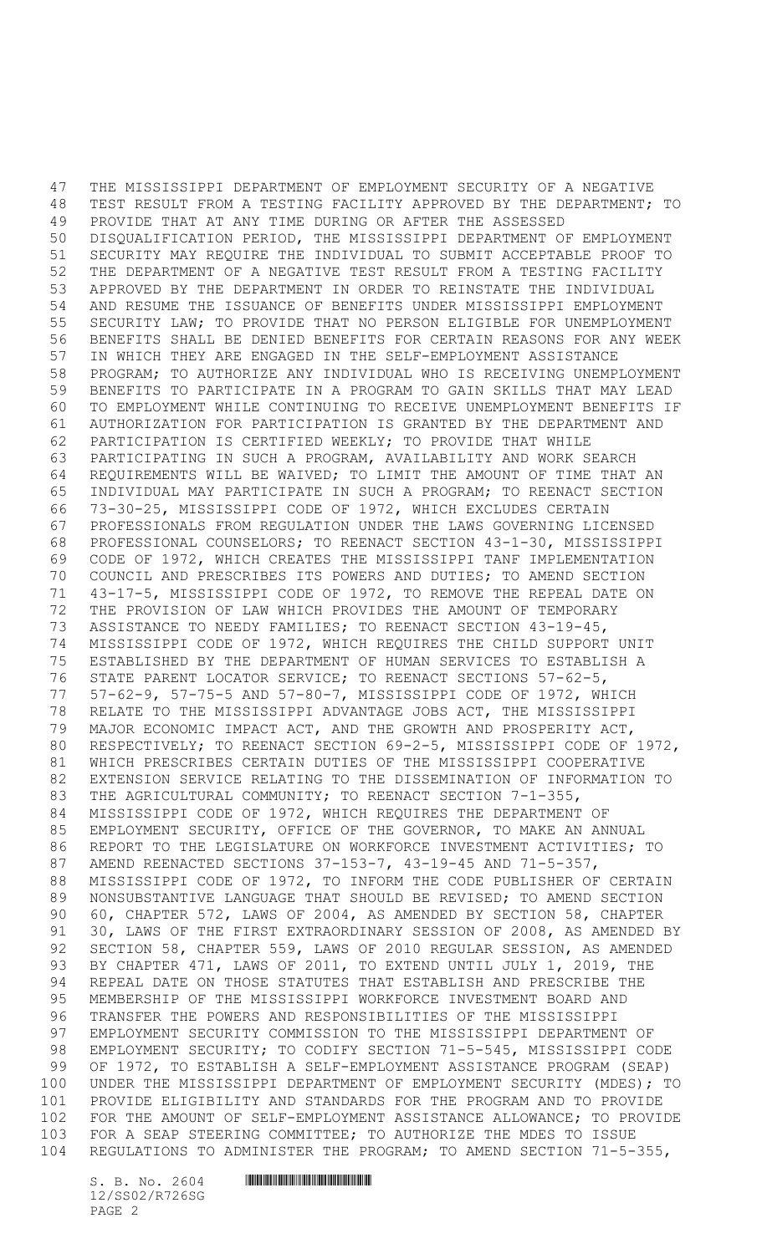THE MISSISSIPPI DEPARTMENT OF EMPLOYMENT SECURITY OF A NEGATIVE TEST RESULT FROM A TESTING FACILITY APPROVED BY THE DEPARTMENT; TO PROVIDE THAT AT ANY TIME DURING OR AFTER THE ASSESSED DISQUALIFICATION PERIOD, THE MISSISSIPPI DEPARTMENT OF EMPLOYMENT SECURITY MAY REQUIRE THE INDIVIDUAL TO SUBMIT ACCEPTABLE PROOF TO THE DEPARTMENT OF A NEGATIVE TEST RESULT FROM A TESTING FACILITY APPROVED BY THE DEPARTMENT IN ORDER TO REINSTATE THE INDIVIDUAL AND RESUME THE ISSUANCE OF BENEFITS UNDER MISSISSIPPI EMPLOYMENT SECURITY LAW; TO PROVIDE THAT NO PERSON ELIGIBLE FOR UNEMPLOYMENT BENEFITS SHALL BE DENIED BENEFITS FOR CERTAIN REASONS FOR ANY WEEK IN WHICH THEY ARE ENGAGED IN THE SELF-EMPLOYMENT ASSISTANCE PROGRAM; TO AUTHORIZE ANY INDIVIDUAL WHO IS RECEIVING UNEMPLOYMENT BENEFITS TO PARTICIPATE IN A PROGRAM TO GAIN SKILLS THAT MAY LEAD TO EMPLOYMENT WHILE CONTINUING TO RECEIVE UNEMPLOYMENT BENEFITS IF AUTHORIZATION FOR PARTICIPATION IS GRANTED BY THE DEPARTMENT AND PARTICIPATION IS CERTIFIED WEEKLY; TO PROVIDE THAT WHILE PARTICIPATING IN SUCH A PROGRAM, AVAILABILITY AND WORK SEARCH REQUIREMENTS WILL BE WAIVED; TO LIMIT THE AMOUNT OF TIME THAT AN INDIVIDUAL MAY PARTICIPATE IN SUCH A PROGRAM; TO REENACT SECTION 73-30-25, MISSISSIPPI CODE OF 1972, WHICH EXCLUDES CERTAIN PROFESSIONALS FROM REGULATION UNDER THE LAWS GOVERNING LICENSED PROFESSIONAL COUNSELORS; TO REENACT SECTION 43-1-30, MISSISSIPPI CODE OF 1972, WHICH CREATES THE MISSISSIPPI TANF IMPLEMENTATION COUNCIL AND PRESCRIBES ITS POWERS AND DUTIES; TO AMEND SECTION 43-17-5, MISSISSIPPI CODE OF 1972, TO REMOVE THE REPEAL DATE ON THE PROVISION OF LAW WHICH PROVIDES THE AMOUNT OF TEMPORARY ASSISTANCE TO NEEDY FAMILIES; TO REENACT SECTION 43-19-45, MISSISSIPPI CODE OF 1972, WHICH REQUIRES THE CHILD SUPPORT UNIT ESTABLISHED BY THE DEPARTMENT OF HUMAN SERVICES TO ESTABLISH A STATE PARENT LOCATOR SERVICE; TO REENACT SECTIONS 57-62-5, 57-62-9, 57-75-5 AND 57-80-7, MISSISSIPPI CODE OF 1972, WHICH RELATE TO THE MISSISSIPPI ADVANTAGE JOBS ACT, THE MISSISSIPPI MAJOR ECONOMIC IMPACT ACT, AND THE GROWTH AND PROSPERITY ACT, RESPECTIVELY; TO REENACT SECTION 69-2-5, MISSISSIPPI CODE OF 1972, WHICH PRESCRIBES CERTAIN DUTIES OF THE MISSISSIPPI COOPERATIVE EXTENSION SERVICE RELATING TO THE DISSEMINATION OF INFORMATION TO 83 THE AGRICULTURAL COMMUNITY; TO REENACT SECTION 7-1-355, MISSISSIPPI CODE OF 1972, WHICH REQUIRES THE DEPARTMENT OF EMPLOYMENT SECURITY, OFFICE OF THE GOVERNOR, TO MAKE AN ANNUAL REPORT TO THE LEGISLATURE ON WORKFORCE INVESTMENT ACTIVITIES; TO AMEND REENACTED SECTIONS 37-153-7, 43-19-45 AND 71-5-357, MISSISSIPPI CODE OF 1972, TO INFORM THE CODE PUBLISHER OF CERTAIN NONSUBSTANTIVE LANGUAGE THAT SHOULD BE REVISED; TO AMEND SECTION 60, CHAPTER 572, LAWS OF 2004, AS AMENDED BY SECTION 58, CHAPTER 30, LAWS OF THE FIRST EXTRAORDINARY SESSION OF 2008, AS AMENDED BY SECTION 58, CHAPTER 559, LAWS OF 2010 REGULAR SESSION, AS AMENDED BY CHAPTER 471, LAWS OF 2011, TO EXTEND UNTIL JULY 1, 2019, THE REPEAL DATE ON THOSE STATUTES THAT ESTABLISH AND PRESCRIBE THE MEMBERSHIP OF THE MISSISSIPPI WORKFORCE INVESTMENT BOARD AND TRANSFER THE POWERS AND RESPONSIBILITIES OF THE MISSISSIPPI EMPLOYMENT SECURITY COMMISSION TO THE MISSISSIPPI DEPARTMENT OF 98 EMPLOYMENT SECURITY; TO CODIFY SECTION 71-5-545, MISSISSIPPI CODE OF 1972, TO ESTABLISH A SELF-EMPLOYMENT ASSISTANCE PROGRAM (SEAP) UNDER THE MISSISSIPPI DEPARTMENT OF EMPLOYMENT SECURITY (MDES); TO PROVIDE ELIGIBILITY AND STANDARDS FOR THE PROGRAM AND TO PROVIDE FOR THE AMOUNT OF SELF-EMPLOYMENT ASSISTANCE ALLOWANCE; TO PROVIDE FOR A SEAP STEERING COMMITTEE; TO AUTHORIZE THE MDES TO ISSUE REGULATIONS TO ADMINISTER THE PROGRAM; TO AMEND SECTION 71-5-355,

12/SS02/R726SG PAGE 2

## $S. B. NO. 2604$  .  $M. 2604$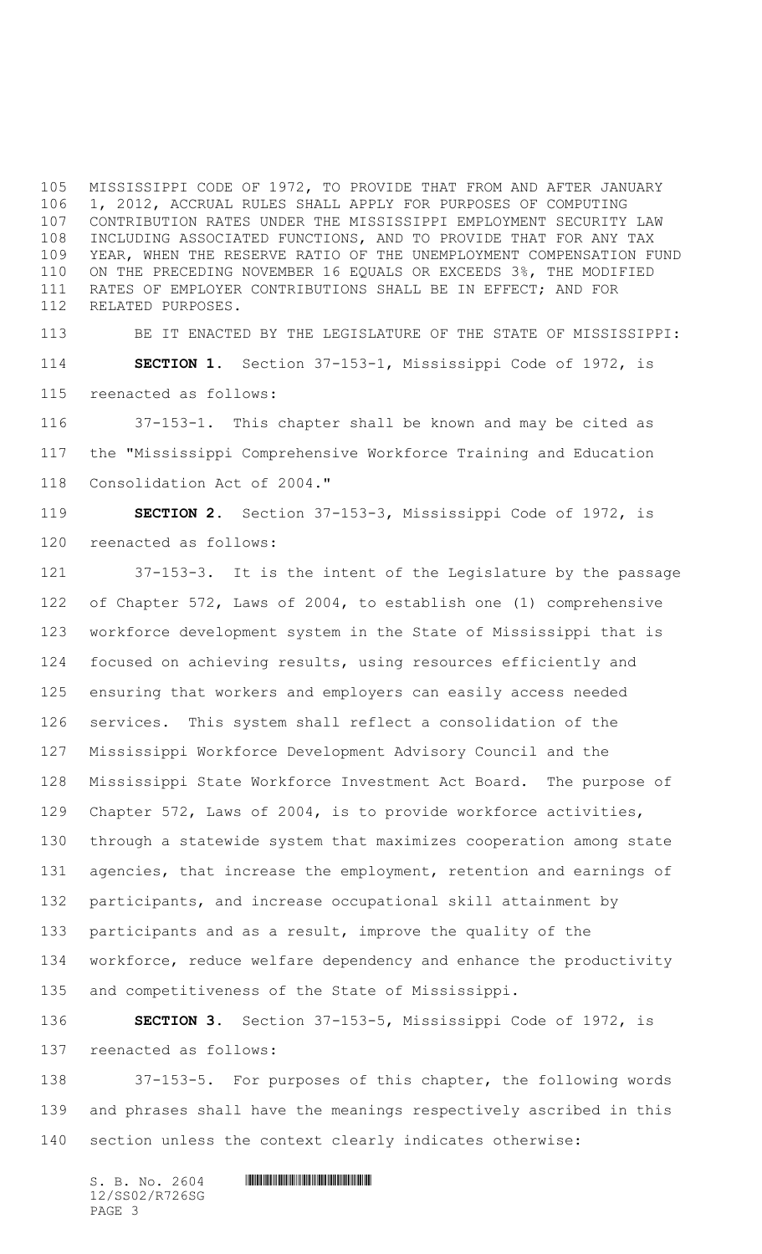MISSISSIPPI CODE OF 1972, TO PROVIDE THAT FROM AND AFTER JANUARY 1, 2012, ACCRUAL RULES SHALL APPLY FOR PURPOSES OF COMPUTING CONTRIBUTION RATES UNDER THE MISSISSIPPI EMPLOYMENT SECURITY LAW INCLUDING ASSOCIATED FUNCTIONS, AND TO PROVIDE THAT FOR ANY TAX YEAR, WHEN THE RESERVE RATIO OF THE UNEMPLOYMENT COMPENSATION FUND ON THE PRECEDING NOVEMBER 16 EQUALS OR EXCEEDS 3%, THE MODIFIED RATES OF EMPLOYER CONTRIBUTIONS SHALL BE IN EFFECT; AND FOR RELATED PURPOSES.

 BE IT ENACTED BY THE LEGISLATURE OF THE STATE OF MISSISSIPPI: **SECTION 1.** Section 37-153-1, Mississippi Code of 1972, is reenacted as follows:

 37-153-1. This chapter shall be known and may be cited as the "Mississippi Comprehensive Workforce Training and Education Consolidation Act of 2004."

 **SECTION 2.** Section 37-153-3, Mississippi Code of 1972, is reenacted as follows:

 37-153-3. It is the intent of the Legislature by the passage of Chapter 572, Laws of 2004, to establish one (1) comprehensive workforce development system in the State of Mississippi that is focused on achieving results, using resources efficiently and ensuring that workers and employers can easily access needed services. This system shall reflect a consolidation of the Mississippi Workforce Development Advisory Council and the Mississippi State Workforce Investment Act Board. The purpose of Chapter 572, Laws of 2004, is to provide workforce activities, through a statewide system that maximizes cooperation among state 131 agencies, that increase the employment, retention and earnings of participants, and increase occupational skill attainment by participants and as a result, improve the quality of the workforce, reduce welfare dependency and enhance the productivity and competitiveness of the State of Mississippi.

 **SECTION 3.** Section 37-153-5, Mississippi Code of 1972, is reenacted as follows:

 37-153-5. For purposes of this chapter, the following words and phrases shall have the meanings respectively ascribed in this section unless the context clearly indicates otherwise: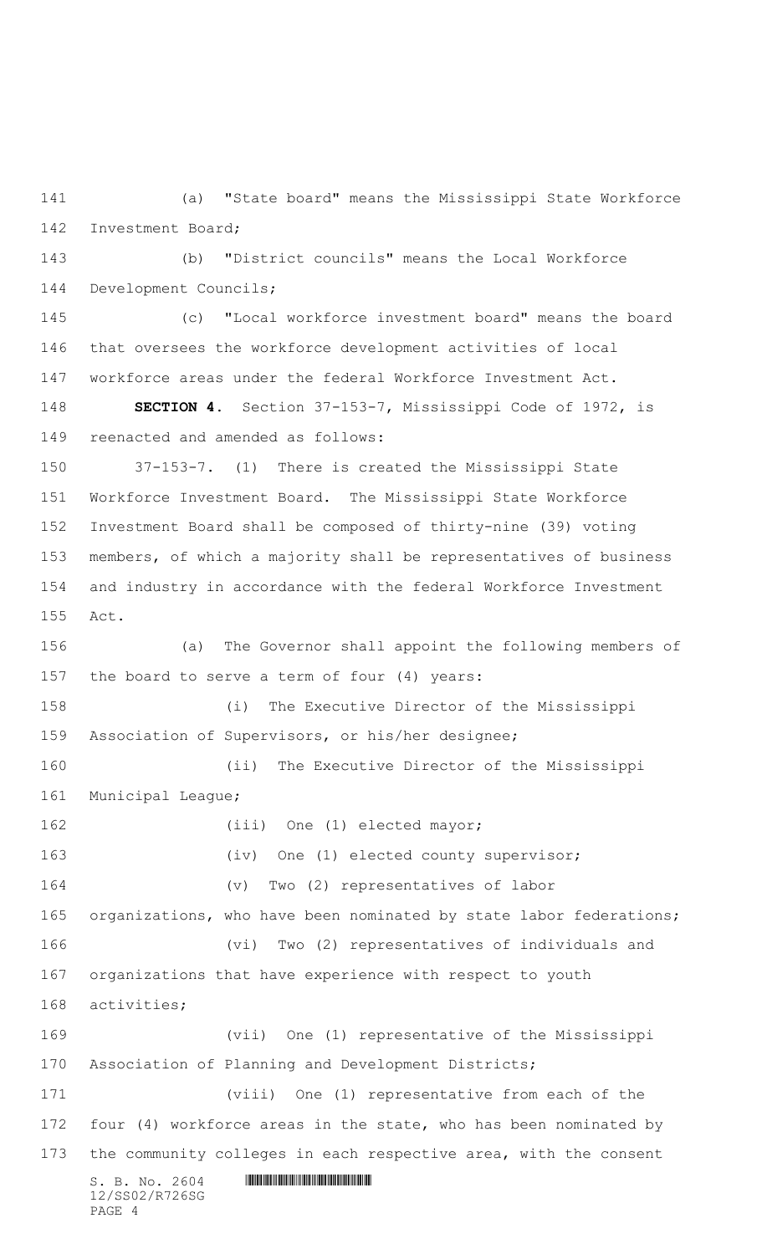(a) "State board" means the Mississippi State Workforce Investment Board;

 (b) "District councils" means the Local Workforce Development Councils;

 (c) "Local workforce investment board" means the board that oversees the workforce development activities of local workforce areas under the federal Workforce Investment Act.

 **SECTION 4.** Section 37-153-7, Mississippi Code of 1972, is reenacted and amended as follows:

 37-153-7. (1) There is created the Mississippi State Workforce Investment Board. The Mississippi State Workforce Investment Board shall be composed of thirty-nine (39) voting members, of which a majority shall be representatives of business and industry in accordance with the federal Workforce Investment Act.

 $S. B. No. 2604$  .  $M. 2604$ 12/SS02/R726SG PAGE 4 (a) The Governor shall appoint the following members of the board to serve a term of four (4) years: (i) The Executive Director of the Mississippi Association of Supervisors, or his/her designee; (ii) The Executive Director of the Mississippi Municipal League; 162 (iii) One (1) elected mayor; 163 (iv) One (1) elected county supervisor; (v) Two (2) representatives of labor 165 organizations, who have been nominated by state labor federations; (vi) Two (2) representatives of individuals and organizations that have experience with respect to youth activities; (vii) One (1) representative of the Mississippi Association of Planning and Development Districts; (viii) One (1) representative from each of the 172 four (4) workforce areas in the state, who has been nominated by 173 the community colleges in each respective area, with the consent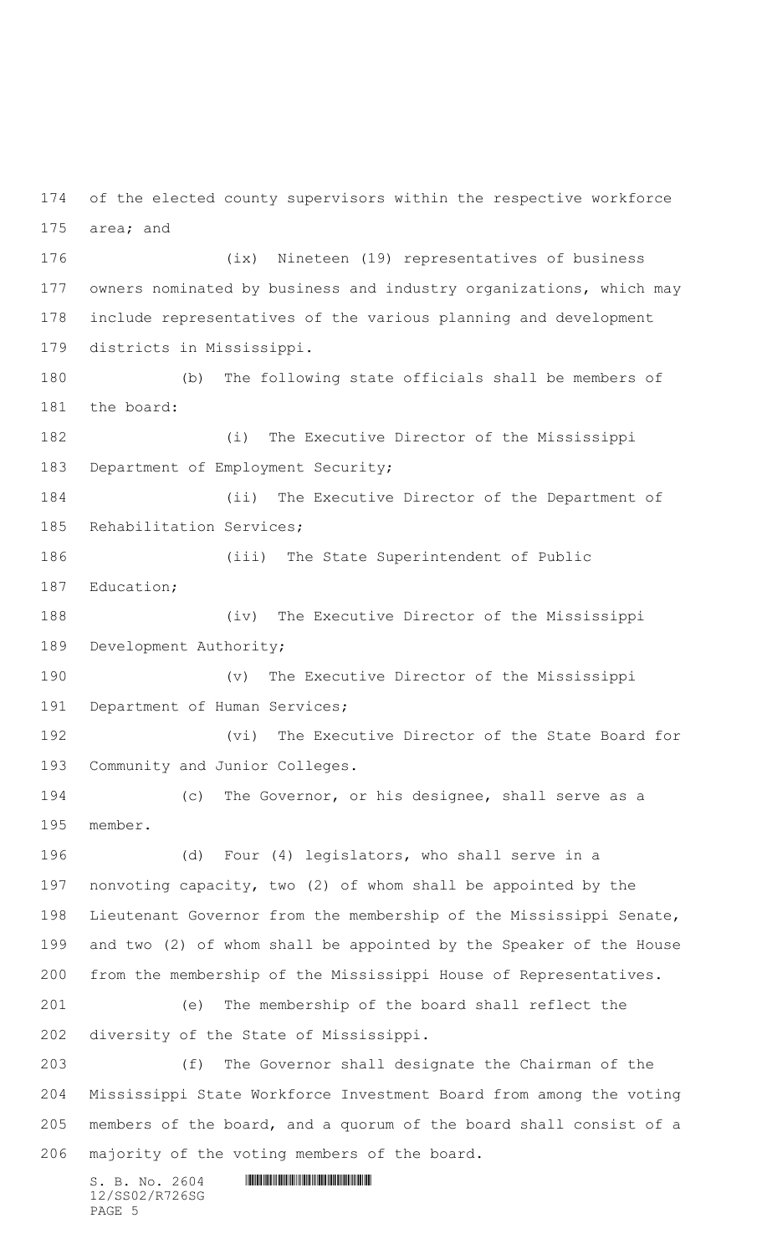$S. B. No. 2604$  .  $M. 2604$  of the elected county supervisors within the respective workforce area; and (ix) Nineteen (19) representatives of business owners nominated by business and industry organizations, which may include representatives of the various planning and development districts in Mississippi. (b) The following state officials shall be members of the board: (i) The Executive Director of the Mississippi 183 Department of Employment Security; (ii) The Executive Director of the Department of Rehabilitation Services; (iii) The State Superintendent of Public Education; (iv) The Executive Director of the Mississippi Development Authority; (v) The Executive Director of the Mississippi Department of Human Services; (vi) The Executive Director of the State Board for Community and Junior Colleges. (c) The Governor, or his designee, shall serve as a member. (d) Four (4) legislators, who shall serve in a nonvoting capacity, two (2) of whom shall be appointed by the Lieutenant Governor from the membership of the Mississippi Senate, and two (2) of whom shall be appointed by the Speaker of the House from the membership of the Mississippi House of Representatives. (e) The membership of the board shall reflect the diversity of the State of Mississippi. (f) The Governor shall designate the Chairman of the Mississippi State Workforce Investment Board from among the voting members of the board, and a quorum of the board shall consist of a majority of the voting members of the board.

12/SS02/R726SG PAGE 5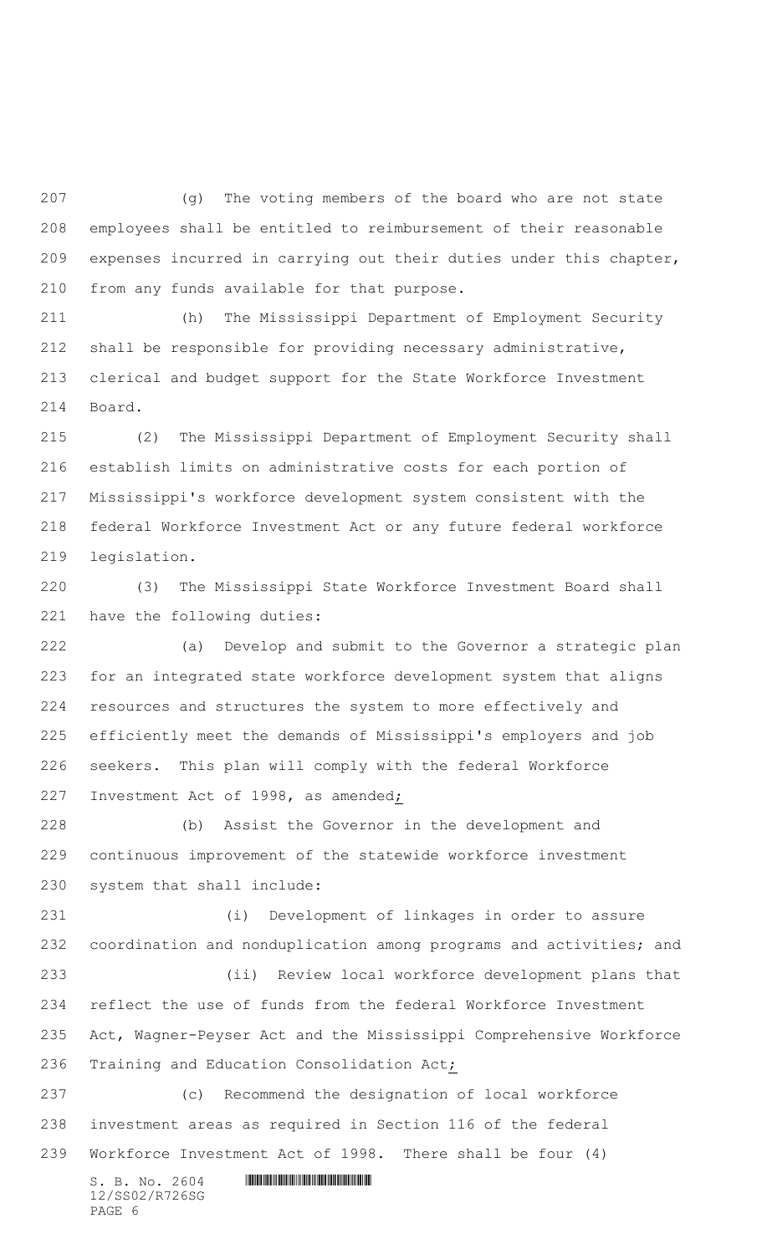(g) The voting members of the board who are not state employees shall be entitled to reimbursement of their reasonable expenses incurred in carrying out their duties under this chapter, from any funds available for that purpose.

 (h) The Mississippi Department of Employment Security shall be responsible for providing necessary administrative, clerical and budget support for the State Workforce Investment Board.

 (2) The Mississippi Department of Employment Security shall establish limits on administrative costs for each portion of Mississippi's workforce development system consistent with the federal Workforce Investment Act or any future federal workforce legislation.

 (3) The Mississippi State Workforce Investment Board shall have the following duties:

 (a) Develop and submit to the Governor a strategic plan for an integrated state workforce development system that aligns resources and structures the system to more effectively and efficiently meet the demands of Mississippi's employers and job seekers. This plan will comply with the federal Workforce Investment Act of 1998, as amended;

 (b) Assist the Governor in the development and continuous improvement of the statewide workforce investment system that shall include:

 (i) Development of linkages in order to assure coordination and nonduplication among programs and activities; and (ii) Review local workforce development plans that reflect the use of funds from the federal Workforce Investment Act, Wagner-Peyser Act and the Mississippi Comprehensive Workforce Training and Education Consolidation Act;

 (c) Recommend the designation of local workforce investment areas as required in Section 116 of the federal Workforce Investment Act of 1998. There shall be four (4)

 $S. B. No. 2604$  . The set of the set of  $S. B. N_{O.} 2604$ 12/SS02/R726SG PAGE 6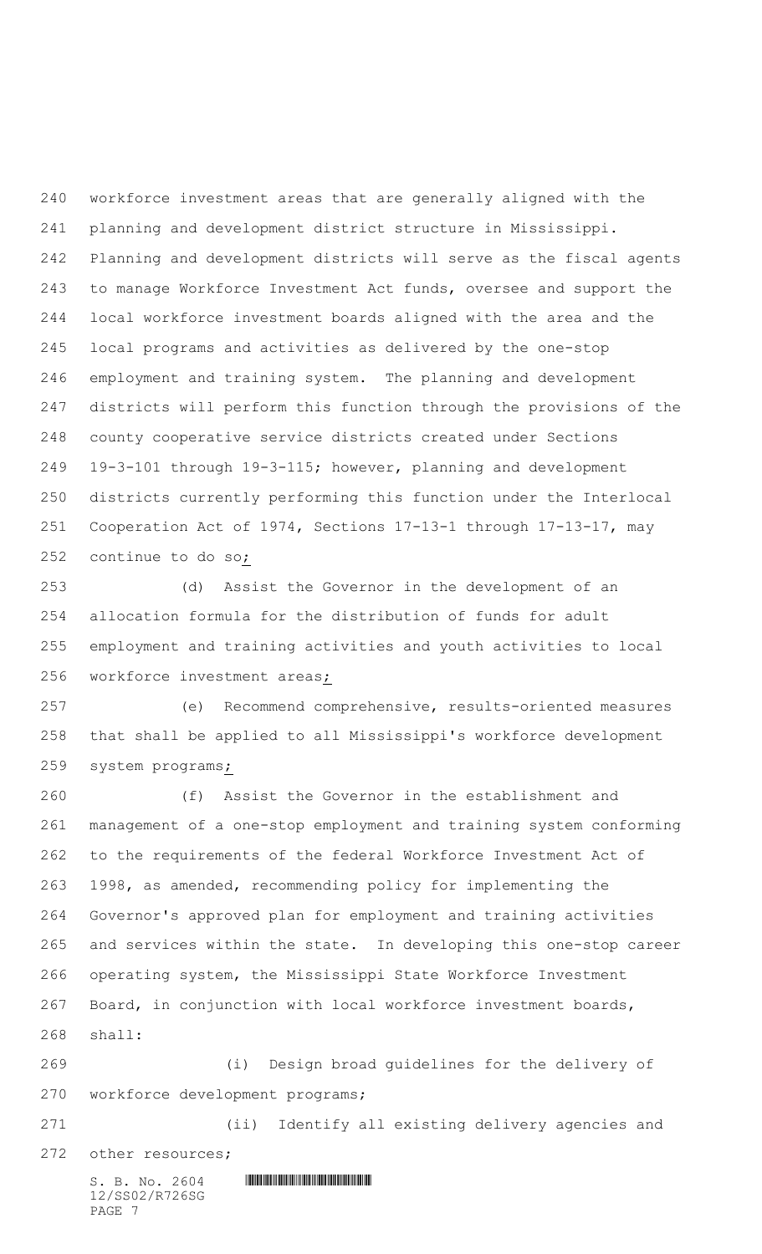workforce investment areas that are generally aligned with the planning and development district structure in Mississippi. Planning and development districts will serve as the fiscal agents to manage Workforce Investment Act funds, oversee and support the local workforce investment boards aligned with the area and the local programs and activities as delivered by the one-stop employment and training system. The planning and development districts will perform this function through the provisions of the county cooperative service districts created under Sections 19-3-101 through 19-3-115; however, planning and development districts currently performing this function under the Interlocal Cooperation Act of 1974, Sections 17-13-1 through 17-13-17, may continue to do so;

 (d) Assist the Governor in the development of an allocation formula for the distribution of funds for adult employment and training activities and youth activities to local workforce investment areas;

 (e) Recommend comprehensive, results-oriented measures that shall be applied to all Mississippi's workforce development system programs;

 (f) Assist the Governor in the establishment and management of a one-stop employment and training system conforming to the requirements of the federal Workforce Investment Act of 1998, as amended, recommending policy for implementing the Governor's approved plan for employment and training activities and services within the state. In developing this one-stop career operating system, the Mississippi State Workforce Investment Board, in conjunction with local workforce investment boards, shall:

 (i) Design broad guidelines for the delivery of workforce development programs;

 (ii) Identify all existing delivery agencies and other resources;

 $S. B. No. 2604$  . The set of the set of  $S. B. N \circ A$ 12/SS02/R726SG PAGE 7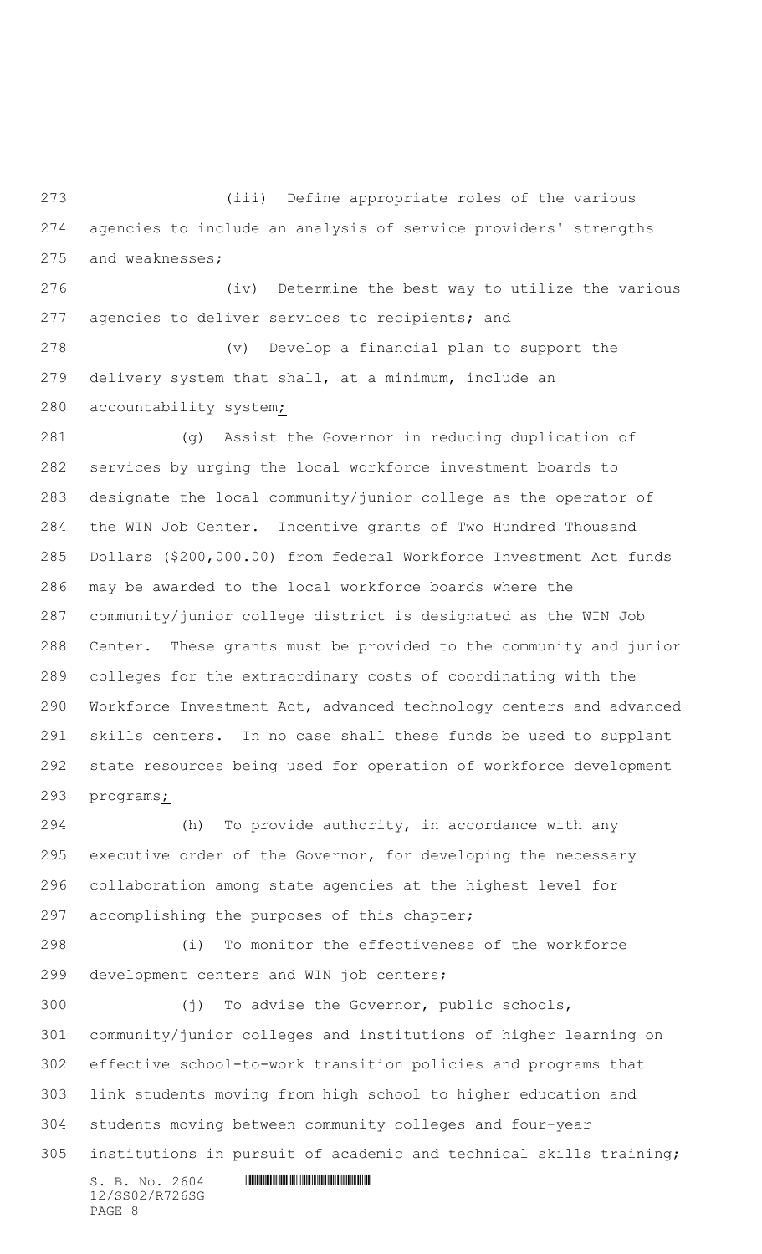(iii) Define appropriate roles of the various agencies to include an analysis of service providers' strengths and weaknesses;

 (iv) Determine the best way to utilize the various 277 agencies to deliver services to recipients; and

 (v) Develop a financial plan to support the delivery system that shall, at a minimum, include an accountability system;

 (g) Assist the Governor in reducing duplication of services by urging the local workforce investment boards to designate the local community/junior college as the operator of the WIN Job Center. Incentive grants of Two Hundred Thousand Dollars (\$200,000.00) from federal Workforce Investment Act funds may be awarded to the local workforce boards where the community/junior college district is designated as the WIN Job Center. These grants must be provided to the community and junior colleges for the extraordinary costs of coordinating with the Workforce Investment Act, advanced technology centers and advanced skills centers. In no case shall these funds be used to supplant state resources being used for operation of workforce development programs;

 (h) To provide authority, in accordance with any executive order of the Governor, for developing the necessary collaboration among state agencies at the highest level for accomplishing the purposes of this chapter;

 (i) To monitor the effectiveness of the workforce development centers and WIN job centers;

 (j) To advise the Governor, public schools, community/junior colleges and institutions of higher learning on effective school-to-work transition policies and programs that link students moving from high school to higher education and students moving between community colleges and four-year institutions in pursuit of academic and technical skills training;

12/SS02/R726SG PAGE 8

 $S. B. No. 2604$  .  $M. 2604$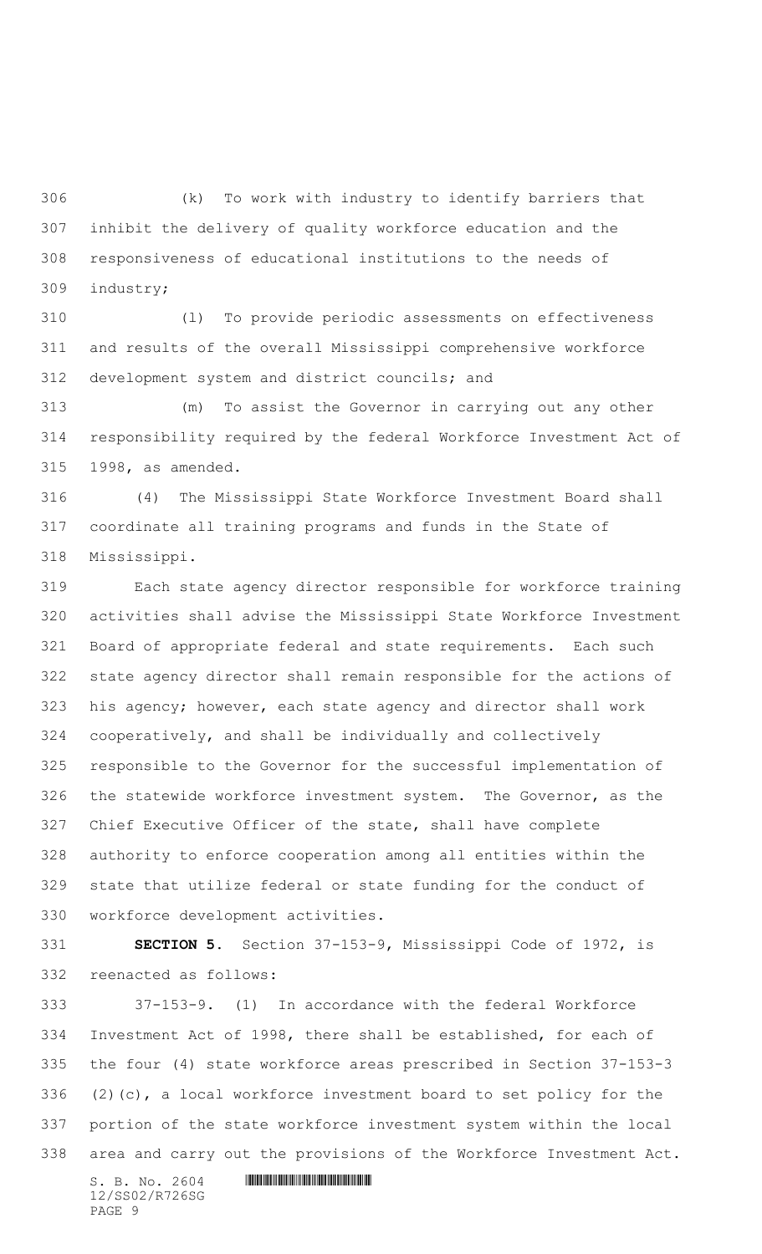(k) To work with industry to identify barriers that inhibit the delivery of quality workforce education and the responsiveness of educational institutions to the needs of industry;

 (l) To provide periodic assessments on effectiveness and results of the overall Mississippi comprehensive workforce development system and district councils; and

 (m) To assist the Governor in carrying out any other responsibility required by the federal Workforce Investment Act of 1998, as amended.

 (4) The Mississippi State Workforce Investment Board shall coordinate all training programs and funds in the State of Mississippi.

 Each state agency director responsible for workforce training activities shall advise the Mississippi State Workforce Investment Board of appropriate federal and state requirements. Each such state agency director shall remain responsible for the actions of his agency; however, each state agency and director shall work cooperatively, and shall be individually and collectively responsible to the Governor for the successful implementation of the statewide workforce investment system. The Governor, as the Chief Executive Officer of the state, shall have complete authority to enforce cooperation among all entities within the state that utilize federal or state funding for the conduct of workforce development activities.

 **SECTION 5.** Section 37-153-9, Mississippi Code of 1972, is reenacted as follows:

 37-153-9. (1) In accordance with the federal Workforce Investment Act of 1998, there shall be established, for each of the four (4) state workforce areas prescribed in Section 37-153-3 336 (2)(c), a local workforce investment board to set policy for the portion of the state workforce investment system within the local area and carry out the provisions of the Workforce Investment Act.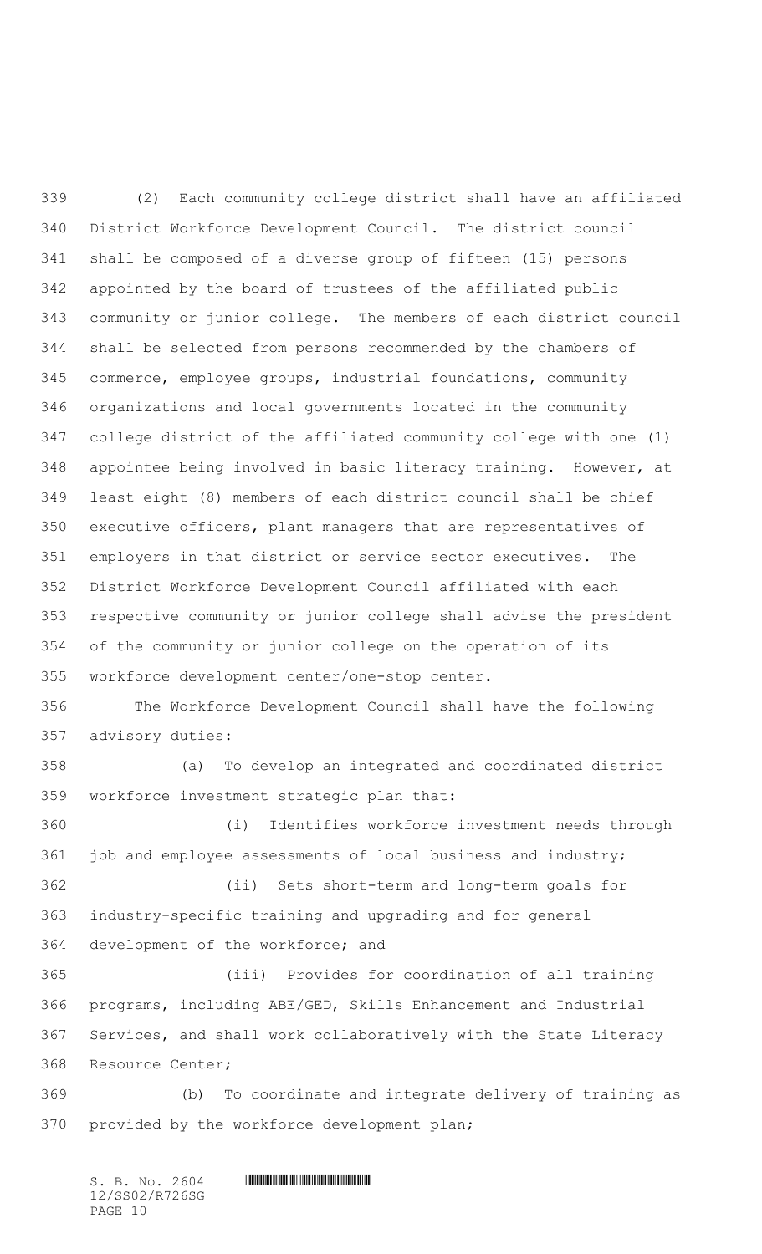(2) Each community college district shall have an affiliated District Workforce Development Council. The district council shall be composed of a diverse group of fifteen (15) persons appointed by the board of trustees of the affiliated public community or junior college. The members of each district council shall be selected from persons recommended by the chambers of commerce, employee groups, industrial foundations, community organizations and local governments located in the community college district of the affiliated community college with one (1) appointee being involved in basic literacy training. However, at least eight (8) members of each district council shall be chief executive officers, plant managers that are representatives of employers in that district or service sector executives. The District Workforce Development Council affiliated with each respective community or junior college shall advise the president of the community or junior college on the operation of its workforce development center/one-stop center. The Workforce Development Council shall have the following advisory duties: (a) To develop an integrated and coordinated district workforce investment strategic plan that: (i) Identifies workforce investment needs through job and employee assessments of local business and industry; (ii) Sets short-term and long-term goals for industry-specific training and upgrading and for general development of the workforce; and (iii) Provides for coordination of all training programs, including ABE/GED, Skills Enhancement and Industrial Services, and shall work collaboratively with the State Literacy Resource Center; (b) To coordinate and integrate delivery of training as

provided by the workforce development plan;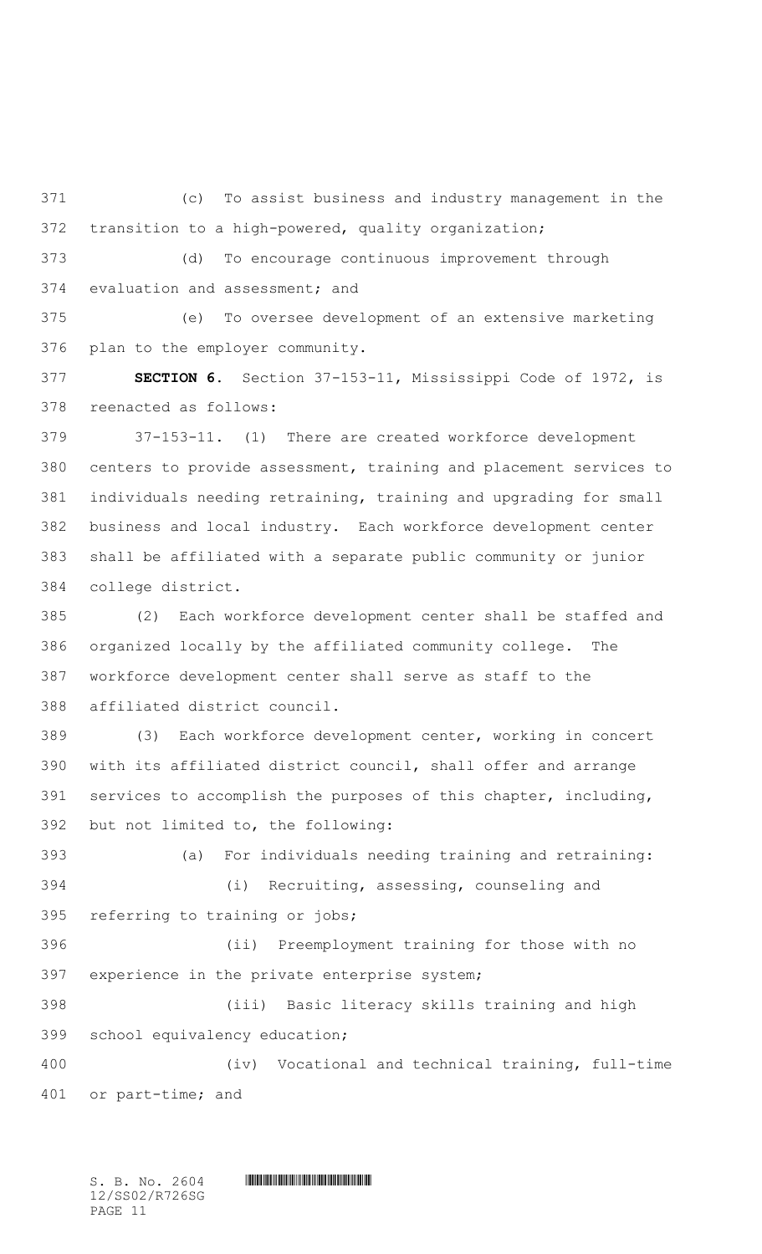(c) To assist business and industry management in the transition to a high-powered, quality organization;

 (d) To encourage continuous improvement through evaluation and assessment; and

 (e) To oversee development of an extensive marketing plan to the employer community.

 **SECTION 6.** Section 37-153-11, Mississippi Code of 1972, is reenacted as follows:

 37-153-11. (1) There are created workforce development centers to provide assessment, training and placement services to individuals needing retraining, training and upgrading for small business and local industry. Each workforce development center shall be affiliated with a separate public community or junior college district.

 (2) Each workforce development center shall be staffed and organized locally by the affiliated community college. The workforce development center shall serve as staff to the affiliated district council.

 (3) Each workforce development center, working in concert with its affiliated district council, shall offer and arrange services to accomplish the purposes of this chapter, including, but not limited to, the following:

 (a) For individuals needing training and retraining: (i) Recruiting, assessing, counseling and referring to training or jobs;

 (ii) Preemployment training for those with no experience in the private enterprise system;

 (iii) Basic literacy skills training and high school equivalency education; (iv) Vocational and technical training, full-time

or part-time; and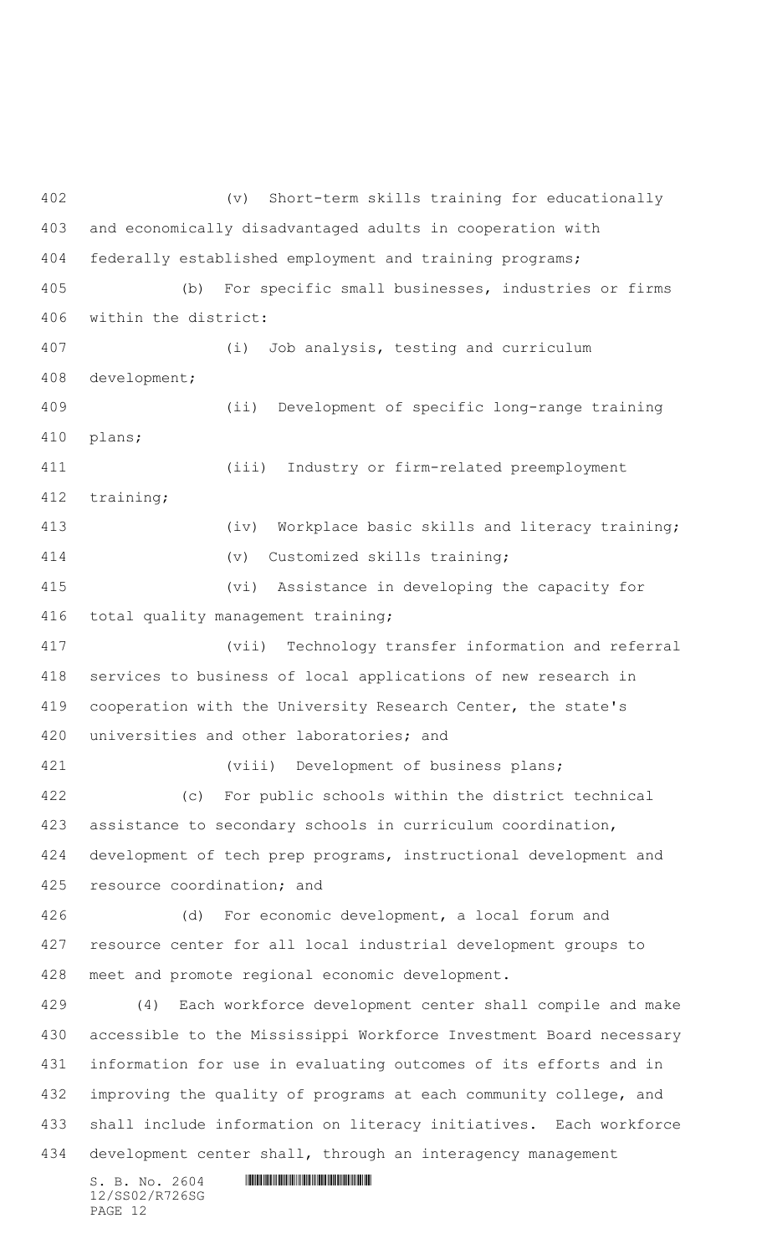$S. B. NO. 2604$  .  $M. 2604$  (v) Short-term skills training for educationally and economically disadvantaged adults in cooperation with federally established employment and training programs; (b) For specific small businesses, industries or firms within the district: (i) Job analysis, testing and curriculum development; (ii) Development of specific long-range training plans; (iii) Industry or firm-related preemployment training; 413 (iv) Workplace basic skills and literacy training; (v) Customized skills training; (vi) Assistance in developing the capacity for total quality management training; (vii) Technology transfer information and referral services to business of local applications of new research in cooperation with the University Research Center, the state's universities and other laboratories; and (viii) Development of business plans; (c) For public schools within the district technical assistance to secondary schools in curriculum coordination, development of tech prep programs, instructional development and resource coordination; and (d) For economic development, a local forum and resource center for all local industrial development groups to meet and promote regional economic development. (4) Each workforce development center shall compile and make accessible to the Mississippi Workforce Investment Board necessary information for use in evaluating outcomes of its efforts and in improving the quality of programs at each community college, and shall include information on literacy initiatives. Each workforce development center shall, through an interagency management

12/SS02/R726SG PAGE 12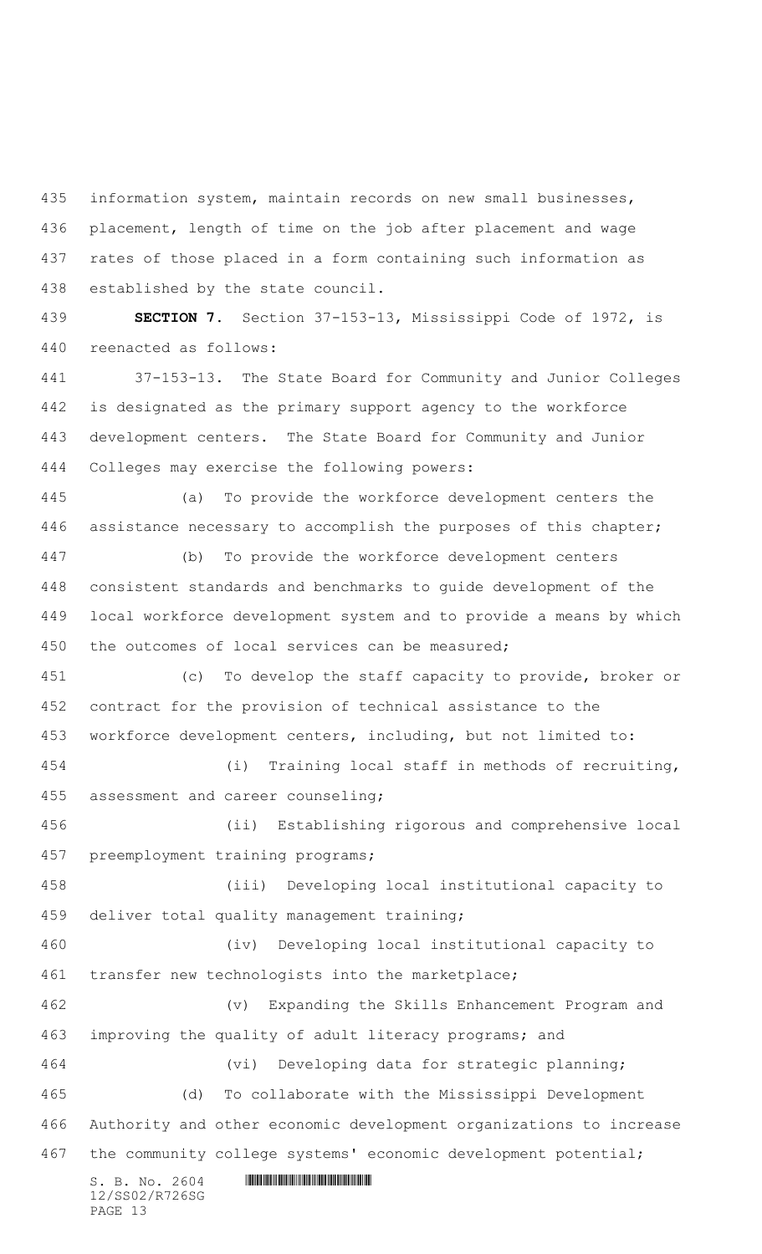information system, maintain records on new small businesses, placement, length of time on the job after placement and wage rates of those placed in a form containing such information as established by the state council.

 **SECTION 7.** Section 37-153-13, Mississippi Code of 1972, is reenacted as follows:

 37-153-13. The State Board for Community and Junior Colleges is designated as the primary support agency to the workforce development centers. The State Board for Community and Junior Colleges may exercise the following powers:

 (a) To provide the workforce development centers the assistance necessary to accomplish the purposes of this chapter;

 (b) To provide the workforce development centers consistent standards and benchmarks to guide development of the local workforce development system and to provide a means by which the outcomes of local services can be measured;

 (c) To develop the staff capacity to provide, broker or contract for the provision of technical assistance to the workforce development centers, including, but not limited to:

 (i) Training local staff in methods of recruiting, assessment and career counseling;

 (ii) Establishing rigorous and comprehensive local preemployment training programs;

 (iii) Developing local institutional capacity to deliver total quality management training;

 (iv) Developing local institutional capacity to transfer new technologists into the marketplace;

 (v) Expanding the Skills Enhancement Program and improving the quality of adult literacy programs; and (vi) Developing data for strategic planning;

 (d) To collaborate with the Mississippi Development Authority and other economic development organizations to increase the community college systems' economic development potential;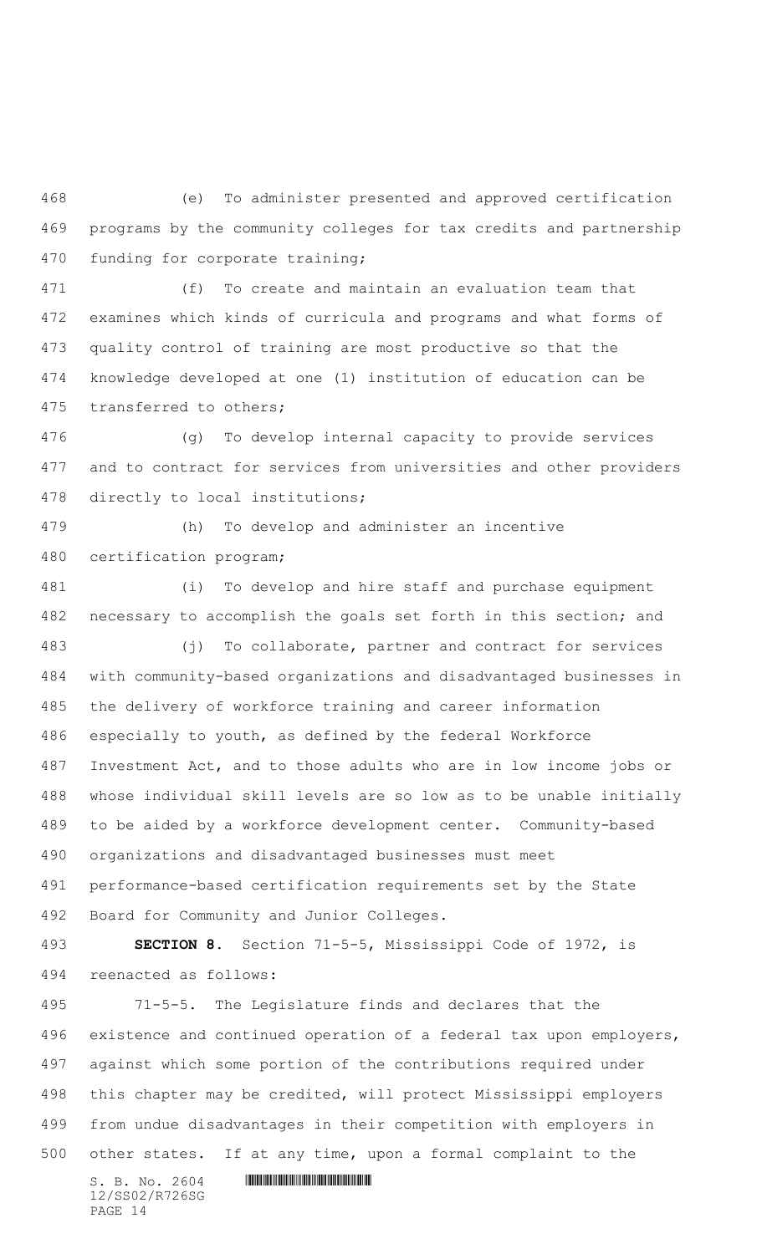(e) To administer presented and approved certification programs by the community colleges for tax credits and partnership funding for corporate training;

 (f) To create and maintain an evaluation team that examines which kinds of curricula and programs and what forms of quality control of training are most productive so that the knowledge developed at one (1) institution of education can be transferred to others;

 (g) To develop internal capacity to provide services and to contract for services from universities and other providers directly to local institutions;

 (h) To develop and administer an incentive certification program;

 (i) To develop and hire staff and purchase equipment necessary to accomplish the goals set forth in this section; and (j) To collaborate, partner and contract for services with community-based organizations and disadvantaged businesses in the delivery of workforce training and career information especially to youth, as defined by the federal Workforce Investment Act, and to those adults who are in low income jobs or whose individual skill levels are so low as to be unable initially to be aided by a workforce development center. Community-based organizations and disadvantaged businesses must meet performance-based certification requirements set by the State Board for Community and Junior Colleges. **SECTION 8.** Section 71-5-5, Mississippi Code of 1972, is reenacted as follows: 71-5-5. The Legislature finds and declares that the existence and continued operation of a federal tax upon employers, against which some portion of the contributions required under this chapter may be credited, will protect Mississippi employers

 from undue disadvantages in their competition with employers in other states. If at any time, upon a formal complaint to the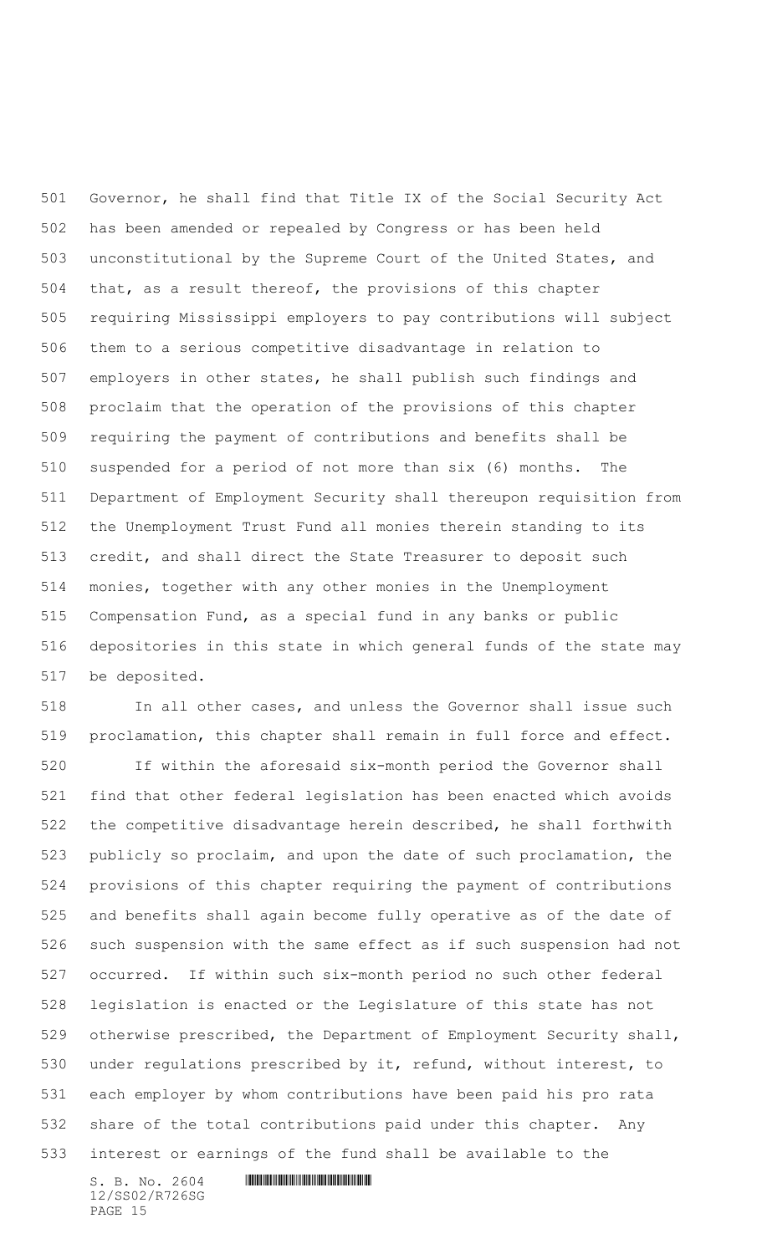Governor, he shall find that Title IX of the Social Security Act has been amended or repealed by Congress or has been held unconstitutional by the Supreme Court of the United States, and that, as a result thereof, the provisions of this chapter requiring Mississippi employers to pay contributions will subject them to a serious competitive disadvantage in relation to employers in other states, he shall publish such findings and proclaim that the operation of the provisions of this chapter requiring the payment of contributions and benefits shall be suspended for a period of not more than six (6) months. The Department of Employment Security shall thereupon requisition from the Unemployment Trust Fund all monies therein standing to its credit, and shall direct the State Treasurer to deposit such monies, together with any other monies in the Unemployment Compensation Fund, as a special fund in any banks or public depositories in this state in which general funds of the state may be deposited.

 In all other cases, and unless the Governor shall issue such proclamation, this chapter shall remain in full force and effect.

 If within the aforesaid six-month period the Governor shall find that other federal legislation has been enacted which avoids the competitive disadvantage herein described, he shall forthwith publicly so proclaim, and upon the date of such proclamation, the provisions of this chapter requiring the payment of contributions and benefits shall again become fully operative as of the date of such suspension with the same effect as if such suspension had not occurred. If within such six-month period no such other federal legislation is enacted or the Legislature of this state has not otherwise prescribed, the Department of Employment Security shall, under regulations prescribed by it, refund, without interest, to each employer by whom contributions have been paid his pro rata share of the total contributions paid under this chapter. Any interest or earnings of the fund shall be available to the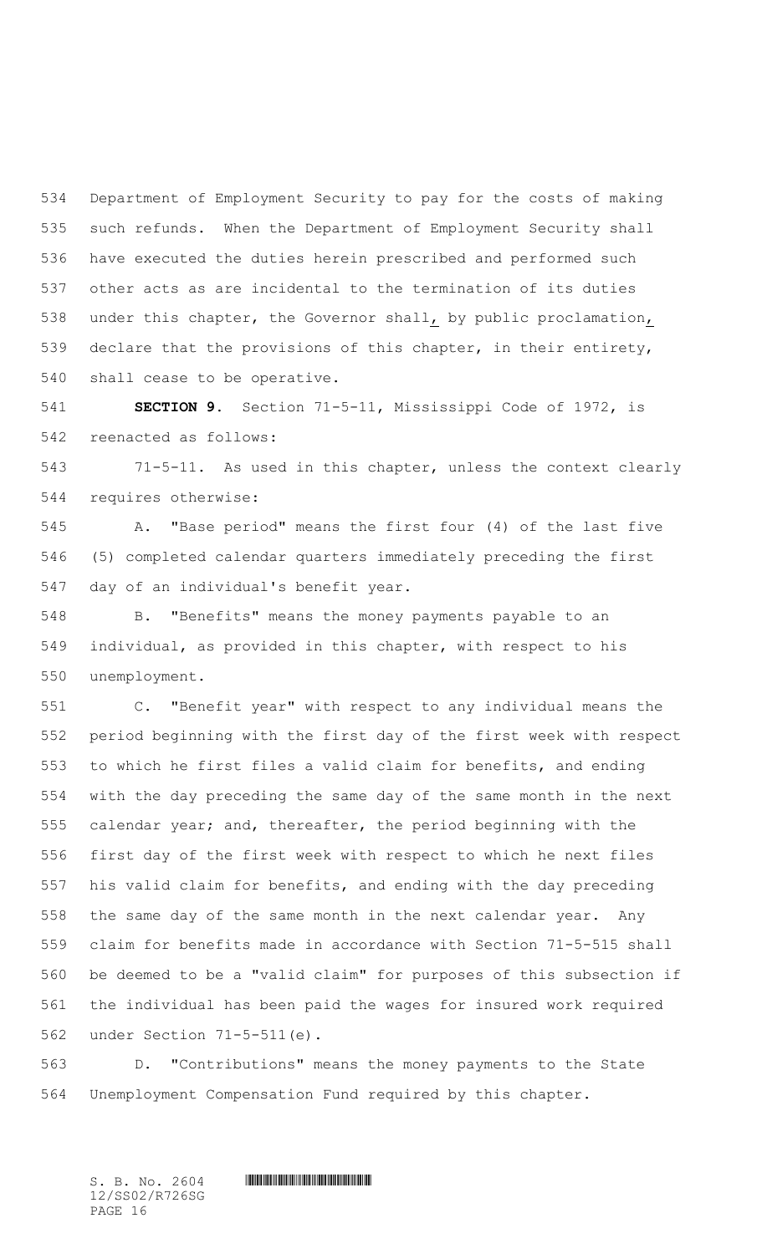Department of Employment Security to pay for the costs of making such refunds. When the Department of Employment Security shall have executed the duties herein prescribed and performed such other acts as are incidental to the termination of its duties under this chapter, the Governor shall, by public proclamation, declare that the provisions of this chapter, in their entirety, shall cease to be operative.

 **SECTION 9.** Section 71-5-11, Mississippi Code of 1972, is reenacted as follows:

 71-5-11. As used in this chapter, unless the context clearly requires otherwise:

 A. "Base period" means the first four (4) of the last five (5) completed calendar quarters immediately preceding the first day of an individual's benefit year.

 B. "Benefits" means the money payments payable to an individual, as provided in this chapter, with respect to his unemployment.

 C. "Benefit year" with respect to any individual means the period beginning with the first day of the first week with respect to which he first files a valid claim for benefits, and ending with the day preceding the same day of the same month in the next calendar year; and, thereafter, the period beginning with the first day of the first week with respect to which he next files his valid claim for benefits, and ending with the day preceding the same day of the same month in the next calendar year. Any claim for benefits made in accordance with Section 71-5-515 shall be deemed to be a "valid claim" for purposes of this subsection if the individual has been paid the wages for insured work required under Section 71-5-511(e).

 D. "Contributions" means the money payments to the State Unemployment Compensation Fund required by this chapter.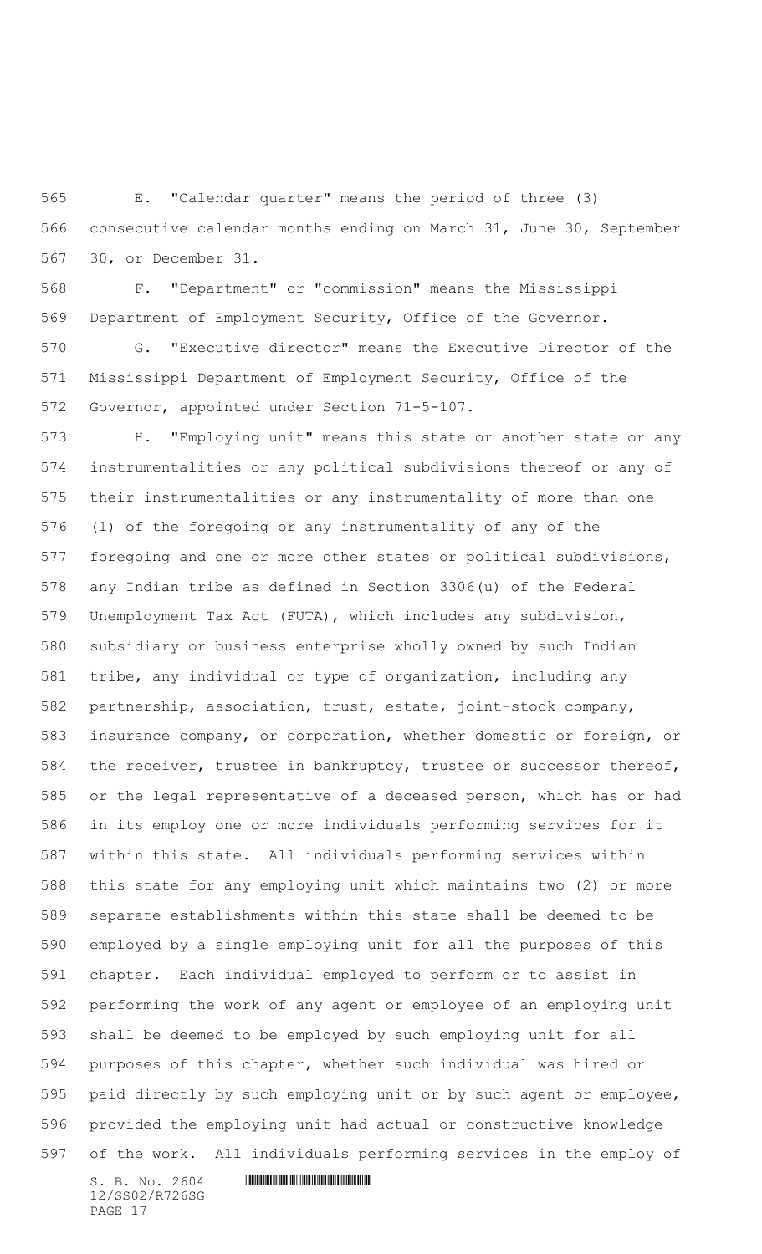E. "Calendar quarter" means the period of three (3) consecutive calendar months ending on March 31, June 30, September 30, or December 31.

 F. "Department" or "commission" means the Mississippi Department of Employment Security, Office of the Governor.

 G. "Executive director" means the Executive Director of the Mississippi Department of Employment Security, Office of the Governor, appointed under Section 71-5-107.

 H. "Employing unit" means this state or another state or any instrumentalities or any political subdivisions thereof or any of their instrumentalities or any instrumentality of more than one (1) of the foregoing or any instrumentality of any of the foregoing and one or more other states or political subdivisions, any Indian tribe as defined in Section 3306(u) of the Federal Unemployment Tax Act (FUTA), which includes any subdivision, subsidiary or business enterprise wholly owned by such Indian tribe, any individual or type of organization, including any partnership, association, trust, estate, joint-stock company, insurance company, or corporation, whether domestic or foreign, or the receiver, trustee in bankruptcy, trustee or successor thereof, or the legal representative of a deceased person, which has or had in its employ one or more individuals performing services for it within this state. All individuals performing services within this state for any employing unit which maintains two (2) or more separate establishments within this state shall be deemed to be employed by a single employing unit for all the purposes of this chapter. Each individual employed to perform or to assist in performing the work of any agent or employee of an employing unit shall be deemed to be employed by such employing unit for all purposes of this chapter, whether such individual was hired or paid directly by such employing unit or by such agent or employee, provided the employing unit had actual or constructive knowledge of the work. All individuals performing services in the employ of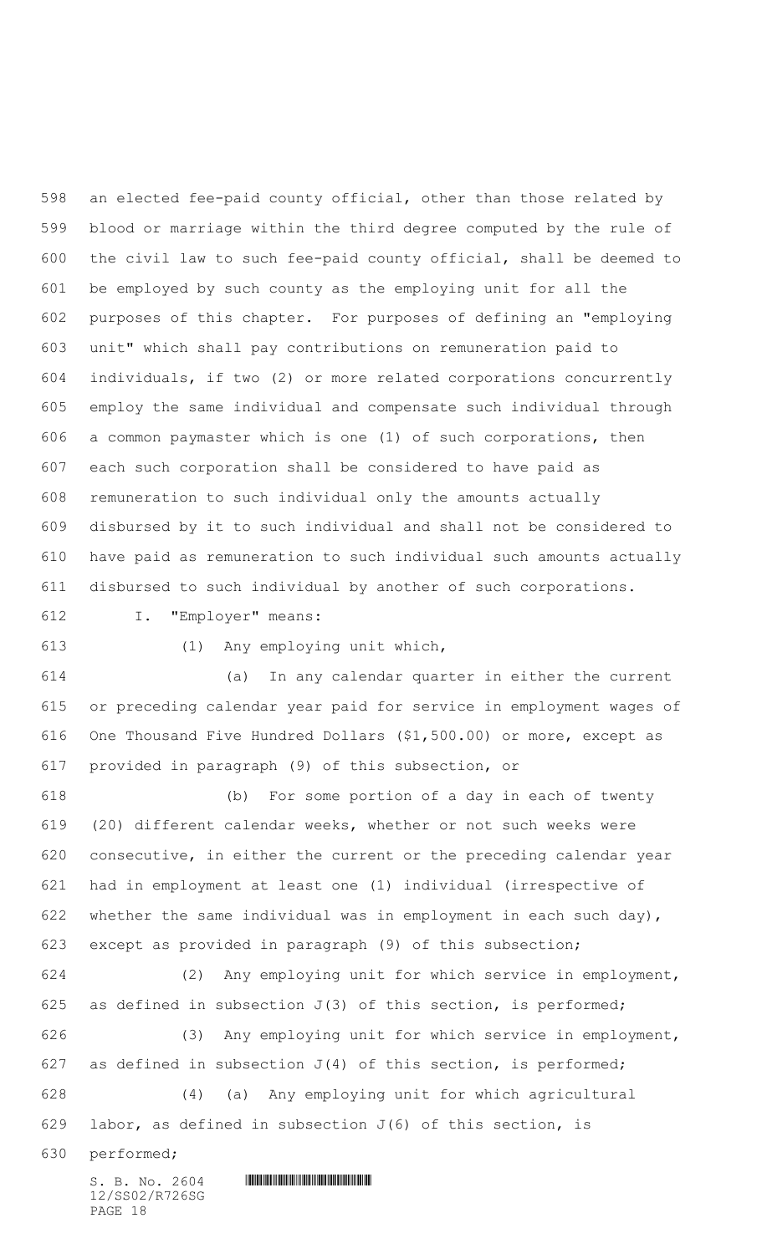an elected fee-paid county official, other than those related by blood or marriage within the third degree computed by the rule of the civil law to such fee-paid county official, shall be deemed to be employed by such county as the employing unit for all the purposes of this chapter. For purposes of defining an "employing unit" which shall pay contributions on remuneration paid to individuals, if two (2) or more related corporations concurrently employ the same individual and compensate such individual through a common paymaster which is one (1) of such corporations, then each such corporation shall be considered to have paid as remuneration to such individual only the amounts actually disbursed by it to such individual and shall not be considered to have paid as remuneration to such individual such amounts actually disbursed to such individual by another of such corporations.

I. "Employer" means:

(1) Any employing unit which,

 (a) In any calendar quarter in either the current or preceding calendar year paid for service in employment wages of One Thousand Five Hundred Dollars (\$1,500.00) or more, except as provided in paragraph (9) of this subsection, or

 (b) For some portion of a day in each of twenty (20) different calendar weeks, whether or not such weeks were consecutive, in either the current or the preceding calendar year had in employment at least one (1) individual (irrespective of 622 whether the same individual was in employment in each such day), except as provided in paragraph (9) of this subsection;

 (2) Any employing unit for which service in employment, 625 as defined in subsection  $J(3)$  of this section, is performed;

 (3) Any employing unit for which service in employment, 627 as defined in subsection  $J(4)$  of this section, is performed; (4) (a) Any employing unit for which agricultural

629 labor, as defined in subsection  $J(6)$  of this section, is

performed;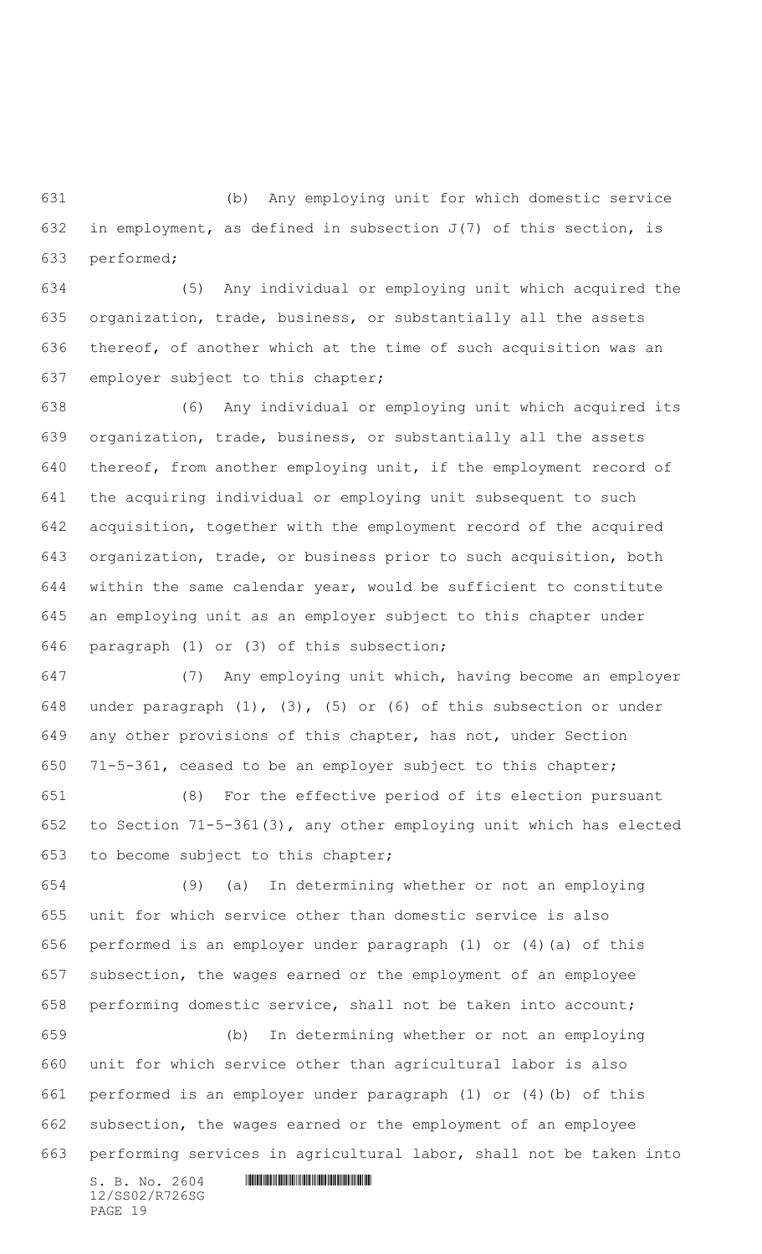(b) Any employing unit for which domestic service 632 in employment, as defined in subsection  $J(7)$  of this section, is performed;

 (5) Any individual or employing unit which acquired the organization, trade, business, or substantially all the assets thereof, of another which at the time of such acquisition was an employer subject to this chapter;

 (6) Any individual or employing unit which acquired its organization, trade, business, or substantially all the assets thereof, from another employing unit, if the employment record of the acquiring individual or employing unit subsequent to such acquisition, together with the employment record of the acquired organization, trade, or business prior to such acquisition, both within the same calendar year, would be sufficient to constitute an employing unit as an employer subject to this chapter under paragraph (1) or (3) of this subsection;

 (7) Any employing unit which, having become an employer under paragraph (1), (3), (5) or (6) of this subsection or under any other provisions of this chapter, has not, under Section 71-5-361, ceased to be an employer subject to this chapter;

 (8) For the effective period of its election pursuant to Section 71-5-361(3), any other employing unit which has elected to become subject to this chapter;

 (9) (a) In determining whether or not an employing unit for which service other than domestic service is also performed is an employer under paragraph (1) or (4)(a) of this subsection, the wages earned or the employment of an employee performing domestic service, shall not be taken into account;

 (b) In determining whether or not an employing unit for which service other than agricultural labor is also performed is an employer under paragraph (1) or (4)(b) of this subsection, the wages earned or the employment of an employee performing services in agricultural labor, shall not be taken into

 $S. B. No. 2604$  . The set of the set of  $S. B. N_{O.} 2604$ 12/SS02/R726SG PAGE 19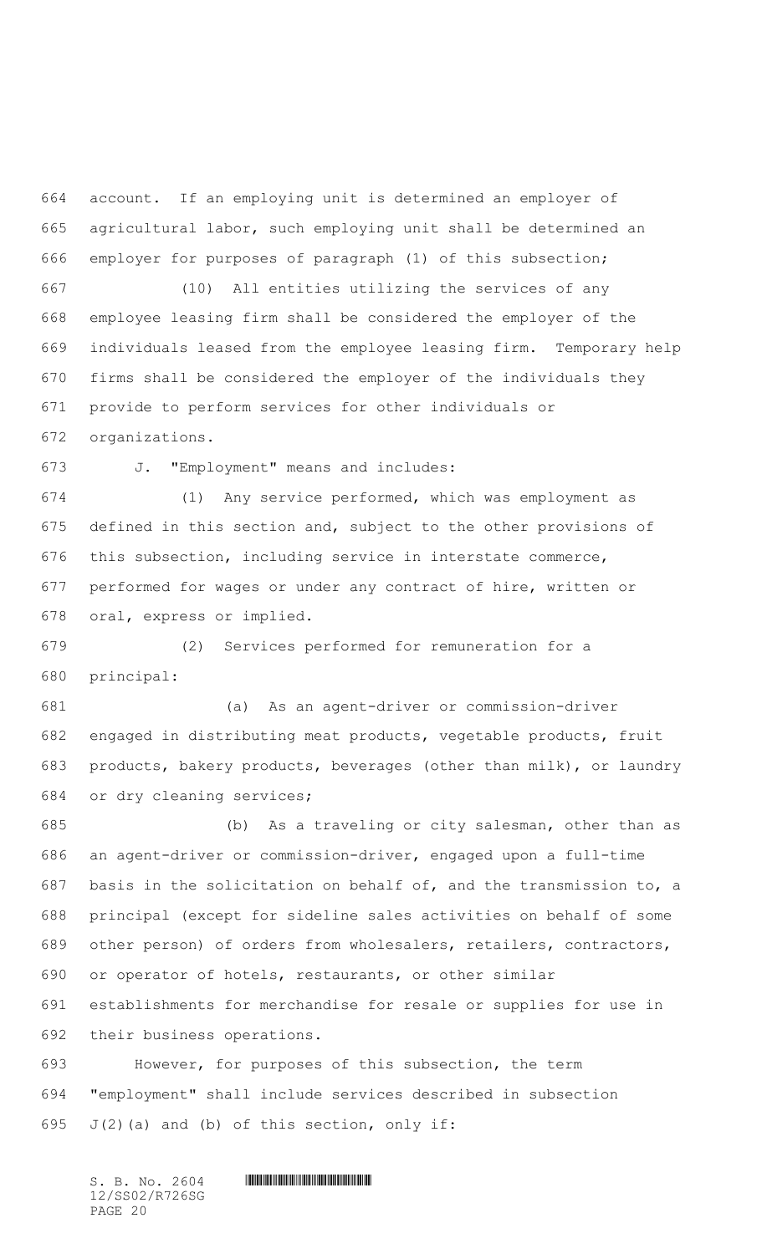account. If an employing unit is determined an employer of agricultural labor, such employing unit shall be determined an employer for purposes of paragraph (1) of this subsection;

 (10) All entities utilizing the services of any employee leasing firm shall be considered the employer of the individuals leased from the employee leasing firm. Temporary help firms shall be considered the employer of the individuals they provide to perform services for other individuals or organizations.

J. "Employment" means and includes:

 (1) Any service performed, which was employment as defined in this section and, subject to the other provisions of this subsection, including service in interstate commerce, performed for wages or under any contract of hire, written or oral, express or implied.

 (2) Services performed for remuneration for a principal:

 (a) As an agent-driver or commission-driver engaged in distributing meat products, vegetable products, fruit products, bakery products, beverages (other than milk), or laundry or dry cleaning services;

 (b) As a traveling or city salesman, other than as an agent-driver or commission-driver, engaged upon a full-time basis in the solicitation on behalf of, and the transmission to, a principal (except for sideline sales activities on behalf of some other person) of orders from wholesalers, retailers, contractors, or operator of hotels, restaurants, or other similar establishments for merchandise for resale or supplies for use in their business operations.

 However, for purposes of this subsection, the term "employment" shall include services described in subsection 695  $J(2)$  (a) and (b) of this section, only if: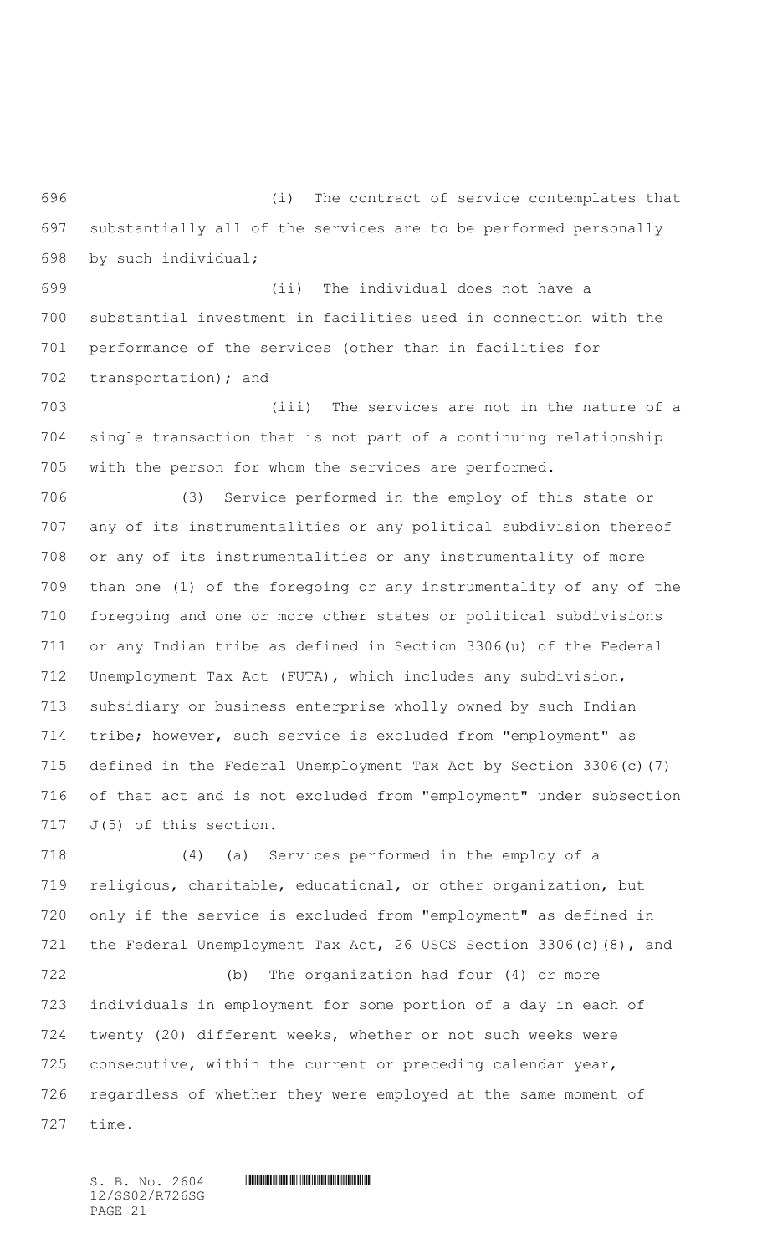(i) The contract of service contemplates that substantially all of the services are to be performed personally by such individual;

 (ii) The individual does not have a substantial investment in facilities used in connection with the performance of the services (other than in facilities for transportation); and

 (iii) The services are not in the nature of a single transaction that is not part of a continuing relationship with the person for whom the services are performed.

 (3) Service performed in the employ of this state or any of its instrumentalities or any political subdivision thereof or any of its instrumentalities or any instrumentality of more than one (1) of the foregoing or any instrumentality of any of the foregoing and one or more other states or political subdivisions or any Indian tribe as defined in Section 3306(u) of the Federal Unemployment Tax Act (FUTA), which includes any subdivision, subsidiary or business enterprise wholly owned by such Indian tribe; however, such service is excluded from "employment" as defined in the Federal Unemployment Tax Act by Section 3306(c)(7) of that act and is not excluded from "employment" under subsection 717 J(5) of this section.

 (4) (a) Services performed in the employ of a religious, charitable, educational, or other organization, but only if the service is excluded from "employment" as defined in the Federal Unemployment Tax Act, 26 USCS Section 3306(c)(8), and

 (b) The organization had four (4) or more individuals in employment for some portion of a day in each of twenty (20) different weeks, whether or not such weeks were consecutive, within the current or preceding calendar year, regardless of whether they were employed at the same moment of time.

12/SS02/R726SG PAGE 21

 $S. B. No. 2604$  .  $M. 2604$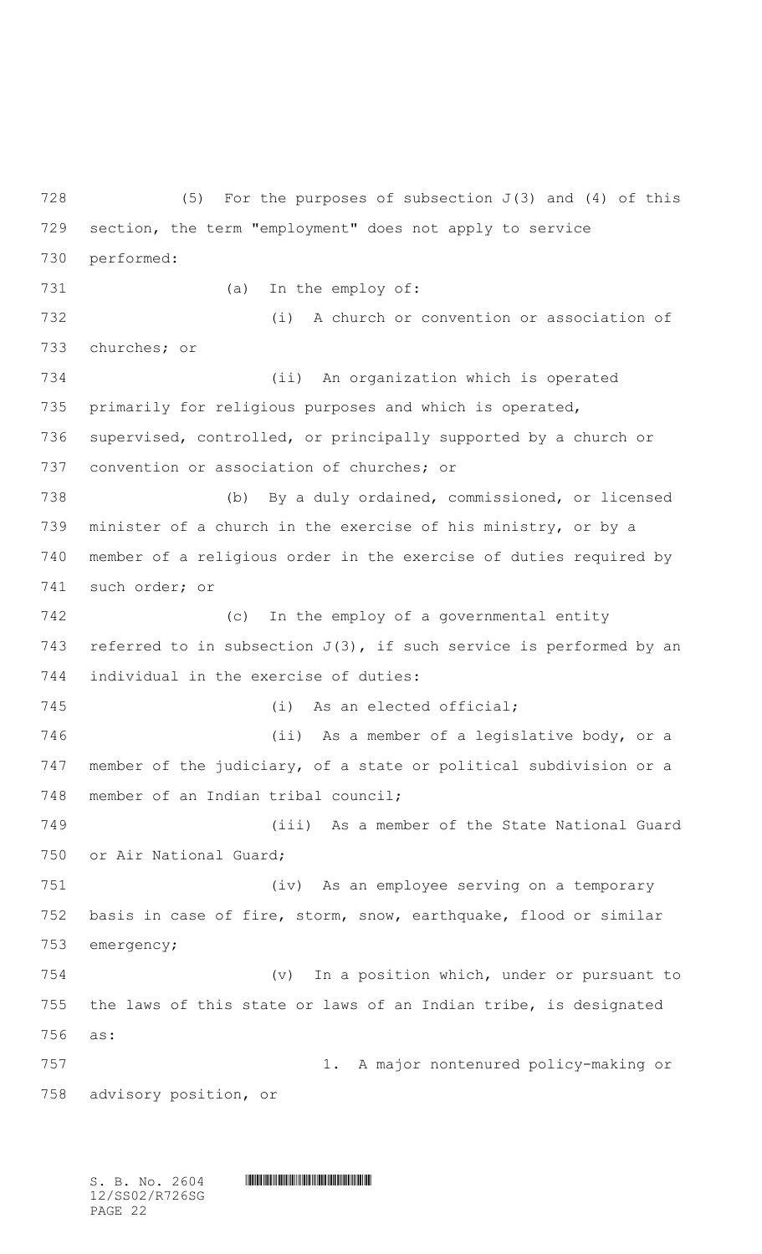728 (5) For the purposes of subsection  $J(3)$  and  $(4)$  of this section, the term "employment" does not apply to service performed: (a) In the employ of: (i) A church or convention or association of churches; or (ii) An organization which is operated primarily for religious purposes and which is operated, supervised, controlled, or principally supported by a church or convention or association of churches; or (b) By a duly ordained, commissioned, or licensed minister of a church in the exercise of his ministry, or by a member of a religious order in the exercise of duties required by such order; or (c) In the employ of a governmental entity 743 referred to in subsection  $J(3)$ , if such service is performed by an individual in the exercise of duties: (i) As an elected official; (ii) As a member of a legislative body, or a member of the judiciary, of a state or political subdivision or a member of an Indian tribal council; (iii) As a member of the State National Guard or Air National Guard; (iv) As an employee serving on a temporary basis in case of fire, storm, snow, earthquake, flood or similar emergency; (v) In a position which, under or pursuant to the laws of this state or laws of an Indian tribe, is designated as: 1. A major nontenured policy-making or advisory position, or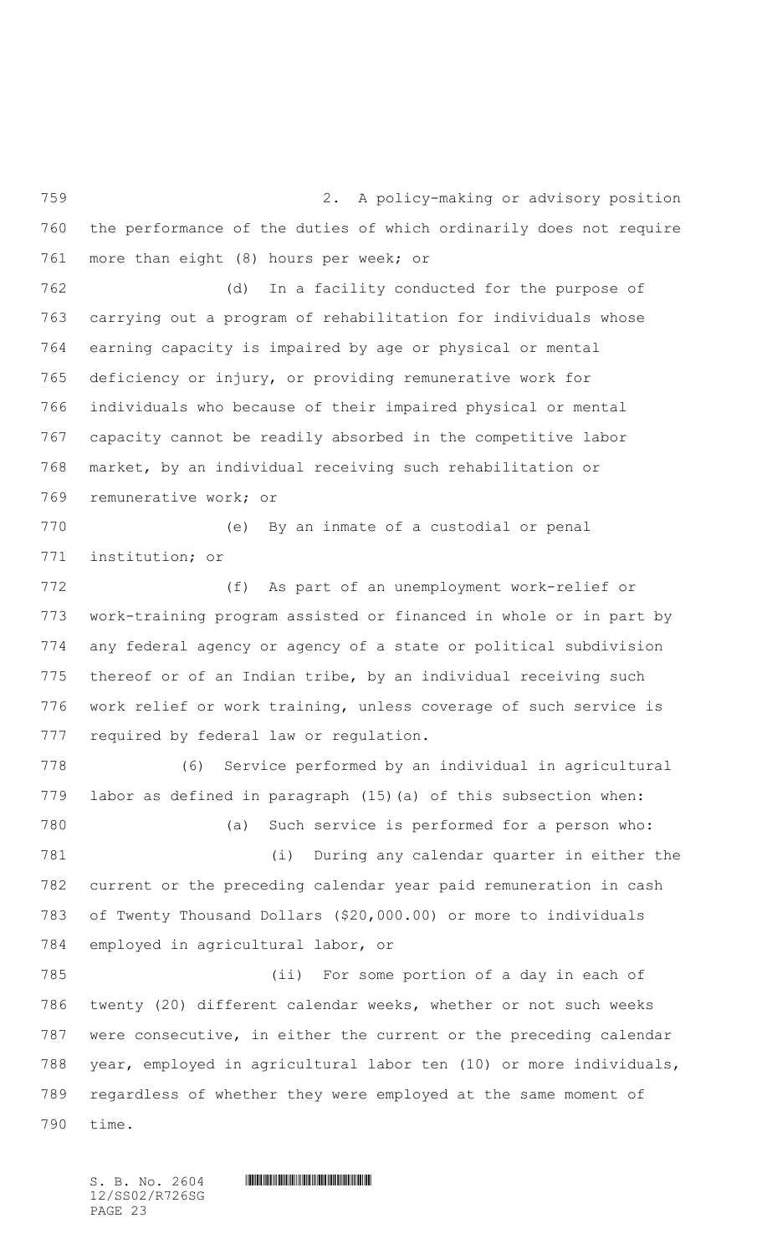2. A policy-making or advisory position the performance of the duties of which ordinarily does not require more than eight (8) hours per week; or

 (d) In a facility conducted for the purpose of carrying out a program of rehabilitation for individuals whose earning capacity is impaired by age or physical or mental deficiency or injury, or providing remunerative work for individuals who because of their impaired physical or mental capacity cannot be readily absorbed in the competitive labor market, by an individual receiving such rehabilitation or remunerative work; or

 (e) By an inmate of a custodial or penal institution; or

 (f) As part of an unemployment work-relief or work-training program assisted or financed in whole or in part by any federal agency or agency of a state or political subdivision thereof or of an Indian tribe, by an individual receiving such work relief or work training, unless coverage of such service is required by federal law or regulation.

 (6) Service performed by an individual in agricultural labor as defined in paragraph (15)(a) of this subsection when: (a) Such service is performed for a person who: (i) During any calendar quarter in either the current or the preceding calendar year paid remuneration in cash of Twenty Thousand Dollars (\$20,000.00) or more to individuals employed in agricultural labor, or (ii) For some portion of a day in each of twenty (20) different calendar weeks, whether or not such weeks were consecutive, in either the current or the preceding calendar year, employed in agricultural labor ten (10) or more individuals,

 regardless of whether they were employed at the same moment of time.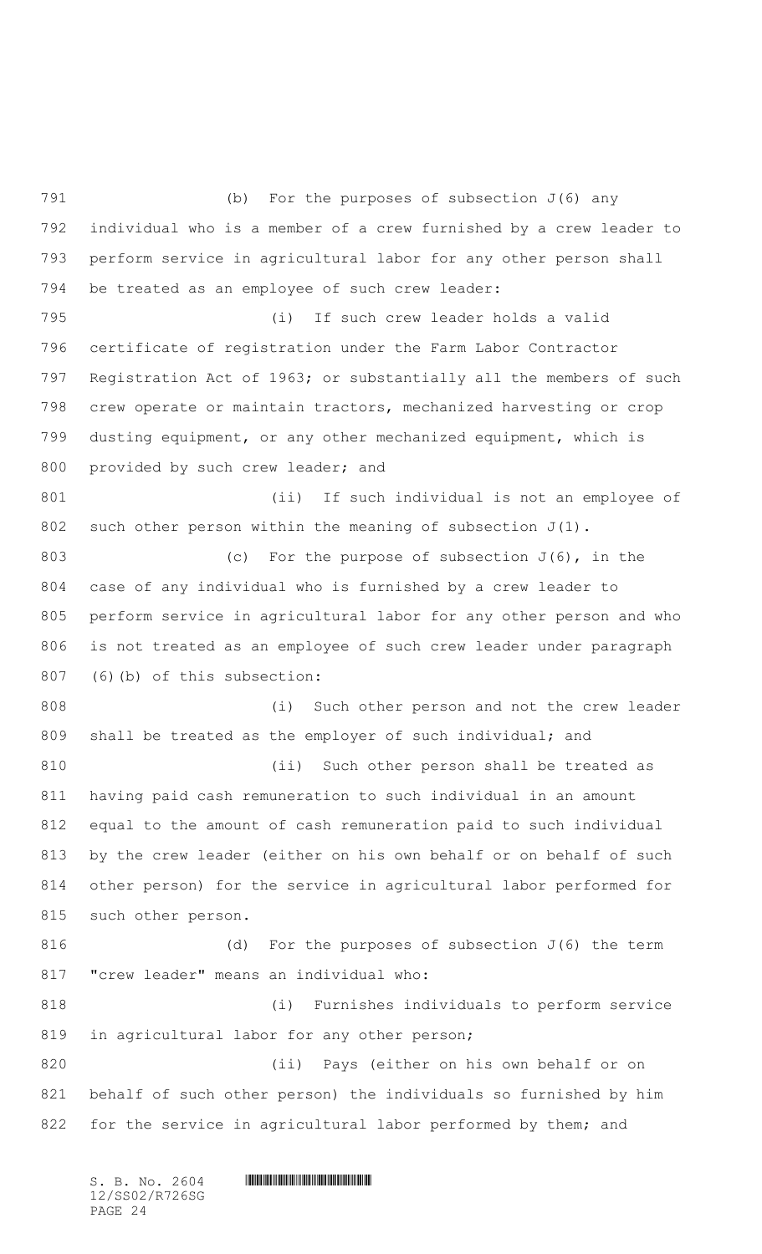(b) For the purposes of subsection J(6) any individual who is a member of a crew furnished by a crew leader to perform service in agricultural labor for any other person shall be treated as an employee of such crew leader: (i) If such crew leader holds a valid certificate of registration under the Farm Labor Contractor Registration Act of 1963; or substantially all the members of such crew operate or maintain tractors, mechanized harvesting or crop dusting equipment, or any other mechanized equipment, which is 800 provided by such crew leader; and (ii) If such individual is not an employee of 802 such other person within the meaning of subsection  $J(1)$ . 803 (c) For the purpose of subsection  $J(6)$ , in the case of any individual who is furnished by a crew leader to perform service in agricultural labor for any other person and who is not treated as an employee of such crew leader under paragraph (6)(b) of this subsection: (i) Such other person and not the crew leader 809 shall be treated as the employer of such individual; and 810 (ii) Such other person shall be treated as having paid cash remuneration to such individual in an amount equal to the amount of cash remuneration paid to such individual by the crew leader (either on his own behalf or on behalf of such other person) for the service in agricultural labor performed for such other person. 816 (d) For the purposes of subsection J(6) the term "crew leader" means an individual who: (i) Furnishes individuals to perform service 819 in agricultural labor for any other person; (ii) Pays (either on his own behalf or on behalf of such other person) the individuals so furnished by him 822 for the service in agricultural labor performed by them; and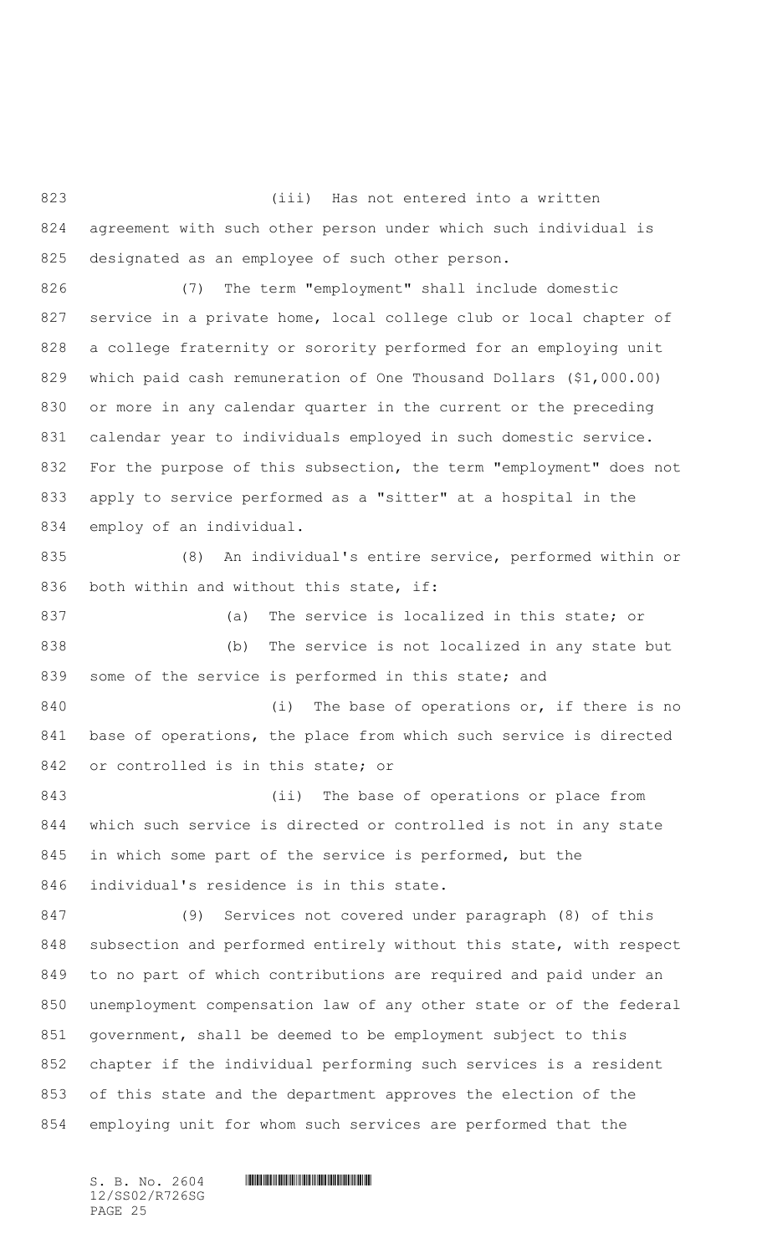(iii) Has not entered into a written agreement with such other person under which such individual is designated as an employee of such other person.

 (7) The term "employment" shall include domestic service in a private home, local college club or local chapter of a college fraternity or sorority performed for an employing unit which paid cash remuneration of One Thousand Dollars (\$1,000.00) or more in any calendar quarter in the current or the preceding calendar year to individuals employed in such domestic service. For the purpose of this subsection, the term "employment" does not apply to service performed as a "sitter" at a hospital in the employ of an individual.

 (8) An individual's entire service, performed within or 836 both within and without this state, if:

 (a) The service is localized in this state; or (b) The service is not localized in any state but 839 some of the service is performed in this state; and

840 (i) The base of operations or, if there is no base of operations, the place from which such service is directed or controlled is in this state; or

843 (ii) The base of operations or place from which such service is directed or controlled is not in any state in which some part of the service is performed, but the individual's residence is in this state.

 (9) Services not covered under paragraph (8) of this subsection and performed entirely without this state, with respect to no part of which contributions are required and paid under an unemployment compensation law of any other state or of the federal government, shall be deemed to be employment subject to this chapter if the individual performing such services is a resident of this state and the department approves the election of the employing unit for whom such services are performed that the

12/SS02/R726SG PAGE 25

 $S. B. No. 2604$  .  $M. 2604$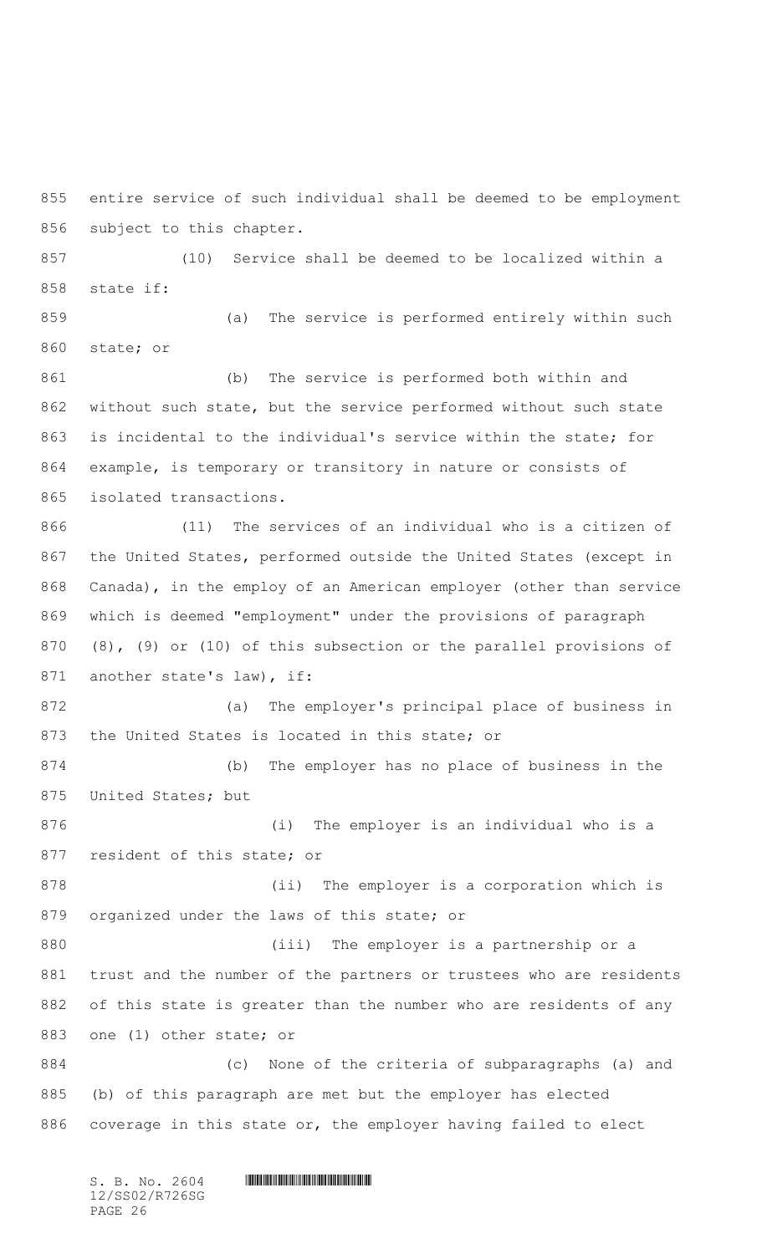entire service of such individual shall be deemed to be employment subject to this chapter.

 (10) Service shall be deemed to be localized within a state if:

 (a) The service is performed entirely within such state; or

 (b) The service is performed both within and without such state, but the service performed without such state is incidental to the individual's service within the state; for example, is temporary or transitory in nature or consists of isolated transactions.

 (11) The services of an individual who is a citizen of the United States, performed outside the United States (except in Canada), in the employ of an American employer (other than service which is deemed "employment" under the provisions of paragraph (8), (9) or (10) of this subsection or the parallel provisions of 871 another state's law), if:

 (a) The employer's principal place of business in the United States is located in this state; or

 (b) The employer has no place of business in the United States; but

 (i) The employer is an individual who is a resident of this state; or

 (ii) The employer is a corporation which is organized under the laws of this state; or

 (iii) The employer is a partnership or a trust and the number of the partners or trustees who are residents of this state is greater than the number who are residents of any one (1) other state; or

 (c) None of the criteria of subparagraphs (a) and (b) of this paragraph are met but the employer has elected coverage in this state or, the employer having failed to elect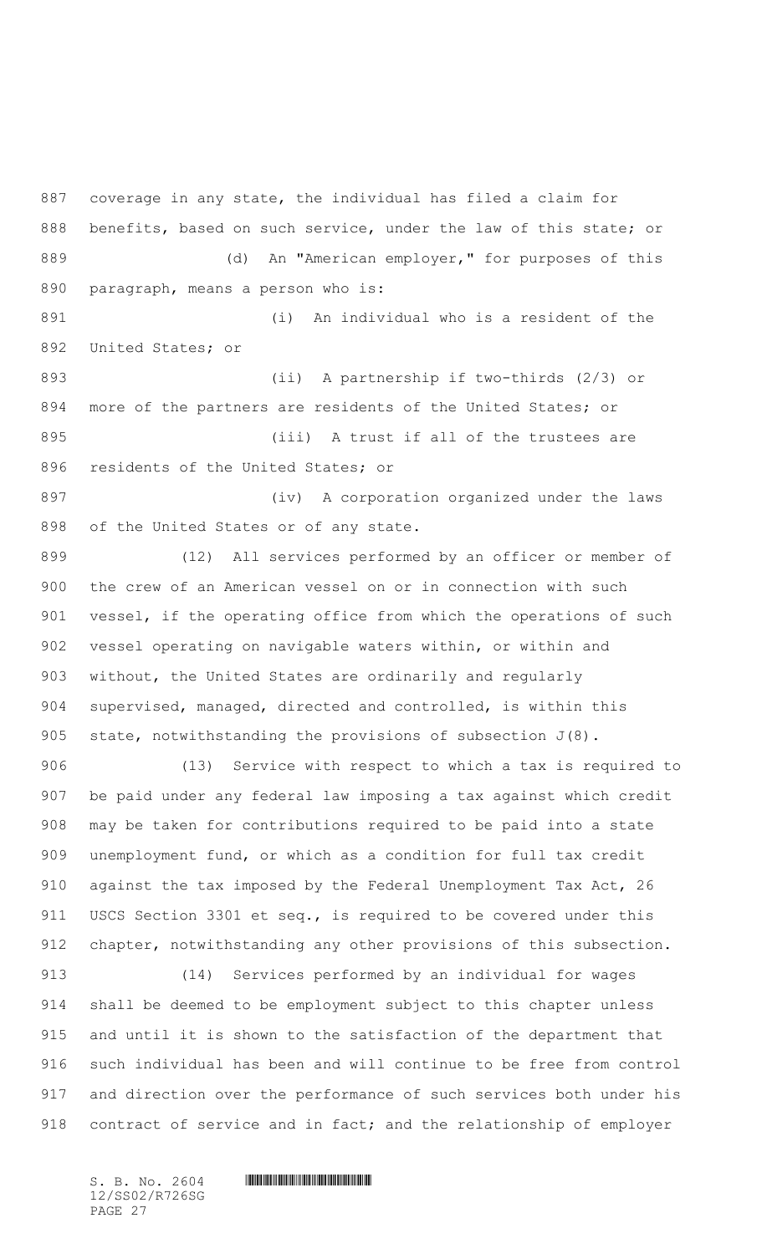coverage in any state, the individual has filed a claim for benefits, based on such service, under the law of this state; or 889 (d) An "American employer," for purposes of this paragraph, means a person who is:

 (i) An individual who is a resident of the United States; or

 (ii) A partnership if two-thirds (2/3) or more of the partners are residents of the United States; or 895 (iii) A trust if all of the trustees are residents of the United States; or

897 (iv) A corporation organized under the laws of the United States or of any state.

 (12) All services performed by an officer or member of the crew of an American vessel on or in connection with such 901 vessel, if the operating office from which the operations of such vessel operating on navigable waters within, or within and without, the United States are ordinarily and regularly supervised, managed, directed and controlled, is within this state, notwithstanding the provisions of subsection J(8).

 (13) Service with respect to which a tax is required to be paid under any federal law imposing a tax against which credit may be taken for contributions required to be paid into a state unemployment fund, or which as a condition for full tax credit against the tax imposed by the Federal Unemployment Tax Act, 26 911 USCS Section 3301 et seq., is required to be covered under this 912 chapter, notwithstanding any other provisions of this subsection.

 (14) Services performed by an individual for wages shall be deemed to be employment subject to this chapter unless and until it is shown to the satisfaction of the department that such individual has been and will continue to be free from control and direction over the performance of such services both under his 918 contract of service and in fact; and the relationship of employer

12/SS02/R726SG PAGE 27

 $S. B. No. 2604$  .  $M. 2604$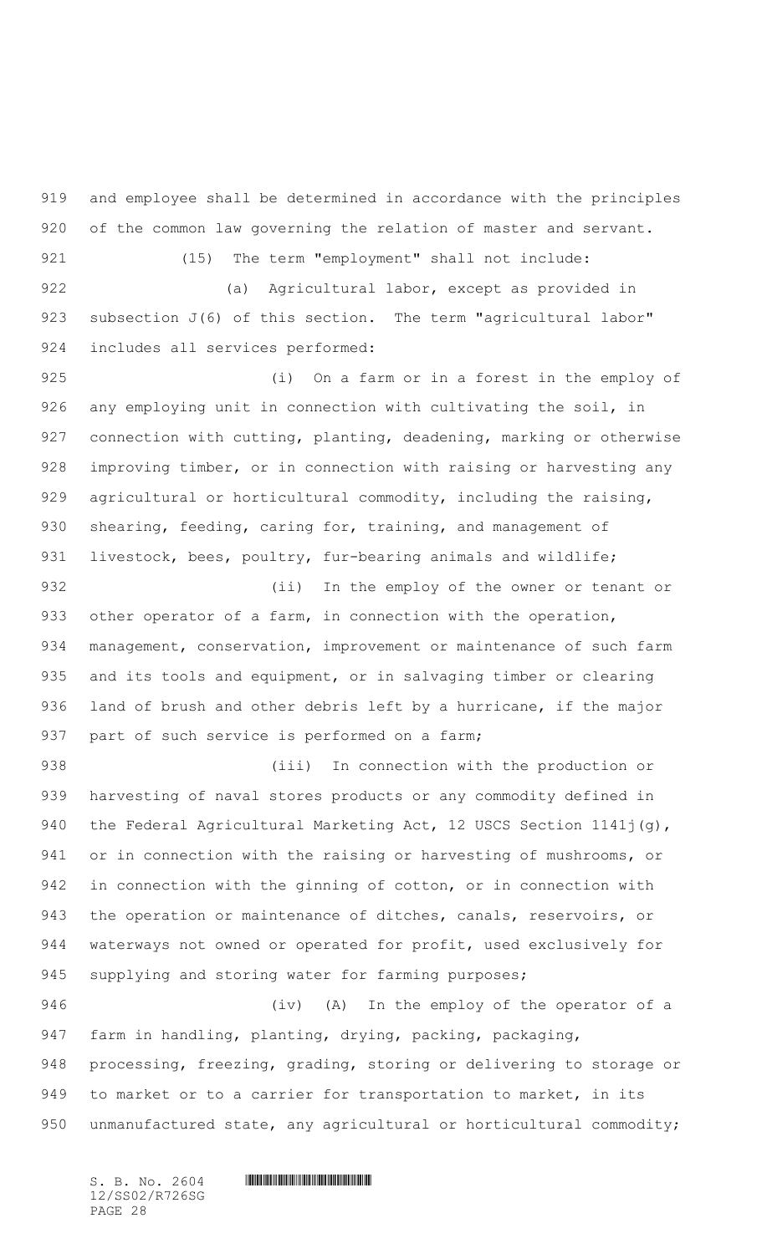919 and employee shall be determined in accordance with the principles 920 of the common law governing the relation of master and servant. 921 (15) The term "employment" shall not include:

922 (a) Agricultural labor, except as provided in 923 subsection J(6) of this section. The term "agricultural labor" 924 includes all services performed:

925 (i) On a farm or in a forest in the employ of 926 any employing unit in connection with cultivating the soil, in 927 connection with cutting, planting, deadening, marking or otherwise 928 improving timber, or in connection with raising or harvesting any 929 agricultural or horticultural commodity, including the raising, 930 shearing, feeding, caring for, training, and management of 931 livestock, bees, poultry, fur-bearing animals and wildlife;

 (ii) In the employ of the owner or tenant or 933 other operator of a farm, in connection with the operation, management, conservation, improvement or maintenance of such farm and its tools and equipment, or in salvaging timber or clearing land of brush and other debris left by a hurricane, if the major 937 part of such service is performed on a farm;

938 (iii) In connection with the production or 939 harvesting of naval stores products or any commodity defined in 940 the Federal Agricultural Marketing Act, 12 USCS Section 1141j(g), 941 or in connection with the raising or harvesting of mushrooms, or 942 in connection with the ginning of cotton, or in connection with 943 the operation or maintenance of ditches, canals, reservoirs, or 944 waterways not owned or operated for profit, used exclusively for 945 supplying and storing water for farming purposes;

 (iv) (A) In the employ of the operator of a farm in handling, planting, drying, packing, packaging, processing, freezing, grading, storing or delivering to storage or to market or to a carrier for transportation to market, in its 950 unmanufactured state, any agricultural or horticultural commodity;

12/SS02/R726SG PAGE 28

 $S. B. No. 2604$  .  $M. 2604$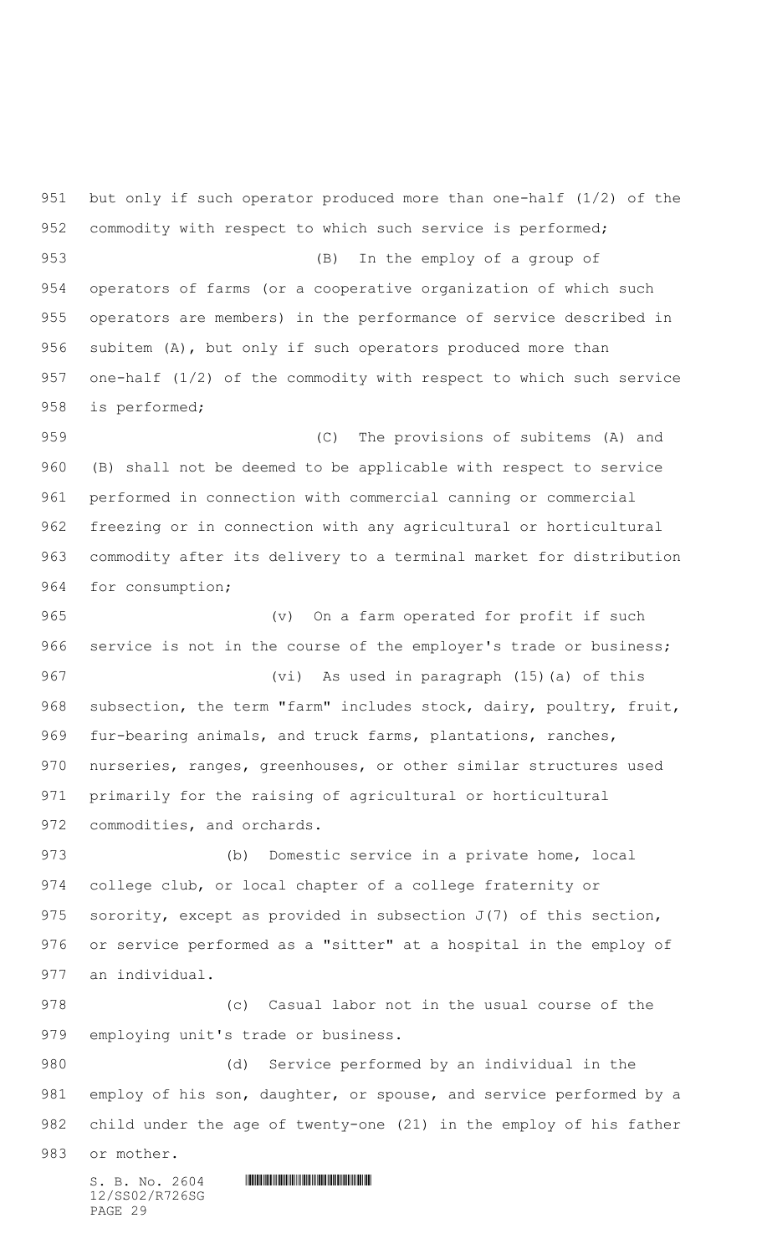$S. B. No. 2604$  . The set of the set of  $S. B. N \circ A$ 12/SS02/R726SG but only if such operator produced more than one-half (1/2) of the 952 commodity with respect to which such service is performed; (B) In the employ of a group of operators of farms (or a cooperative organization of which such operators are members) in the performance of service described in subitem (A), but only if such operators produced more than one-half (1/2) of the commodity with respect to which such service is performed; (C) The provisions of subitems (A) and (B) shall not be deemed to be applicable with respect to service performed in connection with commercial canning or commercial freezing or in connection with any agricultural or horticultural commodity after its delivery to a terminal market for distribution for consumption; (v) On a farm operated for profit if such 966 service is not in the course of the employer's trade or business; (vi) As used in paragraph (15)(a) of this 968 subsection, the term "farm" includes stock, dairy, poultry, fruit, 969 fur-bearing animals, and truck farms, plantations, ranches, nurseries, ranges, greenhouses, or other similar structures used primarily for the raising of agricultural or horticultural 972 commodities, and orchards. (b) Domestic service in a private home, local college club, or local chapter of a college fraternity or sorority, except as provided in subsection J(7) of this section, or service performed as a "sitter" at a hospital in the employ of an individual. (c) Casual labor not in the usual course of the employing unit's trade or business. (d) Service performed by an individual in the employ of his son, daughter, or spouse, and service performed by a child under the age of twenty-one (21) in the employ of his father or mother.

PAGE 29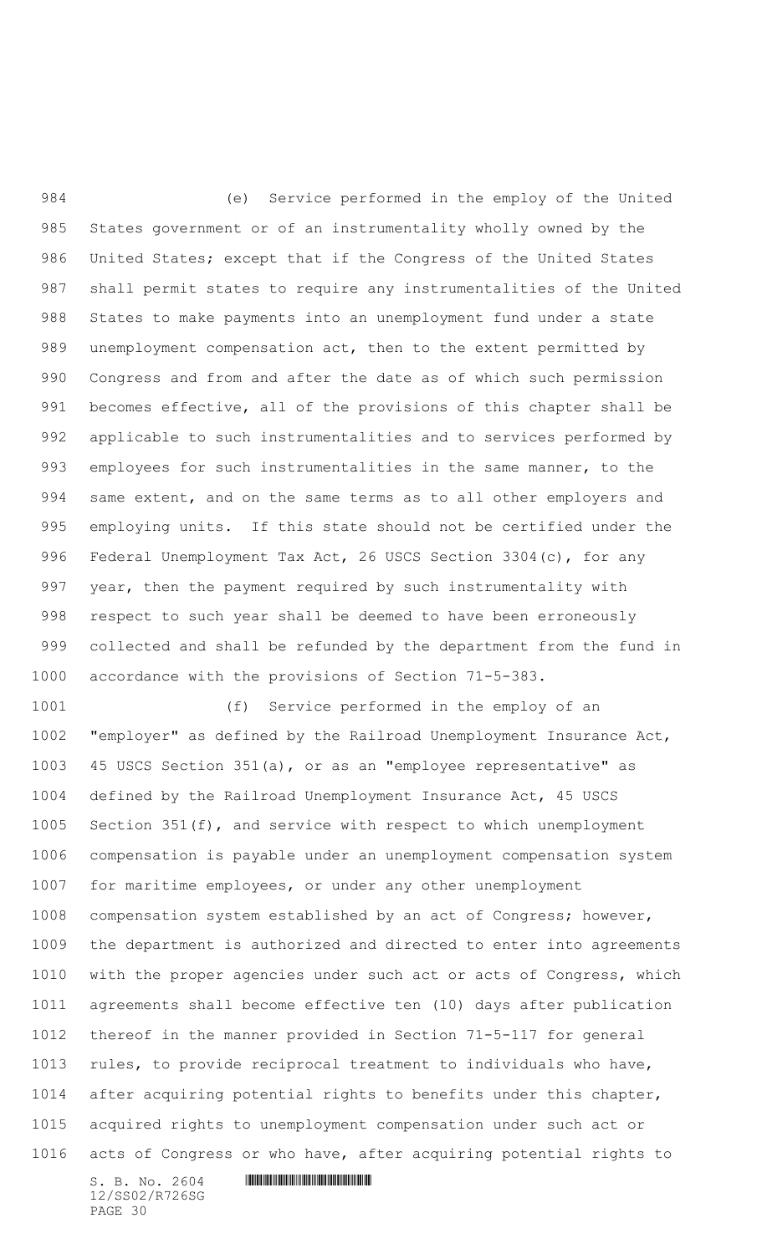(e) Service performed in the employ of the United States government or of an instrumentality wholly owned by the United States; except that if the Congress of the United States shall permit states to require any instrumentalities of the United States to make payments into an unemployment fund under a state unemployment compensation act, then to the extent permitted by Congress and from and after the date as of which such permission becomes effective, all of the provisions of this chapter shall be applicable to such instrumentalities and to services performed by employees for such instrumentalities in the same manner, to the 994 same extent, and on the same terms as to all other employers and employing units. If this state should not be certified under the Federal Unemployment Tax Act, 26 USCS Section 3304(c), for any year, then the payment required by such instrumentality with respect to such year shall be deemed to have been erroneously collected and shall be refunded by the department from the fund in accordance with the provisions of Section 71-5-383.

 (f) Service performed in the employ of an "employer" as defined by the Railroad Unemployment Insurance Act, 45 USCS Section 351(a), or as an "employee representative" as defined by the Railroad Unemployment Insurance Act, 45 USCS Section 351(f), and service with respect to which unemployment compensation is payable under an unemployment compensation system for maritime employees, or under any other unemployment compensation system established by an act of Congress; however, the department is authorized and directed to enter into agreements with the proper agencies under such act or acts of Congress, which agreements shall become effective ten (10) days after publication thereof in the manner provided in Section 71-5-117 for general rules, to provide reciprocal treatment to individuals who have, after acquiring potential rights to benefits under this chapter, acquired rights to unemployment compensation under such act or acts of Congress or who have, after acquiring potential rights to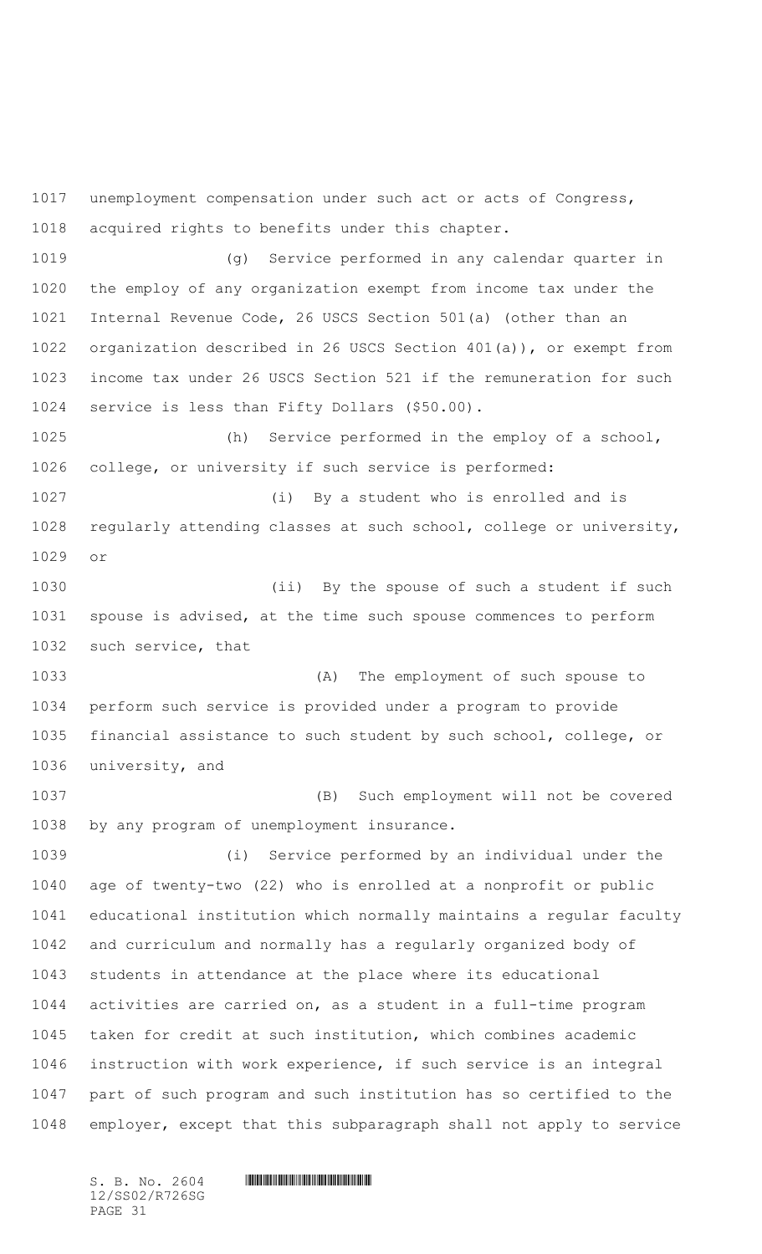unemployment compensation under such act or acts of Congress, acquired rights to benefits under this chapter. (g) Service performed in any calendar quarter in the employ of any organization exempt from income tax under the Internal Revenue Code, 26 USCS Section 501(a) (other than an organization described in 26 USCS Section 401(a)), or exempt from income tax under 26 USCS Section 521 if the remuneration for such service is less than Fifty Dollars (\$50.00). (h) Service performed in the employ of a school, college, or university if such service is performed: (i) By a student who is enrolled and is regularly attending classes at such school, college or university, or 1030 (ii) By the spouse of such a student if such spouse is advised, at the time such spouse commences to perform such service, that (A) The employment of such spouse to perform such service is provided under a program to provide financial assistance to such student by such school, college, or university, and (B) Such employment will not be covered by any program of unemployment insurance. (i) Service performed by an individual under the age of twenty-two (22) who is enrolled at a nonprofit or public educational institution which normally maintains a regular faculty and curriculum and normally has a regularly organized body of students in attendance at the place where its educational activities are carried on, as a student in a full-time program taken for credit at such institution, which combines academic instruction with work experience, if such service is an integral part of such program and such institution has so certified to the employer, except that this subparagraph shall not apply to service

12/SS02/R726SG PAGE 31

 $S. B. NO. 2604$  .  $M. 2604$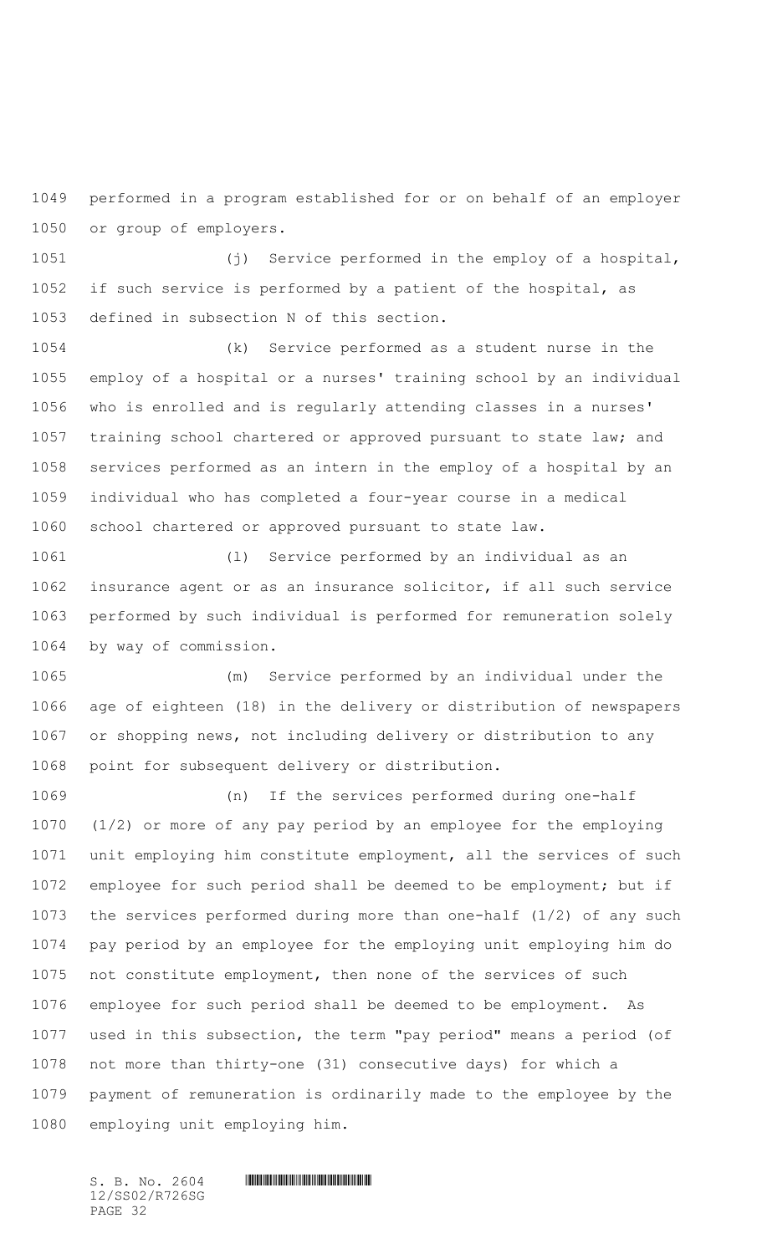performed in a program established for or on behalf of an employer or group of employers.

 (j) Service performed in the employ of a hospital, if such service is performed by a patient of the hospital, as defined in subsection N of this section.

 (k) Service performed as a student nurse in the employ of a hospital or a nurses' training school by an individual who is enrolled and is regularly attending classes in a nurses' training school chartered or approved pursuant to state law; and services performed as an intern in the employ of a hospital by an individual who has completed a four-year course in a medical school chartered or approved pursuant to state law.

 (l) Service performed by an individual as an insurance agent or as an insurance solicitor, if all such service performed by such individual is performed for remuneration solely by way of commission.

 (m) Service performed by an individual under the age of eighteen (18) in the delivery or distribution of newspapers or shopping news, not including delivery or distribution to any point for subsequent delivery or distribution.

 (n) If the services performed during one-half (1/2) or more of any pay period by an employee for the employing unit employing him constitute employment, all the services of such employee for such period shall be deemed to be employment; but if the services performed during more than one-half (1/2) of any such pay period by an employee for the employing unit employing him do not constitute employment, then none of the services of such employee for such period shall be deemed to be employment. As used in this subsection, the term "pay period" means a period (of not more than thirty-one (31) consecutive days) for which a payment of remuneration is ordinarily made to the employee by the employing unit employing him.

12/SS02/R726SG PAGE 32

 $S. B. No. 2604$  .  $M. 2604$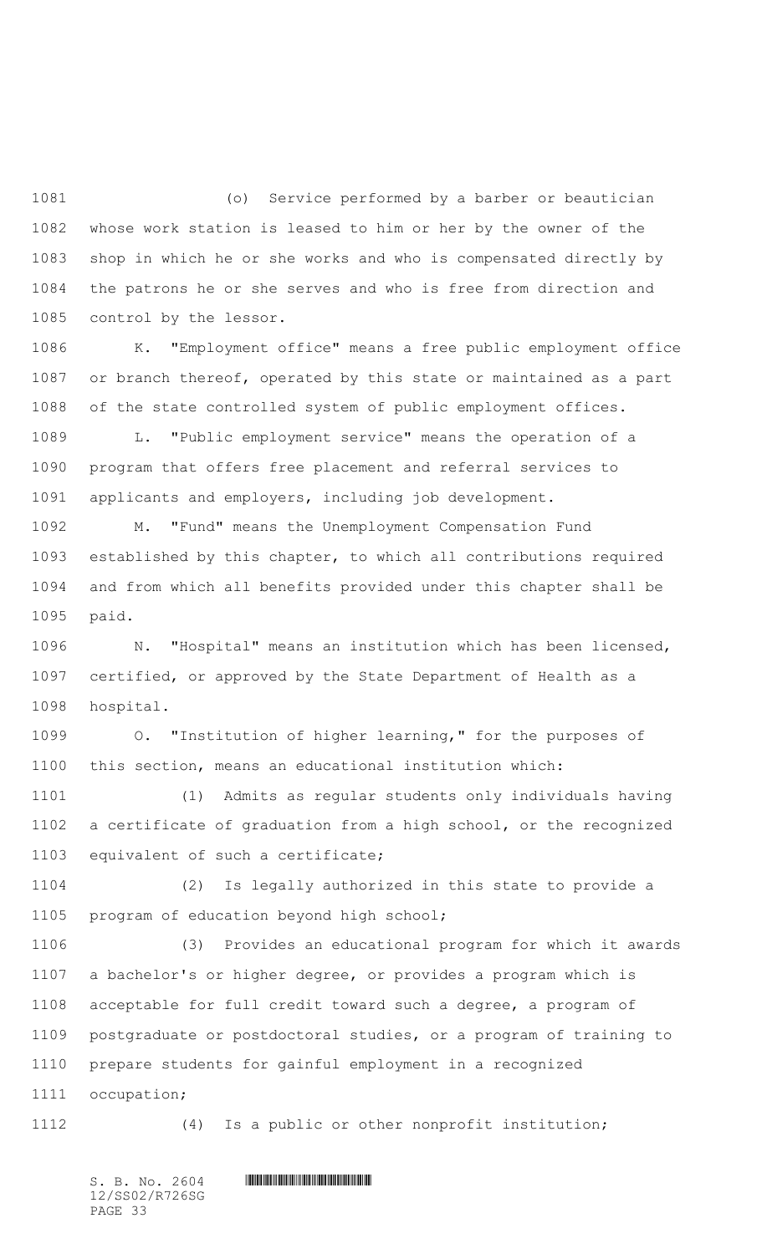(o) Service performed by a barber or beautician whose work station is leased to him or her by the owner of the shop in which he or she works and who is compensated directly by the patrons he or she serves and who is free from direction and control by the lessor.

 K. "Employment office" means a free public employment office or branch thereof, operated by this state or maintained as a part of the state controlled system of public employment offices.

 L. "Public employment service" means the operation of a program that offers free placement and referral services to applicants and employers, including job development.

 M. "Fund" means the Unemployment Compensation Fund established by this chapter, to which all contributions required and from which all benefits provided under this chapter shall be paid.

 N. "Hospital" means an institution which has been licensed, certified, or approved by the State Department of Health as a hospital.

 O. "Institution of higher learning," for the purposes of this section, means an educational institution which:

 (1) Admits as regular students only individuals having a certificate of graduation from a high school, or the recognized equivalent of such a certificate;

 (2) Is legally authorized in this state to provide a program of education beyond high school;

 (3) Provides an educational program for which it awards a bachelor's or higher degree, or provides a program which is acceptable for full credit toward such a degree, a program of postgraduate or postdoctoral studies, or a program of training to prepare students for gainful employment in a recognized occupation;

(4) Is a public or other nonprofit institution;

12/SS02/R726SG PAGE 33

 $S. B. No. 2604$  .  $M. 2604$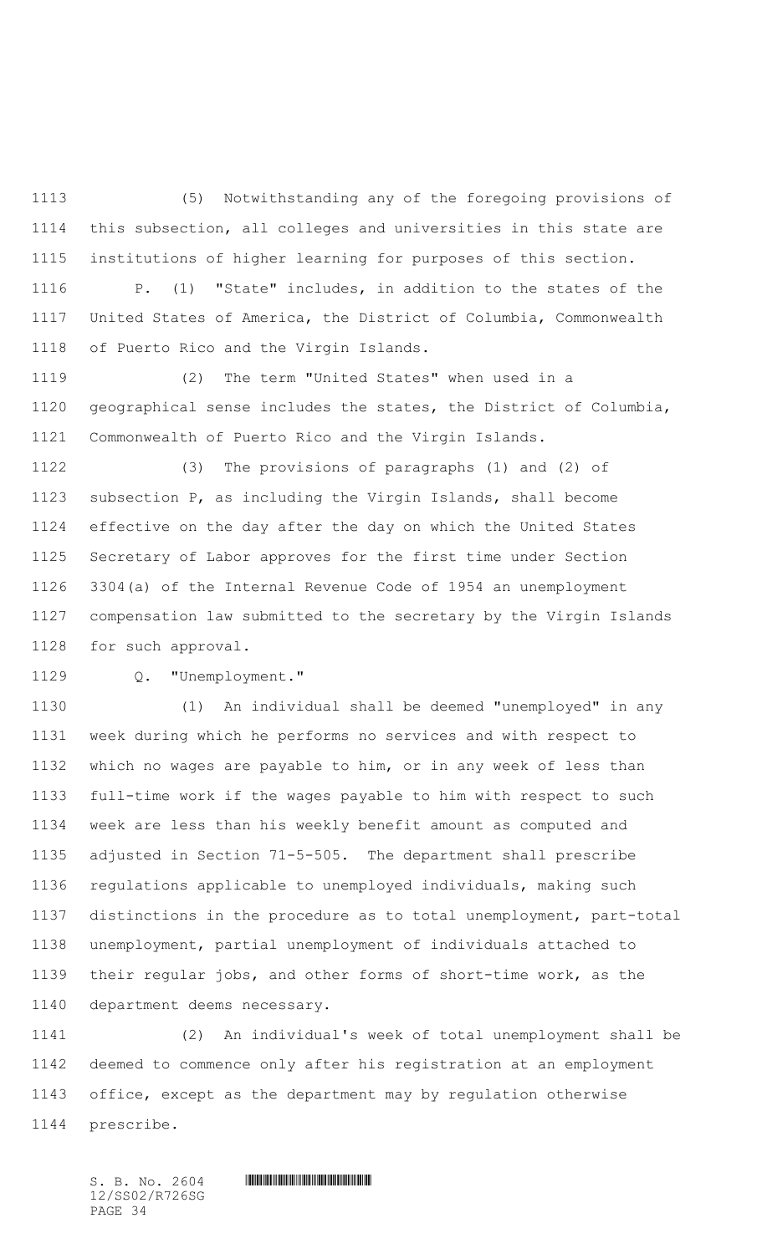(5) Notwithstanding any of the foregoing provisions of this subsection, all colleges and universities in this state are institutions of higher learning for purposes of this section.

 P. (1) "State" includes, in addition to the states of the United States of America, the District of Columbia, Commonwealth of Puerto Rico and the Virgin Islands.

 (2) The term "United States" when used in a geographical sense includes the states, the District of Columbia, Commonwealth of Puerto Rico and the Virgin Islands.

 (3) The provisions of paragraphs (1) and (2) of subsection P, as including the Virgin Islands, shall become effective on the day after the day on which the United States Secretary of Labor approves for the first time under Section 3304(a) of the Internal Revenue Code of 1954 an unemployment compensation law submitted to the secretary by the Virgin Islands for such approval.

Q. "Unemployment."

 (1) An individual shall be deemed "unemployed" in any week during which he performs no services and with respect to which no wages are payable to him, or in any week of less than full-time work if the wages payable to him with respect to such week are less than his weekly benefit amount as computed and adjusted in Section 71-5-505. The department shall prescribe regulations applicable to unemployed individuals, making such distinctions in the procedure as to total unemployment, part-total unemployment, partial unemployment of individuals attached to their regular jobs, and other forms of short-time work, as the department deems necessary.

 (2) An individual's week of total unemployment shall be deemed to commence only after his registration at an employment office, except as the department may by regulation otherwise prescribe.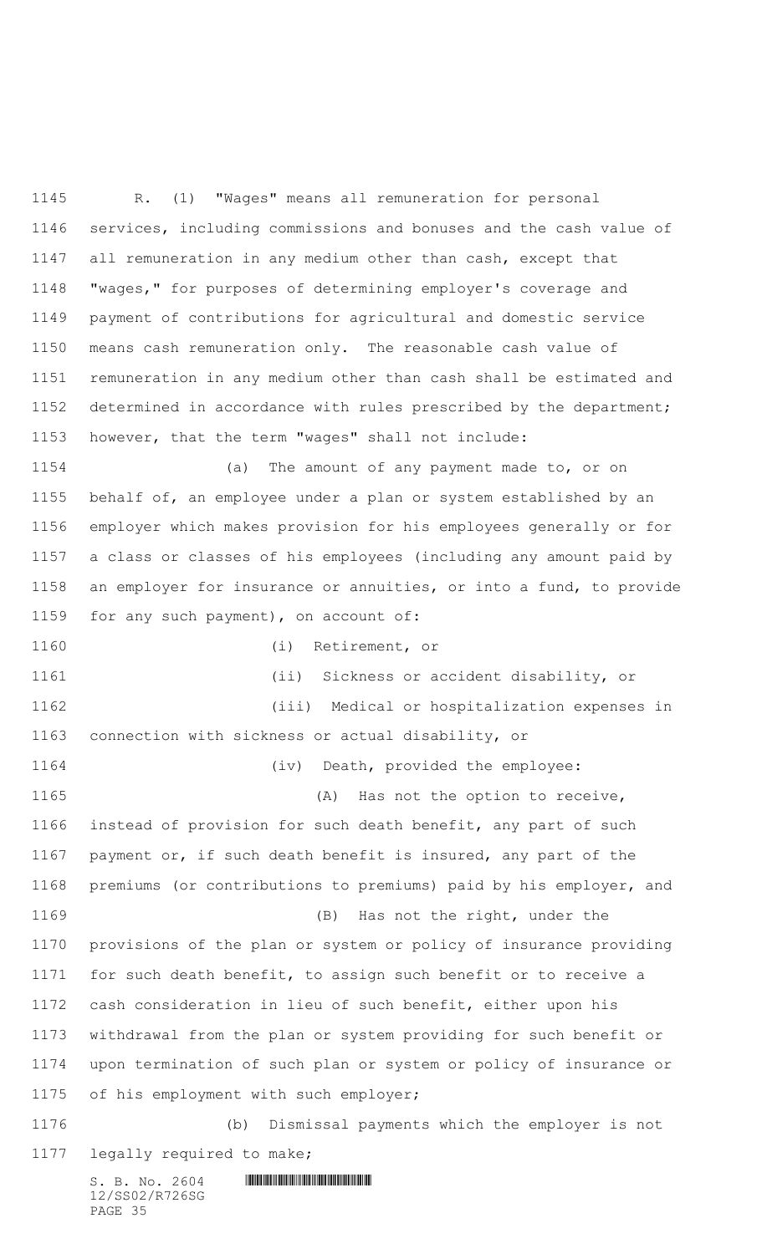$S. B. No. 2604$  .  $M. 2604$  R. (1) "Wages" means all remuneration for personal services, including commissions and bonuses and the cash value of all remuneration in any medium other than cash, except that "wages," for purposes of determining employer's coverage and payment of contributions for agricultural and domestic service means cash remuneration only. The reasonable cash value of remuneration in any medium other than cash shall be estimated and determined in accordance with rules prescribed by the department; however, that the term "wages" shall not include: (a) The amount of any payment made to, or on behalf of, an employee under a plan or system established by an employer which makes provision for his employees generally or for a class or classes of his employees (including any amount paid by an employer for insurance or annuities, or into a fund, to provide for any such payment), on account of: (i) Retirement, or (ii) Sickness or accident disability, or (iii) Medical or hospitalization expenses in connection with sickness or actual disability, or (iv) Death, provided the employee: 1165 (A) Has not the option to receive, instead of provision for such death benefit, any part of such payment or, if such death benefit is insured, any part of the premiums (or contributions to premiums) paid by his employer, and (B) Has not the right, under the provisions of the plan or system or policy of insurance providing for such death benefit, to assign such benefit or to receive a cash consideration in lieu of such benefit, either upon his withdrawal from the plan or system providing for such benefit or upon termination of such plan or system or policy of insurance or of his employment with such employer; (b) Dismissal payments which the employer is not legally required to make;

12/SS02/R726SG PAGE 35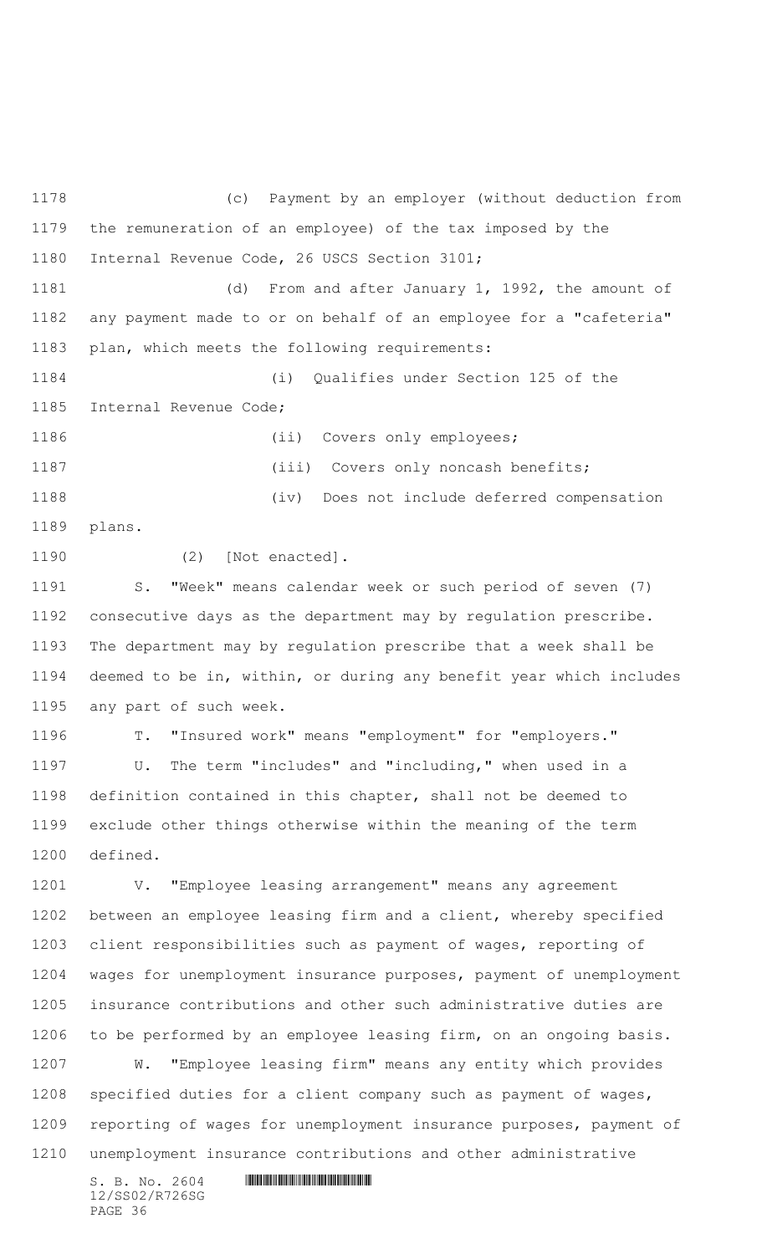$S. B. No. 2604$  .  $M. 2604$  (c) Payment by an employer (without deduction from the remuneration of an employee) of the tax imposed by the Internal Revenue Code, 26 USCS Section 3101; (d) From and after January 1, 1992, the amount of any payment made to or on behalf of an employee for a "cafeteria" plan, which meets the following requirements: (i) Qualifies under Section 125 of the Internal Revenue Code; 1186 (ii) Covers only employees; 1187 (iii) Covers only noncash benefits; (iv) Does not include deferred compensation plans. (2) [Not enacted]. S. "Week" means calendar week or such period of seven (7) consecutive days as the department may by regulation prescribe. The department may by regulation prescribe that a week shall be deemed to be in, within, or during any benefit year which includes any part of such week. T. "Insured work" means "employment" for "employers." U. The term "includes" and "including," when used in a definition contained in this chapter, shall not be deemed to exclude other things otherwise within the meaning of the term defined. V. "Employee leasing arrangement" means any agreement between an employee leasing firm and a client, whereby specified client responsibilities such as payment of wages, reporting of wages for unemployment insurance purposes, payment of unemployment insurance contributions and other such administrative duties are to be performed by an employee leasing firm, on an ongoing basis. W. "Employee leasing firm" means any entity which provides specified duties for a client company such as payment of wages, reporting of wages for unemployment insurance purposes, payment of unemployment insurance contributions and other administrative

12/SS02/R726SG PAGE 36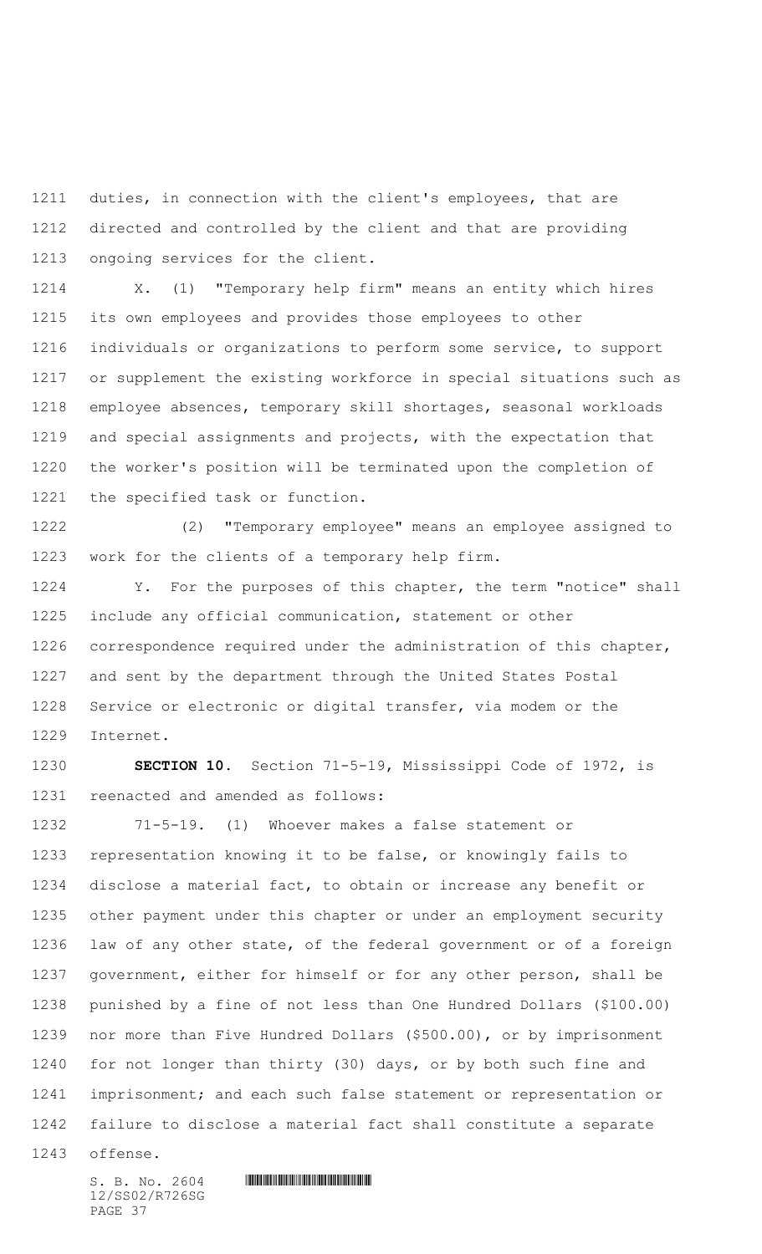duties, in connection with the client's employees, that are directed and controlled by the client and that are providing ongoing services for the client.

 X. (1) "Temporary help firm" means an entity which hires its own employees and provides those employees to other individuals or organizations to perform some service, to support or supplement the existing workforce in special situations such as employee absences, temporary skill shortages, seasonal workloads and special assignments and projects, with the expectation that the worker's position will be terminated upon the completion of the specified task or function.

 (2) "Temporary employee" means an employee assigned to work for the clients of a temporary help firm.

 Y. For the purposes of this chapter, the term "notice" shall include any official communication, statement or other correspondence required under the administration of this chapter, and sent by the department through the United States Postal Service or electronic or digital transfer, via modem or the Internet.

 **SECTION 10.** Section 71-5-19, Mississippi Code of 1972, is reenacted and amended as follows:

 71-5-19. (1) Whoever makes a false statement or representation knowing it to be false, or knowingly fails to disclose a material fact, to obtain or increase any benefit or other payment under this chapter or under an employment security law of any other state, of the federal government or of a foreign government, either for himself or for any other person, shall be punished by a fine of not less than One Hundred Dollars (\$100.00) nor more than Five Hundred Dollars (\$500.00), or by imprisonment for not longer than thirty (30) days, or by both such fine and 1241 imprisonment; and each such false statement or representation or failure to disclose a material fact shall constitute a separate

offense.

12/SS02/R726SG PAGE 37

 $S. B. No. 2604$  . The set of the set of  $S. B. N \circ A$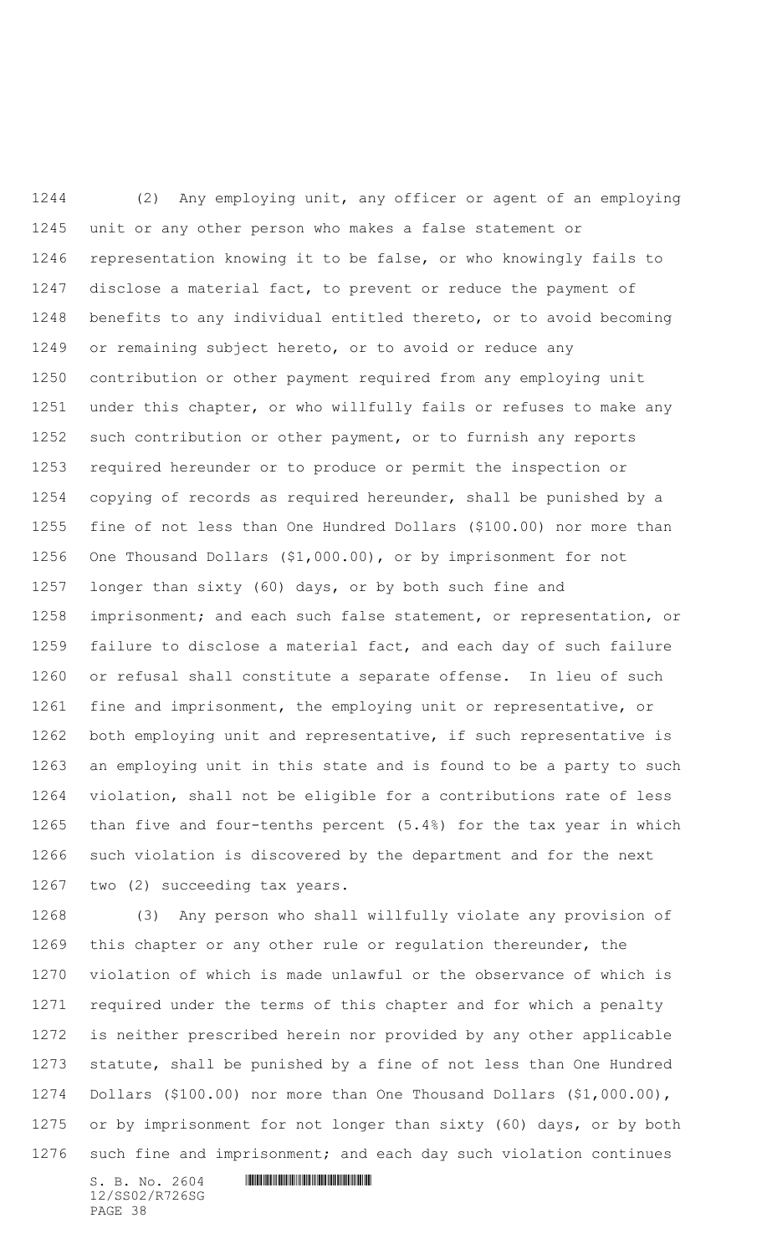(2) Any employing unit, any officer or agent of an employing unit or any other person who makes a false statement or representation knowing it to be false, or who knowingly fails to disclose a material fact, to prevent or reduce the payment of benefits to any individual entitled thereto, or to avoid becoming or remaining subject hereto, or to avoid or reduce any contribution or other payment required from any employing unit under this chapter, or who willfully fails or refuses to make any such contribution or other payment, or to furnish any reports required hereunder or to produce or permit the inspection or copying of records as required hereunder, shall be punished by a fine of not less than One Hundred Dollars (\$100.00) nor more than One Thousand Dollars (\$1,000.00), or by imprisonment for not longer than sixty (60) days, or by both such fine and imprisonment; and each such false statement, or representation, or failure to disclose a material fact, and each day of such failure or refusal shall constitute a separate offense. In lieu of such fine and imprisonment, the employing unit or representative, or both employing unit and representative, if such representative is an employing unit in this state and is found to be a party to such violation, shall not be eligible for a contributions rate of less than five and four-tenths percent (5.4%) for the tax year in which such violation is discovered by the department and for the next two (2) succeeding tax years.

 (3) Any person who shall willfully violate any provision of this chapter or any other rule or regulation thereunder, the violation of which is made unlawful or the observance of which is required under the terms of this chapter and for which a penalty is neither prescribed herein nor provided by any other applicable statute, shall be punished by a fine of not less than One Hundred Dollars (\$100.00) nor more than One Thousand Dollars (\$1,000.00), or by imprisonment for not longer than sixty (60) days, or by both such fine and imprisonment; and each day such violation continues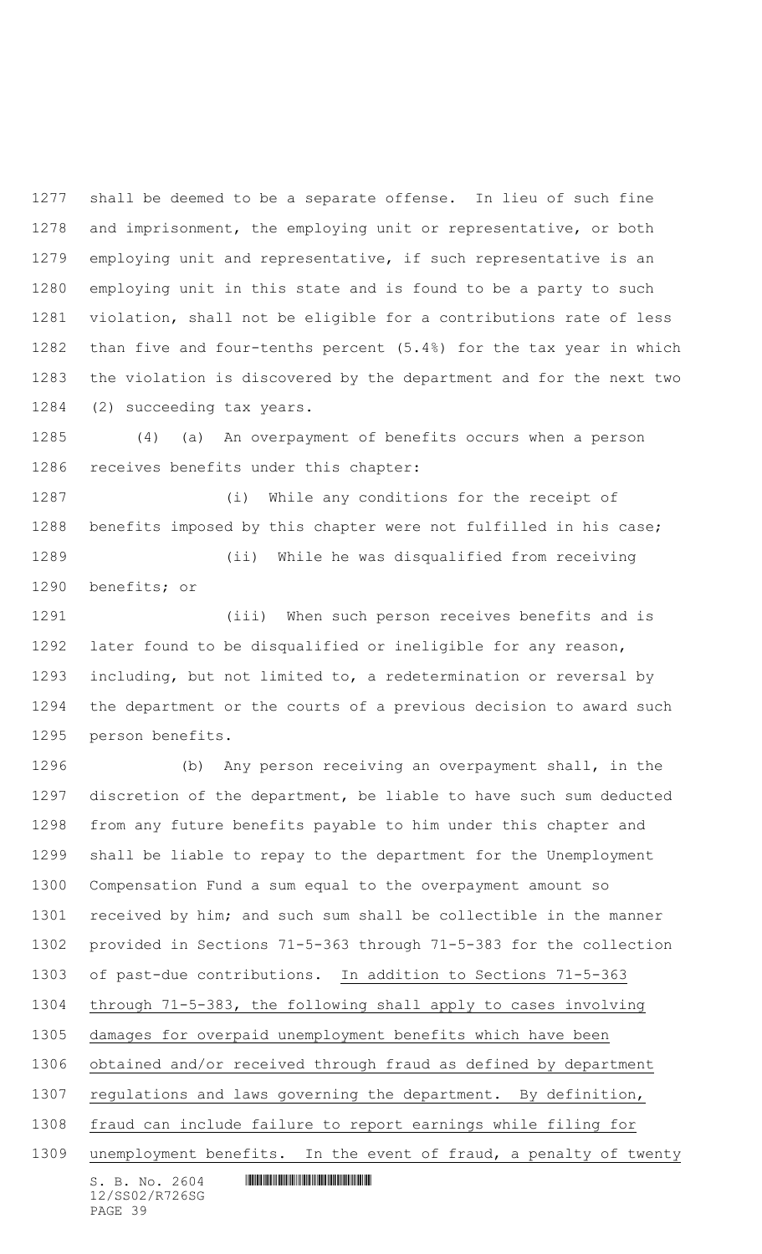shall be deemed to be a separate offense. In lieu of such fine and imprisonment, the employing unit or representative, or both employing unit and representative, if such representative is an employing unit in this state and is found to be a party to such violation, shall not be eligible for a contributions rate of less than five and four-tenths percent (5.4%) for the tax year in which the violation is discovered by the department and for the next two (2) succeeding tax years.

 (4) (a) An overpayment of benefits occurs when a person receives benefits under this chapter:

 (i) While any conditions for the receipt of benefits imposed by this chapter were not fulfilled in his case; (ii) While he was disqualified from receiving benefits; or

 (iii) When such person receives benefits and is later found to be disqualified or ineligible for any reason, including, but not limited to, a redetermination or reversal by the department or the courts of a previous decision to award such person benefits.

 (b) Any person receiving an overpayment shall, in the discretion of the department, be liable to have such sum deducted from any future benefits payable to him under this chapter and shall be liable to repay to the department for the Unemployment Compensation Fund a sum equal to the overpayment amount so received by him; and such sum shall be collectible in the manner provided in Sections 71-5-363 through 71-5-383 for the collection of past-due contributions. In addition to Sections 71-5-363 through 71-5-383, the following shall apply to cases involving damages for overpaid unemployment benefits which have been obtained and/or received through fraud as defined by department regulations and laws governing the department. By definition, fraud can include failure to report earnings while filing for unemployment benefits. In the event of fraud, a penalty of twenty

 $S. B. No. 2604$  .  $M. 2604$ 12/SS02/R726SG PAGE 39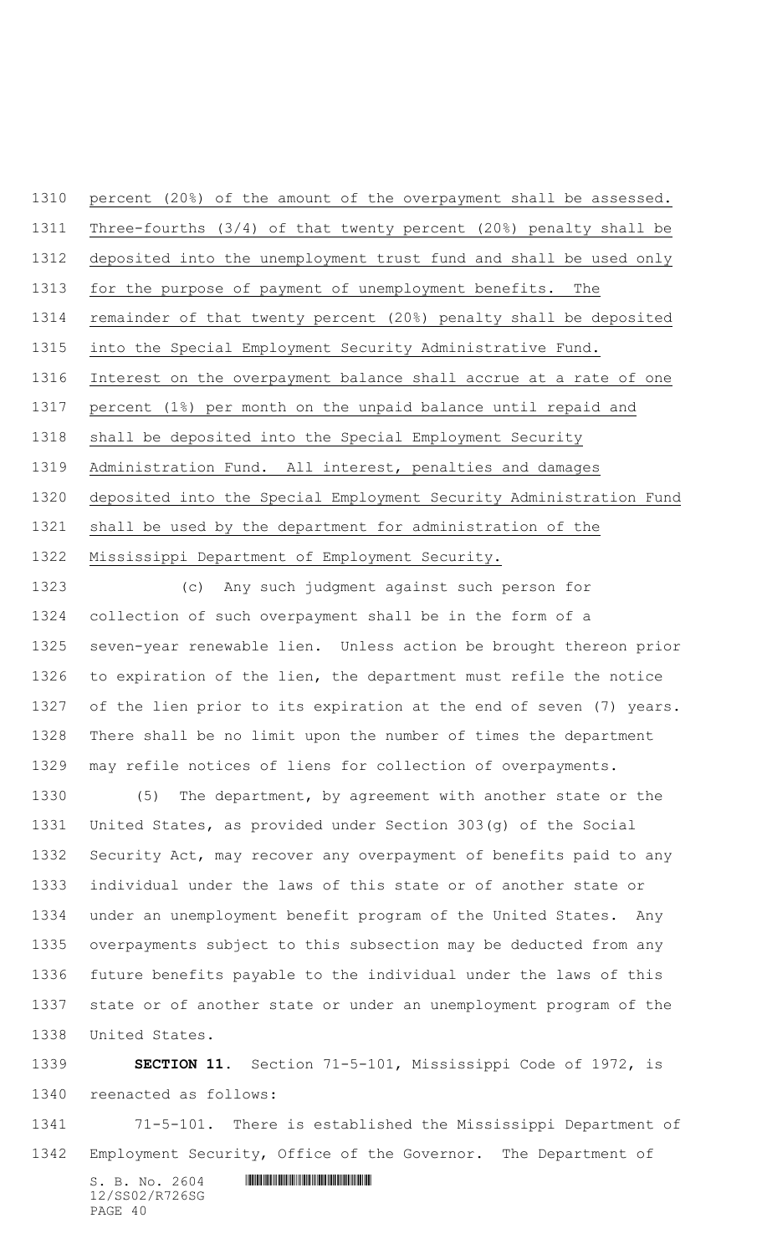Three-fourths (3/4) of that twenty percent (20%) penalty shall be deposited into the unemployment trust fund and shall be used only for the purpose of payment of unemployment benefits. The remainder of that twenty percent (20%) penalty shall be deposited into the Special Employment Security Administrative Fund. Interest on the overpayment balance shall accrue at a rate of one percent (1%) per month on the unpaid balance until repaid and shall be deposited into the Special Employment Security Administration Fund. All interest, penalties and damages deposited into the Special Employment Security Administration Fund shall be used by the department for administration of the

percent (20%) of the amount of the overpayment shall be assessed.

Mississippi Department of Employment Security.

 (c) Any such judgment against such person for collection of such overpayment shall be in the form of a seven-year renewable lien. Unless action be brought thereon prior to expiration of the lien, the department must refile the notice of the lien prior to its expiration at the end of seven (7) years. There shall be no limit upon the number of times the department may refile notices of liens for collection of overpayments.

 (5) The department, by agreement with another state or the United States, as provided under Section 303(g) of the Social Security Act, may recover any overpayment of benefits paid to any individual under the laws of this state or of another state or under an unemployment benefit program of the United States. Any overpayments subject to this subsection may be deducted from any future benefits payable to the individual under the laws of this state or of another state or under an unemployment program of the United States.

 **SECTION 11.** Section 71-5-101, Mississippi Code of 1972, is reenacted as follows:

 71-5-101. There is established the Mississippi Department of Employment Security, Office of the Governor. The Department of

 $S. B. No. 2604$  . The set of the set of  $S. B. N_{O.} 2604$ 12/SS02/R726SG PAGE 40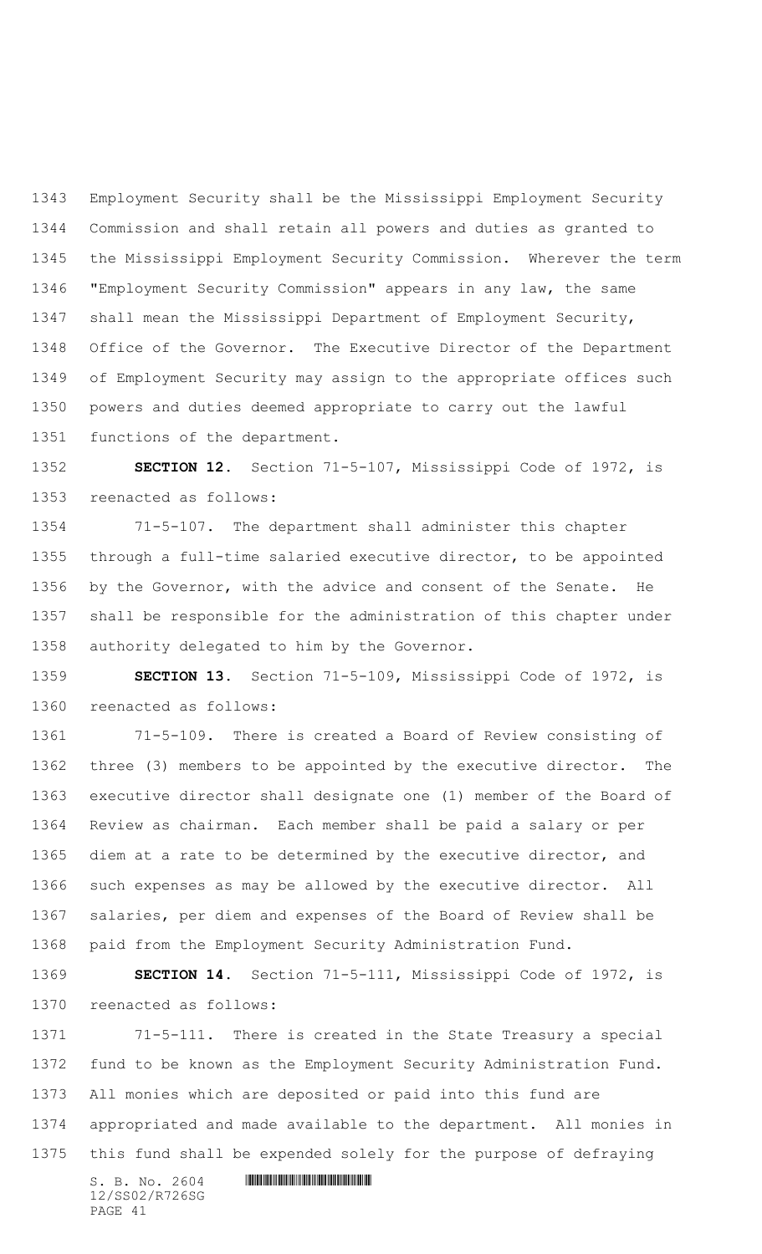Employment Security shall be the Mississippi Employment Security Commission and shall retain all powers and duties as granted to the Mississippi Employment Security Commission. Wherever the term "Employment Security Commission" appears in any law, the same shall mean the Mississippi Department of Employment Security, Office of the Governor. The Executive Director of the Department of Employment Security may assign to the appropriate offices such powers and duties deemed appropriate to carry out the lawful functions of the department.

 **SECTION 12.** Section 71-5-107, Mississippi Code of 1972, is reenacted as follows:

 71-5-107. The department shall administer this chapter through a full-time salaried executive director, to be appointed by the Governor, with the advice and consent of the Senate. He shall be responsible for the administration of this chapter under authority delegated to him by the Governor.

 **SECTION 13.** Section 71-5-109, Mississippi Code of 1972, is reenacted as follows:

 71-5-109. There is created a Board of Review consisting of three (3) members to be appointed by the executive director. The executive director shall designate one (1) member of the Board of Review as chairman. Each member shall be paid a salary or per diem at a rate to be determined by the executive director, and such expenses as may be allowed by the executive director. All salaries, per diem and expenses of the Board of Review shall be paid from the Employment Security Administration Fund.

 **SECTION 14.** Section 71-5-111, Mississippi Code of 1972, is reenacted as follows:

 71-5-111. There is created in the State Treasury a special fund to be known as the Employment Security Administration Fund. All monies which are deposited or paid into this fund are appropriated and made available to the department. All monies in this fund shall be expended solely for the purpose of defraying

 $S. B. No. 2604$  . The set of the set of  $S. B. N_{O.} 2604$ 12/SS02/R726SG PAGE 41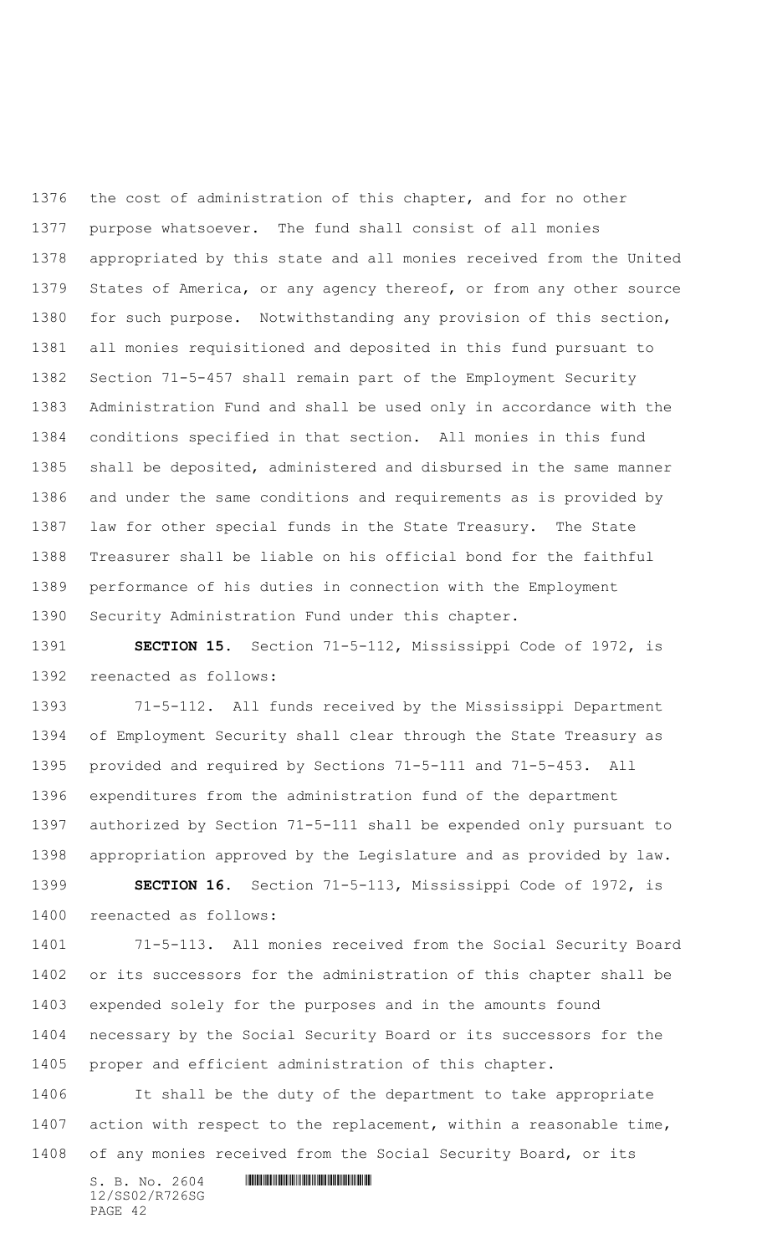the cost of administration of this chapter, and for no other purpose whatsoever. The fund shall consist of all monies appropriated by this state and all monies received from the United States of America, or any agency thereof, or from any other source for such purpose. Notwithstanding any provision of this section, all monies requisitioned and deposited in this fund pursuant to Section 71-5-457 shall remain part of the Employment Security Administration Fund and shall be used only in accordance with the conditions specified in that section. All monies in this fund shall be deposited, administered and disbursed in the same manner and under the same conditions and requirements as is provided by law for other special funds in the State Treasury. The State Treasurer shall be liable on his official bond for the faithful performance of his duties in connection with the Employment Security Administration Fund under this chapter.

 **SECTION 15.** Section 71-5-112, Mississippi Code of 1972, is reenacted as follows:

 71-5-112. All funds received by the Mississippi Department of Employment Security shall clear through the State Treasury as provided and required by Sections 71-5-111 and 71-5-453. All expenditures from the administration fund of the department authorized by Section 71-5-111 shall be expended only pursuant to appropriation approved by the Legislature and as provided by law. **SECTION 16.** Section 71-5-113, Mississippi Code of 1972, is reenacted as follows:

 71-5-113. All monies received from the Social Security Board or its successors for the administration of this chapter shall be expended solely for the purposes and in the amounts found necessary by the Social Security Board or its successors for the proper and efficient administration of this chapter.

 It shall be the duty of the department to take appropriate 1407 action with respect to the replacement, within a reasonable time, of any monies received from the Social Security Board, or its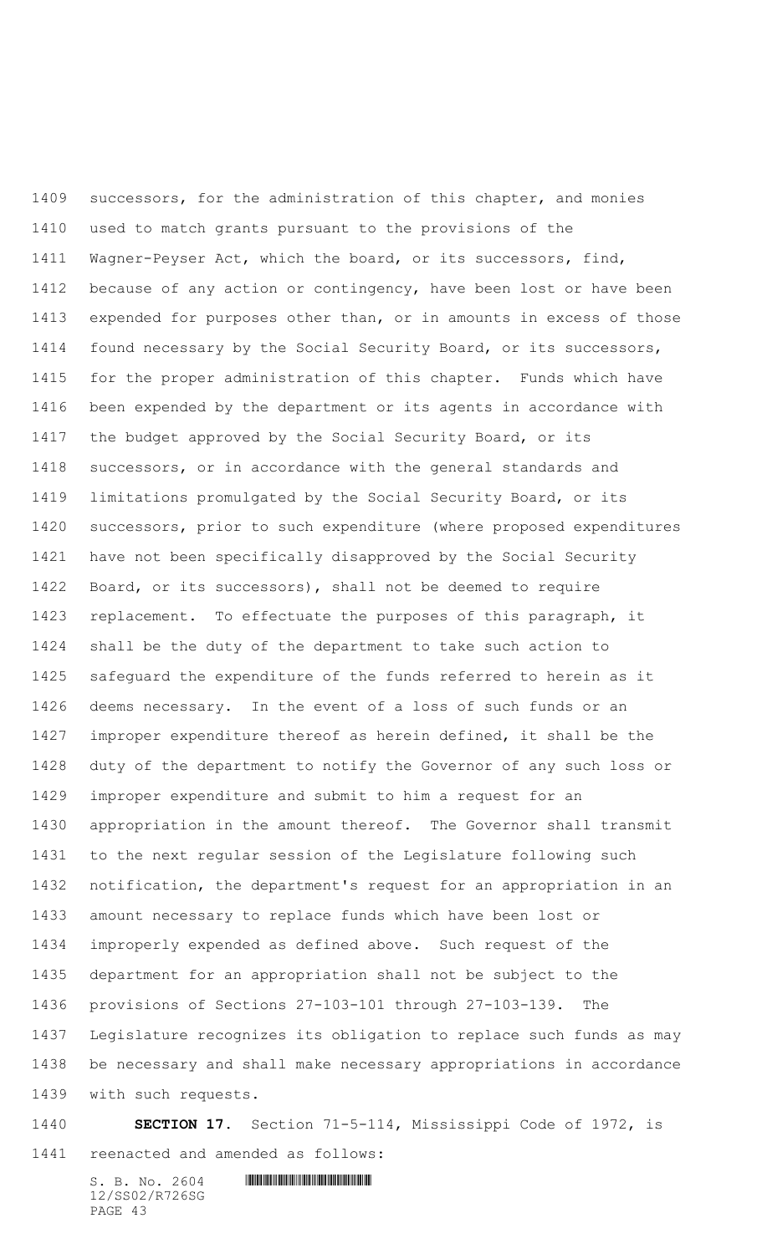successors, for the administration of this chapter, and monies used to match grants pursuant to the provisions of the Wagner-Peyser Act, which the board, or its successors, find, because of any action or contingency, have been lost or have been expended for purposes other than, or in amounts in excess of those found necessary by the Social Security Board, or its successors, for the proper administration of this chapter. Funds which have been expended by the department or its agents in accordance with the budget approved by the Social Security Board, or its successors, or in accordance with the general standards and limitations promulgated by the Social Security Board, or its successors, prior to such expenditure (where proposed expenditures have not been specifically disapproved by the Social Security Board, or its successors), shall not be deemed to require replacement. To effectuate the purposes of this paragraph, it shall be the duty of the department to take such action to safeguard the expenditure of the funds referred to herein as it deems necessary. In the event of a loss of such funds or an improper expenditure thereof as herein defined, it shall be the duty of the department to notify the Governor of any such loss or improper expenditure and submit to him a request for an appropriation in the amount thereof. The Governor shall transmit to the next regular session of the Legislature following such notification, the department's request for an appropriation in an amount necessary to replace funds which have been lost or improperly expended as defined above. Such request of the department for an appropriation shall not be subject to the provisions of Sections 27-103-101 through 27-103-139. The Legislature recognizes its obligation to replace such funds as may be necessary and shall make necessary appropriations in accordance with such requests.

## **SECTION 17.** Section 71-5-114, Mississippi Code of 1972, is reenacted and amended as follows: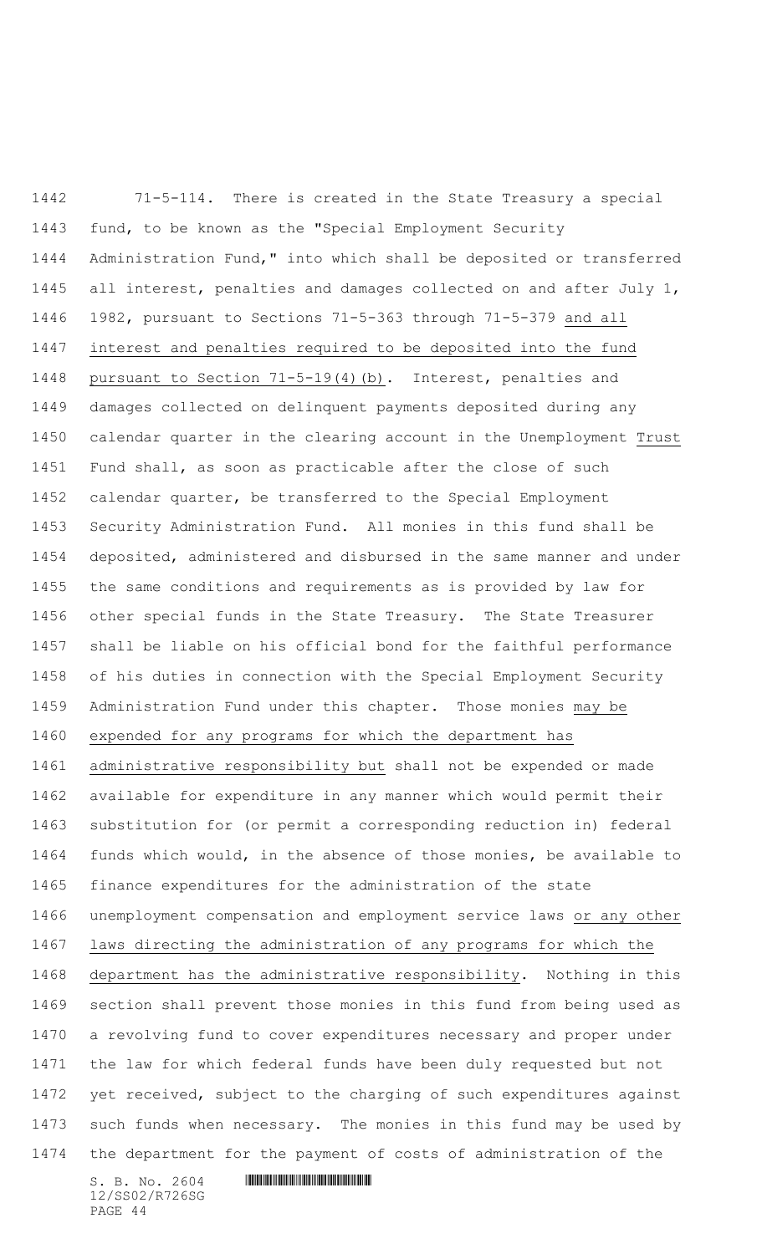71-5-114. There is created in the State Treasury a special fund, to be known as the "Special Employment Security Administration Fund," into which shall be deposited or transferred all interest, penalties and damages collected on and after July 1, 1982, pursuant to Sections 71-5-363 through 71-5-379 and all interest and penalties required to be deposited into the fund pursuant to Section 71-5-19(4)(b). Interest, penalties and damages collected on delinquent payments deposited during any calendar quarter in the clearing account in the Unemployment Trust Fund shall, as soon as practicable after the close of such calendar quarter, be transferred to the Special Employment Security Administration Fund. All monies in this fund shall be deposited, administered and disbursed in the same manner and under the same conditions and requirements as is provided by law for other special funds in the State Treasury. The State Treasurer shall be liable on his official bond for the faithful performance of his duties in connection with the Special Employment Security Administration Fund under this chapter. Those monies may be expended for any programs for which the department has administrative responsibility but shall not be expended or made available for expenditure in any manner which would permit their substitution for (or permit a corresponding reduction in) federal funds which would, in the absence of those monies, be available to finance expenditures for the administration of the state unemployment compensation and employment service laws or any other laws directing the administration of any programs for which the department has the administrative responsibility. Nothing in this section shall prevent those monies in this fund from being used as a revolving fund to cover expenditures necessary and proper under the law for which federal funds have been duly requested but not yet received, subject to the charging of such expenditures against such funds when necessary. The monies in this fund may be used by the department for the payment of costs of administration of the

 $S. B. NO. 2604$  .  $M. 2604$ 12/SS02/R726SG PAGE 44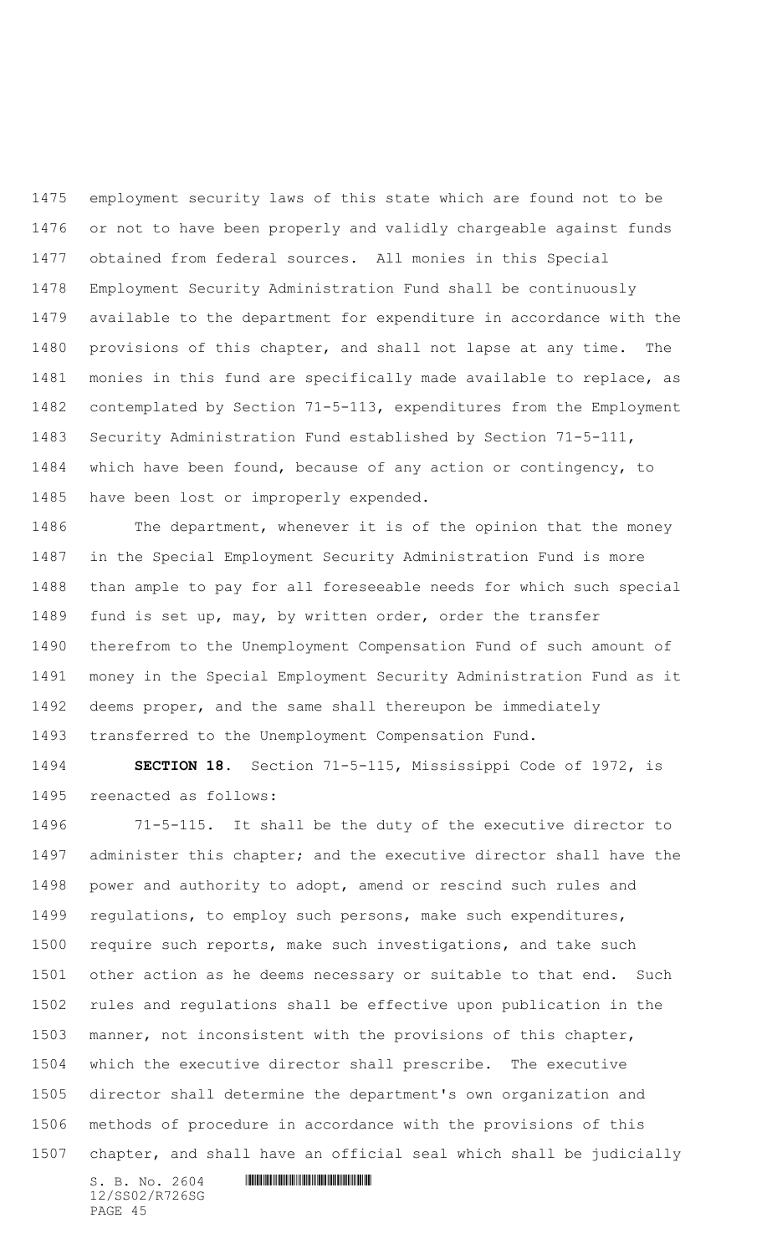employment security laws of this state which are found not to be or not to have been properly and validly chargeable against funds obtained from federal sources. All monies in this Special Employment Security Administration Fund shall be continuously available to the department for expenditure in accordance with the provisions of this chapter, and shall not lapse at any time. The monies in this fund are specifically made available to replace, as contemplated by Section 71-5-113, expenditures from the Employment Security Administration Fund established by Section 71-5-111, which have been found, because of any action or contingency, to have been lost or improperly expended.

1486 The department, whenever it is of the opinion that the money in the Special Employment Security Administration Fund is more than ample to pay for all foreseeable needs for which such special fund is set up, may, by written order, order the transfer therefrom to the Unemployment Compensation Fund of such amount of money in the Special Employment Security Administration Fund as it deems proper, and the same shall thereupon be immediately transferred to the Unemployment Compensation Fund.

 **SECTION 18.** Section 71-5-115, Mississippi Code of 1972, is reenacted as follows:

 71-5-115. It shall be the duty of the executive director to administer this chapter; and the executive director shall have the power and authority to adopt, amend or rescind such rules and regulations, to employ such persons, make such expenditures, require such reports, make such investigations, and take such other action as he deems necessary or suitable to that end. Such rules and regulations shall be effective upon publication in the manner, not inconsistent with the provisions of this chapter, which the executive director shall prescribe. The executive director shall determine the department's own organization and methods of procedure in accordance with the provisions of this chapter, and shall have an official seal which shall be judicially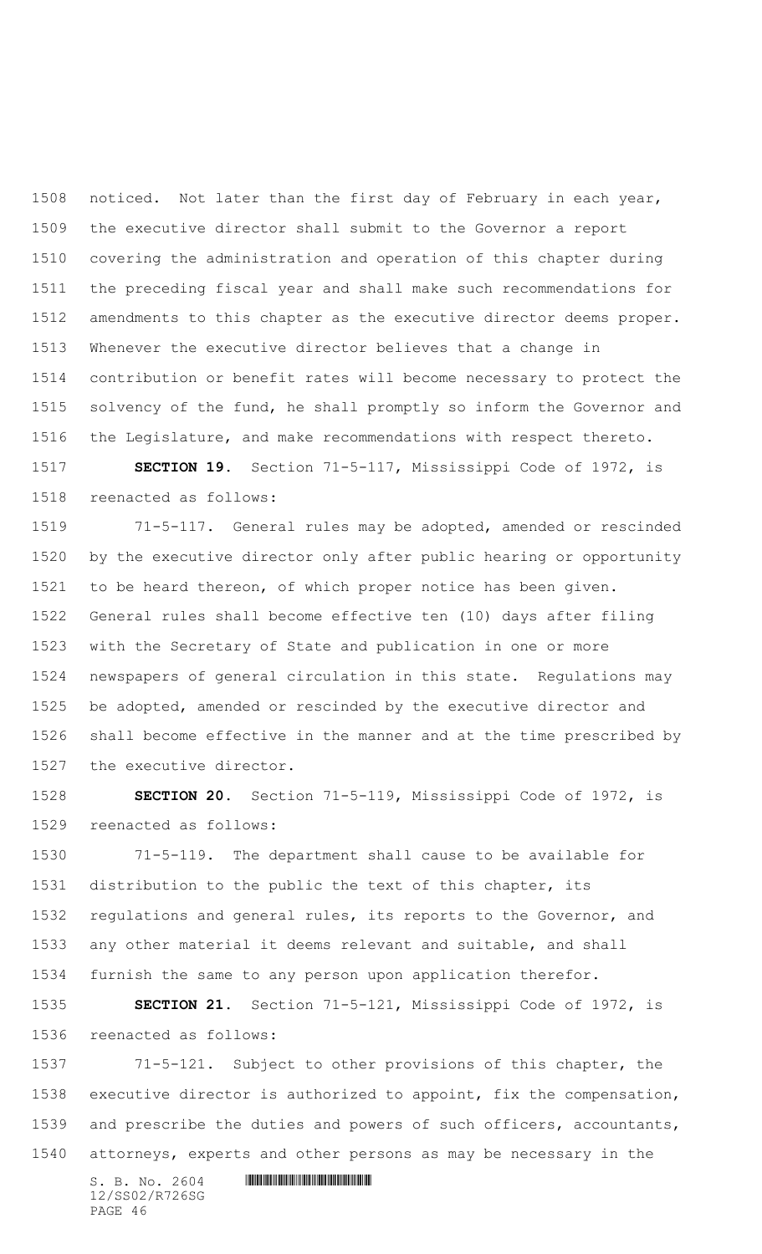noticed. Not later than the first day of February in each year, the executive director shall submit to the Governor a report covering the administration and operation of this chapter during the preceding fiscal year and shall make such recommendations for amendments to this chapter as the executive director deems proper. Whenever the executive director believes that a change in contribution or benefit rates will become necessary to protect the solvency of the fund, he shall promptly so inform the Governor and the Legislature, and make recommendations with respect thereto.

 **SECTION 19.** Section 71-5-117, Mississippi Code of 1972, is reenacted as follows:

 71-5-117. General rules may be adopted, amended or rescinded by the executive director only after public hearing or opportunity to be heard thereon, of which proper notice has been given. General rules shall become effective ten (10) days after filing with the Secretary of State and publication in one or more newspapers of general circulation in this state. Regulations may be adopted, amended or rescinded by the executive director and shall become effective in the manner and at the time prescribed by the executive director.

 **SECTION 20.** Section 71-5-119, Mississippi Code of 1972, is reenacted as follows:

 71-5-119. The department shall cause to be available for distribution to the public the text of this chapter, its regulations and general rules, its reports to the Governor, and any other material it deems relevant and suitable, and shall furnish the same to any person upon application therefor.

 **SECTION 21.** Section 71-5-121, Mississippi Code of 1972, is reenacted as follows:

 71-5-121. Subject to other provisions of this chapter, the executive director is authorized to appoint, fix the compensation, and prescribe the duties and powers of such officers, accountants, attorneys, experts and other persons as may be necessary in the

 $S. B. NO. 2604$  .  $M. 2604$ 12/SS02/R726SG PAGE 46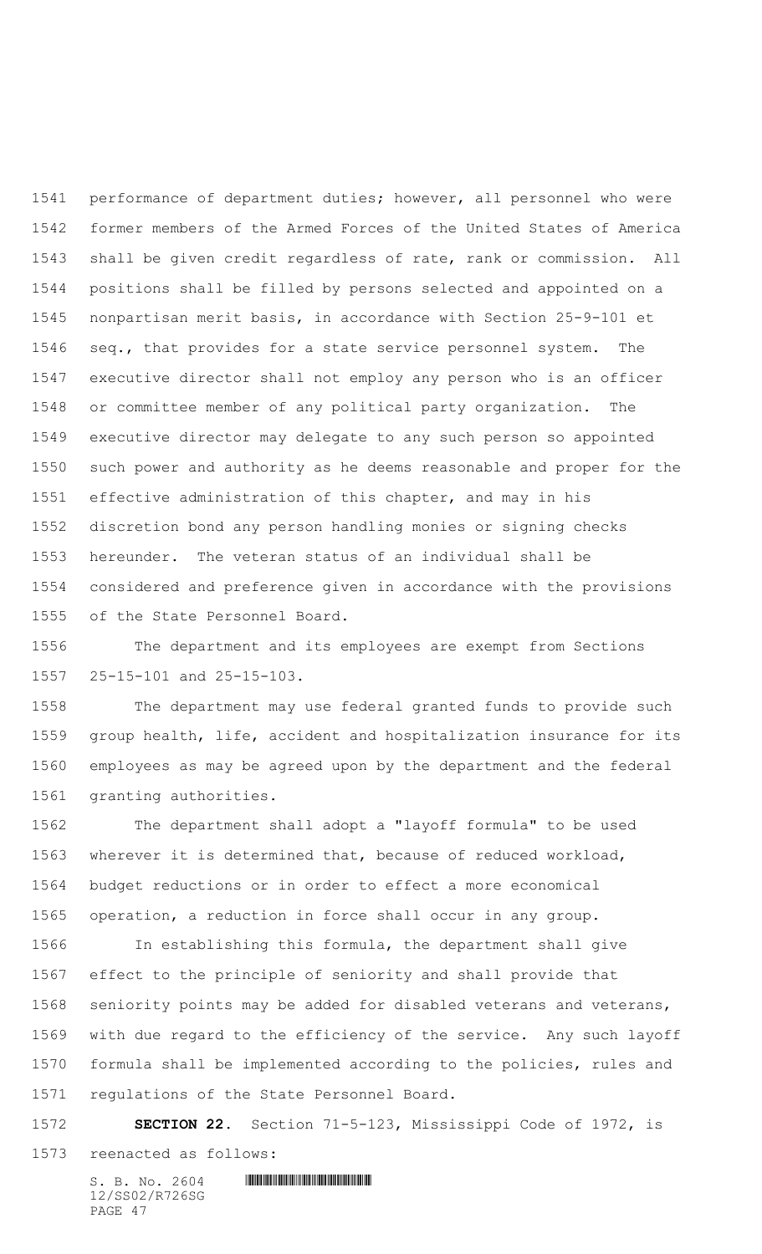performance of department duties; however, all personnel who were former members of the Armed Forces of the United States of America shall be given credit regardless of rate, rank or commission. All positions shall be filled by persons selected and appointed on a nonpartisan merit basis, in accordance with Section 25-9-101 et seq., that provides for a state service personnel system. The executive director shall not employ any person who is an officer or committee member of any political party organization. The executive director may delegate to any such person so appointed such power and authority as he deems reasonable and proper for the effective administration of this chapter, and may in his discretion bond any person handling monies or signing checks hereunder. The veteran status of an individual shall be considered and preference given in accordance with the provisions of the State Personnel Board.

 The department and its employees are exempt from Sections 25-15-101 and 25-15-103.

 The department may use federal granted funds to provide such group health, life, accident and hospitalization insurance for its employees as may be agreed upon by the department and the federal granting authorities.

 The department shall adopt a "layoff formula" to be used wherever it is determined that, because of reduced workload, budget reductions or in order to effect a more economical operation, a reduction in force shall occur in any group.

 In establishing this formula, the department shall give effect to the principle of seniority and shall provide that seniority points may be added for disabled veterans and veterans, with due regard to the efficiency of the service. Any such layoff formula shall be implemented according to the policies, rules and regulations of the State Personnel Board.

 **SECTION 22.** Section 71-5-123, Mississippi Code of 1972, is reenacted as follows: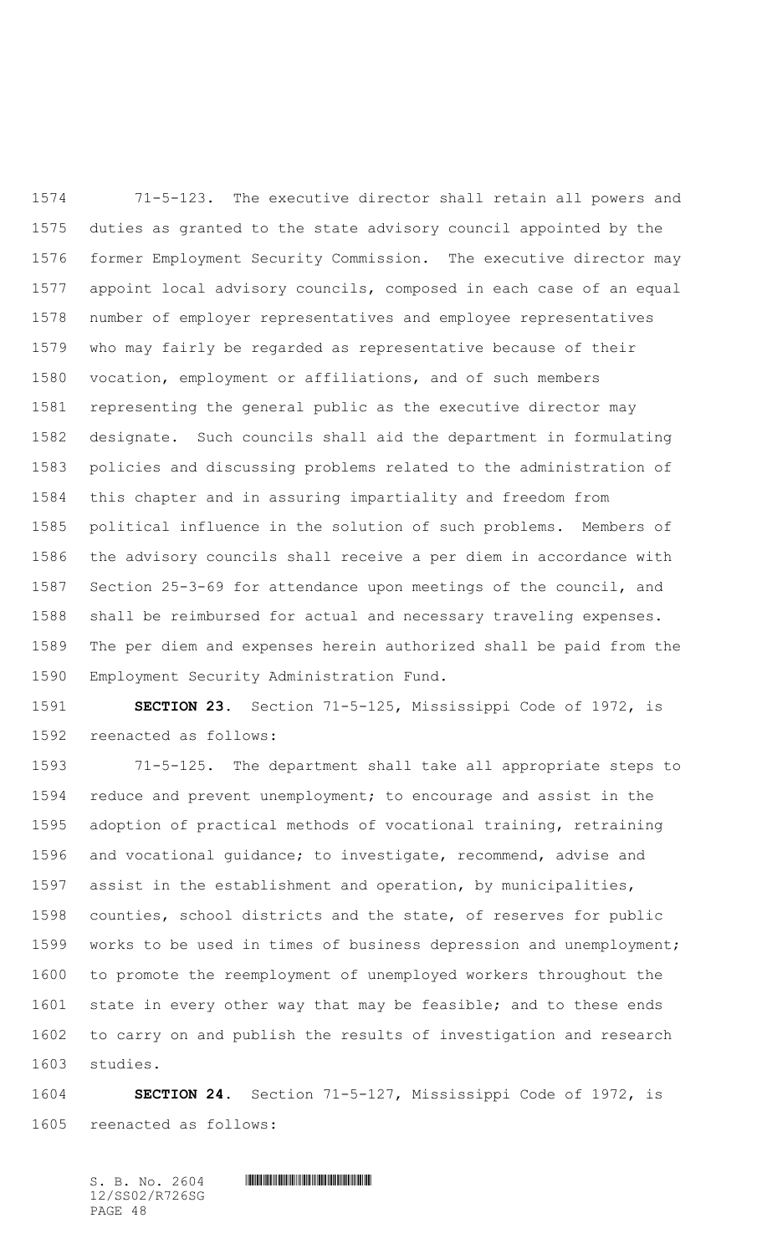71-5-123. The executive director shall retain all powers and duties as granted to the state advisory council appointed by the former Employment Security Commission. The executive director may appoint local advisory councils, composed in each case of an equal number of employer representatives and employee representatives who may fairly be regarded as representative because of their vocation, employment or affiliations, and of such members representing the general public as the executive director may designate. Such councils shall aid the department in formulating policies and discussing problems related to the administration of this chapter and in assuring impartiality and freedom from political influence in the solution of such problems. Members of the advisory councils shall receive a per diem in accordance with Section 25-3-69 for attendance upon meetings of the council, and shall be reimbursed for actual and necessary traveling expenses. The per diem and expenses herein authorized shall be paid from the Employment Security Administration Fund.

 **SECTION 23.** Section 71-5-125, Mississippi Code of 1972, is reenacted as follows:

 71-5-125. The department shall take all appropriate steps to reduce and prevent unemployment; to encourage and assist in the adoption of practical methods of vocational training, retraining and vocational guidance; to investigate, recommend, advise and assist in the establishment and operation, by municipalities, counties, school districts and the state, of reserves for public works to be used in times of business depression and unemployment; to promote the reemployment of unemployed workers throughout the state in every other way that may be feasible; and to these ends to carry on and publish the results of investigation and research studies.

 **SECTION 24.** Section 71-5-127, Mississippi Code of 1972, is reenacted as follows: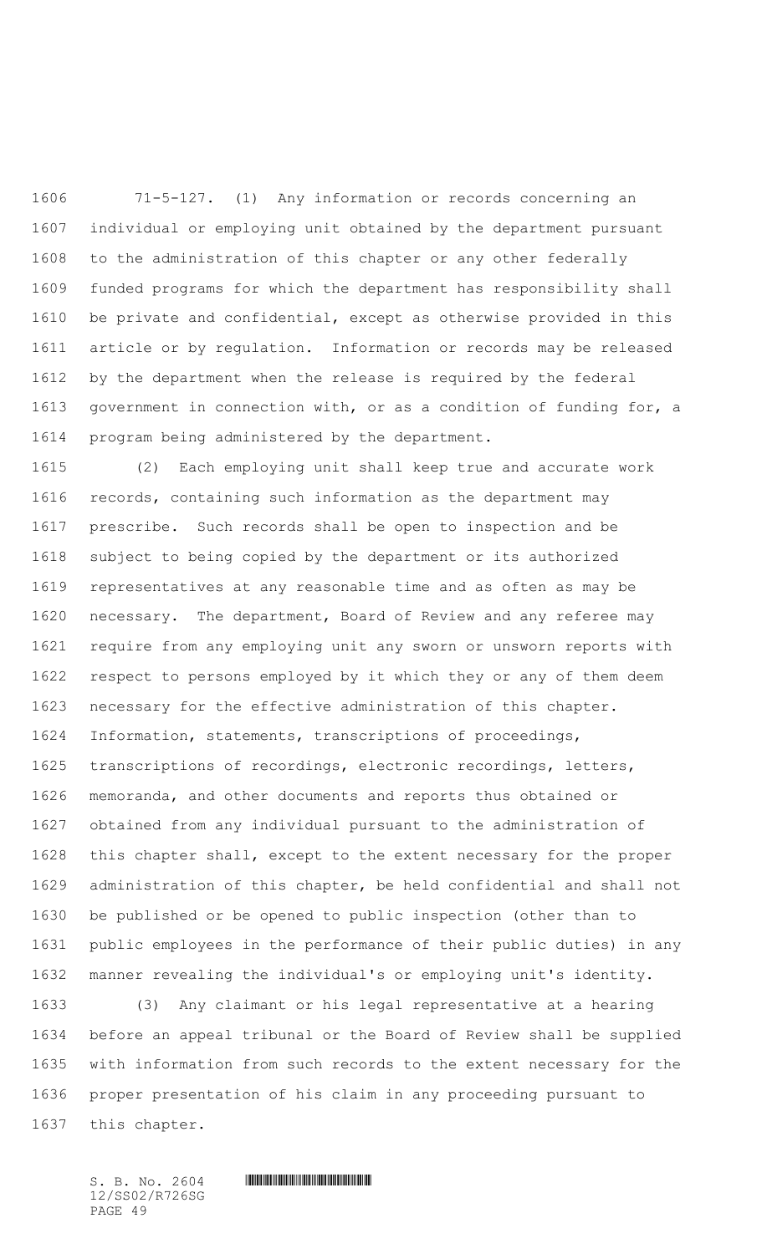71-5-127. (1) Any information or records concerning an individual or employing unit obtained by the department pursuant to the administration of this chapter or any other federally funded programs for which the department has responsibility shall be private and confidential, except as otherwise provided in this article or by regulation. Information or records may be released by the department when the release is required by the federal government in connection with, or as a condition of funding for, a program being administered by the department.

 (2) Each employing unit shall keep true and accurate work records, containing such information as the department may prescribe. Such records shall be open to inspection and be subject to being copied by the department or its authorized representatives at any reasonable time and as often as may be necessary. The department, Board of Review and any referee may require from any employing unit any sworn or unsworn reports with respect to persons employed by it which they or any of them deem necessary for the effective administration of this chapter. Information, statements, transcriptions of proceedings, transcriptions of recordings, electronic recordings, letters, memoranda, and other documents and reports thus obtained or obtained from any individual pursuant to the administration of this chapter shall, except to the extent necessary for the proper administration of this chapter, be held confidential and shall not be published or be opened to public inspection (other than to public employees in the performance of their public duties) in any manner revealing the individual's or employing unit's identity.

 (3) Any claimant or his legal representative at a hearing before an appeal tribunal or the Board of Review shall be supplied with information from such records to the extent necessary for the proper presentation of his claim in any proceeding pursuant to this chapter.

12/SS02/R726SG PAGE 49

 $S. B. No. 2604$  . The set of the set of  $S. B. N_{O.} 2604$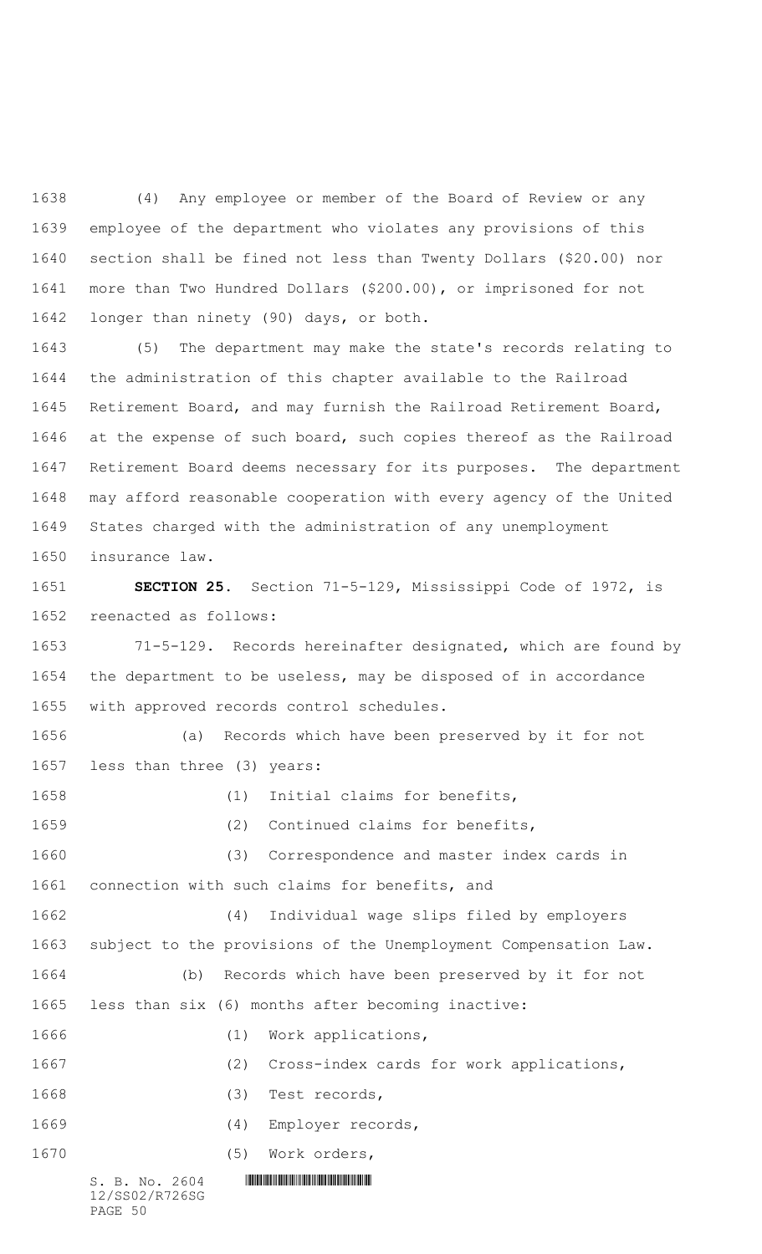(4) Any employee or member of the Board of Review or any employee of the department who violates any provisions of this section shall be fined not less than Twenty Dollars (\$20.00) nor more than Two Hundred Dollars (\$200.00), or imprisoned for not longer than ninety (90) days, or both.

 (5) The department may make the state's records relating to the administration of this chapter available to the Railroad Retirement Board, and may furnish the Railroad Retirement Board, at the expense of such board, such copies thereof as the Railroad Retirement Board deems necessary for its purposes. The department may afford reasonable cooperation with every agency of the United States charged with the administration of any unemployment insurance law.

 **SECTION 25.** Section 71-5-129, Mississippi Code of 1972, is reenacted as follows:

 71-5-129. Records hereinafter designated, which are found by the department to be useless, may be disposed of in accordance with approved records control schedules.

 (a) Records which have been preserved by it for not less than three (3) years: (1) Initial claims for benefits,

 $S. B. NO. 2604$  .  $M. 2604$ 12/SS02/R726SG (2) Continued claims for benefits, (3) Correspondence and master index cards in connection with such claims for benefits, and (4) Individual wage slips filed by employers subject to the provisions of the Unemployment Compensation Law. (b) Records which have been preserved by it for not less than six (6) months after becoming inactive: 1666 (1) Work applications, (2) Cross-index cards for work applications, (3) Test records, (4) Employer records, (5) Work orders,

PAGE 50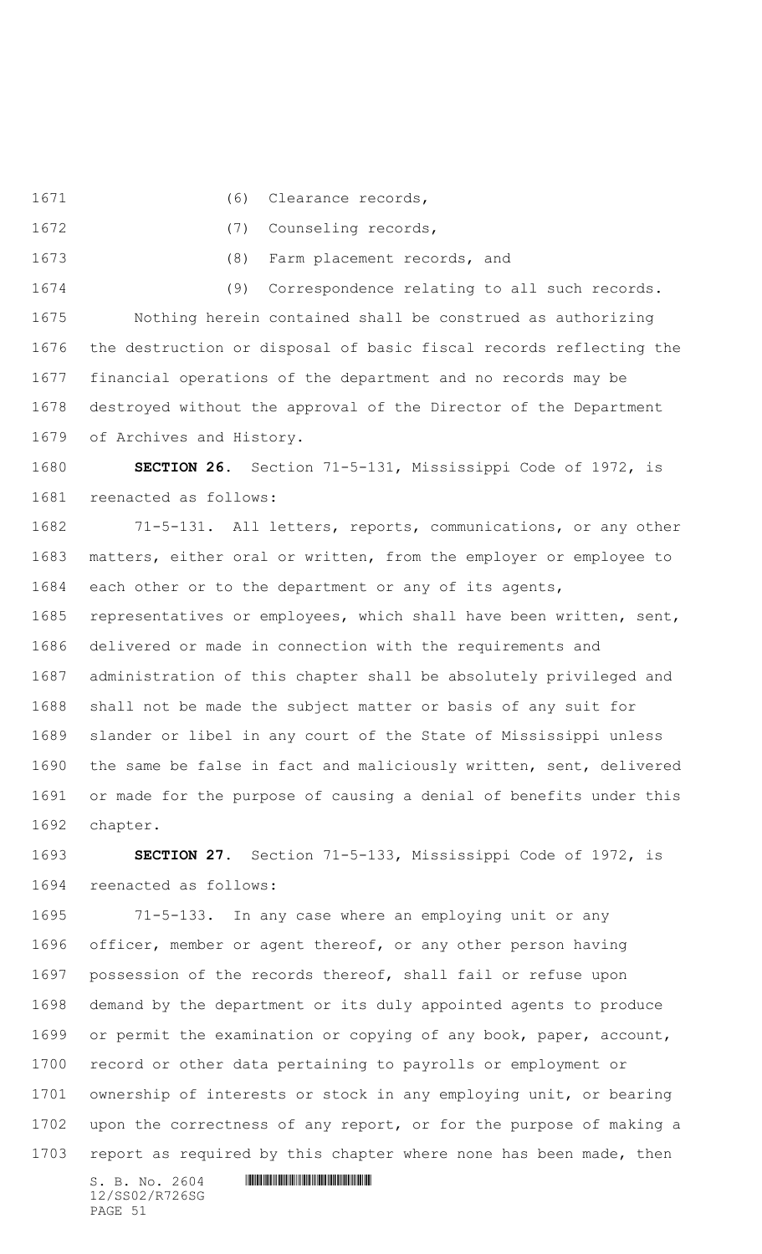1671 (6) Clearance records,

1672 (7) Counseling records,

(8) Farm placement records, and

 (9) Correspondence relating to all such records. Nothing herein contained shall be construed as authorizing the destruction or disposal of basic fiscal records reflecting the financial operations of the department and no records may be destroyed without the approval of the Director of the Department of Archives and History.

 **SECTION 26.** Section 71-5-131, Mississippi Code of 1972, is reenacted as follows:

 71-5-131. All letters, reports, communications, or any other matters, either oral or written, from the employer or employee to each other or to the department or any of its agents, representatives or employees, which shall have been written, sent, delivered or made in connection with the requirements and administration of this chapter shall be absolutely privileged and shall not be made the subject matter or basis of any suit for slander or libel in any court of the State of Mississippi unless the same be false in fact and maliciously written, sent, delivered or made for the purpose of causing a denial of benefits under this chapter.

 **SECTION 27.** Section 71-5-133, Mississippi Code of 1972, is reenacted as follows:

 71-5-133. In any case where an employing unit or any officer, member or agent thereof, or any other person having possession of the records thereof, shall fail or refuse upon demand by the department or its duly appointed agents to produce or permit the examination or copying of any book, paper, account, record or other data pertaining to payrolls or employment or ownership of interests or stock in any employing unit, or bearing upon the correctness of any report, or for the purpose of making a report as required by this chapter where none has been made, then

12/SS02/R726SG PAGE 51

 $S. B. No. 2604$  . The set of the set of  $S. B. N_{O.} 2604$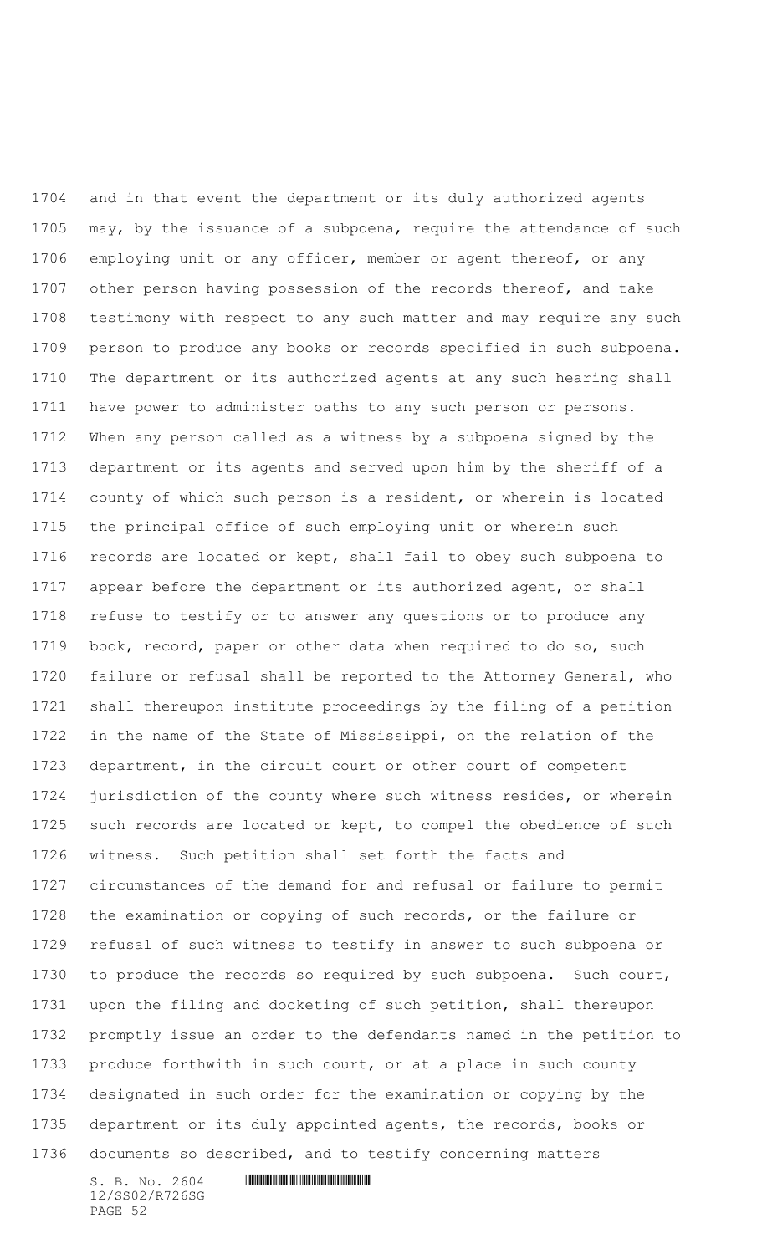and in that event the department or its duly authorized agents may, by the issuance of a subpoena, require the attendance of such employing unit or any officer, member or agent thereof, or any 1707 other person having possession of the records thereof, and take testimony with respect to any such matter and may require any such person to produce any books or records specified in such subpoena. The department or its authorized agents at any such hearing shall have power to administer oaths to any such person or persons. When any person called as a witness by a subpoena signed by the department or its agents and served upon him by the sheriff of a county of which such person is a resident, or wherein is located the principal office of such employing unit or wherein such records are located or kept, shall fail to obey such subpoena to appear before the department or its authorized agent, or shall refuse to testify or to answer any questions or to produce any book, record, paper or other data when required to do so, such failure or refusal shall be reported to the Attorney General, who shall thereupon institute proceedings by the filing of a petition in the name of the State of Mississippi, on the relation of the department, in the circuit court or other court of competent jurisdiction of the county where such witness resides, or wherein 1725 such records are located or kept, to compel the obedience of such witness. Such petition shall set forth the facts and circumstances of the demand for and refusal or failure to permit the examination or copying of such records, or the failure or refusal of such witness to testify in answer to such subpoena or to produce the records so required by such subpoena. Such court, upon the filing and docketing of such petition, shall thereupon promptly issue an order to the defendants named in the petition to produce forthwith in such court, or at a place in such county designated in such order for the examination or copying by the department or its duly appointed agents, the records, books or documents so described, and to testify concerning matters

12/SS02/R726SG PAGE 52

 $S. B. No. 2604$  . The set of the set of  $S. B. N_{O.} 2604$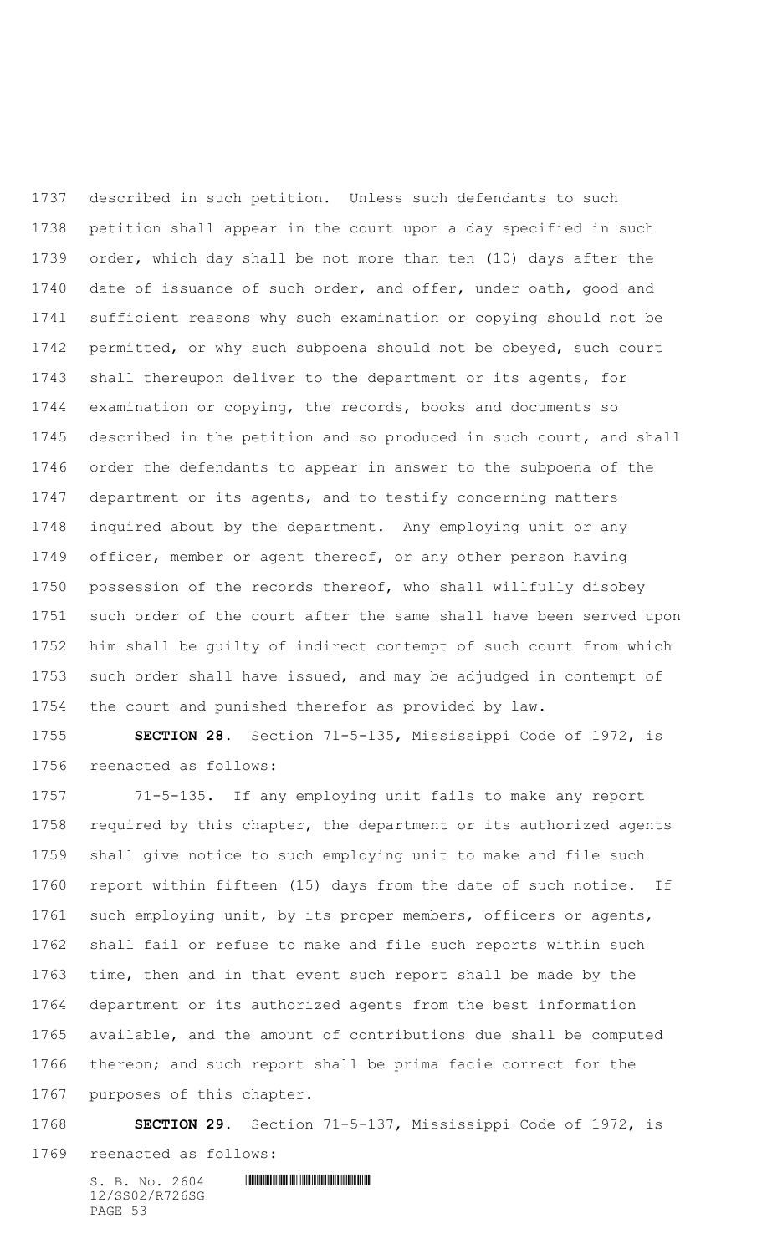described in such petition. Unless such defendants to such petition shall appear in the court upon a day specified in such order, which day shall be not more than ten (10) days after the 1740 date of issuance of such order, and offer, under oath, good and sufficient reasons why such examination or copying should not be permitted, or why such subpoena should not be obeyed, such court shall thereupon deliver to the department or its agents, for examination or copying, the records, books and documents so described in the petition and so produced in such court, and shall order the defendants to appear in answer to the subpoena of the department or its agents, and to testify concerning matters inquired about by the department. Any employing unit or any officer, member or agent thereof, or any other person having possession of the records thereof, who shall willfully disobey such order of the court after the same shall have been served upon him shall be guilty of indirect contempt of such court from which such order shall have issued, and may be adjudged in contempt of the court and punished therefor as provided by law.

 **SECTION 28.** Section 71-5-135, Mississippi Code of 1972, is reenacted as follows:

 71-5-135. If any employing unit fails to make any report required by this chapter, the department or its authorized agents shall give notice to such employing unit to make and file such report within fifteen (15) days from the date of such notice. If such employing unit, by its proper members, officers or agents, shall fail or refuse to make and file such reports within such time, then and in that event such report shall be made by the department or its authorized agents from the best information available, and the amount of contributions due shall be computed thereon; and such report shall be prima facie correct for the purposes of this chapter.

 **SECTION 29.** Section 71-5-137, Mississippi Code of 1972, is reenacted as follows: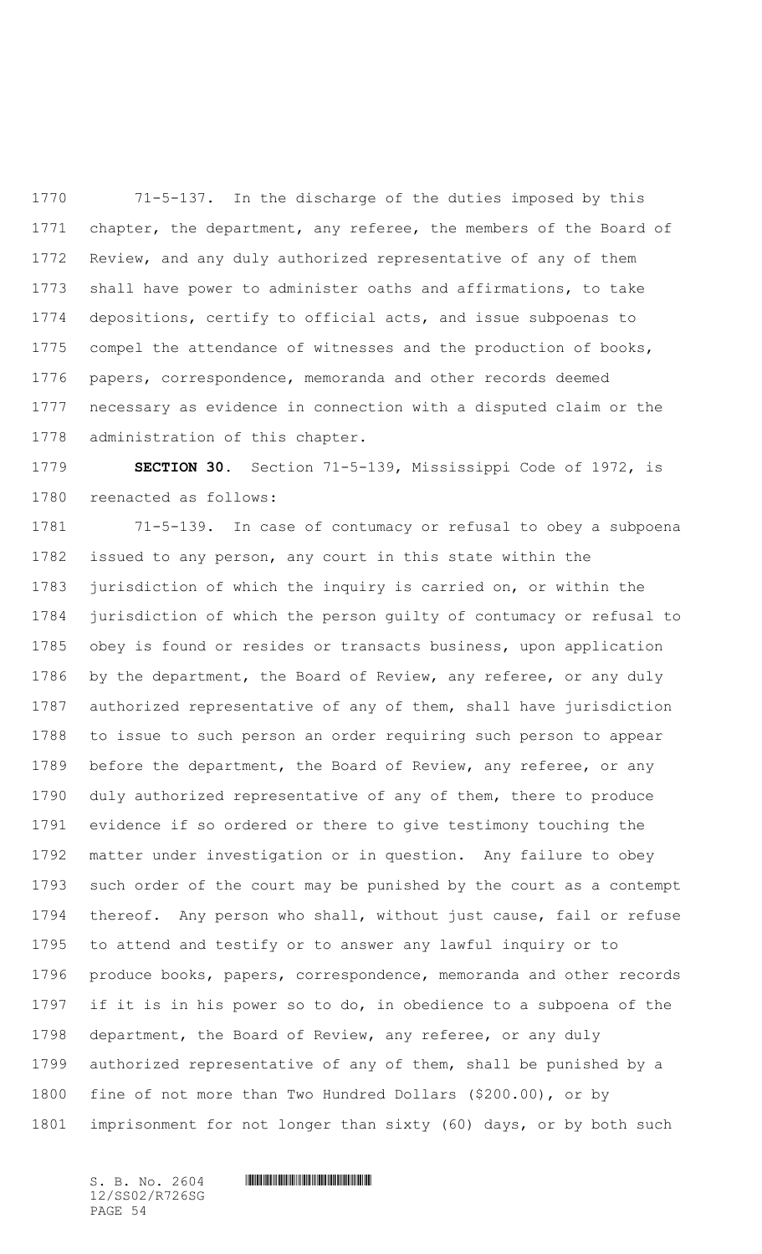71-5-137. In the discharge of the duties imposed by this chapter, the department, any referee, the members of the Board of Review, and any duly authorized representative of any of them shall have power to administer oaths and affirmations, to take depositions, certify to official acts, and issue subpoenas to compel the attendance of witnesses and the production of books, papers, correspondence, memoranda and other records deemed necessary as evidence in connection with a disputed claim or the administration of this chapter.

 **SECTION 30.** Section 71-5-139, Mississippi Code of 1972, is reenacted as follows:

 71-5-139. In case of contumacy or refusal to obey a subpoena issued to any person, any court in this state within the jurisdiction of which the inquiry is carried on, or within the jurisdiction of which the person guilty of contumacy or refusal to obey is found or resides or transacts business, upon application by the department, the Board of Review, any referee, or any duly authorized representative of any of them, shall have jurisdiction to issue to such person an order requiring such person to appear 1789 before the department, the Board of Review, any referee, or any duly authorized representative of any of them, there to produce evidence if so ordered or there to give testimony touching the matter under investigation or in question. Any failure to obey such order of the court may be punished by the court as a contempt thereof. Any person who shall, without just cause, fail or refuse to attend and testify or to answer any lawful inquiry or to produce books, papers, correspondence, memoranda and other records if it is in his power so to do, in obedience to a subpoena of the department, the Board of Review, any referee, or any duly authorized representative of any of them, shall be punished by a fine of not more than Two Hundred Dollars (\$200.00), or by imprisonment for not longer than sixty (60) days, or by both such

12/SS02/R726SG PAGE 54

## $S. B. NO. 2604$  .  $M. 2604$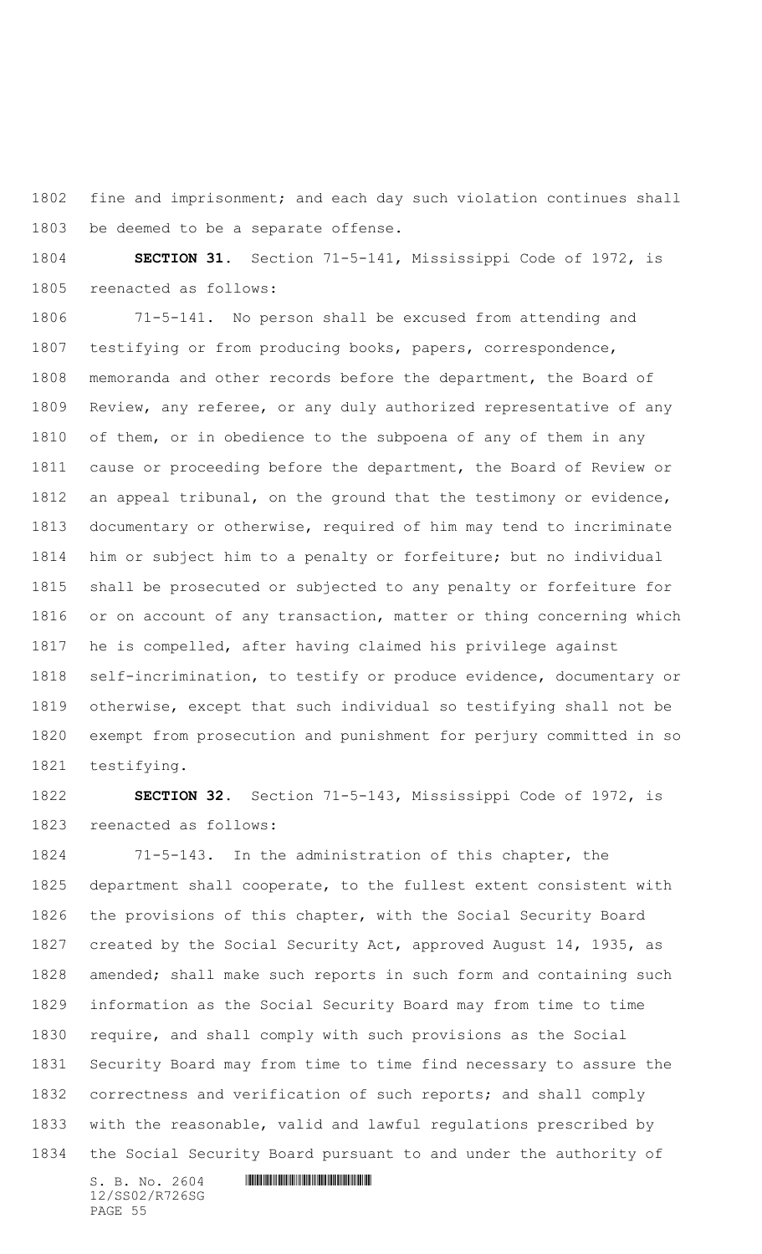fine and imprisonment; and each day such violation continues shall be deemed to be a separate offense.

 **SECTION 31.** Section 71-5-141, Mississippi Code of 1972, is reenacted as follows:

 71-5-141. No person shall be excused from attending and testifying or from producing books, papers, correspondence, memoranda and other records before the department, the Board of Review, any referee, or any duly authorized representative of any of them, or in obedience to the subpoena of any of them in any cause or proceeding before the department, the Board of Review or an appeal tribunal, on the ground that the testimony or evidence, documentary or otherwise, required of him may tend to incriminate him or subject him to a penalty or forfeiture; but no individual shall be prosecuted or subjected to any penalty or forfeiture for or on account of any transaction, matter or thing concerning which he is compelled, after having claimed his privilege against self-incrimination, to testify or produce evidence, documentary or otherwise, except that such individual so testifying shall not be exempt from prosecution and punishment for perjury committed in so testifying.

 **SECTION 32.** Section 71-5-143, Mississippi Code of 1972, is reenacted as follows:

 71-5-143. In the administration of this chapter, the department shall cooperate, to the fullest extent consistent with the provisions of this chapter, with the Social Security Board created by the Social Security Act, approved August 14, 1935, as amended; shall make such reports in such form and containing such information as the Social Security Board may from time to time require, and shall comply with such provisions as the Social Security Board may from time to time find necessary to assure the correctness and verification of such reports; and shall comply with the reasonable, valid and lawful regulations prescribed by the Social Security Board pursuant to and under the authority of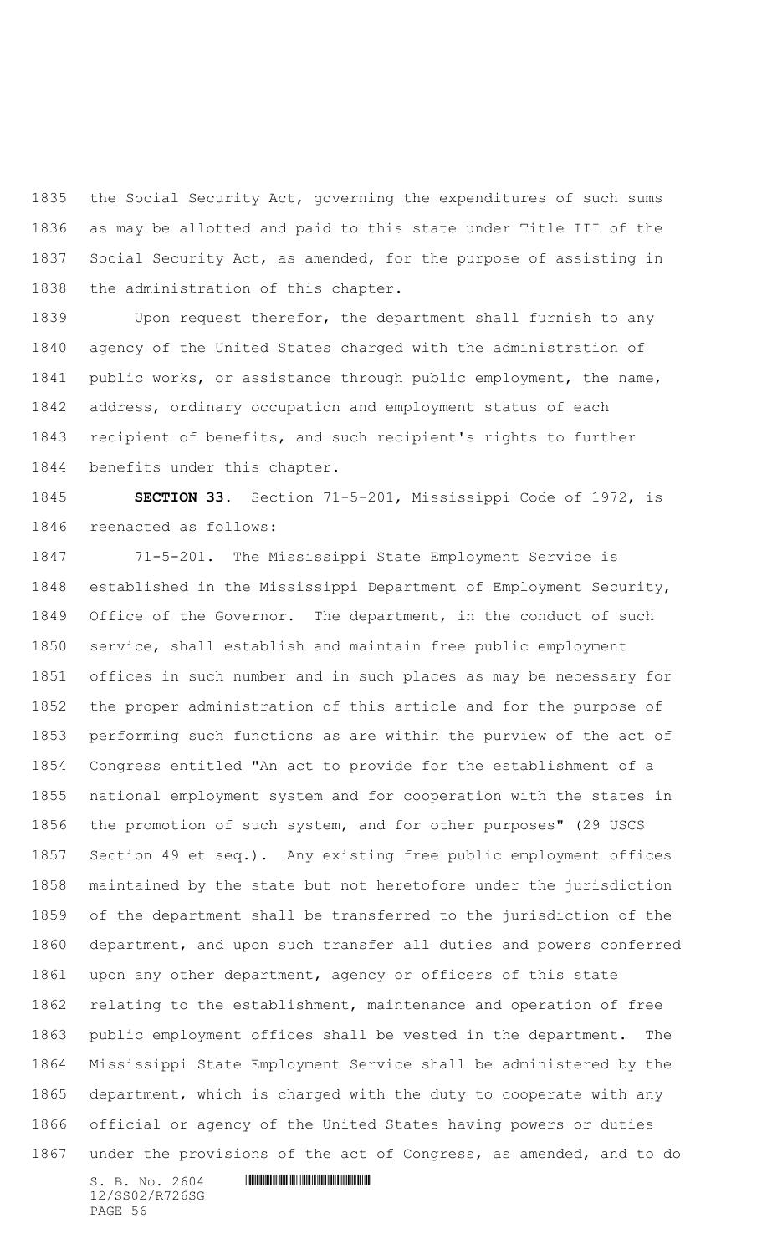the Social Security Act, governing the expenditures of such sums as may be allotted and paid to this state under Title III of the Social Security Act, as amended, for the purpose of assisting in the administration of this chapter.

 Upon request therefor, the department shall furnish to any agency of the United States charged with the administration of public works, or assistance through public employment, the name, address, ordinary occupation and employment status of each recipient of benefits, and such recipient's rights to further benefits under this chapter.

 **SECTION 33.** Section 71-5-201, Mississippi Code of 1972, is reenacted as follows:

 71-5-201. The Mississippi State Employment Service is established in the Mississippi Department of Employment Security, Office of the Governor. The department, in the conduct of such service, shall establish and maintain free public employment offices in such number and in such places as may be necessary for the proper administration of this article and for the purpose of performing such functions as are within the purview of the act of Congress entitled "An act to provide for the establishment of a national employment system and for cooperation with the states in the promotion of such system, and for other purposes" (29 USCS Section 49 et seq.). Any existing free public employment offices maintained by the state but not heretofore under the jurisdiction of the department shall be transferred to the jurisdiction of the department, and upon such transfer all duties and powers conferred upon any other department, agency or officers of this state relating to the establishment, maintenance and operation of free public employment offices shall be vested in the department. The Mississippi State Employment Service shall be administered by the department, which is charged with the duty to cooperate with any official or agency of the United States having powers or duties under the provisions of the act of Congress, as amended, and to do

12/SS02/R726SG PAGE 56

```
S. B. NO. 2604 . M. 2604
```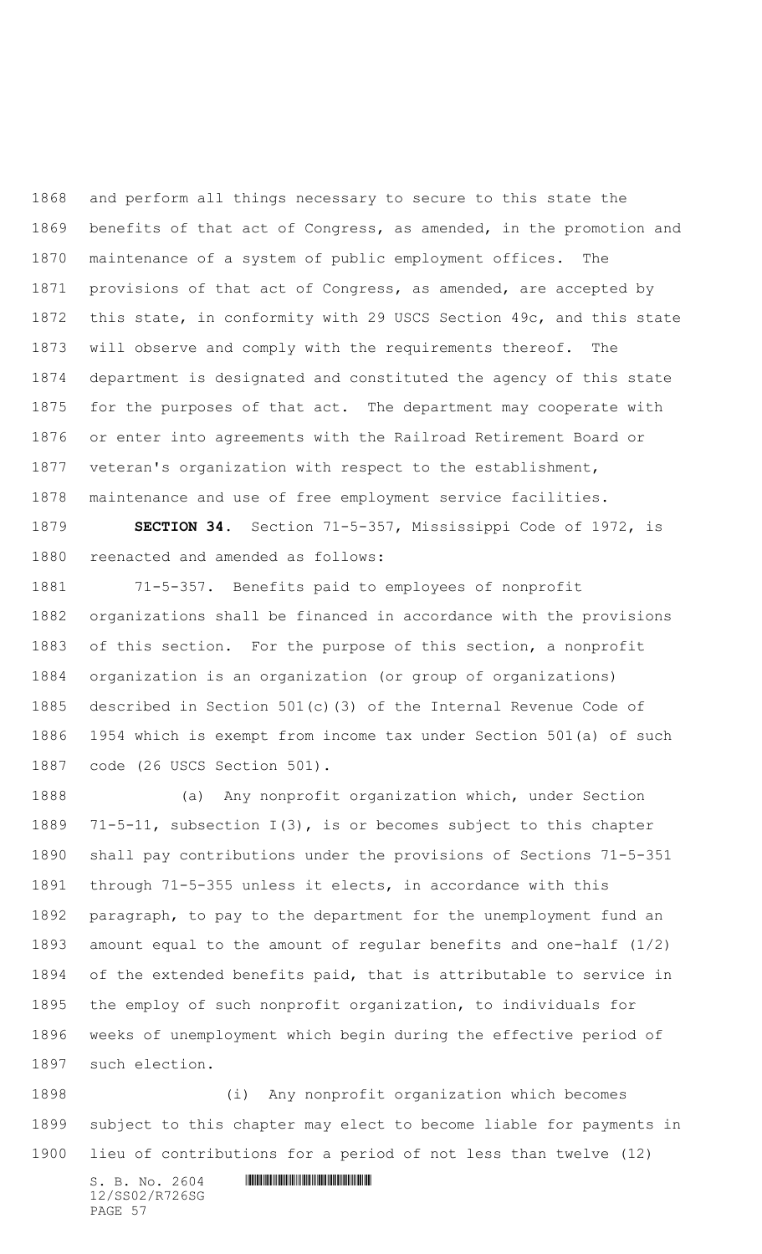and perform all things necessary to secure to this state the benefits of that act of Congress, as amended, in the promotion and maintenance of a system of public employment offices. The provisions of that act of Congress, as amended, are accepted by this state, in conformity with 29 USCS Section 49c, and this state will observe and comply with the requirements thereof. The department is designated and constituted the agency of this state for the purposes of that act. The department may cooperate with or enter into agreements with the Railroad Retirement Board or veteran's organization with respect to the establishment, maintenance and use of free employment service facilities.

 **SECTION 34.** Section 71-5-357, Mississippi Code of 1972, is reenacted and amended as follows:

 71-5-357. Benefits paid to employees of nonprofit organizations shall be financed in accordance with the provisions of this section. For the purpose of this section, a nonprofit organization is an organization (or group of organizations) described in Section 501(c)(3) of the Internal Revenue Code of 1954 which is exempt from income tax under Section 501(a) of such code (26 USCS Section 501).

 (a) Any nonprofit organization which, under Section 71-5-11, subsection I(3), is or becomes subject to this chapter shall pay contributions under the provisions of Sections 71-5-351 through 71-5-355 unless it elects, in accordance with this paragraph, to pay to the department for the unemployment fund an amount equal to the amount of regular benefits and one-half (1/2) of the extended benefits paid, that is attributable to service in the employ of such nonprofit organization, to individuals for weeks of unemployment which begin during the effective period of such election.

 (i) Any nonprofit organization which becomes subject to this chapter may elect to become liable for payments in lieu of contributions for a period of not less than twelve (12)

 $S. B. No. 2604$  .  $M. 2604$ 12/SS02/R726SG PAGE 57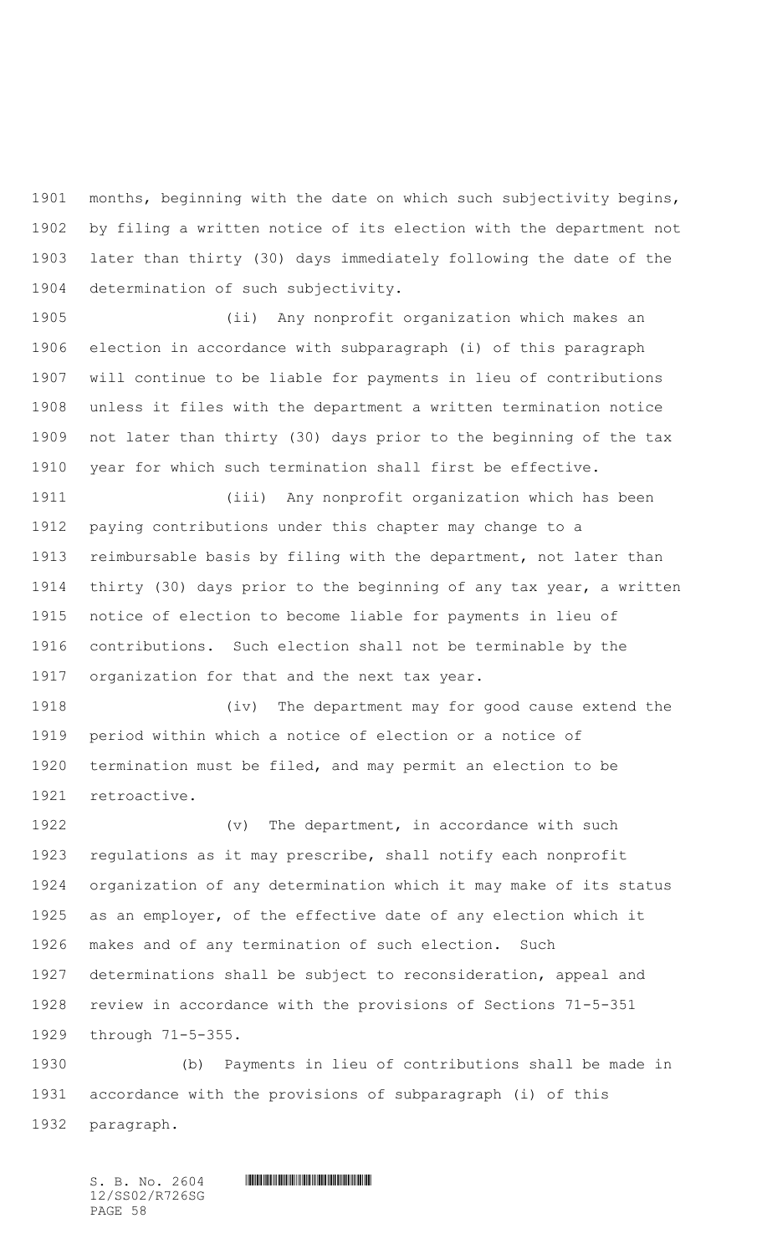months, beginning with the date on which such subjectivity begins, by filing a written notice of its election with the department not later than thirty (30) days immediately following the date of the determination of such subjectivity.

 (ii) Any nonprofit organization which makes an election in accordance with subparagraph (i) of this paragraph will continue to be liable for payments in lieu of contributions unless it files with the department a written termination notice not later than thirty (30) days prior to the beginning of the tax year for which such termination shall first be effective.

 (iii) Any nonprofit organization which has been paying contributions under this chapter may change to a reimbursable basis by filing with the department, not later than thirty (30) days prior to the beginning of any tax year, a written notice of election to become liable for payments in lieu of contributions. Such election shall not be terminable by the organization for that and the next tax year.

 (iv) The department may for good cause extend the period within which a notice of election or a notice of termination must be filed, and may permit an election to be retroactive.

1922 (v) The department, in accordance with such regulations as it may prescribe, shall notify each nonprofit organization of any determination which it may make of its status as an employer, of the effective date of any election which it makes and of any termination of such election. Such determinations shall be subject to reconsideration, appeal and review in accordance with the provisions of Sections 71-5-351 through 71-5-355.

 (b) Payments in lieu of contributions shall be made in accordance with the provisions of subparagraph (i) of this paragraph.

 $S. B. No. 2604$  .  $M. 2604$ 12/SS02/R726SG PAGE 58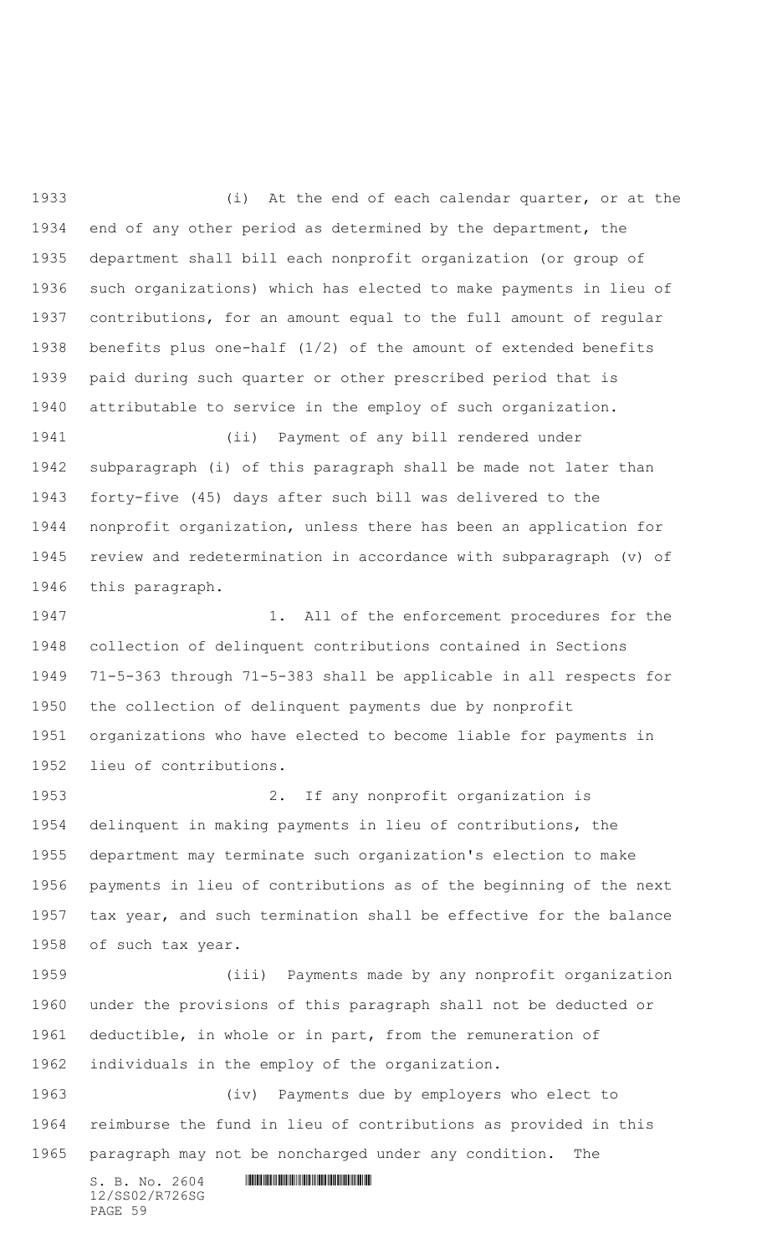(i) At the end of each calendar quarter, or at the end of any other period as determined by the department, the department shall bill each nonprofit organization (or group of such organizations) which has elected to make payments in lieu of contributions, for an amount equal to the full amount of regular benefits plus one-half (1/2) of the amount of extended benefits paid during such quarter or other prescribed period that is attributable to service in the employ of such organization.

 (ii) Payment of any bill rendered under subparagraph (i) of this paragraph shall be made not later than forty-five (45) days after such bill was delivered to the nonprofit organization, unless there has been an application for review and redetermination in accordance with subparagraph (v) of this paragraph.

1947 1. All of the enforcement procedures for the collection of delinquent contributions contained in Sections 71-5-363 through 71-5-383 shall be applicable in all respects for the collection of delinquent payments due by nonprofit organizations who have elected to become liable for payments in lieu of contributions.

 2. If any nonprofit organization is delinquent in making payments in lieu of contributions, the department may terminate such organization's election to make payments in lieu of contributions as of the beginning of the next tax year, and such termination shall be effective for the balance of such tax year.

 (iii) Payments made by any nonprofit organization under the provisions of this paragraph shall not be deducted or deductible, in whole or in part, from the remuneration of individuals in the employ of the organization.

 (iv) Payments due by employers who elect to reimburse the fund in lieu of contributions as provided in this paragraph may not be noncharged under any condition. The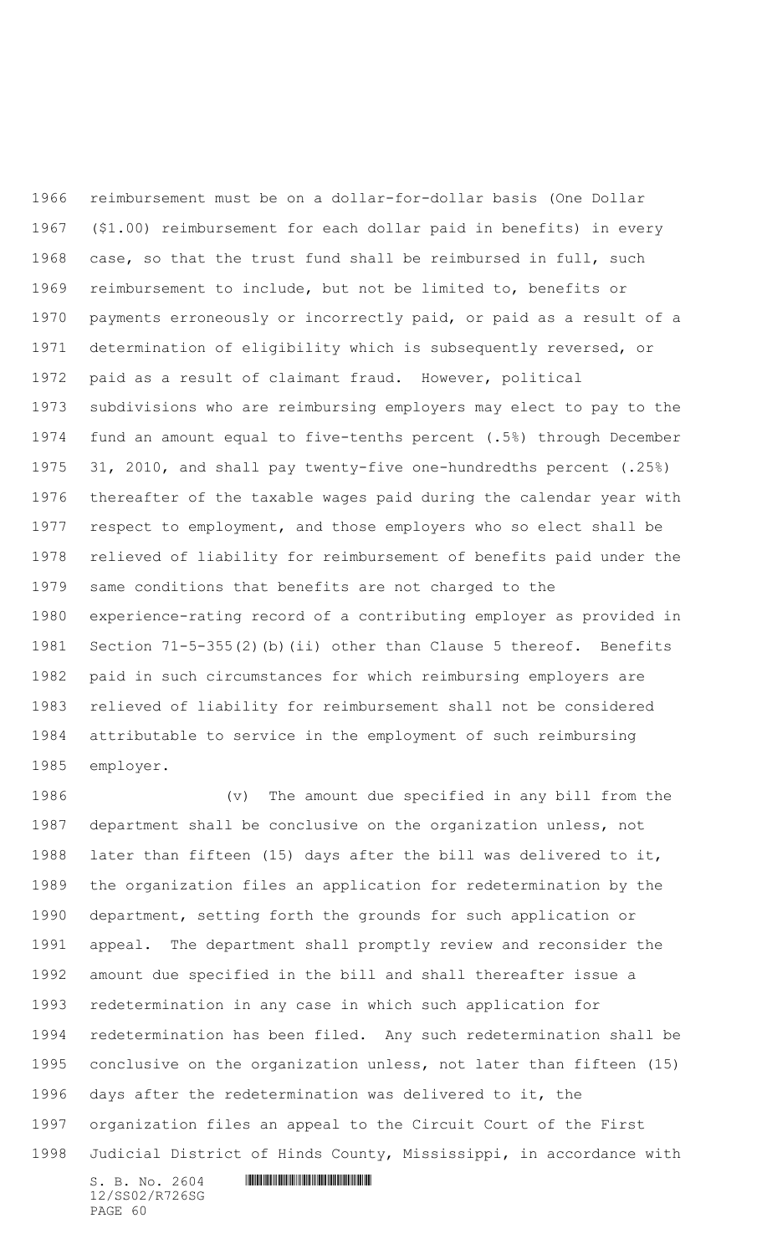reimbursement must be on a dollar-for-dollar basis (One Dollar (\$1.00) reimbursement for each dollar paid in benefits) in every case, so that the trust fund shall be reimbursed in full, such reimbursement to include, but not be limited to, benefits or payments erroneously or incorrectly paid, or paid as a result of a determination of eligibility which is subsequently reversed, or paid as a result of claimant fraud. However, political subdivisions who are reimbursing employers may elect to pay to the fund an amount equal to five-tenths percent (.5%) through December 31, 2010, and shall pay twenty-five one-hundredths percent (.25%) thereafter of the taxable wages paid during the calendar year with respect to employment, and those employers who so elect shall be relieved of liability for reimbursement of benefits paid under the same conditions that benefits are not charged to the experience-rating record of a contributing employer as provided in Section 71-5-355(2)(b)(ii) other than Clause 5 thereof. Benefits paid in such circumstances for which reimbursing employers are relieved of liability for reimbursement shall not be considered attributable to service in the employment of such reimbursing employer.

 (v) The amount due specified in any bill from the department shall be conclusive on the organization unless, not later than fifteen (15) days after the bill was delivered to it, the organization files an application for redetermination by the department, setting forth the grounds for such application or appeal. The department shall promptly review and reconsider the amount due specified in the bill and shall thereafter issue a redetermination in any case in which such application for redetermination has been filed. Any such redetermination shall be conclusive on the organization unless, not later than fifteen (15) days after the redetermination was delivered to it, the organization files an appeal to the Circuit Court of the First Judicial District of Hinds County, Mississippi, in accordance with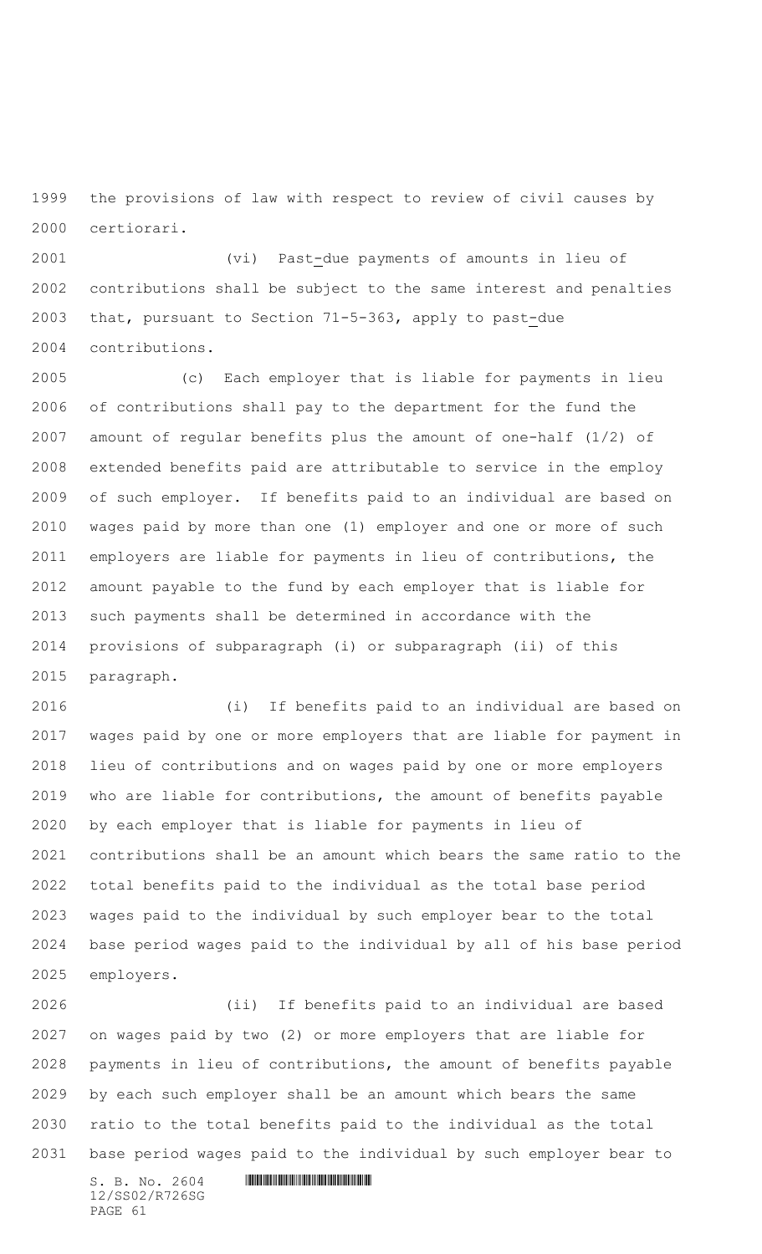the provisions of law with respect to review of civil causes by certiorari.

 (vi) Past-due payments of amounts in lieu of contributions shall be subject to the same interest and penalties that, pursuant to Section 71-5-363, apply to past-due contributions.

 (c) Each employer that is liable for payments in lieu of contributions shall pay to the department for the fund the amount of regular benefits plus the amount of one-half (1/2) of extended benefits paid are attributable to service in the employ of such employer. If benefits paid to an individual are based on wages paid by more than one (1) employer and one or more of such employers are liable for payments in lieu of contributions, the amount payable to the fund by each employer that is liable for such payments shall be determined in accordance with the provisions of subparagraph (i) or subparagraph (ii) of this paragraph.

 (i) If benefits paid to an individual are based on wages paid by one or more employers that are liable for payment in lieu of contributions and on wages paid by one or more employers who are liable for contributions, the amount of benefits payable by each employer that is liable for payments in lieu of contributions shall be an amount which bears the same ratio to the total benefits paid to the individual as the total base period wages paid to the individual by such employer bear to the total base period wages paid to the individual by all of his base period employers.

 (ii) If benefits paid to an individual are based on wages paid by two (2) or more employers that are liable for payments in lieu of contributions, the amount of benefits payable by each such employer shall be an amount which bears the same ratio to the total benefits paid to the individual as the total base period wages paid to the individual by such employer bear to

 $S. B. No. 2604$  .  $M. 2604$ 12/SS02/R726SG PAGE 61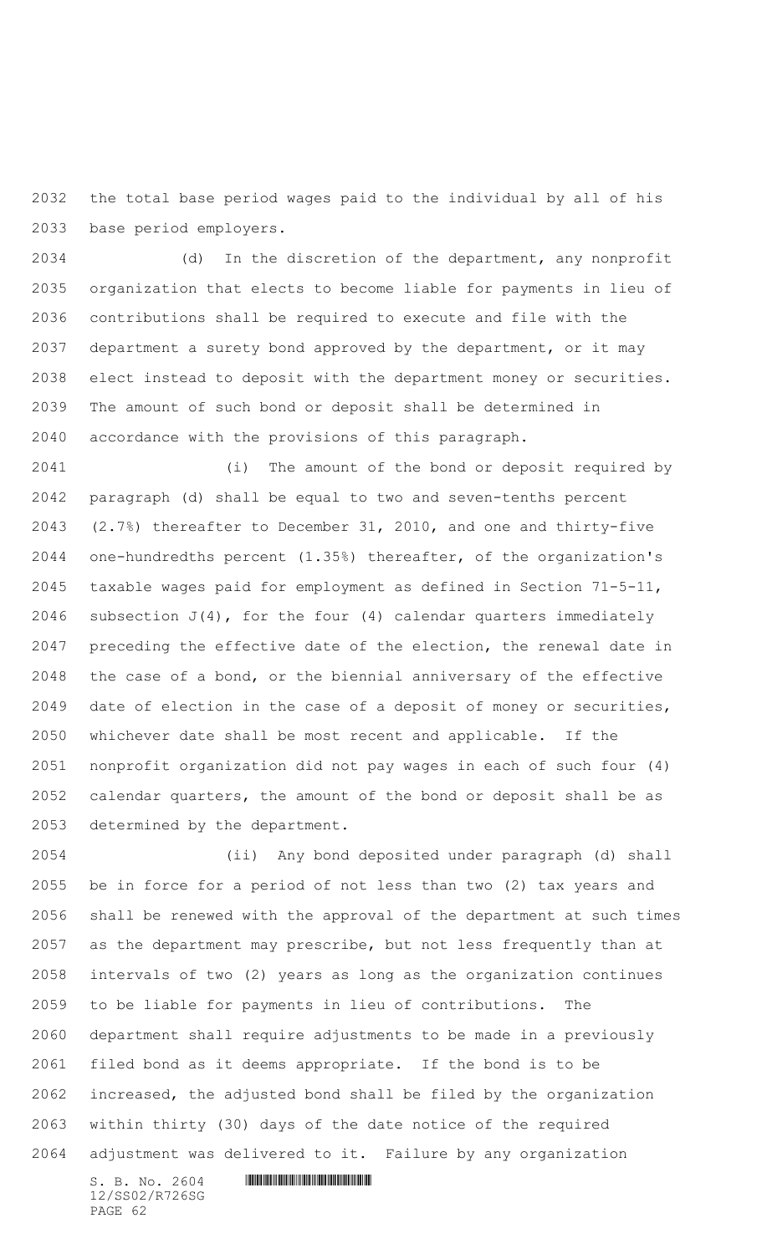the total base period wages paid to the individual by all of his base period employers.

 (d) In the discretion of the department, any nonprofit organization that elects to become liable for payments in lieu of contributions shall be required to execute and file with the department a surety bond approved by the department, or it may elect instead to deposit with the department money or securities. The amount of such bond or deposit shall be determined in accordance with the provisions of this paragraph.

 (i) The amount of the bond or deposit required by paragraph (d) shall be equal to two and seven-tenths percent (2.7%) thereafter to December 31, 2010, and one and thirty-five one-hundredths percent (1.35%) thereafter, of the organization's taxable wages paid for employment as defined in Section 71-5-11, 2046 subsection  $J(4)$ , for the four (4) calendar quarters immediately preceding the effective date of the election, the renewal date in the case of a bond, or the biennial anniversary of the effective date of election in the case of a deposit of money or securities, whichever date shall be most recent and applicable. If the nonprofit organization did not pay wages in each of such four (4) calendar quarters, the amount of the bond or deposit shall be as determined by the department.

 (ii) Any bond deposited under paragraph (d) shall be in force for a period of not less than two (2) tax years and shall be renewed with the approval of the department at such times as the department may prescribe, but not less frequently than at intervals of two (2) years as long as the organization continues to be liable for payments in lieu of contributions. The department shall require adjustments to be made in a previously filed bond as it deems appropriate. If the bond is to be increased, the adjusted bond shall be filed by the organization within thirty (30) days of the date notice of the required adjustment was delivered to it. Failure by any organization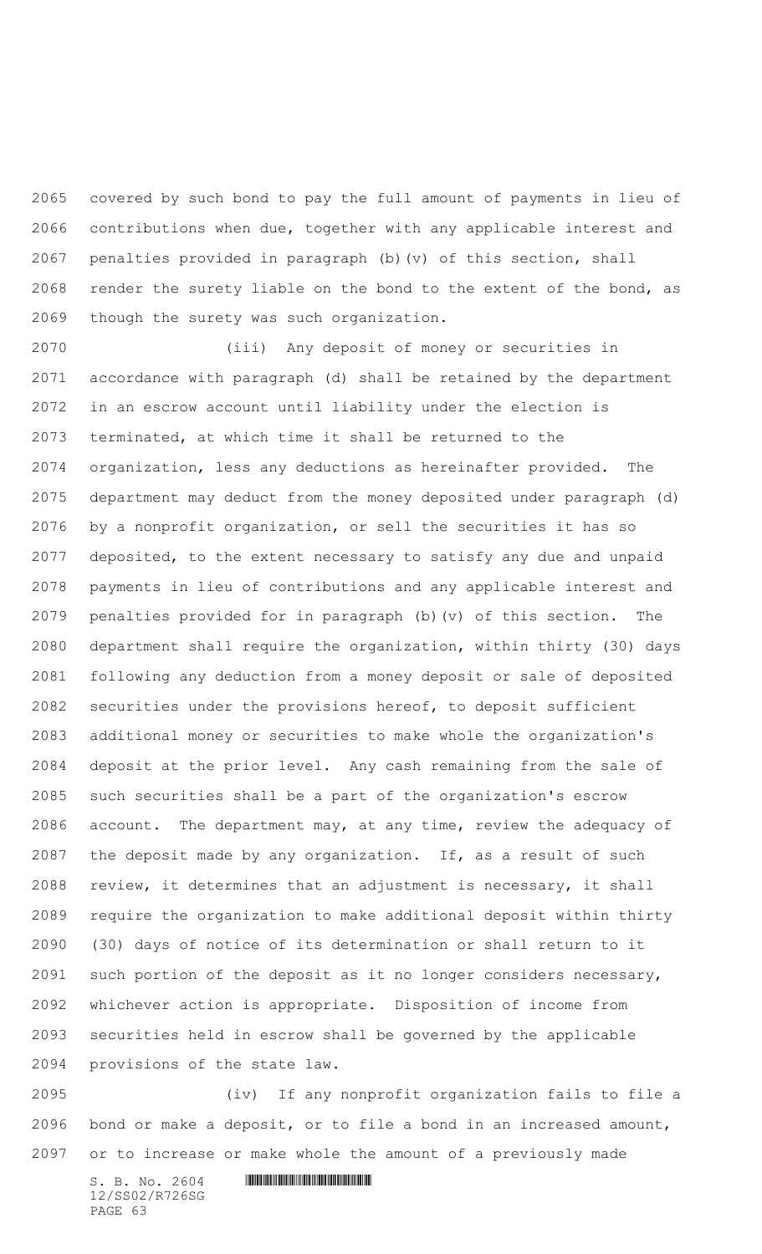covered by such bond to pay the full amount of payments in lieu of contributions when due, together with any applicable interest and penalties provided in paragraph (b)(v) of this section, shall render the surety liable on the bond to the extent of the bond, as though the surety was such organization.

 (iii) Any deposit of money or securities in accordance with paragraph (d) shall be retained by the department in an escrow account until liability under the election is terminated, at which time it shall be returned to the organization, less any deductions as hereinafter provided. The department may deduct from the money deposited under paragraph (d) by a nonprofit organization, or sell the securities it has so deposited, to the extent necessary to satisfy any due and unpaid payments in lieu of contributions and any applicable interest and penalties provided for in paragraph (b)(v) of this section. The department shall require the organization, within thirty (30) days following any deduction from a money deposit or sale of deposited securities under the provisions hereof, to deposit sufficient additional money or securities to make whole the organization's deposit at the prior level. Any cash remaining from the sale of such securities shall be a part of the organization's escrow account. The department may, at any time, review the adequacy of the deposit made by any organization. If, as a result of such review, it determines that an adjustment is necessary, it shall require the organization to make additional deposit within thirty (30) days of notice of its determination or shall return to it such portion of the deposit as it no longer considers necessary, whichever action is appropriate. Disposition of income from securities held in escrow shall be governed by the applicable provisions of the state law.

 (iv) If any nonprofit organization fails to file a bond or make a deposit, or to file a bond in an increased amount, or to increase or make whole the amount of a previously made

 $S. B. NO. 2604$  .  $M. 2604$ 12/SS02/R726SG PAGE 63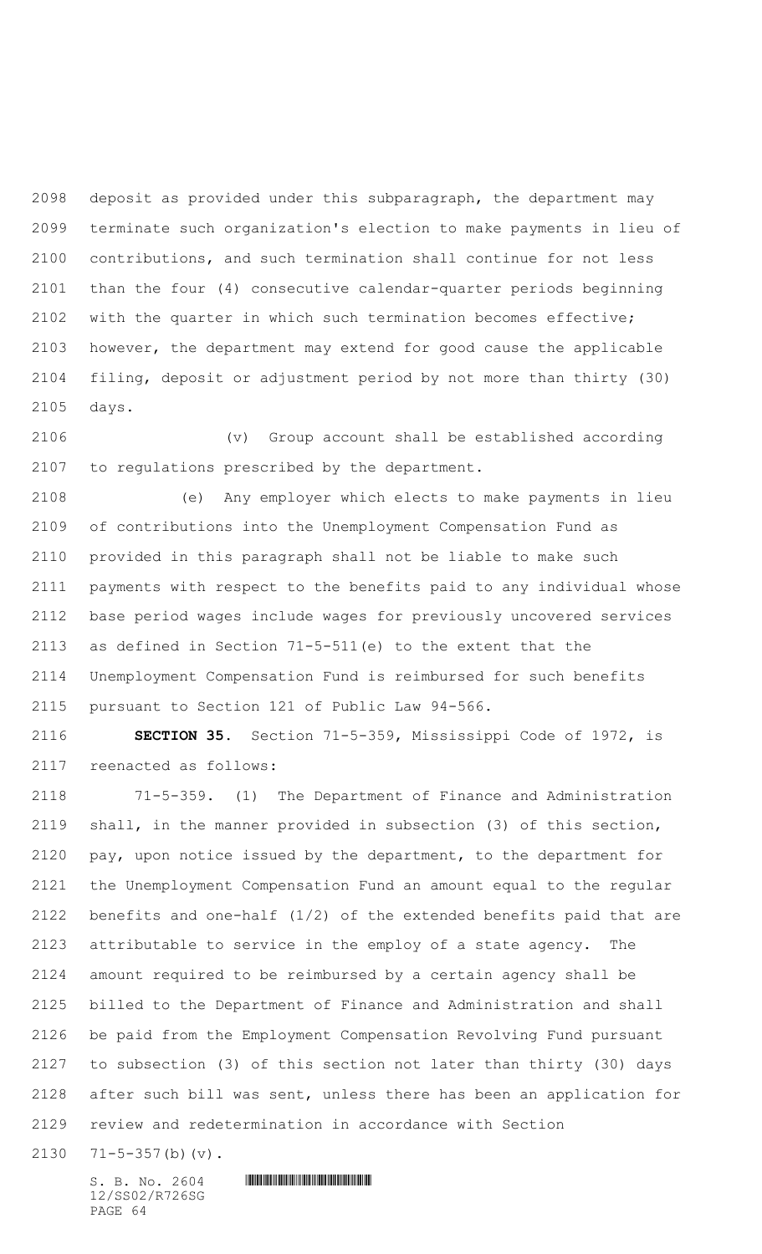deposit as provided under this subparagraph, the department may terminate such organization's election to make payments in lieu of contributions, and such termination shall continue for not less than the four (4) consecutive calendar-quarter periods beginning with the quarter in which such termination becomes effective; however, the department may extend for good cause the applicable filing, deposit or adjustment period by not more than thirty (30) days.

 (v) Group account shall be established according to regulations prescribed by the department.

 (e) Any employer which elects to make payments in lieu of contributions into the Unemployment Compensation Fund as provided in this paragraph shall not be liable to make such payments with respect to the benefits paid to any individual whose base period wages include wages for previously uncovered services as defined in Section 71-5-511(e) to the extent that the Unemployment Compensation Fund is reimbursed for such benefits pursuant to Section 121 of Public Law 94-566.

 **SECTION 35.** Section 71-5-359, Mississippi Code of 1972, is reenacted as follows:

 71-5-359. (1) The Department of Finance and Administration shall, in the manner provided in subsection (3) of this section, pay, upon notice issued by the department, to the department for the Unemployment Compensation Fund an amount equal to the regular benefits and one-half (1/2) of the extended benefits paid that are attributable to service in the employ of a state agency. The amount required to be reimbursed by a certain agency shall be billed to the Department of Finance and Administration and shall be paid from the Employment Compensation Revolving Fund pursuant to subsection (3) of this section not later than thirty (30) days after such bill was sent, unless there has been an application for review and redetermination in accordance with Section

71-5-357(b)(v).

12/SS02/R726SG PAGE 64

 $S. B. NO. 2604$  .  $M. 2604$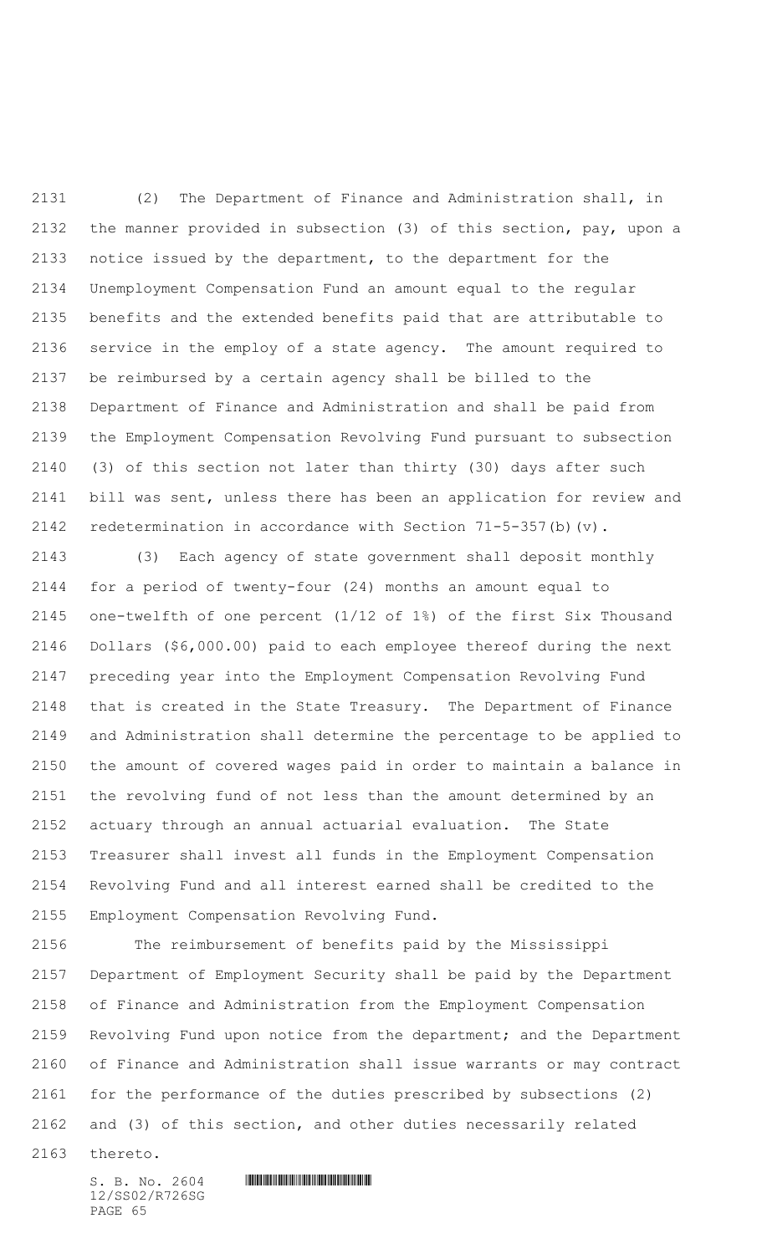(2) The Department of Finance and Administration shall, in the manner provided in subsection (3) of this section, pay, upon a notice issued by the department, to the department for the Unemployment Compensation Fund an amount equal to the regular benefits and the extended benefits paid that are attributable to service in the employ of a state agency. The amount required to be reimbursed by a certain agency shall be billed to the Department of Finance and Administration and shall be paid from the Employment Compensation Revolving Fund pursuant to subsection (3) of this section not later than thirty (30) days after such bill was sent, unless there has been an application for review and redetermination in accordance with Section 71-5-357(b)(v).

 (3) Each agency of state government shall deposit monthly for a period of twenty-four (24) months an amount equal to one-twelfth of one percent (1/12 of 1%) of the first Six Thousand Dollars (\$6,000.00) paid to each employee thereof during the next preceding year into the Employment Compensation Revolving Fund that is created in the State Treasury. The Department of Finance and Administration shall determine the percentage to be applied to the amount of covered wages paid in order to maintain a balance in the revolving fund of not less than the amount determined by an actuary through an annual actuarial evaluation. The State Treasurer shall invest all funds in the Employment Compensation Revolving Fund and all interest earned shall be credited to the Employment Compensation Revolving Fund.

 The reimbursement of benefits paid by the Mississippi Department of Employment Security shall be paid by the Department of Finance and Administration from the Employment Compensation Revolving Fund upon notice from the department; and the Department of Finance and Administration shall issue warrants or may contract for the performance of the duties prescribed by subsections (2) and (3) of this section, and other duties necessarily related

thereto.

12/SS02/R726SG PAGE 65

 $S. B. No. 2604$  . The set of the set of  $S. B. N \circ A$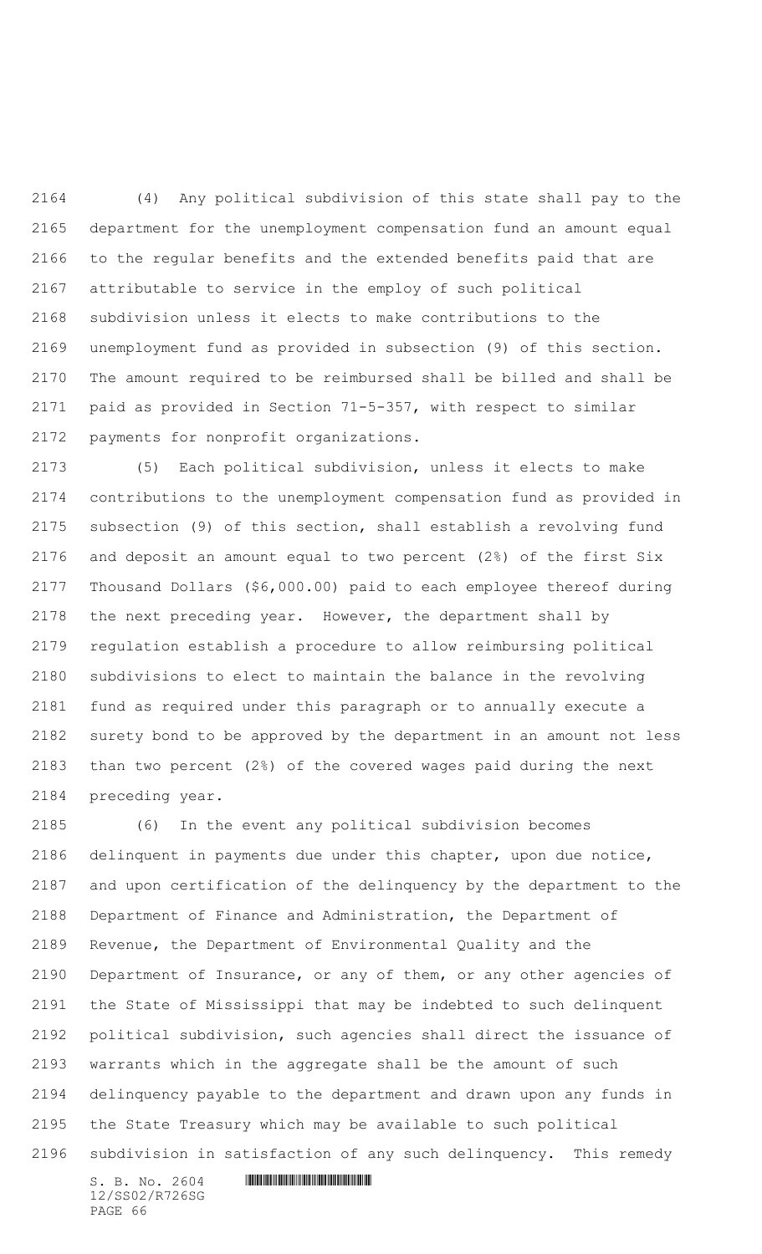(4)Any political subdivision of this state shall pay to the department for the unemployment compensation fund an amount equal to the regular benefits and the extended benefits paid that are attributable to service in the employ of such political subdivision unless it elects to make contributions to the unemployment fund as provided in subsection (9) of this section. The amount required to be reimbursed shall be billed and shall be paid as provided in Section 71-5-357, with respect to similar payments for nonprofit organizations.

 (5) Each political subdivision, unless it elects to make contributions to the unemployment compensation fund as provided in subsection (9) of this section, shall establish a revolving fund and deposit an amount equal to two percent (2%) of the first Six Thousand Dollars (\$6,000.00) paid to each employee thereof during the next preceding year.However, the department shall by regulation establish a procedure to allow reimbursing political subdivisions to elect to maintain the balance in the revolving fund as required under this paragraph or to annually execute a surety bond to be approved by the department in an amount not less than two percent (2%) of the covered wages paid during the next preceding year.

 (6) In the event any political subdivision becomes delinquent in payments due under this chapter, upon due notice, and upon certification of the delinquency by the department to the Department of Finance and Administration, the Department of Revenue, the Department of Environmental Quality and the Department of Insurance, or any of them, or any other agencies of the State of Mississippi that may be indebted to such delinquent political subdivision, such agencies shall direct the issuance of warrants which in the aggregate shall be the amount of such delinquency payable to the department and drawn upon any funds in the State Treasury which may be available to such political subdivision in satisfaction of any such delinquency. This remedy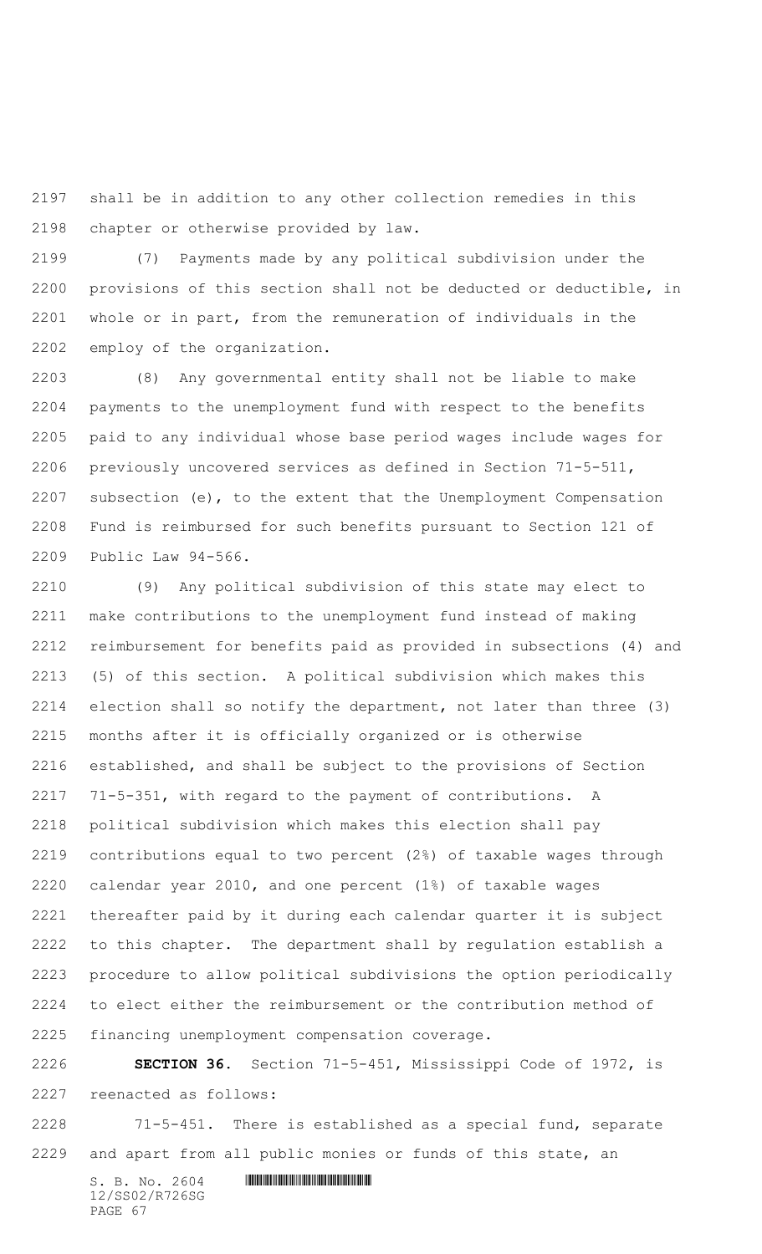shall be in addition to any other collection remedies in this chapter or otherwise provided by law.

 (7) Payments made by any political subdivision under the provisions of this section shall not be deducted or deductible, in whole or in part, from the remuneration of individuals in the employ of the organization.

 (8) Any governmental entity shall not be liable to make payments to the unemployment fund with respect to the benefits paid to any individual whose base period wages include wages for previously uncovered services as defined in Section 71-5-511, subsection (e), to the extent that the Unemployment Compensation Fund is reimbursed for such benefits pursuant to Section 121 of Public Law 94-566.

 (9) Any political subdivision of this state may elect to make contributions to the unemployment fund instead of making reimbursement for benefits paid as provided in subsections (4) and (5) of this section. A political subdivision which makes this election shall so notify the department, not later than three (3) months after it is officially organized or is otherwise established, and shall be subject to the provisions of Section 71-5-351, with regard to the payment of contributions. A political subdivision which makes this election shall pay contributions equal to two percent (2%) of taxable wages through calendar year 2010, and one percent (1%) of taxable wages thereafter paid by it during each calendar quarter it is subject to this chapter. The department shall by regulation establish a procedure to allow political subdivisions the option periodically to elect either the reimbursement or the contribution method of financing unemployment compensation coverage.

 **SECTION 36.** Section 71-5-451, Mississippi Code of 1972, is reenacted as follows:

 71-5-451. There is established as a special fund, separate and apart from all public monies or funds of this state, an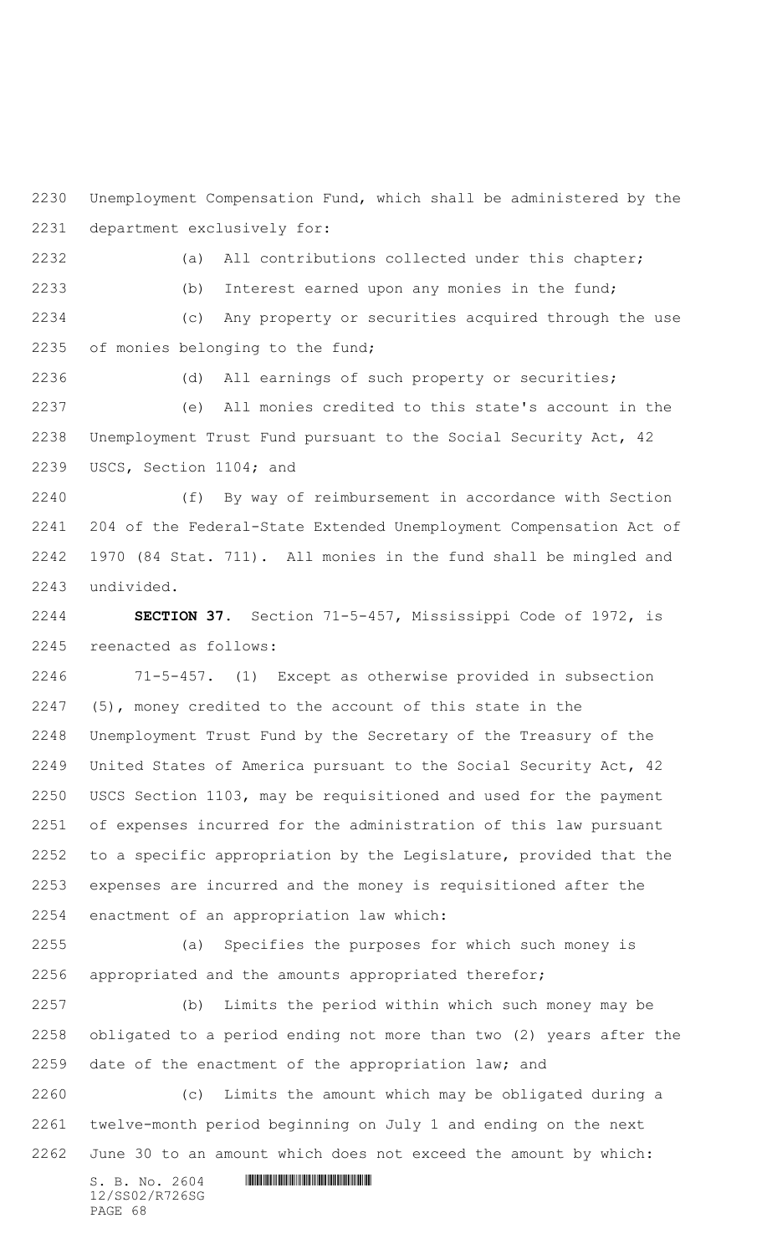Unemployment Compensation Fund, which shall be administered by the department exclusively for:

 (a) All contributions collected under this chapter; (b) Interest earned upon any monies in the fund; (c) Any property or securities acquired through the use of monies belonging to the fund;

 (d) All earnings of such property or securities; (e) All monies credited to this state's account in the Unemployment Trust Fund pursuant to the Social Security Act, 42 USCS, Section 1104; and

 (f) By way of reimbursement in accordance with Section 204 of the Federal-State Extended Unemployment Compensation Act of 1970 (84 Stat. 711). All monies in the fund shall be mingled and undivided.

 **SECTION 37.** Section 71-5-457, Mississippi Code of 1972, is reenacted as follows:

 71-5-457. (1) Except as otherwise provided in subsection (5), money credited to the account of this state in the Unemployment Trust Fund by the Secretary of the Treasury of the United States of America pursuant to the Social Security Act, 42 USCS Section 1103, may be requisitioned and used for the payment of expenses incurred for the administration of this law pursuant to a specific appropriation by the Legislature, provided that the expenses are incurred and the money is requisitioned after the enactment of an appropriation law which:

 (a) Specifies the purposes for which such money is appropriated and the amounts appropriated therefor;

 (b) Limits the period within which such money may be obligated to a period ending not more than two (2) years after the date of the enactment of the appropriation law; and

 (c) Limits the amount which may be obligated during a twelve-month period beginning on July 1 and ending on the next June 30 to an amount which does not exceed the amount by which:

12/SS02/R726SG PAGE 68

 $S. B. NO. 2604$  .  $M. 2604$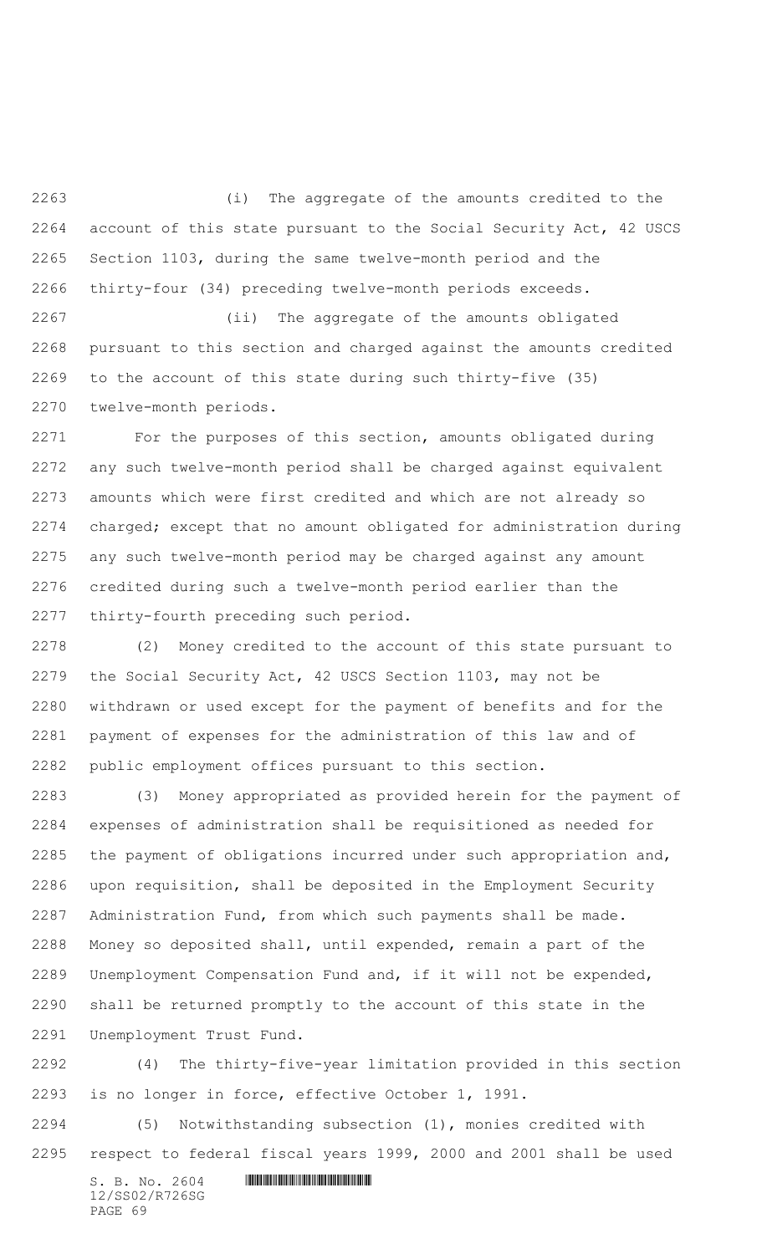(i) The aggregate of the amounts credited to the account of this state pursuant to the Social Security Act, 42 USCS Section 1103, during the same twelve-month period and the thirty-four (34) preceding twelve-month periods exceeds.

 (ii) The aggregate of the amounts obligated pursuant to this section and charged against the amounts credited to the account of this state during such thirty-five (35) twelve-month periods.

 For the purposes of this section, amounts obligated during any such twelve-month period shall be charged against equivalent amounts which were first credited and which are not already so charged; except that no amount obligated for administration during any such twelve-month period may be charged against any amount credited during such a twelve-month period earlier than the thirty-fourth preceding such period.

 (2) Money credited to the account of this state pursuant to the Social Security Act, 42 USCS Section 1103, may not be withdrawn or used except for the payment of benefits and for the payment of expenses for the administration of this law and of public employment offices pursuant to this section.

 (3) Money appropriated as provided herein for the payment of expenses of administration shall be requisitioned as needed for the payment of obligations incurred under such appropriation and, upon requisition, shall be deposited in the Employment Security Administration Fund, from which such payments shall be made. Money so deposited shall, until expended, remain a part of the Unemployment Compensation Fund and, if it will not be expended, shall be returned promptly to the account of this state in the Unemployment Trust Fund.

 (4) The thirty-five-year limitation provided in this section is no longer in force, effective October 1, 1991.

 (5) Notwithstanding subsection (1), monies credited with respect to federal fiscal years 1999, 2000 and 2001 shall be used

 $S. B. No. 2604$  . The set of the set of  $S. B. N_{O.} 2604$ 12/SS02/R726SG PAGE 69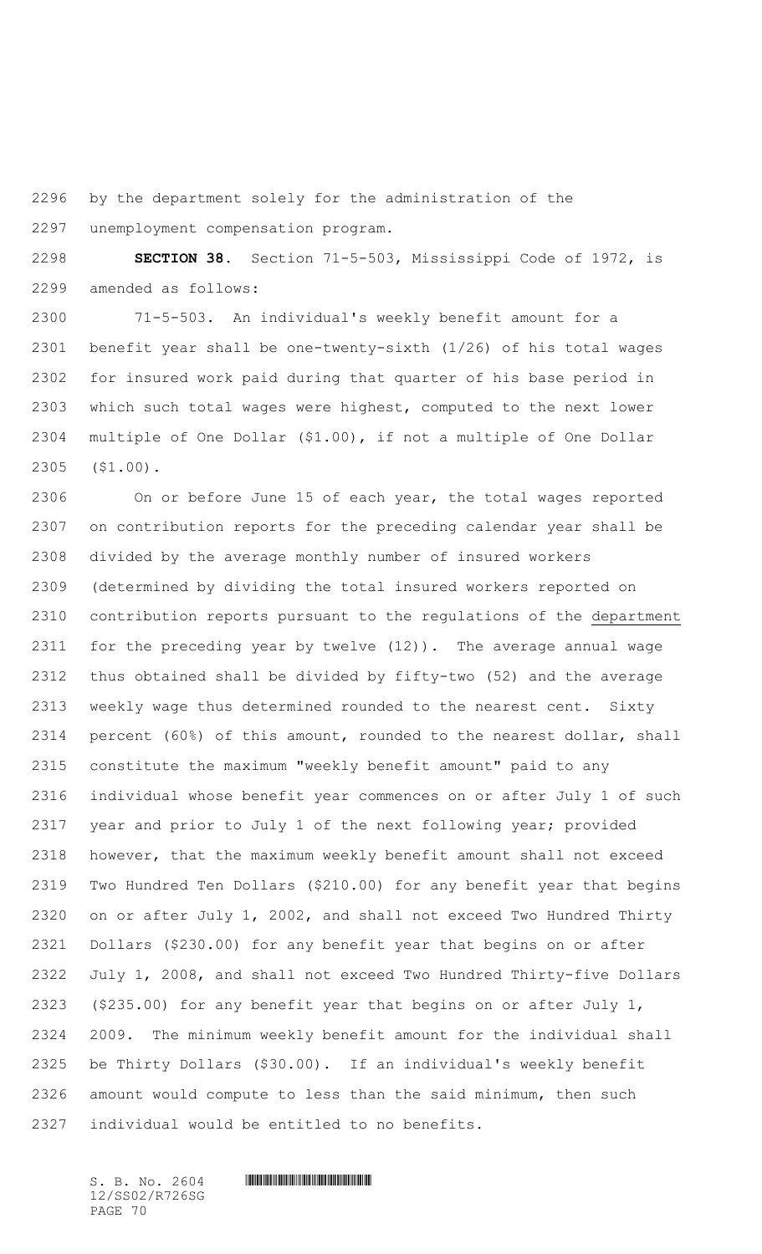by the department solely for the administration of the

unemployment compensation program.

 **SECTION 38.** Section 71-5-503, Mississippi Code of 1972, is amended as follows:

 71-5-503. An individual's weekly benefit amount for a benefit year shall be one-twenty-sixth (1/26) of his total wages for insured work paid during that quarter of his base period in which such total wages were highest, computed to the next lower multiple of One Dollar (\$1.00), if not a multiple of One Dollar (\$1.00).

 On or before June 15 of each year, the total wages reported on contribution reports for the preceding calendar year shall be divided by the average monthly number of insured workers (determined by dividing the total insured workers reported on contribution reports pursuant to the regulations of the department for the preceding year by twelve (12)). The average annual wage thus obtained shall be divided by fifty-two (52) and the average weekly wage thus determined rounded to the nearest cent. Sixty percent (60%) of this amount, rounded to the nearest dollar, shall constitute the maximum "weekly benefit amount" paid to any individual whose benefit year commences on or after July 1 of such year and prior to July 1 of the next following year; provided however, that the maximum weekly benefit amount shall not exceed Two Hundred Ten Dollars (\$210.00) for any benefit year that begins on or after July 1, 2002, and shall not exceed Two Hundred Thirty Dollars (\$230.00) for any benefit year that begins on or after July 1, 2008, and shall not exceed Two Hundred Thirty-five Dollars (\$235.00) for any benefit year that begins on or after July 1, 2009. The minimum weekly benefit amount for the individual shall be Thirty Dollars (\$30.00). If an individual's weekly benefit amount would compute to less than the said minimum, then such individual would be entitled to no benefits.

12/SS02/R726SG PAGE 70

## $S. B. NO. 2604$  .  $M. 2604$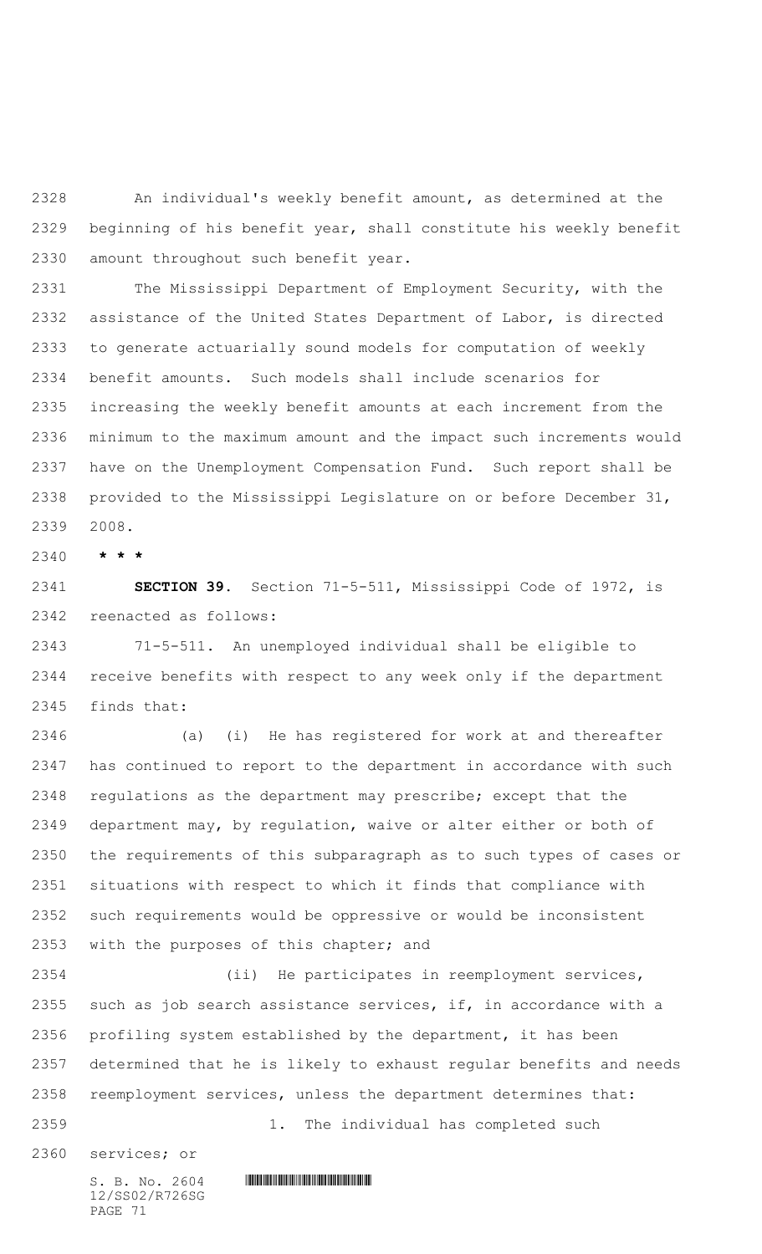An individual's weekly benefit amount, as determined at the beginning of his benefit year, shall constitute his weekly benefit amount throughout such benefit year.

 The Mississippi Department of Employment Security, with the assistance of the United States Department of Labor, is directed to generate actuarially sound models for computation of weekly benefit amounts. Such models shall include scenarios for increasing the weekly benefit amounts at each increment from the minimum to the maximum amount and the impact such increments would have on the Unemployment Compensation Fund. Such report shall be provided to the Mississippi Legislature on or before December 31, 2008.

**\* \* \***

 **SECTION 39.** Section 71-5-511, Mississippi Code of 1972, is reenacted as follows:

 71-5-511. An unemployed individual shall be eligible to receive benefits with respect to any week only if the department finds that:

 (a) (i) He has registered for work at and thereafter has continued to report to the department in accordance with such regulations as the department may prescribe; except that the department may, by regulation, waive or alter either or both of the requirements of this subparagraph as to such types of cases or situations with respect to which it finds that compliance with such requirements would be oppressive or would be inconsistent with the purposes of this chapter; and

 (ii) He participates in reemployment services, such as job search assistance services, if, in accordance with a profiling system established by the department, it has been determined that he is likely to exhaust regular benefits and needs reemployment services, unless the department determines that: 1. The individual has completed such

services; or

12/SS02/R726SG PAGE 71

 $S. B. No. 2604$  . The set of the set of  $S. B. N \circ A$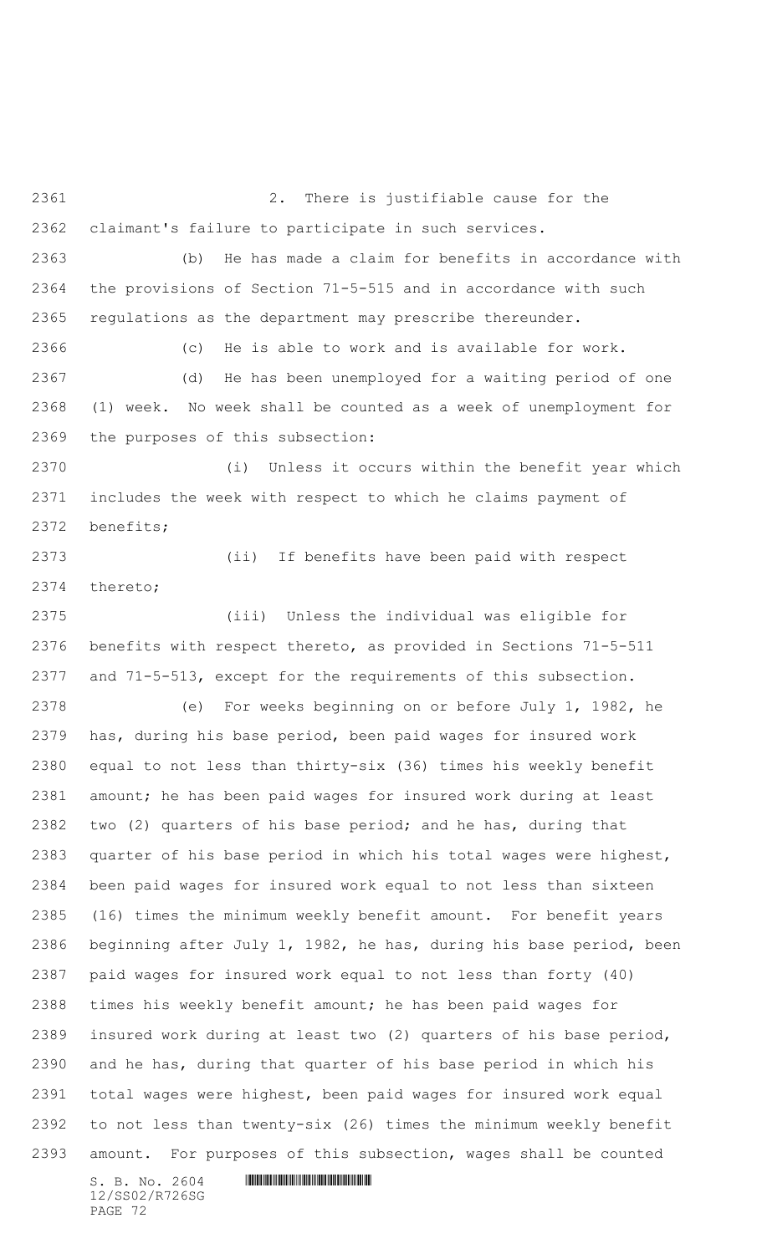2. There is justifiable cause for the claimant's failure to participate in such services. (b) He has made a claim for benefits in accordance with the provisions of Section 71-5-515 and in accordance with such regulations as the department may prescribe thereunder. (c) He is able to work and is available for work. (d) He has been unemployed for a waiting period of one (1) week. No week shall be counted as a week of unemployment for the purposes of this subsection: (i) Unless it occurs within the benefit year which includes the week with respect to which he claims payment of benefits; (ii) If benefits have been paid with respect thereto; (iii) Unless the individual was eligible for benefits with respect thereto, as provided in Sections 71-5-511 and 71-5-513, except for the requirements of this subsection. (e) For weeks beginning on or before July 1, 1982, he has, during his base period, been paid wages for insured work equal to not less than thirty-six (36) times his weekly benefit amount; he has been paid wages for insured work during at least two (2) quarters of his base period; and he has, during that quarter of his base period in which his total wages were highest, been paid wages for insured work equal to not less than sixteen (16) times the minimum weekly benefit amount. For benefit years beginning after July 1, 1982, he has, during his base period, been paid wages for insured work equal to not less than forty (40) times his weekly benefit amount; he has been paid wages for insured work during at least two (2) quarters of his base period, and he has, during that quarter of his base period in which his total wages were highest, been paid wages for insured work equal to not less than twenty-six (26) times the minimum weekly benefit amount. For purposes of this subsection, wages shall be counted

12/SS02/R726SG PAGE 72

 $S. B. No. 2604$  . The set of the set of  $S. B. N_{O.} 2604$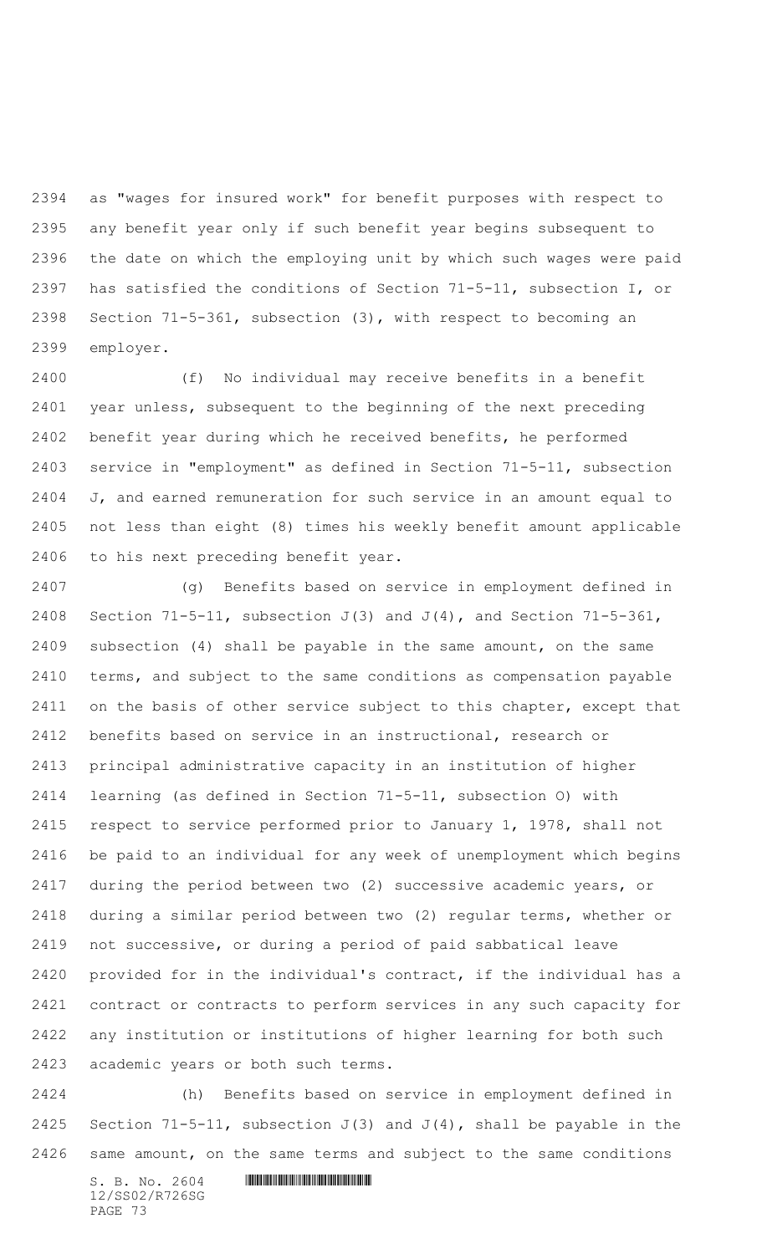as "wages for insured work" for benefit purposes with respect to any benefit year only if such benefit year begins subsequent to the date on which the employing unit by which such wages were paid has satisfied the conditions of Section 71-5-11, subsection I, or Section 71-5-361, subsection (3), with respect to becoming an employer.

 (f) No individual may receive benefits in a benefit year unless, subsequent to the beginning of the next preceding benefit year during which he received benefits, he performed service in "employment" as defined in Section 71-5-11, subsection J, and earned remuneration for such service in an amount equal to not less than eight (8) times his weekly benefit amount applicable to his next preceding benefit year.

 (g) Benefits based on service in employment defined in 2408 Section  $71-5-11$ , subsection  $J(3)$  and  $J(4)$ , and Section  $71-5-361$ , subsection (4) shall be payable in the same amount, on the same terms, and subject to the same conditions as compensation payable on the basis of other service subject to this chapter, except that benefits based on service in an instructional, research or principal administrative capacity in an institution of higher learning (as defined in Section 71-5-11, subsection O) with respect to service performed prior to January 1, 1978, shall not be paid to an individual for any week of unemployment which begins during the period between two (2) successive academic years, or during a similar period between two (2) regular terms, whether or not successive, or during a period of paid sabbatical leave provided for in the individual's contract, if the individual has a contract or contracts to perform services in any such capacity for any institution or institutions of higher learning for both such academic years or both such terms.

 (h) Benefits based on service in employment defined in 2425 Section 71-5-11, subsection  $J(3)$  and  $J(4)$ , shall be payable in the same amount, on the same terms and subject to the same conditions

 $S. B. NO. 2604$  .  $M. 2604$ 12/SS02/R726SG PAGE 73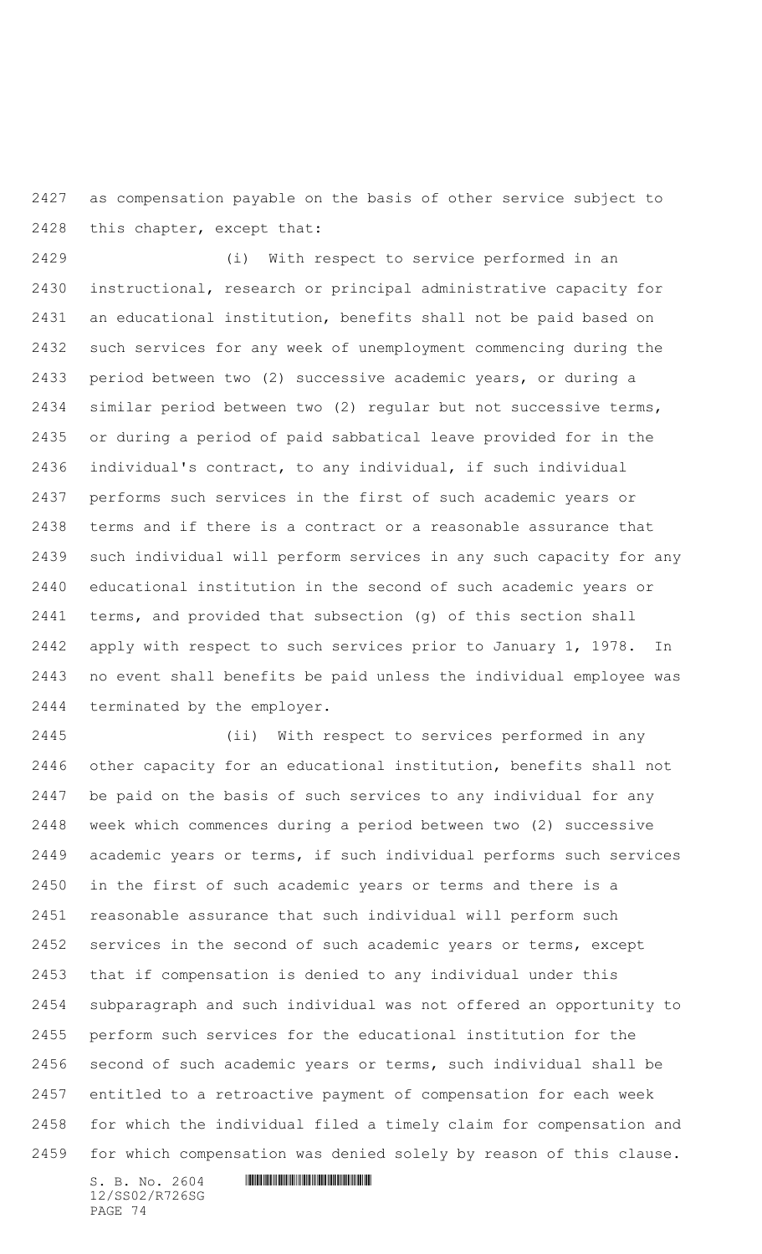as compensation payable on the basis of other service subject to this chapter, except that:

 (i) With respect to service performed in an instructional, research or principal administrative capacity for an educational institution, benefits shall not be paid based on such services for any week of unemployment commencing during the period between two (2) successive academic years, or during a similar period between two (2) regular but not successive terms, or during a period of paid sabbatical leave provided for in the individual's contract, to any individual, if such individual performs such services in the first of such academic years or terms and if there is a contract or a reasonable assurance that such individual will perform services in any such capacity for any educational institution in the second of such academic years or terms, and provided that subsection (g) of this section shall apply with respect to such services prior to January 1, 1978. In no event shall benefits be paid unless the individual employee was terminated by the employer.

 (ii) With respect to services performed in any other capacity for an educational institution, benefits shall not be paid on the basis of such services to any individual for any week which commences during a period between two (2) successive academic years or terms, if such individual performs such services in the first of such academic years or terms and there is a reasonable assurance that such individual will perform such services in the second of such academic years or terms, except that if compensation is denied to any individual under this subparagraph and such individual was not offered an opportunity to perform such services for the educational institution for the second of such academic years or terms, such individual shall be entitled to a retroactive payment of compensation for each week for which the individual filed a timely claim for compensation and for which compensation was denied solely by reason of this clause.

 $S. B. No. 2604$  . The set of the set of  $S. B. N_{O.} 2604$ 12/SS02/R726SG PAGE 74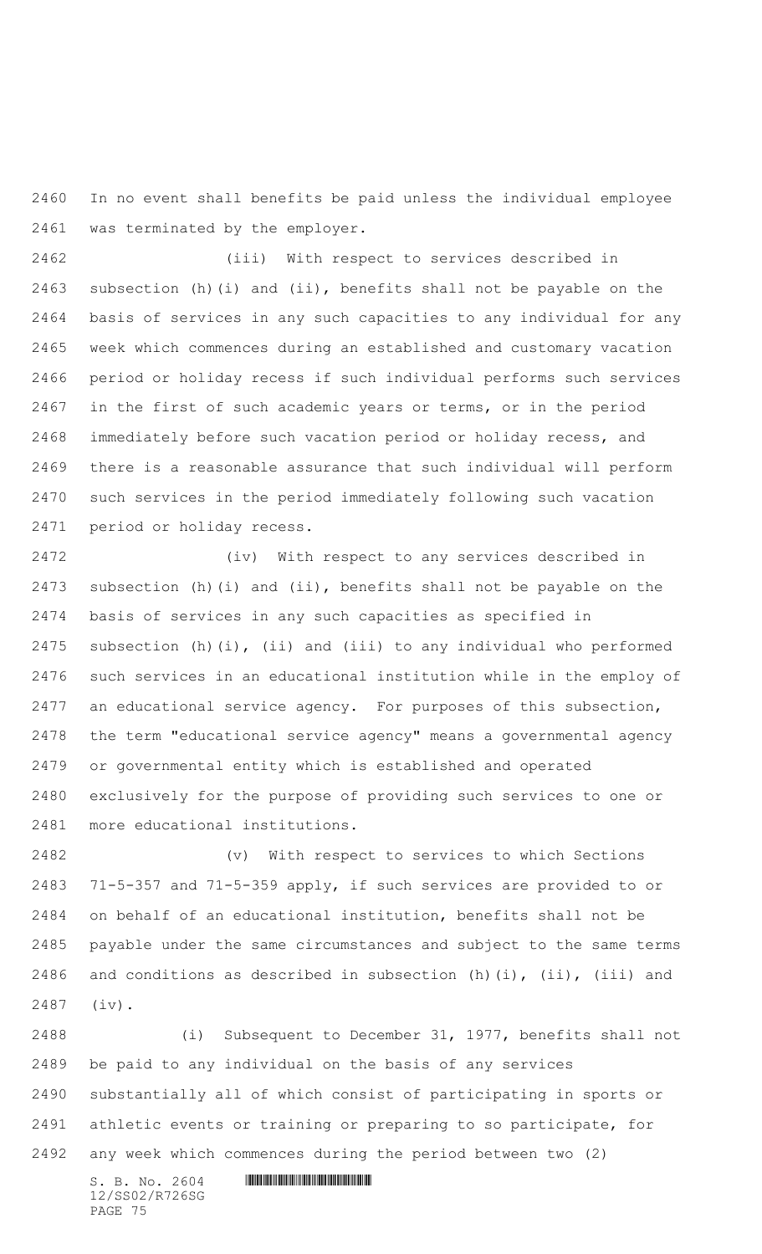In no event shall benefits be paid unless the individual employee was terminated by the employer.

 (iii) With respect to services described in subsection (h)(i) and (ii), benefits shall not be payable on the basis of services in any such capacities to any individual for any week which commences during an established and customary vacation period or holiday recess if such individual performs such services in the first of such academic years or terms, or in the period immediately before such vacation period or holiday recess, and there is a reasonable assurance that such individual will perform such services in the period immediately following such vacation period or holiday recess.

 (iv) With respect to any services described in subsection (h)(i) and (ii), benefits shall not be payable on the basis of services in any such capacities as specified in subsection (h)(i), (ii) and (iii) to any individual who performed such services in an educational institution while in the employ of an educational service agency. For purposes of this subsection, the term "educational service agency" means a governmental agency or governmental entity which is established and operated exclusively for the purpose of providing such services to one or more educational institutions.

 (v) With respect to services to which Sections 71-5-357 and 71-5-359 apply, if such services are provided to or on behalf of an educational institution, benefits shall not be payable under the same circumstances and subject to the same terms 2486 and conditions as described in subsection (h)(i), (ii), (iii) and (iv).

 (i) Subsequent to December 31, 1977, benefits shall not be paid to any individual on the basis of any services substantially all of which consist of participating in sports or athletic events or training or preparing to so participate, for any week which commences during the period between two (2)

12/SS02/R726SG PAGE 75

 $S. B. No. 2604$  . The set of the set of  $S. B. N \circ A$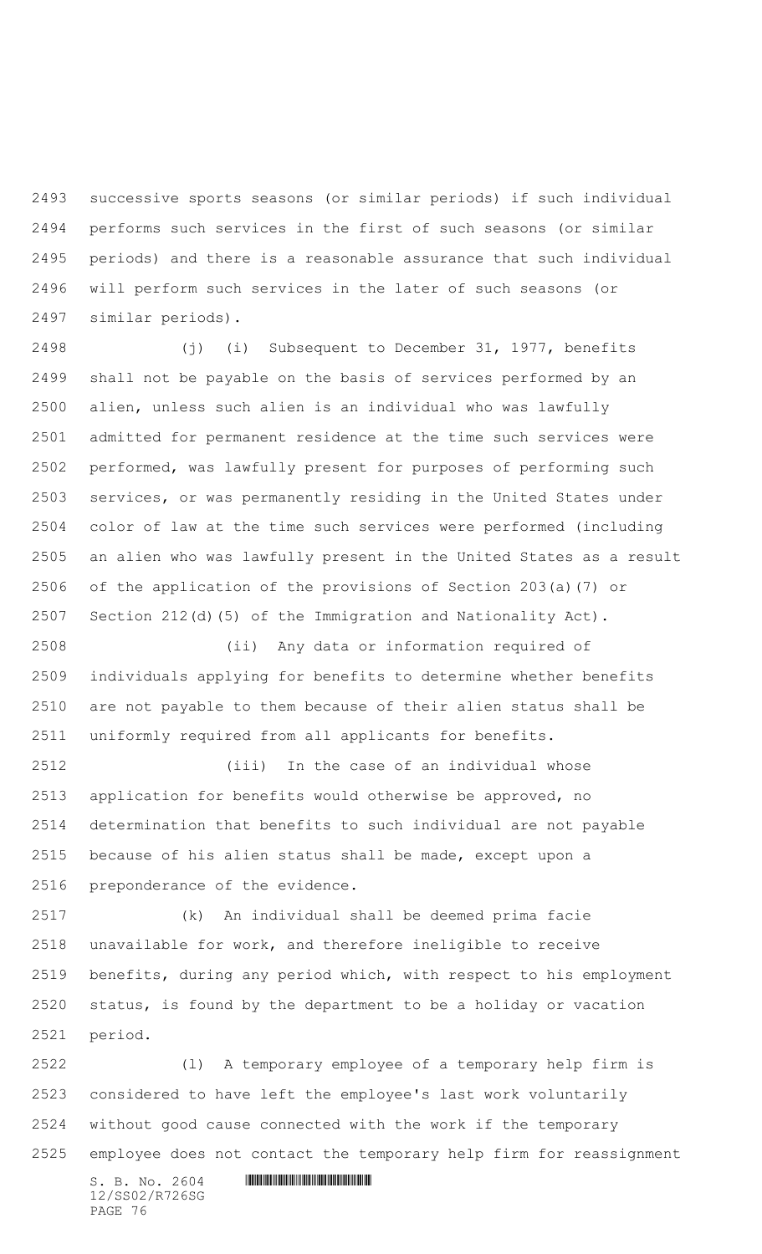successive sports seasons (or similar periods) if such individual performs such services in the first of such seasons (or similar periods) and there is a reasonable assurance that such individual will perform such services in the later of such seasons (or similar periods).

 (j) (i) Subsequent to December 31, 1977, benefits shall not be payable on the basis of services performed by an alien, unless such alien is an individual who was lawfully admitted for permanent residence at the time such services were performed, was lawfully present for purposes of performing such services, or was permanently residing in the United States under color of law at the time such services were performed (including an alien who was lawfully present in the United States as a result of the application of the provisions of Section 203(a)(7) or Section 212(d)(5) of the Immigration and Nationality Act).

 (ii) Any data or information required of individuals applying for benefits to determine whether benefits are not payable to them because of their alien status shall be uniformly required from all applicants for benefits.

 (iii) In the case of an individual whose application for benefits would otherwise be approved, no determination that benefits to such individual are not payable because of his alien status shall be made, except upon a preponderance of the evidence.

 (k) An individual shall be deemed prima facie unavailable for work, and therefore ineligible to receive benefits, during any period which, with respect to his employment status, is found by the department to be a holiday or vacation period.

 (l) A temporary employee of a temporary help firm is considered to have left the employee's last work voluntarily without good cause connected with the work if the temporary employee does not contact the temporary help firm for reassignment

 $S. B. No. 2604$  .  $M. 2604$ 12/SS02/R726SG PAGE 76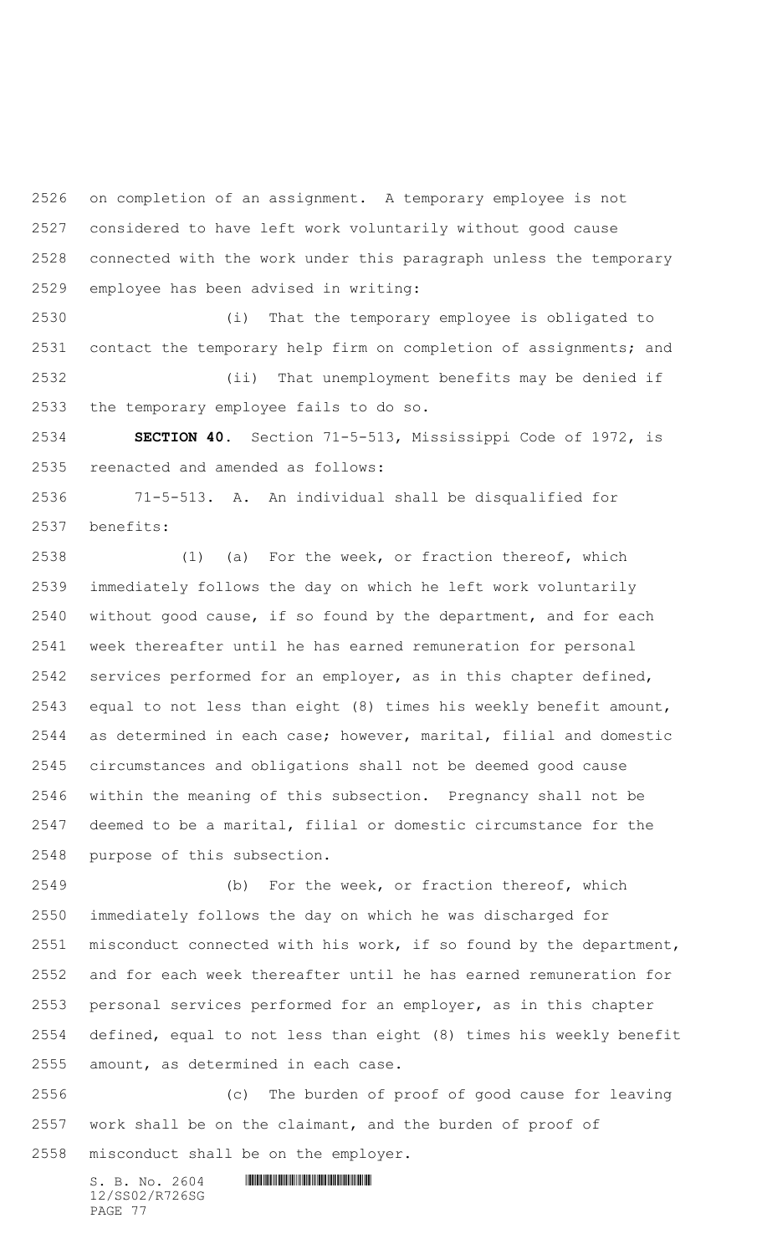on completion of an assignment. A temporary employee is not considered to have left work voluntarily without good cause connected with the work under this paragraph unless the temporary employee has been advised in writing:

 (i) That the temporary employee is obligated to contact the temporary help firm on completion of assignments; and (ii) That unemployment benefits may be denied if the temporary employee fails to do so.

 **SECTION 40.** Section 71-5-513, Mississippi Code of 1972, is reenacted and amended as follows:

 71-5-513. A. An individual shall be disqualified for benefits:

 (1) (a) For the week, or fraction thereof, which immediately follows the day on which he left work voluntarily without good cause, if so found by the department, and for each week thereafter until he has earned remuneration for personal services performed for an employer, as in this chapter defined, equal to not less than eight (8) times his weekly benefit amount, as determined in each case; however, marital, filial and domestic circumstances and obligations shall not be deemed good cause within the meaning of this subsection. Pregnancy shall not be deemed to be a marital, filial or domestic circumstance for the purpose of this subsection.

 (b) For the week, or fraction thereof, which immediately follows the day on which he was discharged for misconduct connected with his work, if so found by the department, and for each week thereafter until he has earned remuneration for personal services performed for an employer, as in this chapter defined, equal to not less than eight (8) times his weekly benefit amount, as determined in each case.

 (c) The burden of proof of good cause for leaving work shall be on the claimant, and the burden of proof of misconduct shall be on the employer.

12/SS02/R726SG PAGE 77

 $S. B. No. 2604$  . The set of the set of  $S. B. N \circ A$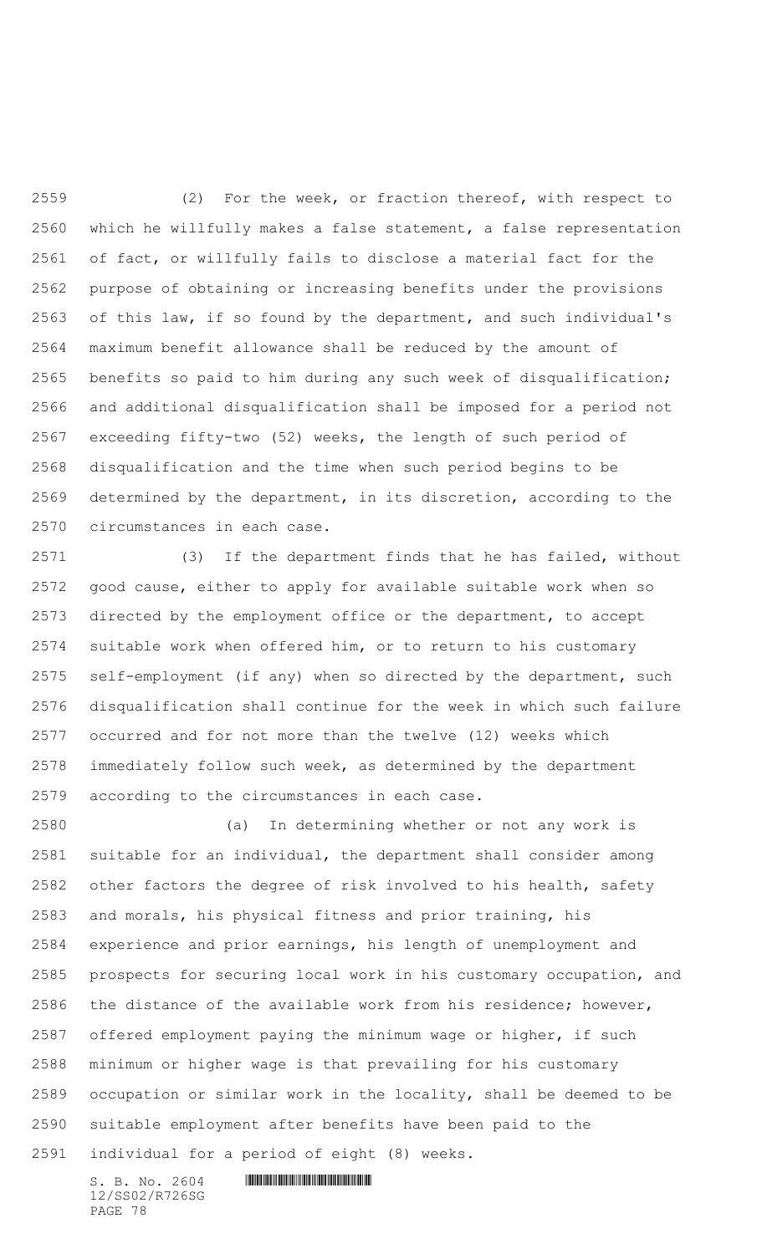(2) For the week, or fraction thereof, with respect to which he willfully makes a false statement, a false representation of fact, or willfully fails to disclose a material fact for the purpose of obtaining or increasing benefits under the provisions of this law, if so found by the department, and such individual's maximum benefit allowance shall be reduced by the amount of benefits so paid to him during any such week of disqualification; and additional disqualification shall be imposed for a period not exceeding fifty-two (52) weeks, the length of such period of disqualification and the time when such period begins to be determined by the department, in its discretion, according to the circumstances in each case.

 (3) If the department finds that he has failed, without good cause, either to apply for available suitable work when so directed by the employment office or the department, to accept suitable work when offered him, or to return to his customary self-employment (if any) when so directed by the department, such disqualification shall continue for the week in which such failure occurred and for not more than the twelve (12) weeks which immediately follow such week, as determined by the department according to the circumstances in each case.

 (a) In determining whether or not any work is suitable for an individual, the department shall consider among 2582 other factors the degree of risk involved to his health, safety and morals, his physical fitness and prior training, his experience and prior earnings, his length of unemployment and prospects for securing local work in his customary occupation, and the distance of the available work from his residence; however, offered employment paying the minimum wage or higher, if such minimum or higher wage is that prevailing for his customary occupation or similar work in the locality, shall be deemed to be suitable employment after benefits have been paid to the individual for a period of eight (8) weeks.

 $S. B. No. 2604$  . The set of the set of  $S. B. N \circ A$ 12/SS02/R726SG PAGE 78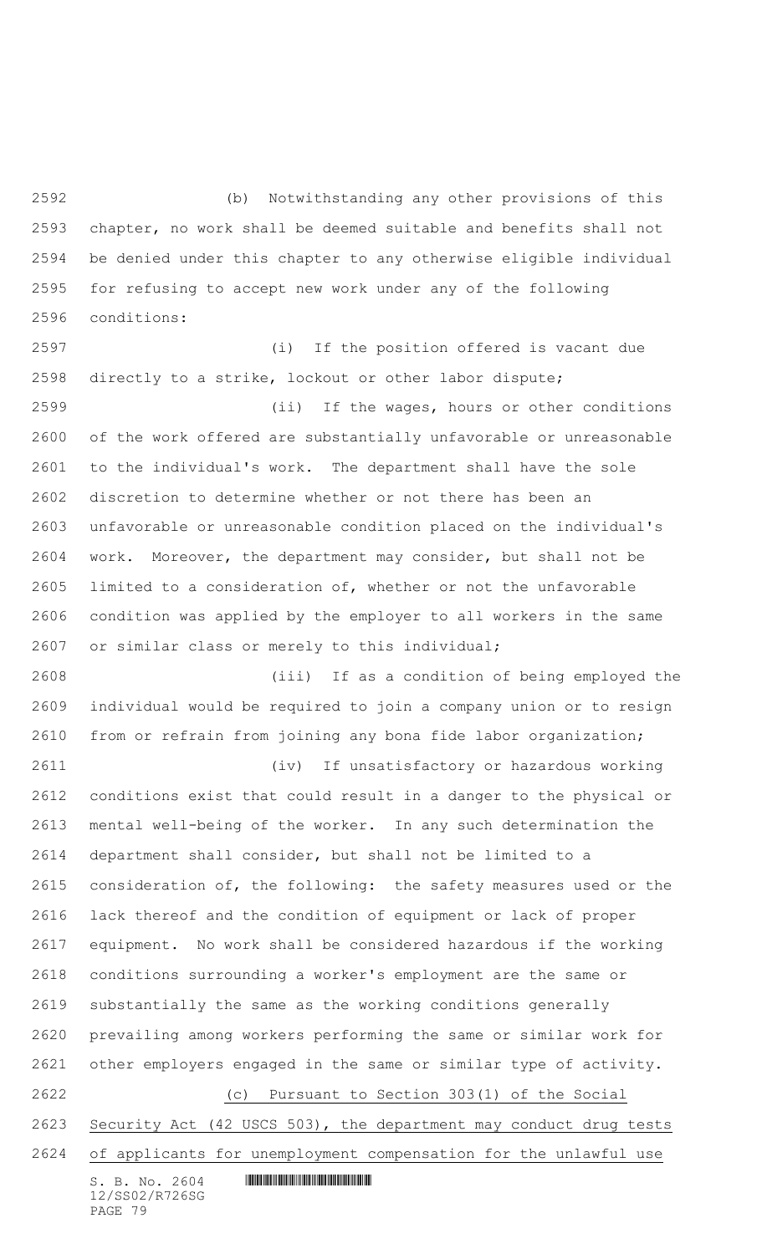(b) Notwithstanding any other provisions of this chapter, no work shall be deemed suitable and benefits shall not be denied under this chapter to any otherwise eligible individual for refusing to accept new work under any of the following conditions:

 (i) If the position offered is vacant due directly to a strike, lockout or other labor dispute;

 (ii) If the wages, hours or other conditions of the work offered are substantially unfavorable or unreasonable to the individual's work. The department shall have the sole discretion to determine whether or not there has been an unfavorable or unreasonable condition placed on the individual's work. Moreover, the department may consider, but shall not be limited to a consideration of, whether or not the unfavorable condition was applied by the employer to all workers in the same or similar class or merely to this individual;

 (iii) If as a condition of being employed the individual would be required to join a company union or to resign from or refrain from joining any bona fide labor organization;

 (iv) If unsatisfactory or hazardous working conditions exist that could result in a danger to the physical or mental well-being of the worker. In any such determination the department shall consider, but shall not be limited to a consideration of, the following: the safety measures used or the lack thereof and the condition of equipment or lack of proper equipment. No work shall be considered hazardous if the working conditions surrounding a worker's employment are the same or substantially the same as the working conditions generally prevailing among workers performing the same or similar work for other employers engaged in the same or similar type of activity. (c) Pursuant to Section 303(1) of the Social Security Act (42 USCS 503), the department may conduct drug tests of applicants for unemployment compensation for the unlawful use

 $S. B. No. 2604$  .  $M. 2604$ 12/SS02/R726SG PAGE 79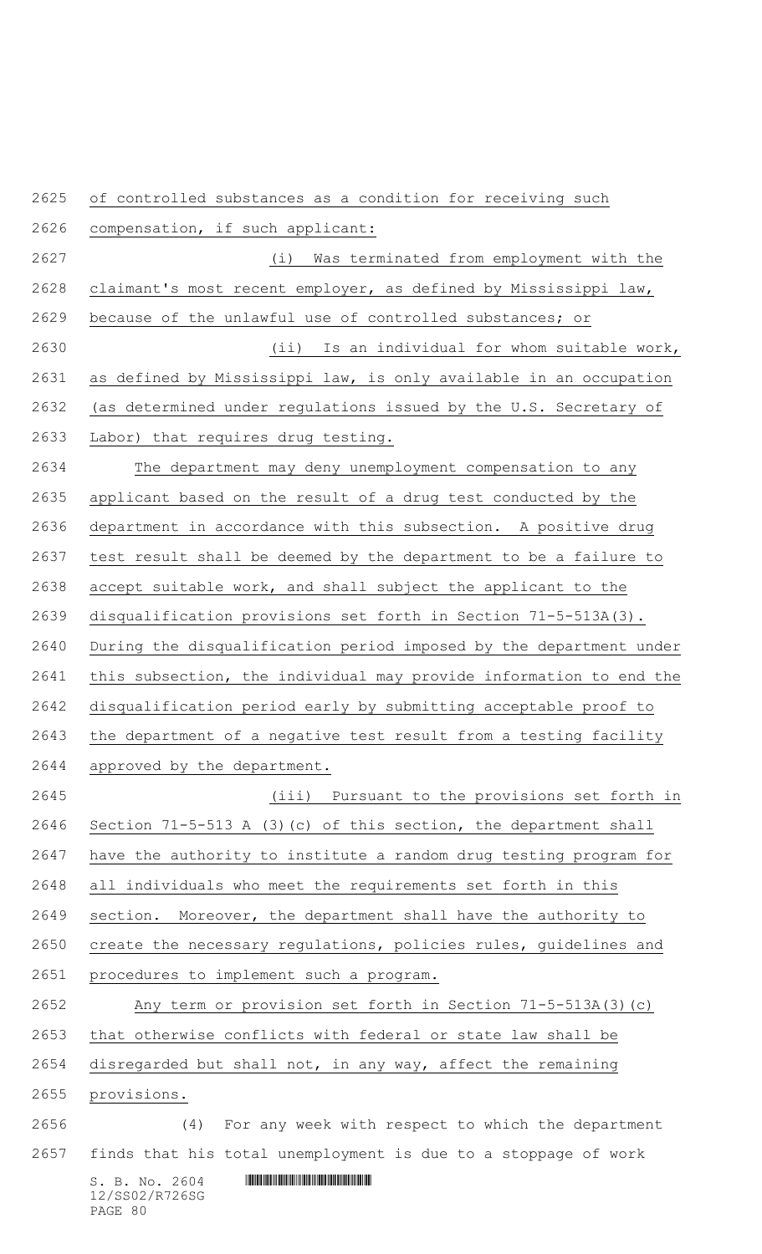$S. B. NO. 2604$  .  $M. 2604$ 12/SS02/R726SG of controlled substances as a condition for receiving such compensation, if such applicant: (i) Was terminated from employment with the 2628 claimant's most recent employer, as defined by Mississippi law, because of the unlawful use of controlled substances; or (ii) Is an individual for whom suitable work, as defined by Mississippi law, is only available in an occupation (as determined under regulations issued by the U.S. Secretary of Labor) that requires drug testing. The department may deny unemployment compensation to any applicant based on the result of a drug test conducted by the department in accordance with this subsection. A positive drug test result shall be deemed by the department to be a failure to accept suitable work, and shall subject the applicant to the disqualification provisions set forth in Section 71-5-513A(3). During the disqualification period imposed by the department under this subsection, the individual may provide information to end the disqualification period early by submitting acceptable proof to the department of a negative test result from a testing facility approved by the department. (iii) Pursuant to the provisions set forth in Section 71-5-513 A (3)(c) of this section, the department shall have the authority to institute a random drug testing program for all individuals who meet the requirements set forth in this section. Moreover, the department shall have the authority to create the necessary regulations, policies rules, guidelines and procedures to implement such a program. Any term or provision set forth in Section 71-5-513A(3)(c) that otherwise conflicts with federal or state law shall be disregarded but shall not, in any way, affect the remaining provisions. (4) For any week with respect to which the department finds that his total unemployment is due to a stoppage of work

## PAGE 80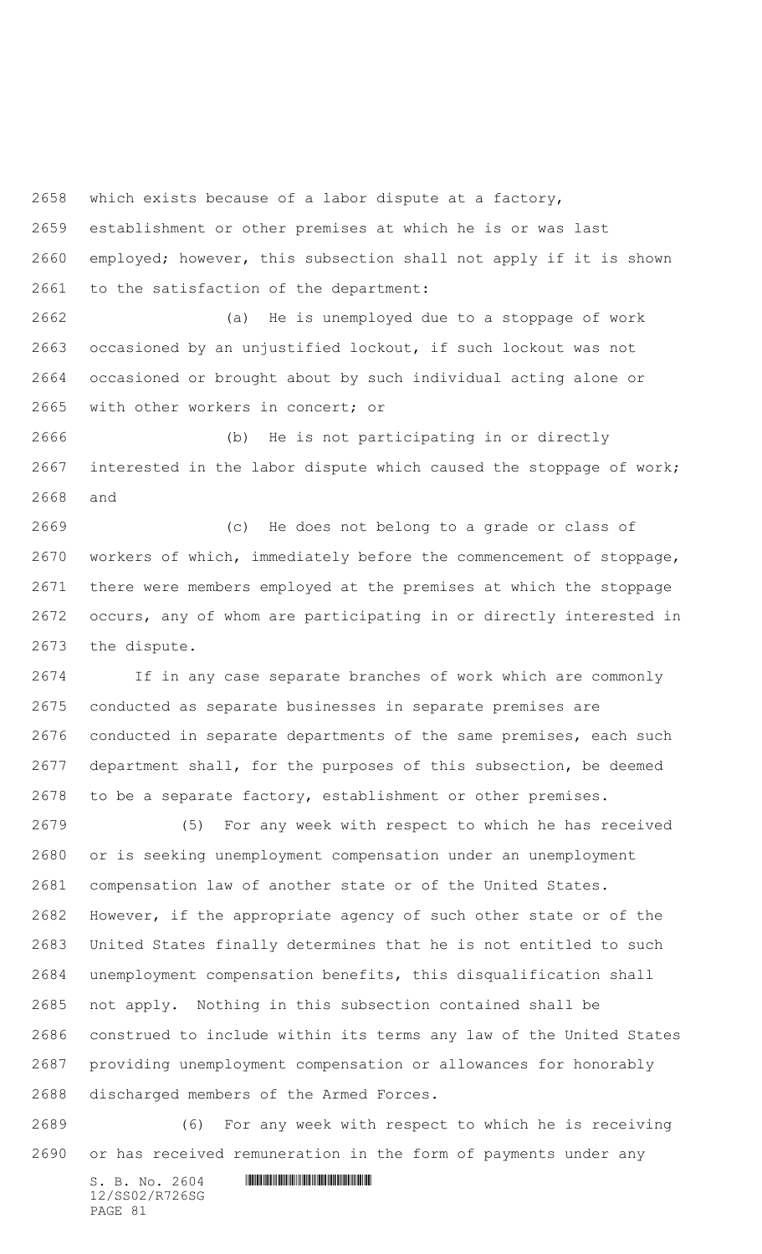which exists because of a labor dispute at a factory,

 establishment or other premises at which he is or was last employed; however, this subsection shall not apply if it is shown to the satisfaction of the department:

 (a) He is unemployed due to a stoppage of work occasioned by an unjustified lockout, if such lockout was not occasioned or brought about by such individual acting alone or with other workers in concert; or

 (b) He is not participating in or directly interested in the labor dispute which caused the stoppage of work; and

 (c) He does not belong to a grade or class of workers of which, immediately before the commencement of stoppage, there were members employed at the premises at which the stoppage occurs, any of whom are participating in or directly interested in the dispute.

 If in any case separate branches of work which are commonly conducted as separate businesses in separate premises are conducted in separate departments of the same premises, each such department shall, for the purposes of this subsection, be deemed to be a separate factory, establishment or other premises.

 (5) For any week with respect to which he has received or is seeking unemployment compensation under an unemployment compensation law of another state or of the United States. However, if the appropriate agency of such other state or of the United States finally determines that he is not entitled to such unemployment compensation benefits, this disqualification shall not apply. Nothing in this subsection contained shall be construed to include within its terms any law of the United States providing unemployment compensation or allowances for honorably discharged members of the Armed Forces.

 (6) For any week with respect to which he is receiving or has received remuneration in the form of payments under any

 $S. B. No. 2604$  . The set of the set of  $S. B. N_{O.} 2604$ 12/SS02/R726SG PAGE 81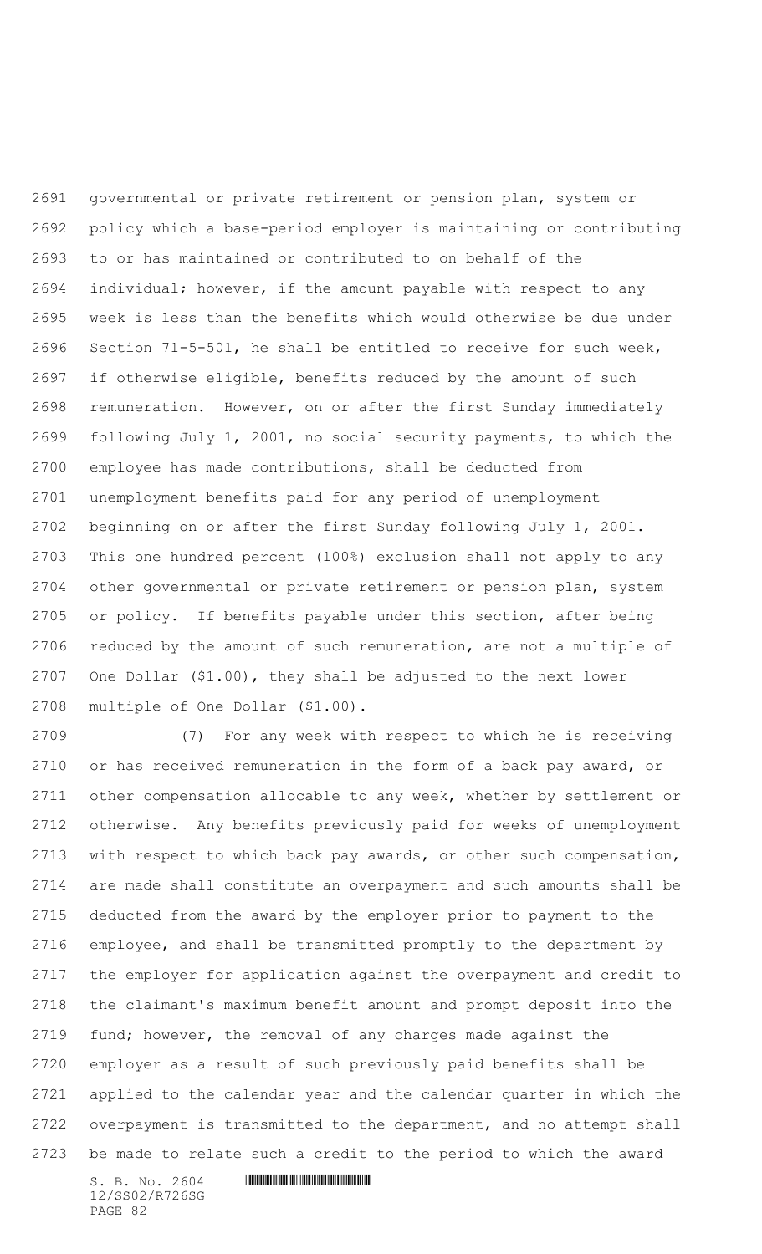governmental or private retirement or pension plan, system or policy which a base-period employer is maintaining or contributing to or has maintained or contributed to on behalf of the individual; however, if the amount payable with respect to any week is less than the benefits which would otherwise be due under Section 71-5-501, he shall be entitled to receive for such week, if otherwise eligible, benefits reduced by the amount of such remuneration. However, on or after the first Sunday immediately following July 1, 2001, no social security payments, to which the employee has made contributions, shall be deducted from unemployment benefits paid for any period of unemployment beginning on or after the first Sunday following July 1, 2001. This one hundred percent (100%) exclusion shall not apply to any other governmental or private retirement or pension plan, system or policy. If benefits payable under this section, after being reduced by the amount of such remuneration, are not a multiple of One Dollar (\$1.00), they shall be adjusted to the next lower multiple of One Dollar (\$1.00).

 (7) For any week with respect to which he is receiving or has received remuneration in the form of a back pay award, or other compensation allocable to any week, whether by settlement or otherwise. Any benefits previously paid for weeks of unemployment with respect to which back pay awards, or other such compensation, are made shall constitute an overpayment and such amounts shall be deducted from the award by the employer prior to payment to the employee, and shall be transmitted promptly to the department by the employer for application against the overpayment and credit to the claimant's maximum benefit amount and prompt deposit into the fund; however, the removal of any charges made against the employer as a result of such previously paid benefits shall be applied to the calendar year and the calendar quarter in which the overpayment is transmitted to the department, and no attempt shall be made to relate such a credit to the period to which the award

 $S. B. No. 2604$  . The set of the set of  $S. B. N_{O.} 2604$ 12/SS02/R726SG PAGE 82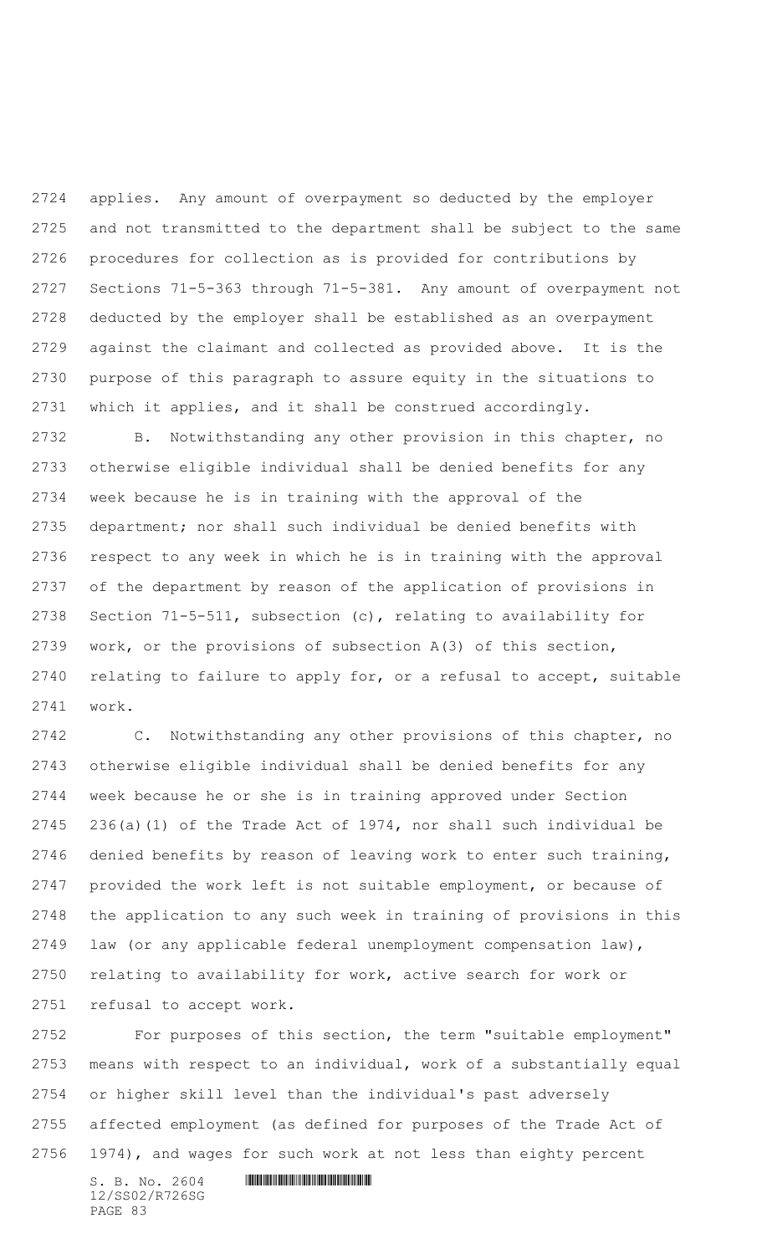applies. Any amount of overpayment so deducted by the employer and not transmitted to the department shall be subject to the same procedures for collection as is provided for contributions by Sections 71-5-363 through 71-5-381. Any amount of overpayment not deducted by the employer shall be established as an overpayment against the claimant and collected as provided above. It is the purpose of this paragraph to assure equity in the situations to which it applies, and it shall be construed accordingly.

 B. Notwithstanding any other provision in this chapter, no otherwise eligible individual shall be denied benefits for any week because he is in training with the approval of the department; nor shall such individual be denied benefits with respect to any week in which he is in training with the approval of the department by reason of the application of provisions in Section 71-5-511, subsection (c), relating to availability for work, or the provisions of subsection A(3) of this section, relating to failure to apply for, or a refusal to accept, suitable work.

 C. Notwithstanding any other provisions of this chapter, no otherwise eligible individual shall be denied benefits for any week because he or she is in training approved under Section 236(a)(1) of the Trade Act of 1974, nor shall such individual be denied benefits by reason of leaving work to enter such training, provided the work left is not suitable employment, or because of the application to any such week in training of provisions in this law (or any applicable federal unemployment compensation law), relating to availability for work, active search for work or refusal to accept work.

 For purposes of this section, the term "suitable employment" means with respect to an individual, work of a substantially equal or higher skill level than the individual's past adversely affected employment (as defined for purposes of the Trade Act of 1974), and wages for such work at not less than eighty percent

 $S. B. No. 2604$  . The set of the set of  $S. B. N \circ A$ 12/SS02/R726SG PAGE 83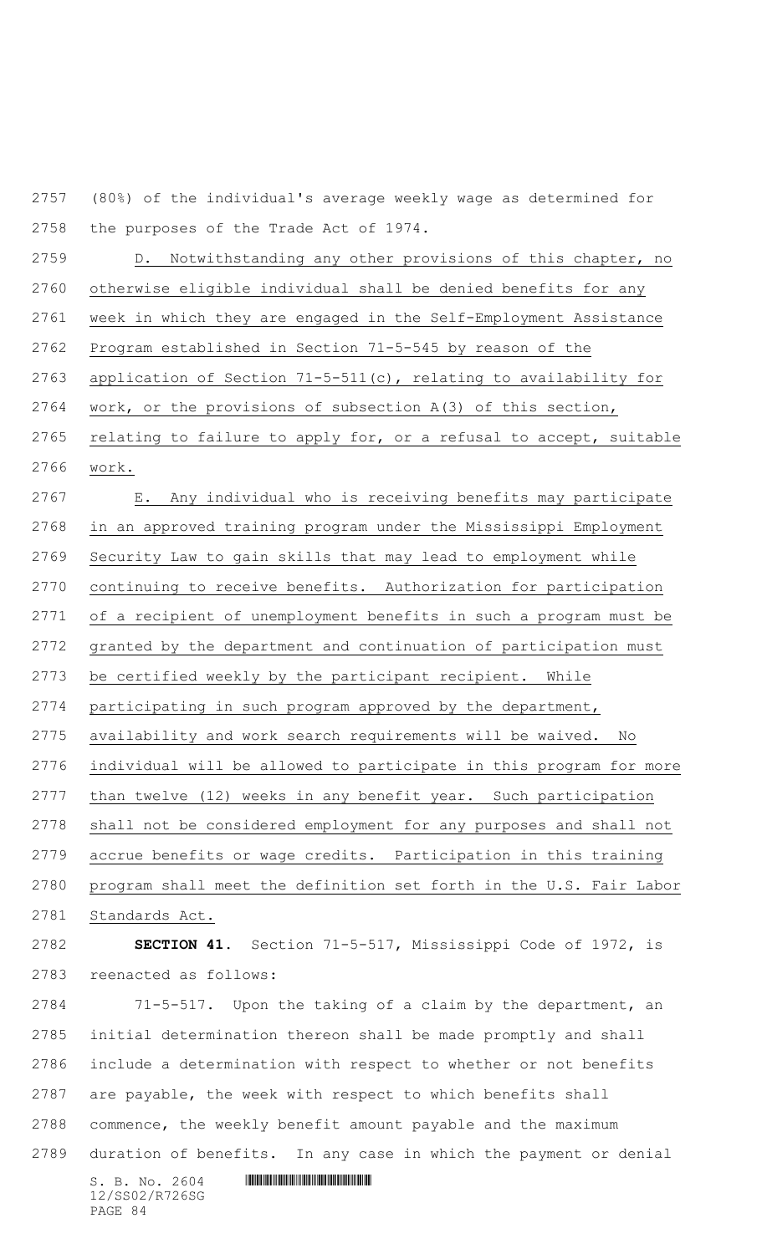(80%) of the individual's average weekly wage as determined for the purposes of the Trade Act of 1974.

 D. Notwithstanding any other provisions of this chapter, no otherwise eligible individual shall be denied benefits for any week in which they are engaged in the Self-Employment Assistance Program established in Section 71-5-545 by reason of the application of Section 71-5-511(c), relating to availability for work, or the provisions of subsection A(3) of this section, relating to failure to apply for, or a refusal to accept, suitable work.

 E. Any individual who is receiving benefits may participate in an approved training program under the Mississippi Employment Security Law to gain skills that may lead to employment while continuing to receive benefits. Authorization for participation of a recipient of unemployment benefits in such a program must be granted by the department and continuation of participation must be certified weekly by the participant recipient. While participating in such program approved by the department, availability and work search requirements will be waived. No individual will be allowed to participate in this program for more than twelve (12) weeks in any benefit year. Such participation shall not be considered employment for any purposes and shall not accrue benefits or wage credits. Participation in this training program shall meet the definition set forth in the U.S. Fair Labor Standards Act. **SECTION 41.** Section 71-5-517, Mississippi Code of 1972, is reenacted as follows: 71-5-517. Upon the taking of a claim by the department, an initial determination thereon shall be made promptly and shall include a determination with respect to whether or not benefits

 are payable, the week with respect to which benefits shall commence, the weekly benefit amount payable and the maximum

duration of benefits. In any case in which the payment or denial

 $S. B. NO. 2604$  .  $M. 2604$ 12/SS02/R726SG PAGE 84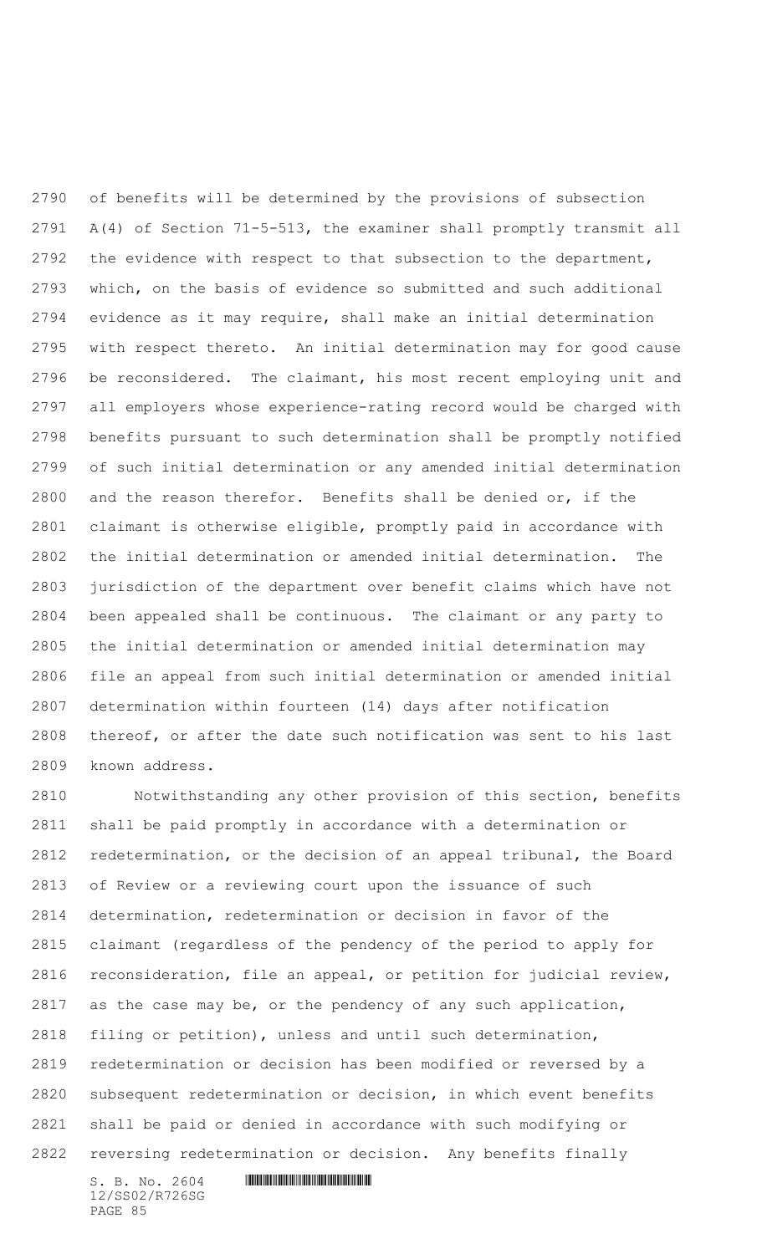of benefits will be determined by the provisions of subsection A(4) of Section 71-5-513, the examiner shall promptly transmit all 2792 the evidence with respect to that subsection to the department, which, on the basis of evidence so submitted and such additional evidence as it may require, shall make an initial determination with respect thereto. An initial determination may for good cause be reconsidered. The claimant, his most recent employing unit and all employers whose experience-rating record would be charged with benefits pursuant to such determination shall be promptly notified of such initial determination or any amended initial determination and the reason therefor. Benefits shall be denied or, if the claimant is otherwise eligible, promptly paid in accordance with the initial determination or amended initial determination. The jurisdiction of the department over benefit claims which have not been appealed shall be continuous. The claimant or any party to the initial determination or amended initial determination may file an appeal from such initial determination or amended initial determination within fourteen (14) days after notification thereof, or after the date such notification was sent to his last known address.

 Notwithstanding any other provision of this section, benefits shall be paid promptly in accordance with a determination or redetermination, or the decision of an appeal tribunal, the Board of Review or a reviewing court upon the issuance of such determination, redetermination or decision in favor of the claimant (regardless of the pendency of the period to apply for reconsideration, file an appeal, or petition for judicial review, as the case may be, or the pendency of any such application, filing or petition), unless and until such determination, redetermination or decision has been modified or reversed by a subsequent redetermination or decision, in which event benefits shall be paid or denied in accordance with such modifying or reversing redetermination or decision. Any benefits finally

12/SS02/R726SG PAGE 85

 $S. B. No. 2604$  . The set of the set of  $S. B. N \circ A$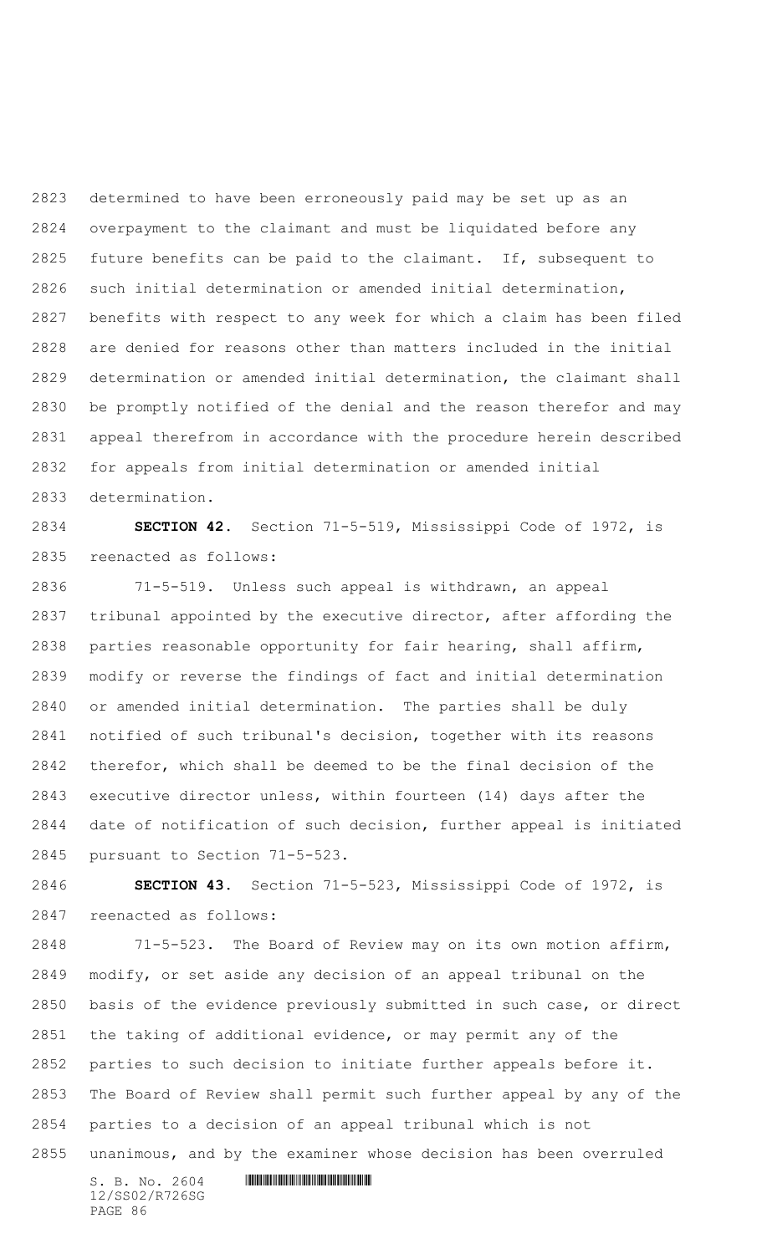determined to have been erroneously paid may be set up as an overpayment to the claimant and must be liquidated before any future benefits can be paid to the claimant. If, subsequent to such initial determination or amended initial determination, benefits with respect to any week for which a claim has been filed are denied for reasons other than matters included in the initial determination or amended initial determination, the claimant shall be promptly notified of the denial and the reason therefor and may appeal therefrom in accordance with the procedure herein described for appeals from initial determination or amended initial determination.

 **SECTION 42.** Section 71-5-519, Mississippi Code of 1972, is reenacted as follows:

 71-5-519. Unless such appeal is withdrawn, an appeal tribunal appointed by the executive director, after affording the parties reasonable opportunity for fair hearing, shall affirm, modify or reverse the findings of fact and initial determination or amended initial determination. The parties shall be duly notified of such tribunal's decision, together with its reasons therefor, which shall be deemed to be the final decision of the executive director unless, within fourteen (14) days after the date of notification of such decision, further appeal is initiated pursuant to Section 71-5-523.

 **SECTION 43.** Section 71-5-523, Mississippi Code of 1972, is reenacted as follows:

 71-5-523. The Board of Review may on its own motion affirm, modify, or set aside any decision of an appeal tribunal on the basis of the evidence previously submitted in such case, or direct the taking of additional evidence, or may permit any of the parties to such decision to initiate further appeals before it. The Board of Review shall permit such further appeal by any of the parties to a decision of an appeal tribunal which is not unanimous, and by the examiner whose decision has been overruled

 $S. B. No. 2604$  . The set of the set of  $S. B. N \circ A$ 12/SS02/R726SG PAGE 86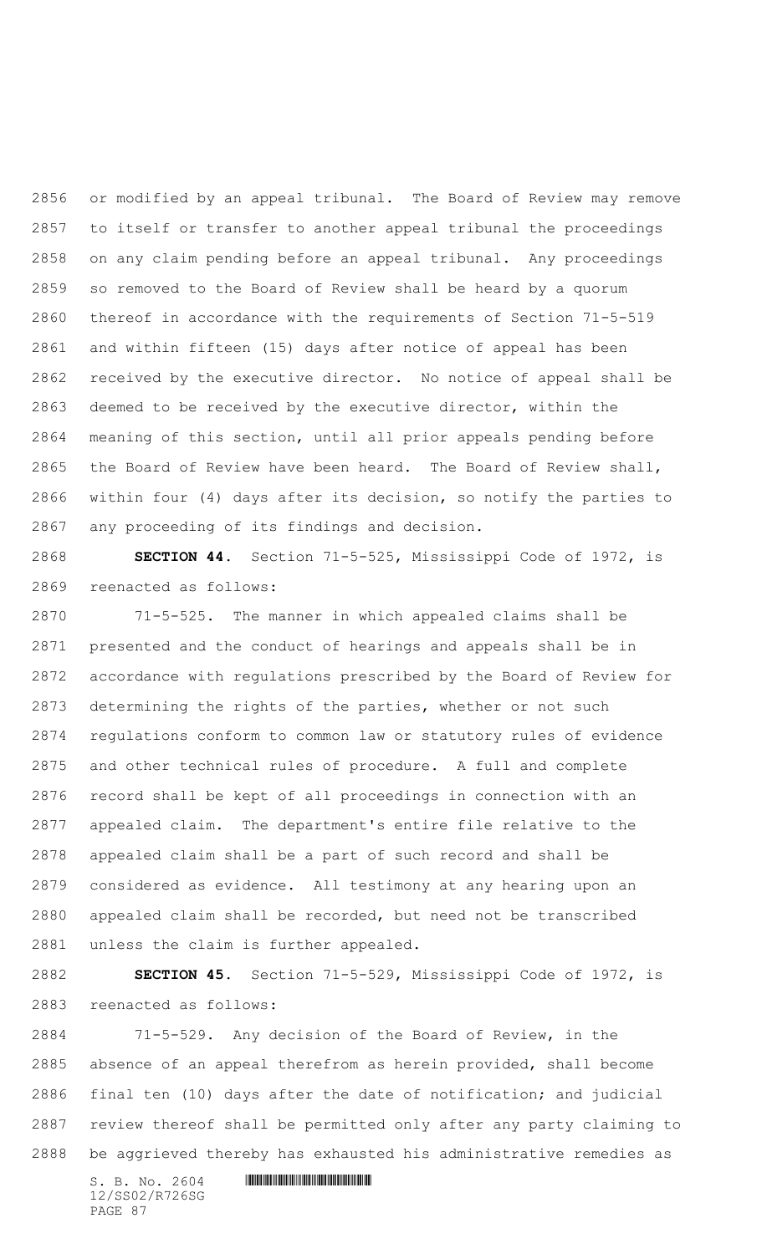or modified by an appeal tribunal. The Board of Review may remove to itself or transfer to another appeal tribunal the proceedings on any claim pending before an appeal tribunal. Any proceedings so removed to the Board of Review shall be heard by a quorum thereof in accordance with the requirements of Section 71-5-519 and within fifteen (15) days after notice of appeal has been received by the executive director. No notice of appeal shall be deemed to be received by the executive director, within the meaning of this section, until all prior appeals pending before the Board of Review have been heard. The Board of Review shall, within four (4) days after its decision, so notify the parties to any proceeding of its findings and decision.

 **SECTION 44.** Section 71-5-525, Mississippi Code of 1972, is reenacted as follows:

 71-5-525. The manner in which appealed claims shall be presented and the conduct of hearings and appeals shall be in accordance with regulations prescribed by the Board of Review for determining the rights of the parties, whether or not such regulations conform to common law or statutory rules of evidence and other technical rules of procedure. A full and complete record shall be kept of all proceedings in connection with an appealed claim. The department's entire file relative to the appealed claim shall be a part of such record and shall be considered as evidence. All testimony at any hearing upon an appealed claim shall be recorded, but need not be transcribed unless the claim is further appealed.

 **SECTION 45.** Section 71-5-529, Mississippi Code of 1972, is reenacted as follows:

 71-5-529. Any decision of the Board of Review, in the absence of an appeal therefrom as herein provided, shall become final ten (10) days after the date of notification; and judicial review thereof shall be permitted only after any party claiming to be aggrieved thereby has exhausted his administrative remedies as

 $S. B. No. 2604$  . The set of the set of  $S. B. N_{O.} 2604$ 12/SS02/R726SG PAGE 87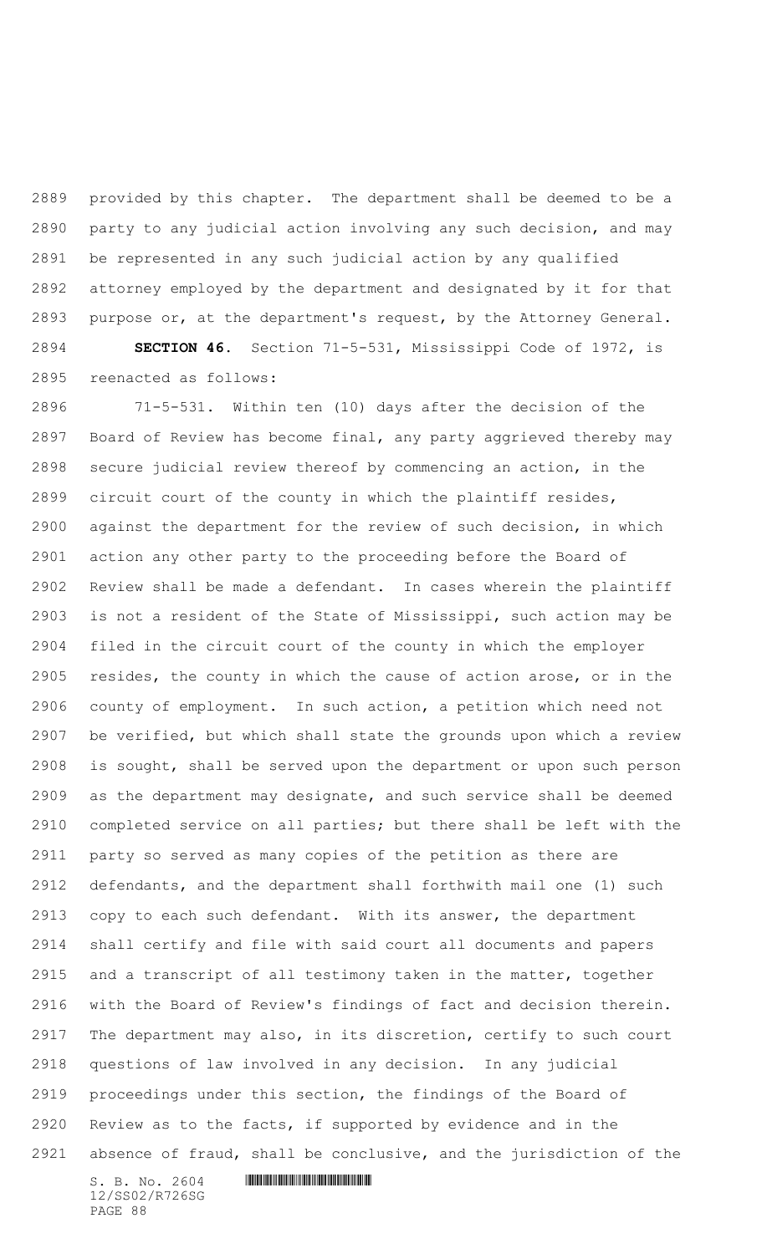provided by this chapter. The department shall be deemed to be a party to any judicial action involving any such decision, and may be represented in any such judicial action by any qualified attorney employed by the department and designated by it for that purpose or, at the department's request, by the Attorney General. **SECTION 46.** Section 71-5-531, Mississippi Code of 1972, is

reenacted as follows:

 71-5-531. Within ten (10) days after the decision of the Board of Review has become final, any party aggrieved thereby may secure judicial review thereof by commencing an action, in the circuit court of the county in which the plaintiff resides, against the department for the review of such decision, in which action any other party to the proceeding before the Board of Review shall be made a defendant. In cases wherein the plaintiff is not a resident of the State of Mississippi, such action may be filed in the circuit court of the county in which the employer resides, the county in which the cause of action arose, or in the county of employment. In such action, a petition which need not be verified, but which shall state the grounds upon which a review is sought, shall be served upon the department or upon such person as the department may designate, and such service shall be deemed completed service on all parties; but there shall be left with the party so served as many copies of the petition as there are defendants, and the department shall forthwith mail one (1) such copy to each such defendant. With its answer, the department shall certify and file with said court all documents and papers and a transcript of all testimony taken in the matter, together with the Board of Review's findings of fact and decision therein. The department may also, in its discretion, certify to such court questions of law involved in any decision. In any judicial proceedings under this section, the findings of the Board of Review as to the facts, if supported by evidence and in the absence of fraud, shall be conclusive, and the jurisdiction of the

12/SS02/R726SG PAGE 88

```
S. B. NO. 2604 . M. 2604
```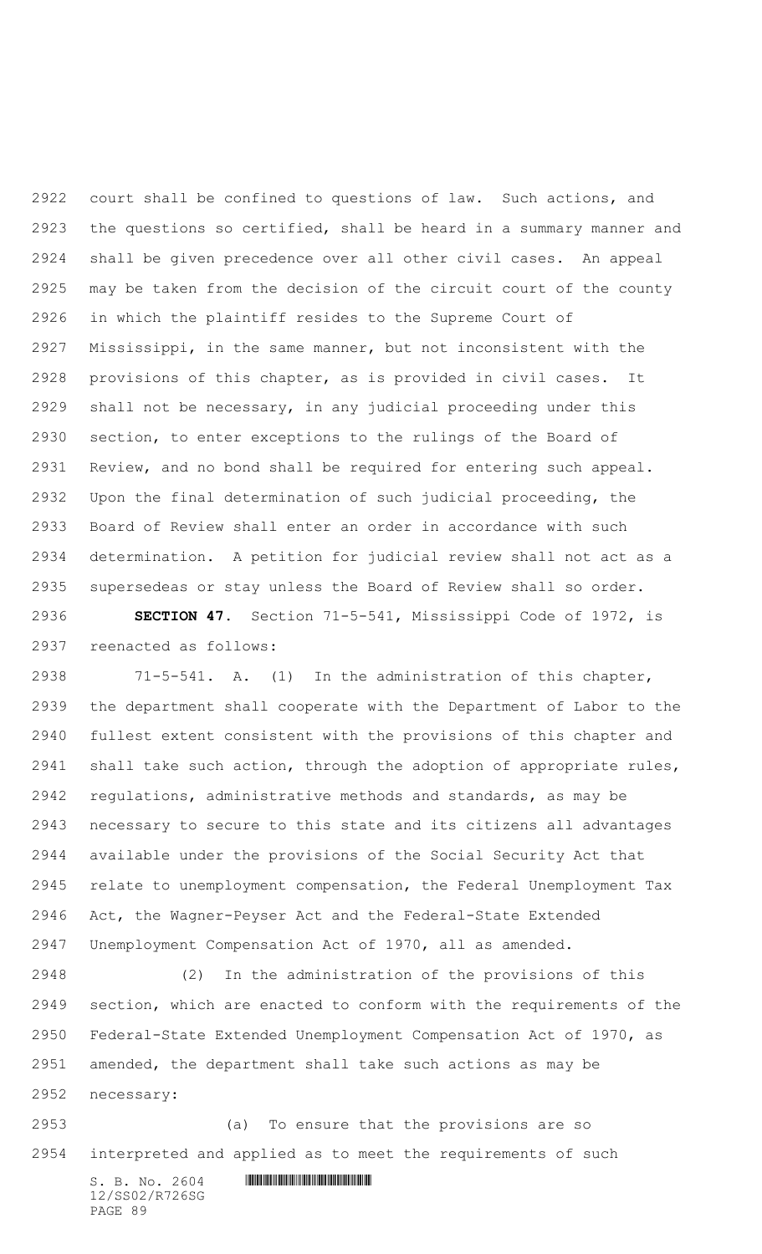court shall be confined to questions of law. Such actions, and the questions so certified, shall be heard in a summary manner and shall be given precedence over all other civil cases. An appeal may be taken from the decision of the circuit court of the county in which the plaintiff resides to the Supreme Court of Mississippi, in the same manner, but not inconsistent with the provisions of this chapter, as is provided in civil cases. It shall not be necessary, in any judicial proceeding under this section, to enter exceptions to the rulings of the Board of Review, and no bond shall be required for entering such appeal. Upon the final determination of such judicial proceeding, the Board of Review shall enter an order in accordance with such determination. A petition for judicial review shall not act as a supersedeas or stay unless the Board of Review shall so order.

 **SECTION 47.** Section 71-5-541, Mississippi Code of 1972, is reenacted as follows:

 71-5-541. A. (1) In the administration of this chapter, the department shall cooperate with the Department of Labor to the fullest extent consistent with the provisions of this chapter and shall take such action, through the adoption of appropriate rules, regulations, administrative methods and standards, as may be necessary to secure to this state and its citizens all advantages available under the provisions of the Social Security Act that relate to unemployment compensation, the Federal Unemployment Tax Act, the Wagner-Peyser Act and the Federal-State Extended Unemployment Compensation Act of 1970, all as amended.

 (2) In the administration of the provisions of this section, which are enacted to conform with the requirements of the Federal-State Extended Unemployment Compensation Act of 1970, as amended, the department shall take such actions as may be necessary:

 (a) To ensure that the provisions are so interpreted and applied as to meet the requirements of such

 $S. B. No. 2604$  . The set of the set of  $S. B. N \circ A$ 12/SS02/R726SG PAGE 89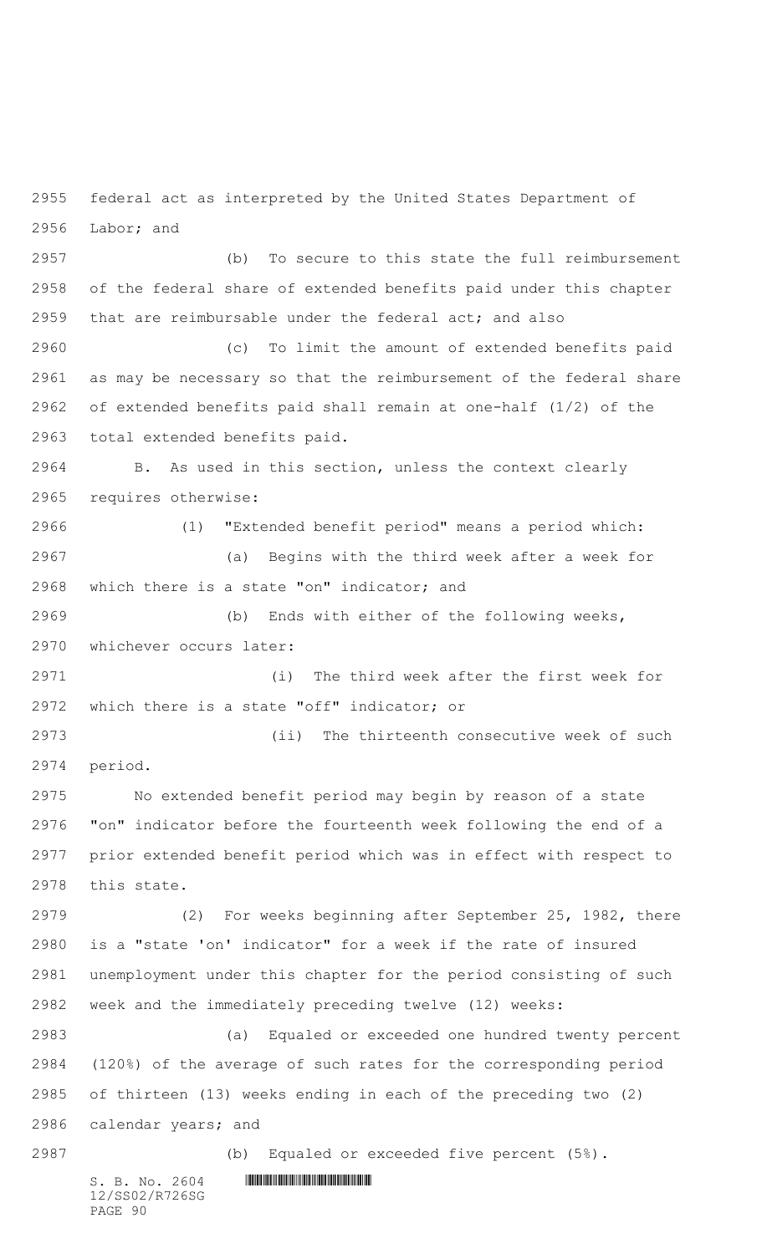federal act as interpreted by the United States Department of Labor; and

 (b) To secure to this state the full reimbursement of the federal share of extended benefits paid under this chapter that are reimbursable under the federal act; and also

 (c) To limit the amount of extended benefits paid as may be necessary so that the reimbursement of the federal share of extended benefits paid shall remain at one-half (1/2) of the total extended benefits paid.

 B. As used in this section, unless the context clearly requires otherwise:

 (1) "Extended benefit period" means a period which: (a) Begins with the third week after a week for which there is a state "on" indicator; and

 (b) Ends with either of the following weeks, whichever occurs later:

 (i) The third week after the first week for which there is a state "off" indicator; or

 (ii) The thirteenth consecutive week of such period.

 No extended benefit period may begin by reason of a state "on" indicator before the fourteenth week following the end of a prior extended benefit period which was in effect with respect to this state.

 (2) For weeks beginning after September 25, 1982, there is a "state 'on' indicator" for a week if the rate of insured unemployment under this chapter for the period consisting of such week and the immediately preceding twelve (12) weeks:

 (a) Equaled or exceeded one hundred twenty percent (120%) of the average of such rates for the corresponding period of thirteen (13) weeks ending in each of the preceding two (2) calendar years; and

(b) Equaled or exceeded five percent (5%).

12/SS02/R726SG PAGE 90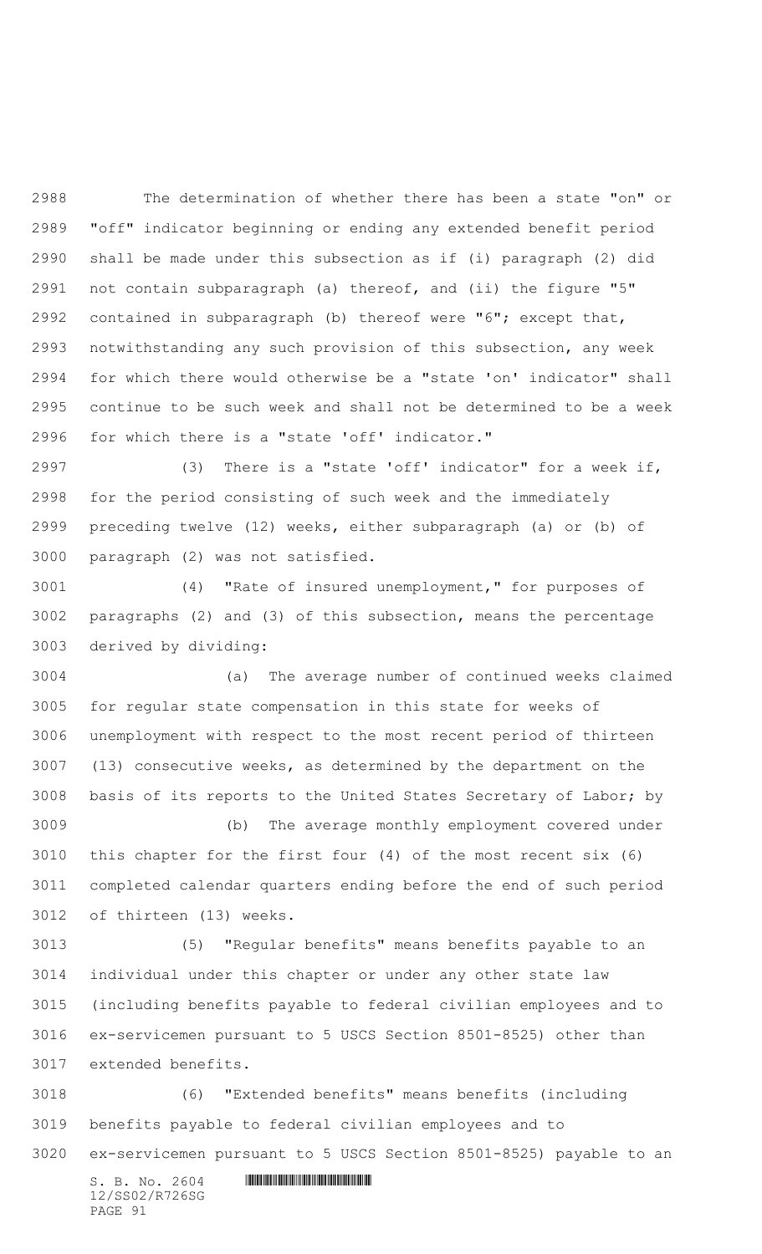The determination of whether there has been a state "on" or "off" indicator beginning or ending any extended benefit period shall be made under this subsection as if (i) paragraph (2) did not contain subparagraph (a) thereof, and (ii) the figure "5" contained in subparagraph (b) thereof were "6"; except that, notwithstanding any such provision of this subsection, any week for which there would otherwise be a "state 'on' indicator" shall continue to be such week and shall not be determined to be a week for which there is a "state 'off' indicator."

 (3) There is a "state 'off' indicator" for a week if, for the period consisting of such week and the immediately preceding twelve (12) weeks, either subparagraph (a) or (b) of paragraph (2) was not satisfied.

 (4) "Rate of insured unemployment," for purposes of paragraphs (2) and (3) of this subsection, means the percentage derived by dividing:

 (a) The average number of continued weeks claimed for regular state compensation in this state for weeks of unemployment with respect to the most recent period of thirteen (13) consecutive weeks, as determined by the department on the basis of its reports to the United States Secretary of Labor; by

 (b) The average monthly employment covered under this chapter for the first four (4) of the most recent six (6) completed calendar quarters ending before the end of such period of thirteen (13) weeks.

 (5) "Regular benefits" means benefits payable to an individual under this chapter or under any other state law (including benefits payable to federal civilian employees and to ex-servicemen pursuant to 5 USCS Section 8501-8525) other than extended benefits.

 (6) "Extended benefits" means benefits (including benefits payable to federal civilian employees and to ex-servicemen pursuant to 5 USCS Section 8501-8525) payable to an

12/SS02/R726SG PAGE 91

 $S. B. No. 2604$  . The set of the set of  $S. B. N \circ A$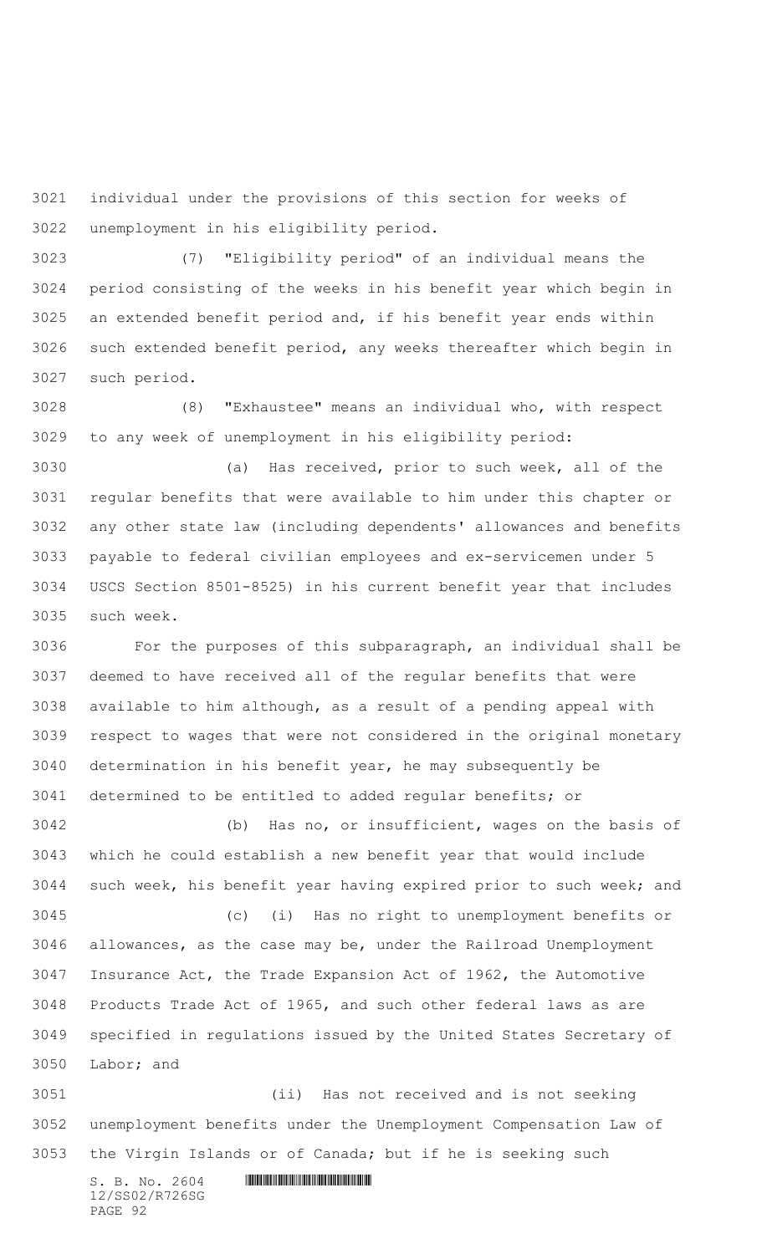individual under the provisions of this section for weeks of unemployment in his eligibility period.

 (7) "Eligibility period" of an individual means the period consisting of the weeks in his benefit year which begin in an extended benefit period and, if his benefit year ends within such extended benefit period, any weeks thereafter which begin in such period.

 (8) "Exhaustee" means an individual who, with respect to any week of unemployment in his eligibility period:

 (a) Has received, prior to such week, all of the regular benefits that were available to him under this chapter or any other state law (including dependents' allowances and benefits payable to federal civilian employees and ex-servicemen under 5 USCS Section 8501-8525) in his current benefit year that includes such week.

 For the purposes of this subparagraph, an individual shall be deemed to have received all of the regular benefits that were available to him although, as a result of a pending appeal with respect to wages that were not considered in the original monetary determination in his benefit year, he may subsequently be determined to be entitled to added regular benefits; or

 (b) Has no, or insufficient, wages on the basis of which he could establish a new benefit year that would include such week, his benefit year having expired prior to such week; and (c) (i) Has no right to unemployment benefits or allowances, as the case may be, under the Railroad Unemployment Insurance Act, the Trade Expansion Act of 1962, the Automotive Products Trade Act of 1965, and such other federal laws as are specified in regulations issued by the United States Secretary of Labor; and

 (ii) Has not received and is not seeking unemployment benefits under the Unemployment Compensation Law of the Virgin Islands or of Canada; but if he is seeking such

 $S. B. No. 2604$  . The set of the set of  $S. B. N \circ A$ 12/SS02/R726SG PAGE 92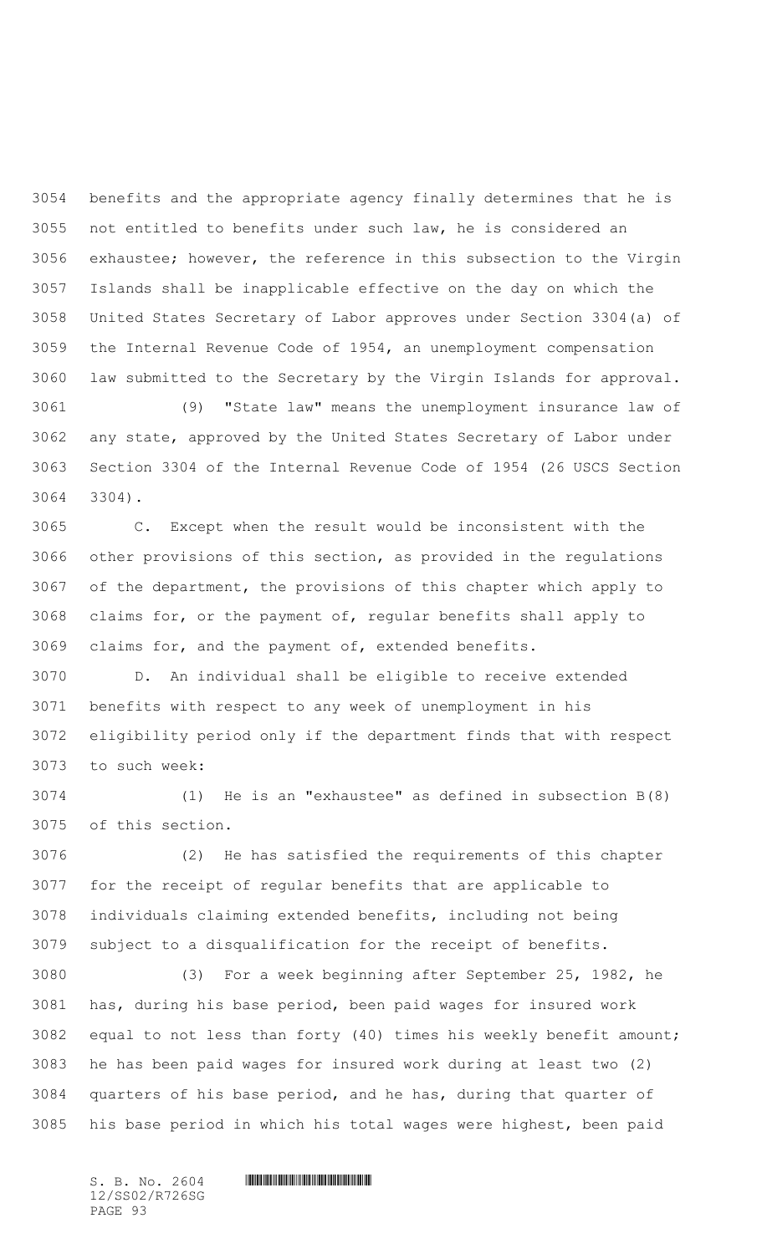benefits and the appropriate agency finally determines that he is not entitled to benefits under such law, he is considered an exhaustee; however, the reference in this subsection to the Virgin Islands shall be inapplicable effective on the day on which the United States Secretary of Labor approves under Section 3304(a) of the Internal Revenue Code of 1954, an unemployment compensation law submitted to the Secretary by the Virgin Islands for approval.

 (9) "State law" means the unemployment insurance law of any state, approved by the United States Secretary of Labor under Section 3304 of the Internal Revenue Code of 1954 (26 USCS Section 3304).

 C. Except when the result would be inconsistent with the other provisions of this section, as provided in the regulations of the department, the provisions of this chapter which apply to claims for, or the payment of, regular benefits shall apply to claims for, and the payment of, extended benefits.

 D. An individual shall be eligible to receive extended benefits with respect to any week of unemployment in his eligibility period only if the department finds that with respect to such week:

 (1) He is an "exhaustee" as defined in subsection B(8) of this section.

 (2) He has satisfied the requirements of this chapter for the receipt of regular benefits that are applicable to individuals claiming extended benefits, including not being subject to a disqualification for the receipt of benefits.

 (3) For a week beginning after September 25, 1982, he has, during his base period, been paid wages for insured work equal to not less than forty (40) times his weekly benefit amount; he has been paid wages for insured work during at least two (2) quarters of his base period, and he has, during that quarter of his base period in which his total wages were highest, been paid

12/SS02/R726SG PAGE 93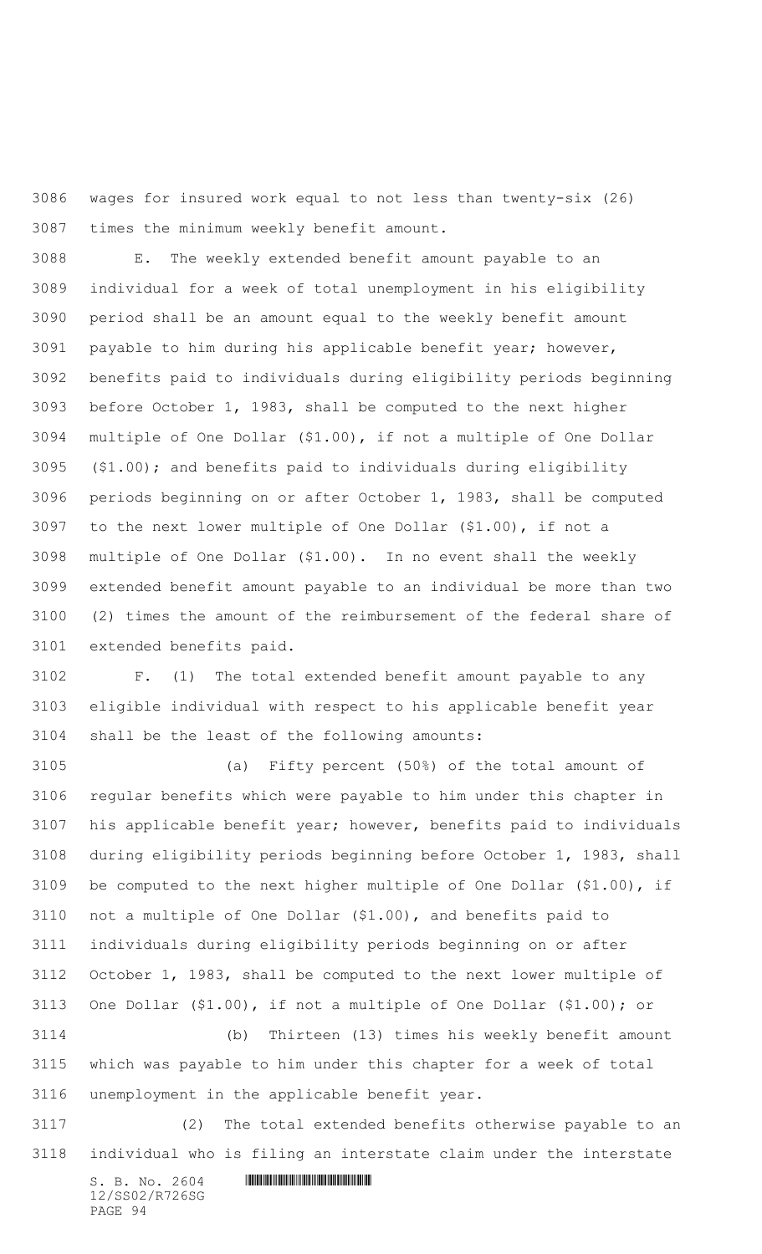wages for insured work equal to not less than twenty-six (26) times the minimum weekly benefit amount.

 E. The weekly extended benefit amount payable to an individual for a week of total unemployment in his eligibility period shall be an amount equal to the weekly benefit amount payable to him during his applicable benefit year; however, benefits paid to individuals during eligibility periods beginning before October 1, 1983, shall be computed to the next higher multiple of One Dollar (\$1.00), if not a multiple of One Dollar (\$1.00); and benefits paid to individuals during eligibility periods beginning on or after October 1, 1983, shall be computed to the next lower multiple of One Dollar (\$1.00), if not a multiple of One Dollar (\$1.00).In no event shall the weekly extended benefit amount payable to an individual be more than two (2) times the amount of the reimbursement of the federal share of extended benefits paid.

 F. (1) The total extended benefit amount payable to any eligible individual with respect to his applicable benefit year shall be the least of the following amounts:

 (a) Fifty percent (50%) of the total amount of regular benefits which were payable to him under this chapter in his applicable benefit year; however, benefits paid to individuals during eligibility periods beginning before October 1, 1983, shall be computed to the next higher multiple of One Dollar (\$1.00), if not a multiple of One Dollar (\$1.00), and benefits paid to individuals during eligibility periods beginning on or after October 1, 1983, shall be computed to the next lower multiple of One Dollar (\$1.00), if not a multiple of One Dollar (\$1.00); or

 (b) Thirteen (13) times his weekly benefit amount which was payable to him under this chapter for a week of total unemployment in the applicable benefit year.

 (2) The total extended benefits otherwise payable to an individual who is filing an interstate claim under the interstate

 $S. B. No. 2604$  . The set of the set of  $S. B. N_{O.} 2604$ 12/SS02/R726SG PAGE 94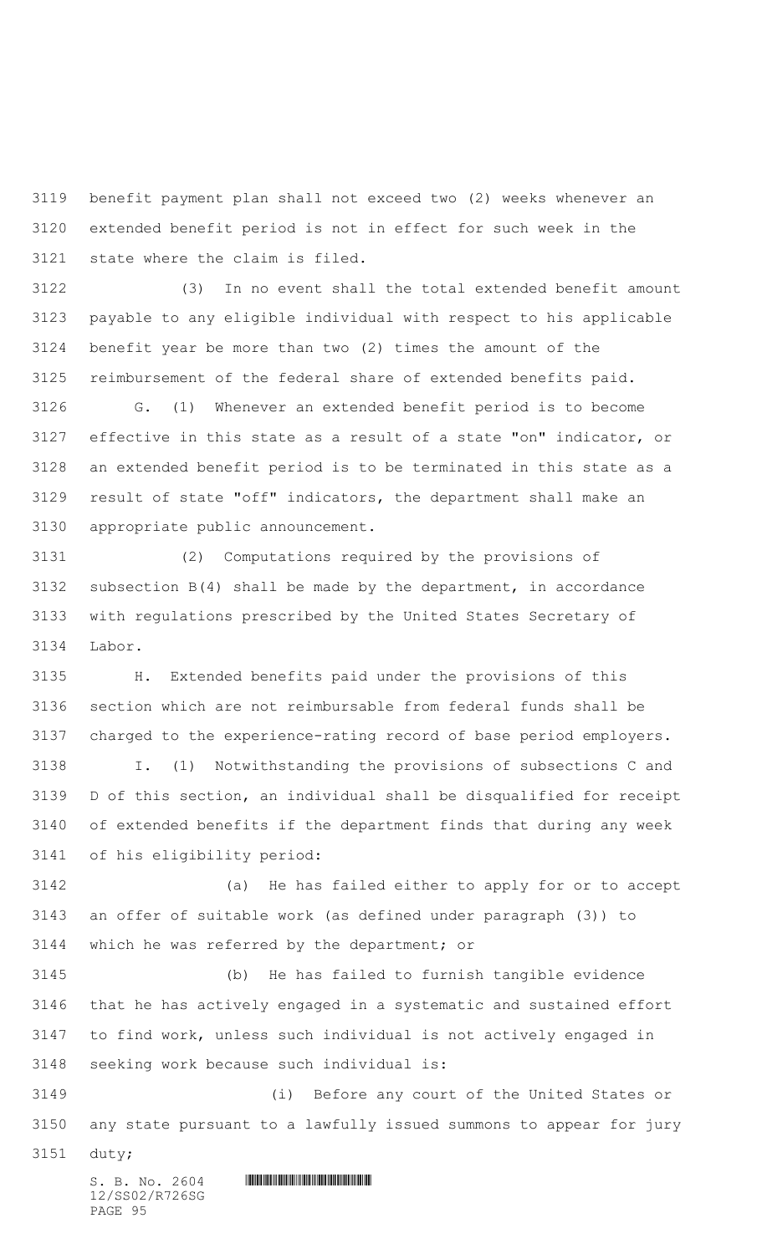benefit payment plan shall not exceed two (2) weeks whenever an extended benefit period is not in effect for such week in the state where the claim is filed.

 (3)In no event shall the total extended benefit amount payable to any eligible individual with respect to his applicable benefit year be more than two (2) times the amount of the reimbursement of the federal share of extended benefits paid.

 G. (1) Whenever an extended benefit period is to become effective in this state as a result of a state "on" indicator, or an extended benefit period is to be terminated in this state as a result of state "off" indicators, the department shall make an appropriate public announcement.

 (2) Computations required by the provisions of subsection B(4) shall be made by the department, in accordance with regulations prescribed by the United States Secretary of Labor.

 H. Extended benefits paid under the provisions of this section which are not reimbursable from federal funds shall be charged to the experience-rating record of base period employers. I. (1) Notwithstanding the provisions of subsections C and D of this section, an individual shall be disqualified for receipt of extended benefits if the department finds that during any week

of his eligibility period:

 (a) He has failed either to apply for or to accept an offer of suitable work (as defined under paragraph (3)) to which he was referred by the department; or

 (b) He has failed to furnish tangible evidence that he has actively engaged in a systematic and sustained effort to find work, unless such individual is not actively engaged in seeking work because such individual is:

 (i) Before any court of the United States or any state pursuant to a lawfully issued summons to appear for jury

duty;

 $S. B. NO. 2604$  .  $M. 2604$ 12/SS02/R726SG PAGE 95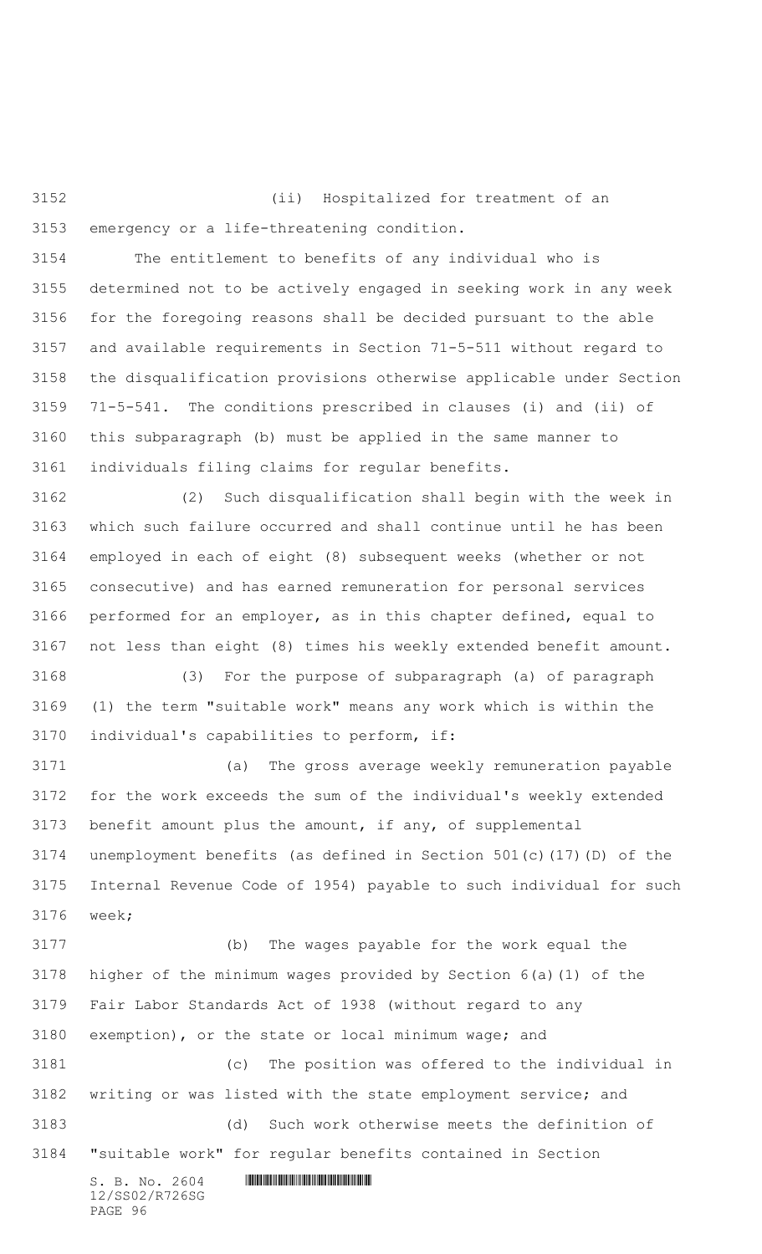(ii) Hospitalized for treatment of an emergency or a life-threatening condition.

 The entitlement to benefits of any individual who is determined not to be actively engaged in seeking work in any week for the foregoing reasons shall be decided pursuant to the able and available requirements in Section 71-5-511 without regard to the disqualification provisions otherwise applicable under Section 71-5-541. The conditions prescribed in clauses (i) and (ii) of this subparagraph (b) must be applied in the same manner to individuals filing claims for regular benefits.

 (2) Such disqualification shall begin with the week in which such failure occurred and shall continue until he has been employed in each of eight (8) subsequent weeks (whether or not consecutive) and has earned remuneration for personal services performed for an employer, as in this chapter defined, equal to not less than eight (8) times his weekly extended benefit amount.

 (3) For the purpose of subparagraph (a) of paragraph (1) the term "suitable work" means any work which is within the individual's capabilities to perform, if:

 (a) The gross average weekly remuneration payable for the work exceeds the sum of the individual's weekly extended benefit amount plus the amount, if any, of supplemental unemployment benefits (as defined in Section 501(c)(17)(D) of the Internal Revenue Code of 1954) payable to such individual for such week;

 $S. B. No. 2604$  . The set of the set of  $S. B. N \circ A$ 12/SS02/R726SG (b) The wages payable for the work equal the higher of the minimum wages provided by Section 6(a)(1) of the Fair Labor Standards Act of 1938 (without regard to any exemption), or the state or local minimum wage; and (c) The position was offered to the individual in writing or was listed with the state employment service; and (d) Such work otherwise meets the definition of "suitable work" for regular benefits contained in Section

PAGE 96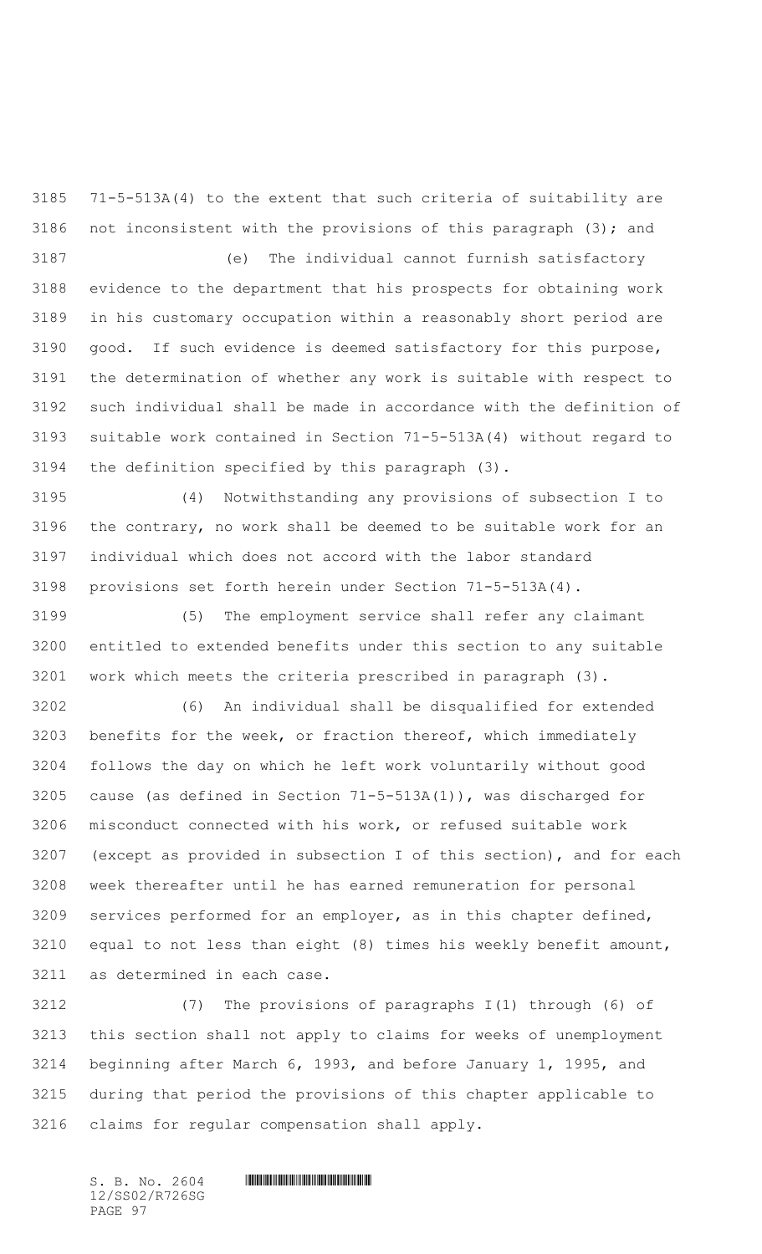71-5-513A(4) to the extent that such criteria of suitability are not inconsistent with the provisions of this paragraph (3); and

(e) The individual cannot furnish satisfactory

 evidence to the department that his prospects for obtaining work in his customary occupation within a reasonably short period are good. If such evidence is deemed satisfactory for this purpose, the determination of whether any work is suitable with respect to such individual shall be made in accordance with the definition of suitable work contained in Section 71-5-513A(4) without regard to the definition specified by this paragraph (3).

 (4) Notwithstanding any provisions of subsection I to the contrary, no work shall be deemed to be suitable work for an individual which does not accord with the labor standard provisions set forth herein under Section 71-5-513A(4).

 (5) The employment service shall refer any claimant entitled to extended benefits under this section to any suitable work which meets the criteria prescribed in paragraph (3).

 (6) An individual shall be disqualified for extended benefits for the week, or fraction thereof, which immediately follows the day on which he left work voluntarily without good cause (as defined in Section 71-5-513A(1)), was discharged for misconduct connected with his work, or refused suitable work (except as provided in subsection I of this section), and for each week thereafter until he has earned remuneration for personal services performed for an employer, as in this chapter defined, equal to not less than eight (8) times his weekly benefit amount, as determined in each case.

 (7) The provisions of paragraphs I(1) through (6) of this section shall not apply to claims for weeks of unemployment beginning after March 6, 1993, and before January 1, 1995, and during that period the provisions of this chapter applicable to claims for regular compensation shall apply.

12/SS02/R726SG PAGE 97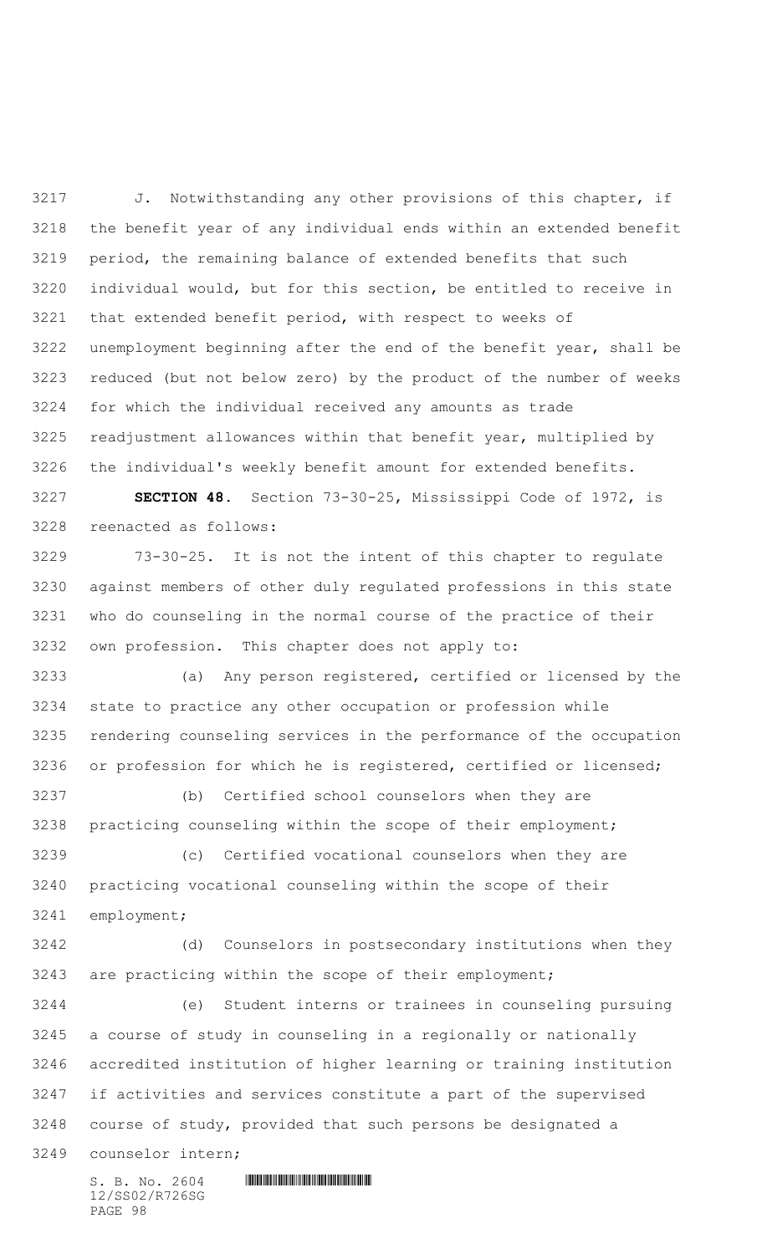3217 J. Notwithstanding any other provisions of this chapter, if the benefit year of any individual ends within an extended benefit period, the remaining balance of extended benefits that such individual would, but for this section, be entitled to receive in that extended benefit period, with respect to weeks of unemployment beginning after the end of the benefit year, shall be reduced (but not below zero) by the product of the number of weeks for which the individual received any amounts as trade readjustment allowances within that benefit year, multiplied by the individual's weekly benefit amount for extended benefits.

 **SECTION 48.** Section 73-30-25, Mississippi Code of 1972, is reenacted as follows:

 73-30-25. It is not the intent of this chapter to regulate against members of other duly regulated professions in this state who do counseling in the normal course of the practice of their own profession. This chapter does not apply to:

 (a) Any person registered, certified or licensed by the state to practice any other occupation or profession while rendering counseling services in the performance of the occupation or profession for which he is registered, certified or licensed;

 (b) Certified school counselors when they are practicing counseling within the scope of their employment;

 (c) Certified vocational counselors when they are practicing vocational counseling within the scope of their employment;

 (d) Counselors in postsecondary institutions when they are practicing within the scope of their employment;

 (e) Student interns or trainees in counseling pursuing a course of study in counseling in a regionally or nationally accredited institution of higher learning or training institution if activities and services constitute a part of the supervised course of study, provided that such persons be designated a

counselor intern;

 $S. B. No. 2604$  . The set of the set of  $S. B. N \circ A$ 12/SS02/R726SG PAGE 98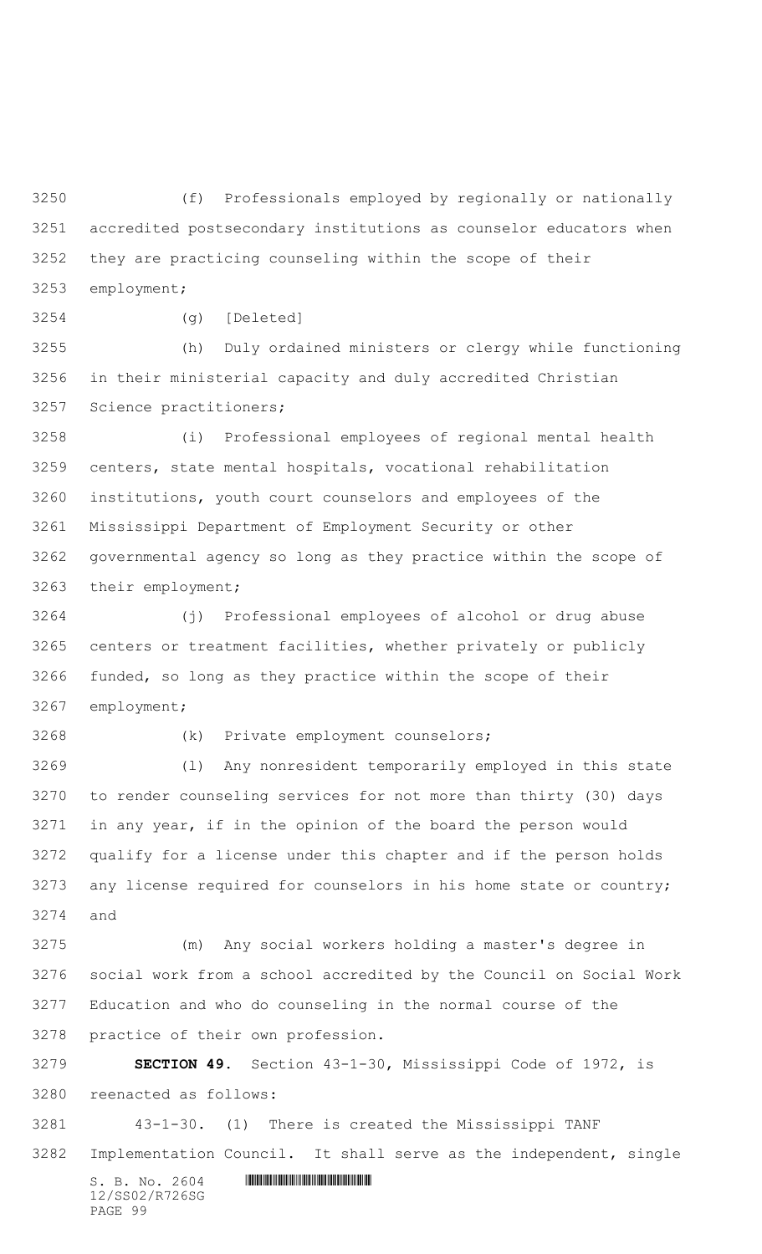(f) Professionals employed by regionally or nationally accredited postsecondary institutions as counselor educators when they are practicing counseling within the scope of their employment;

(g) [Deleted]

 (h) Duly ordained ministers or clergy while functioning in their ministerial capacity and duly accredited Christian Science practitioners;

 (i) Professional employees of regional mental health centers, state mental hospitals, vocational rehabilitation institutions, youth court counselors and employees of the Mississippi Department of Employment Security or other governmental agency so long as they practice within the scope of their employment;

 (j) Professional employees of alcohol or drug abuse centers or treatment facilities, whether privately or publicly funded, so long as they practice within the scope of their employment;

(k) Private employment counselors;

 (l) Any nonresident temporarily employed in this state to render counseling services for not more than thirty (30) days in any year, if in the opinion of the board the person would qualify for a license under this chapter and if the person holds any license required for counselors in his home state or country; and

 (m) Any social workers holding a master's degree in social work from a school accredited by the Council on Social Work Education and who do counseling in the normal course of the practice of their own profession.

 **SECTION 49.** Section 43-1-30, Mississippi Code of 1972, is reenacted as follows:

 43-1-30. (1) There is created the Mississippi TANF Implementation Council. It shall serve as the independent, single

 $S. B. No. 2604$  . The set of the set of  $S. B. N_{O.} 2604$ 12/SS02/R726SG PAGE 99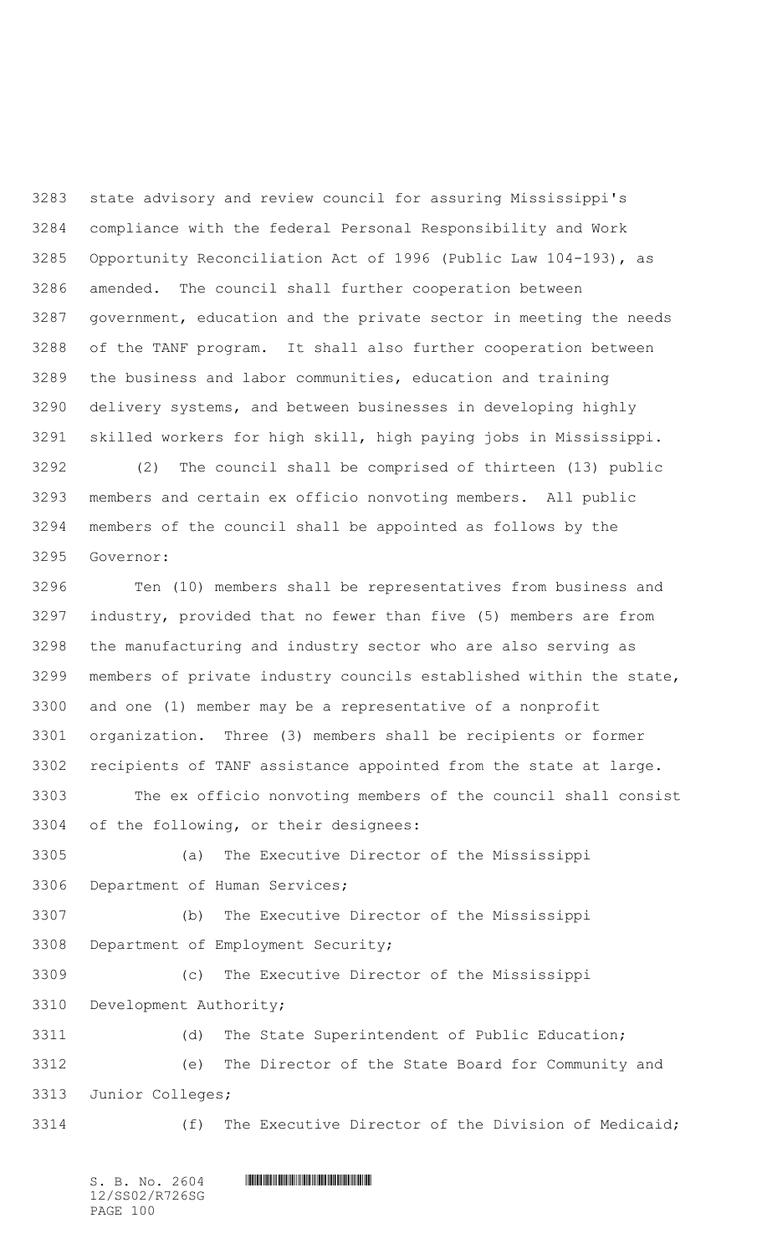state advisory and review council for assuring Mississippi's compliance with the federal Personal Responsibility and Work Opportunity Reconciliation Act of 1996 (Public Law 104-193), as amended. The council shall further cooperation between government, education and the private sector in meeting the needs of the TANF program. It shall also further cooperation between the business and labor communities, education and training delivery systems, and between businesses in developing highly skilled workers for high skill, high paying jobs in Mississippi.

 (2) The council shall be comprised of thirteen (13) public members and certain ex officio nonvoting members. All public members of the council shall be appointed as follows by the Governor:

 Ten (10) members shall be representatives from business and industry, provided that no fewer than five (5) members are from the manufacturing and industry sector who are also serving as members of private industry councils established within the state, and one (1) member may be a representative of a nonprofit organization. Three (3) members shall be recipients or former recipients of TANF assistance appointed from the state at large.

 The ex officio nonvoting members of the council shall consist of the following, or their designees:

 (a) The Executive Director of the Mississippi Department of Human Services;

 (b) The Executive Director of the Mississippi Department of Employment Security;

 (c) The Executive Director of the Mississippi Development Authority;

 (d) The State Superintendent of Public Education; (e) The Director of the State Board for Community and Junior Colleges;

3314 (f) The Executive Director of the Division of Medicaid;

12/SS02/R726SG PAGE 100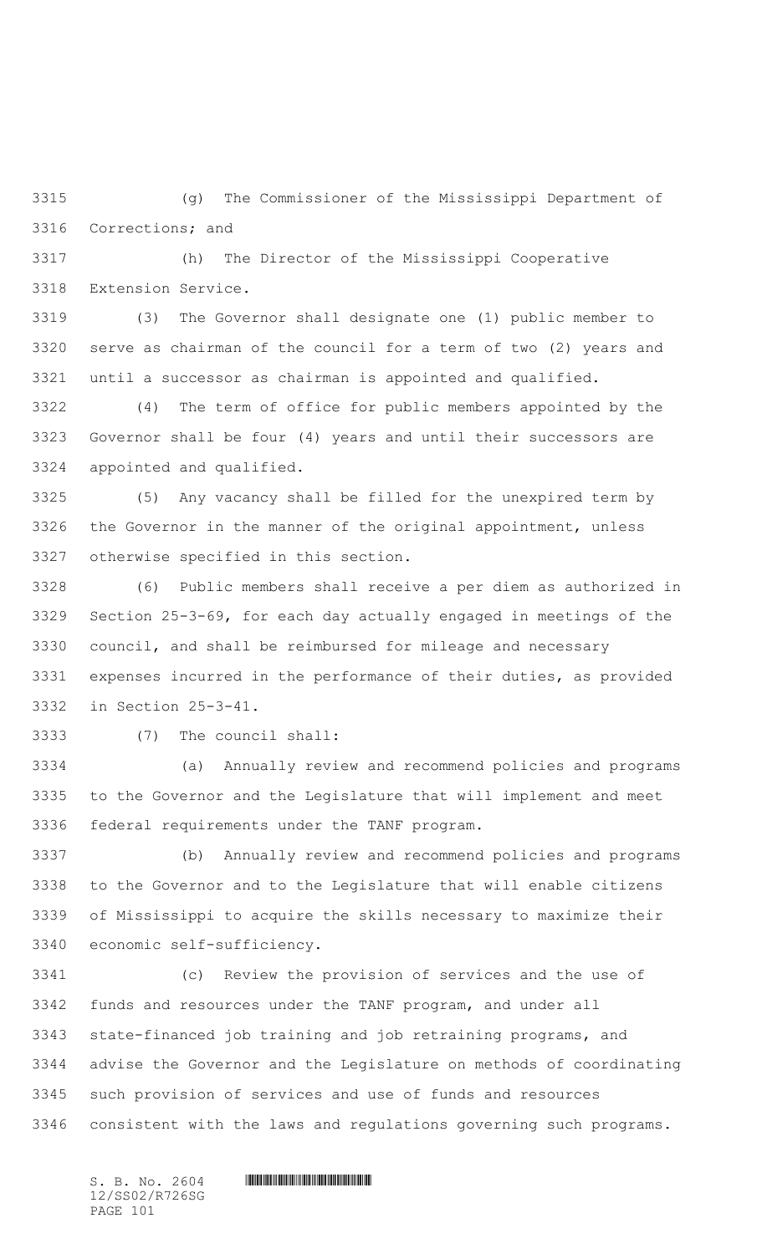(g) The Commissioner of the Mississippi Department of Corrections; and

 (h) The Director of the Mississippi Cooperative Extension Service.

 (3) The Governor shall designate one (1) public member to serve as chairman of the council for a term of two (2) years and until a successor as chairman is appointed and qualified.

 (4) The term of office for public members appointed by the Governor shall be four (4) years and until their successors are appointed and qualified.

 (5) Any vacancy shall be filled for the unexpired term by the Governor in the manner of the original appointment, unless otherwise specified in this section.

 (6) Public members shall receive a per diem as authorized in Section 25-3-69, for each day actually engaged in meetings of the council, and shall be reimbursed for mileage and necessary expenses incurred in the performance of their duties, as provided in Section 25-3-41.

(7) The council shall:

 (a) Annually review and recommend policies and programs to the Governor and the Legislature that will implement and meet federal requirements under the TANF program.

 (b) Annually review and recommend policies and programs to the Governor and to the Legislature that will enable citizens of Mississippi to acquire the skills necessary to maximize their economic self-sufficiency.

 (c) Review the provision of services and the use of funds and resources under the TANF program, and under all state-financed job training and job retraining programs, and advise the Governor and the Legislature on methods of coordinating such provision of services and use of funds and resources consistent with the laws and regulations governing such programs.

12/SS02/R726SG PAGE 101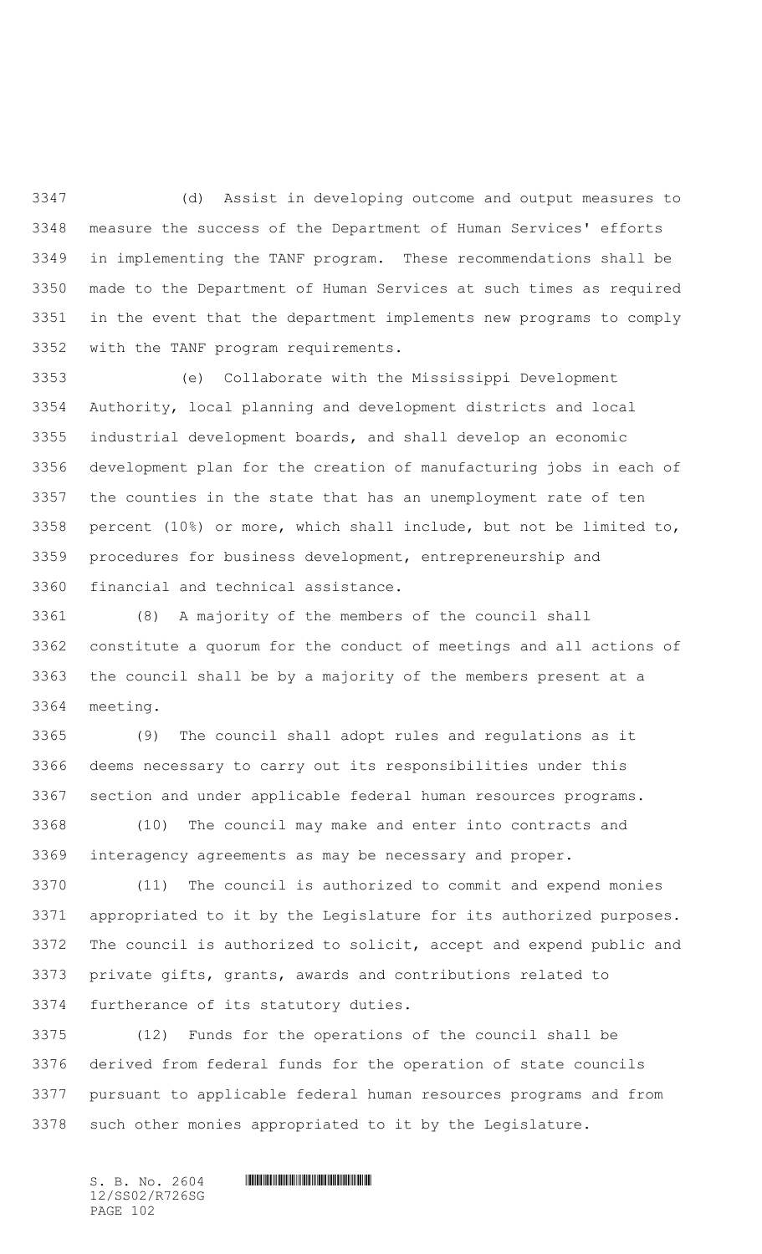(d) Assist in developing outcome and output measures to measure the success of the Department of Human Services' efforts in implementing the TANF program. These recommendations shall be made to the Department of Human Services at such times as required in the event that the department implements new programs to comply with the TANF program requirements.

 (e) Collaborate with the Mississippi Development Authority, local planning and development districts and local industrial development boards, and shall develop an economic development plan for the creation of manufacturing jobs in each of the counties in the state that has an unemployment rate of ten percent (10%) or more, which shall include, but not be limited to, procedures for business development, entrepreneurship and financial and technical assistance.

 (8) A majority of the members of the council shall constitute a quorum for the conduct of meetings and all actions of the council shall be by a majority of the members present at a meeting.

 (9) The council shall adopt rules and regulations as it deems necessary to carry out its responsibilities under this section and under applicable federal human resources programs.

 (10) The council may make and enter into contracts and interagency agreements as may be necessary and proper.

 (11) The council is authorized to commit and expend monies appropriated to it by the Legislature for its authorized purposes. The council is authorized to solicit, accept and expend public and private gifts, grants, awards and contributions related to furtherance of its statutory duties.

 (12) Funds for the operations of the council shall be derived from federal funds for the operation of state councils pursuant to applicable federal human resources programs and from such other monies appropriated to it by the Legislature.

12/SS02/R726SG PAGE 102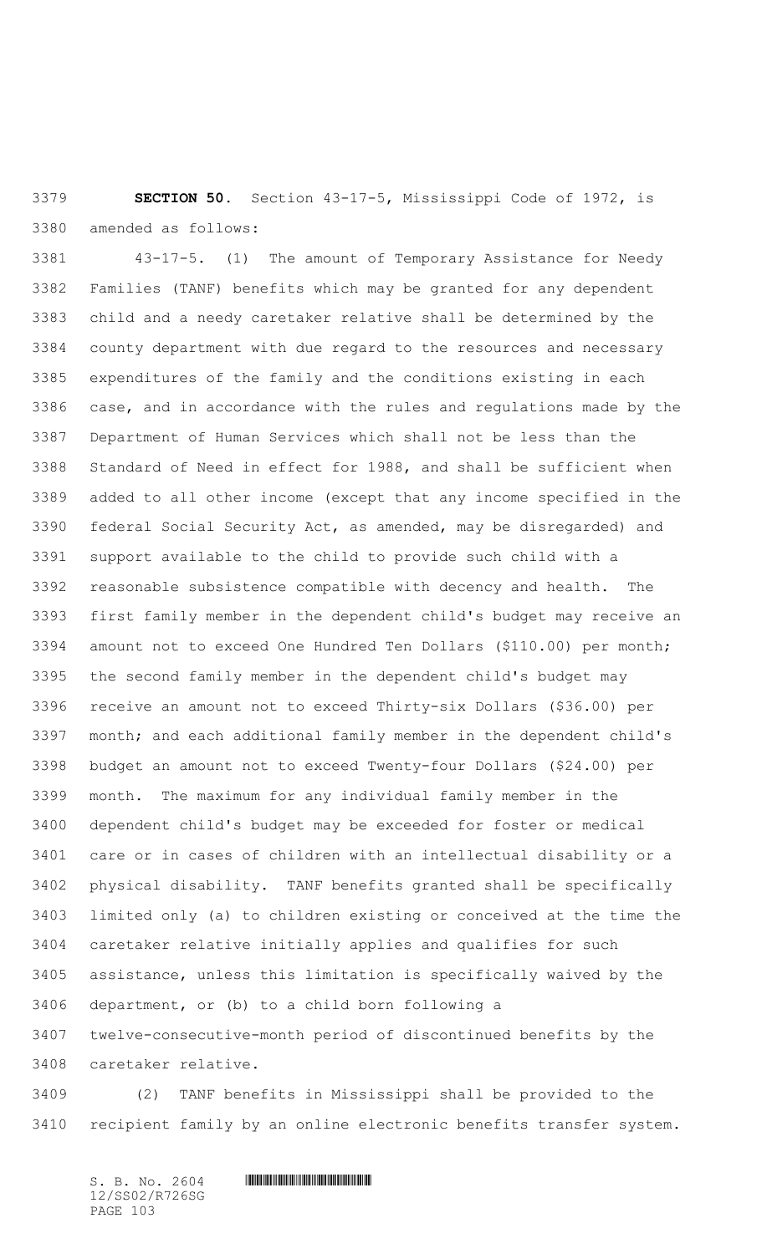**SECTION 50.** Section 43-17-5, Mississippi Code of 1972, is amended as follows:

 43-17-5. (1) The amount of Temporary Assistance for Needy Families (TANF) benefits which may be granted for any dependent child and a needy caretaker relative shall be determined by the county department with due regard to the resources and necessary expenditures of the family and the conditions existing in each case, and in accordance with the rules and regulations made by the Department of Human Services which shall not be less than the Standard of Need in effect for 1988, and shall be sufficient when added to all other income (except that any income specified in the federal Social Security Act, as amended, may be disregarded) and support available to the child to provide such child with a reasonable subsistence compatible with decency and health. The first family member in the dependent child's budget may receive an amount not to exceed One Hundred Ten Dollars (\$110.00) per month; the second family member in the dependent child's budget may receive an amount not to exceed Thirty-six Dollars (\$36.00) per month; and each additional family member in the dependent child's budget an amount not to exceed Twenty-four Dollars (\$24.00) per month. The maximum for any individual family member in the dependent child's budget may be exceeded for foster or medical care or in cases of children with an intellectual disability or a physical disability. TANF benefits granted shall be specifically limited only (a) to children existing or conceived at the time the caretaker relative initially applies and qualifies for such assistance, unless this limitation is specifically waived by the department, or (b) to a child born following a twelve-consecutive-month period of discontinued benefits by the caretaker relative.

 (2) TANF benefits in Mississippi shall be provided to the recipient family by an online electronic benefits transfer system.

 $S. B. NO. 2604$  .  $M. 2604$ 12/SS02/R726SG PAGE 103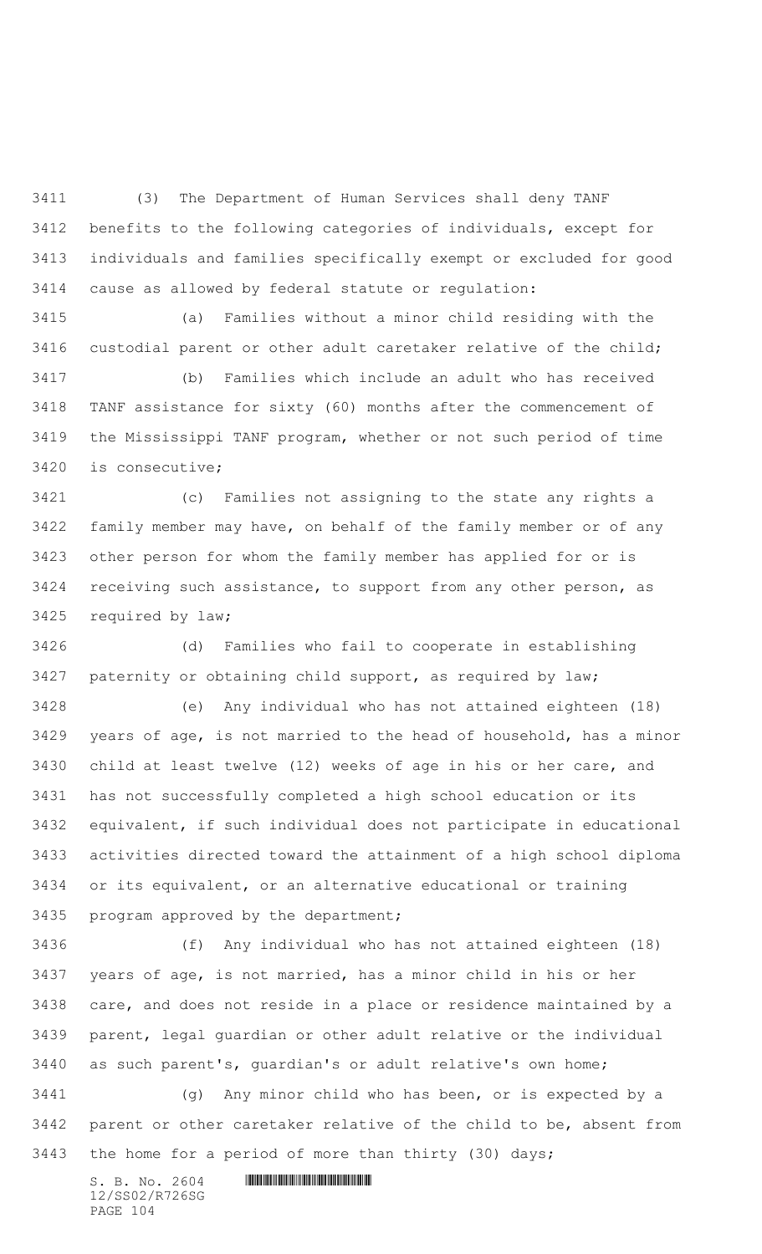(3) The Department of Human Services shall deny TANF benefits to the following categories of individuals, except for individuals and families specifically exempt or excluded for good cause as allowed by federal statute or regulation:

 (a) Families without a minor child residing with the custodial parent or other adult caretaker relative of the child;

 (b) Families which include an adult who has received TANF assistance for sixty (60) months after the commencement of the Mississippi TANF program, whether or not such period of time is consecutive;

 (c) Families not assigning to the state any rights a family member may have, on behalf of the family member or of any other person for whom the family member has applied for or is receiving such assistance, to support from any other person, as required by law;

 (d) Families who fail to cooperate in establishing paternity or obtaining child support, as required by law;

 (e) Any individual who has not attained eighteen (18) years of age, is not married to the head of household, has a minor child at least twelve (12) weeks of age in his or her care, and has not successfully completed a high school education or its equivalent, if such individual does not participate in educational activities directed toward the attainment of a high school diploma or its equivalent, or an alternative educational or training program approved by the department;

 (f) Any individual who has not attained eighteen (18) years of age, is not married, has a minor child in his or her care, and does not reside in a place or residence maintained by a parent, legal guardian or other adult relative or the individual as such parent's, guardian's or adult relative's own home;

 (g) Any minor child who has been, or is expected by a parent or other caretaker relative of the child to be, absent from the home for a period of more than thirty (30) days;

12/SS02/R726SG PAGE 104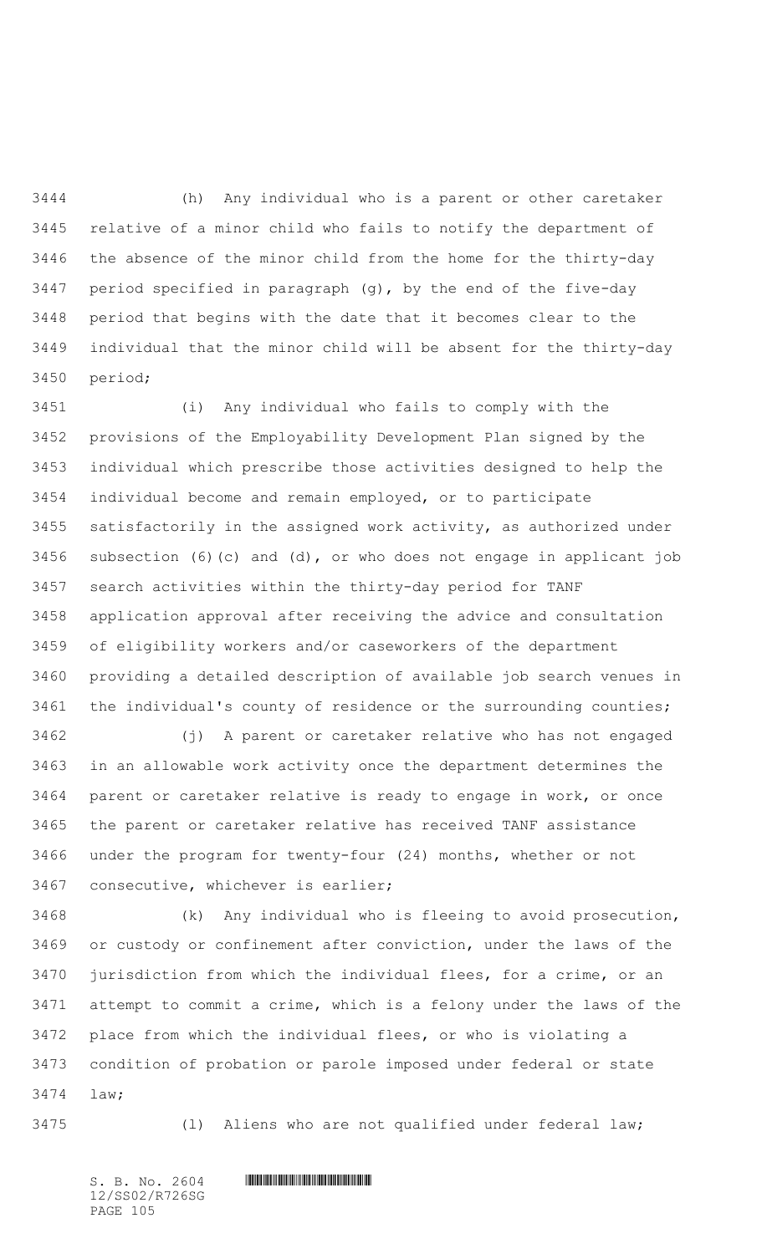(h) Any individual who is a parent or other caretaker relative of a minor child who fails to notify the department of the absence of the minor child from the home for the thirty-day period specified in paragraph (g), by the end of the five-day period that begins with the date that it becomes clear to the individual that the minor child will be absent for the thirty-day period;

 (i) Any individual who fails to comply with the provisions of the Employability Development Plan signed by the individual which prescribe those activities designed to help the individual become and remain employed, or to participate satisfactorily in the assigned work activity, as authorized under subsection (6)(c) and (d), or who does not engage in applicant job search activities within the thirty-day period for TANF application approval after receiving the advice and consultation of eligibility workers and/or caseworkers of the department providing a detailed description of available job search venues in the individual's county of residence or the surrounding counties;

 (j) A parent or caretaker relative who has not engaged in an allowable work activity once the department determines the parent or caretaker relative is ready to engage in work, or once the parent or caretaker relative has received TANF assistance under the program for twenty-four (24) months, whether or not consecutive, whichever is earlier;

 (k) Any individual who is fleeing to avoid prosecution, or custody or confinement after conviction, under the laws of the jurisdiction from which the individual flees, for a crime, or an attempt to commit a crime, which is a felony under the laws of the place from which the individual flees, or who is violating a condition of probation or parole imposed under federal or state law;

(l) Aliens who are not qualified under federal law;

12/SS02/R726SG PAGE 105

 $S. B. No. 2604$  . The set of the set of  $S. B. N_{O.} 2604$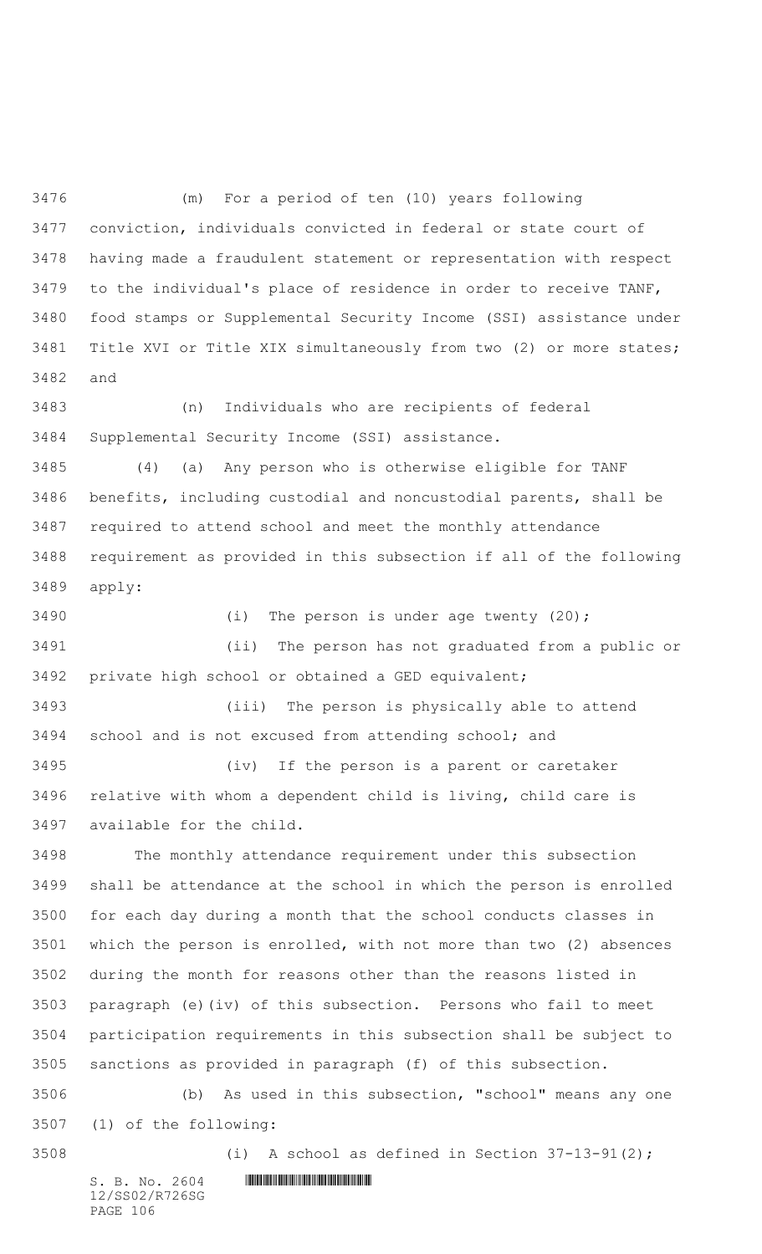(m) For a period of ten (10) years following conviction, individuals convicted in federal or state court of having made a fraudulent statement or representation with respect to the individual's place of residence in order to receive TANF, food stamps or Supplemental Security Income (SSI) assistance under Title XVI or Title XIX simultaneously from two (2) or more states; and

 (n) Individuals who are recipients of federal Supplemental Security Income (SSI) assistance.

 (4) (a) Any person who is otherwise eligible for TANF benefits, including custodial and noncustodial parents, shall be required to attend school and meet the monthly attendance requirement as provided in this subsection if all of the following apply:

 (i) The person is under age twenty (20); (ii) The person has not graduated from a public or private high school or obtained a GED equivalent;

 (iii) The person is physically able to attend school and is not excused from attending school; and

 (iv) If the person is a parent or caretaker relative with whom a dependent child is living, child care is available for the child.

 The monthly attendance requirement under this subsection shall be attendance at the school in which the person is enrolled for each day during a month that the school conducts classes in which the person is enrolled, with not more than two (2) absences during the month for reasons other than the reasons listed in paragraph (e)(iv) of this subsection. Persons who fail to meet participation requirements in this subsection shall be subject to sanctions as provided in paragraph (f) of this subsection.

 (b) As used in this subsection, "school" means any one (1) of the following:

(i) A school as defined in Section 37-13-91(2);

 $S. B. NO. 2604$  .  $M. 2604$ 12/SS02/R726SG PAGE 106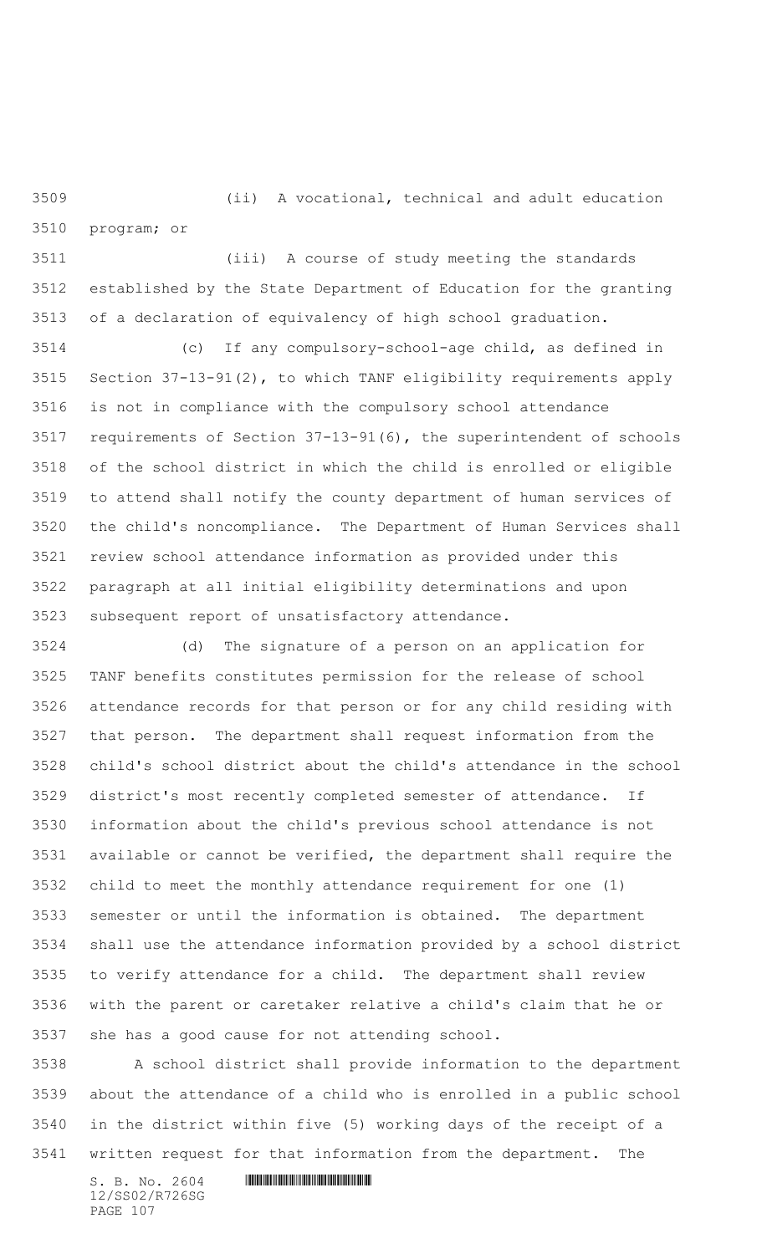(ii) A vocational, technical and adult education program; or

 (iii) A course of study meeting the standards established by the State Department of Education for the granting of a declaration of equivalency of high school graduation.

 (c) If any compulsory-school-age child, as defined in Section 37-13-91(2), to which TANF eligibility requirements apply is not in compliance with the compulsory school attendance requirements of Section 37-13-91(6), the superintendent of schools of the school district in which the child is enrolled or eligible to attend shall notify the county department of human services of the child's noncompliance. The Department of Human Services shall review school attendance information as provided under this paragraph at all initial eligibility determinations and upon subsequent report of unsatisfactory attendance.

 (d) The signature of a person on an application for TANF benefits constitutes permission for the release of school attendance records for that person or for any child residing with that person. The department shall request information from the child's school district about the child's attendance in the school district's most recently completed semester of attendance. If information about the child's previous school attendance is not available or cannot be verified, the department shall require the child to meet the monthly attendance requirement for one (1) semester or until the information is obtained. The department shall use the attendance information provided by a school district to verify attendance for a child. The department shall review with the parent or caretaker relative a child's claim that he or she has a good cause for not attending school.

 A school district shall provide information to the department about the attendance of a child who is enrolled in a public school in the district within five (5) working days of the receipt of a written request for that information from the department. The

12/SS02/R726SG PAGE 107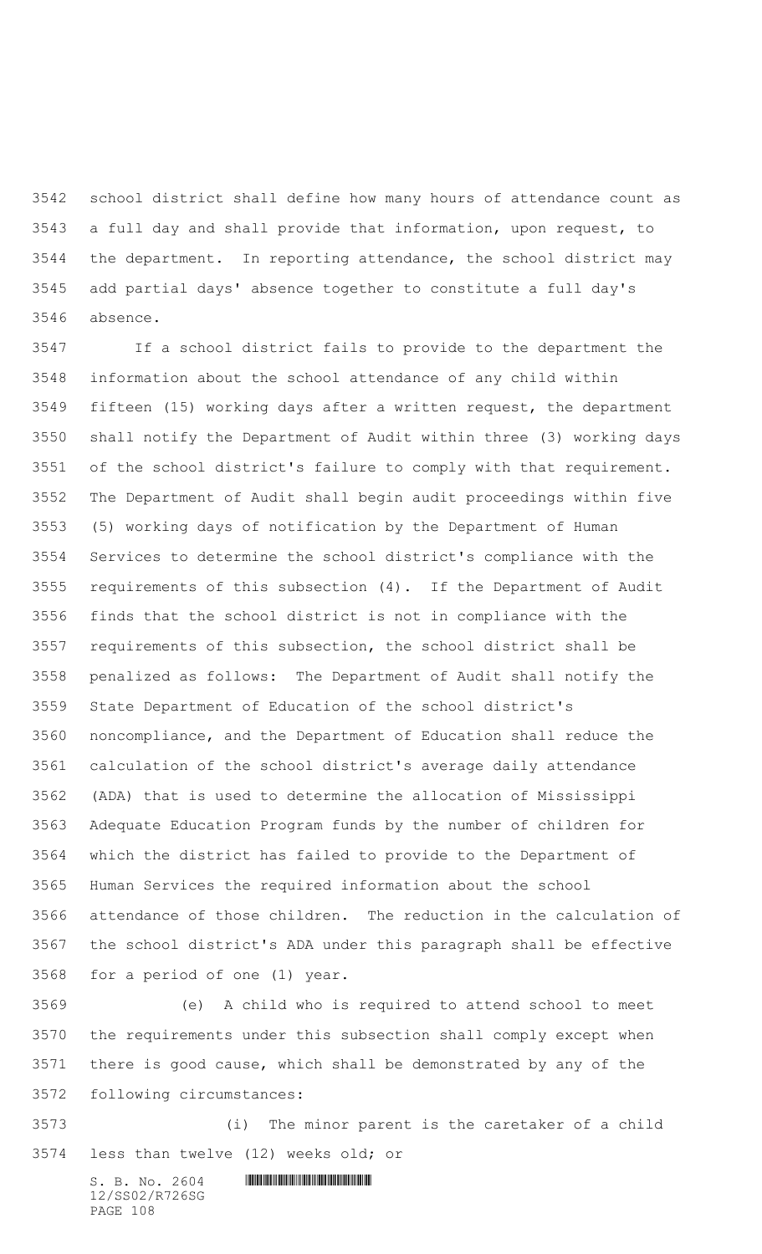school district shall define how many hours of attendance count as a full day and shall provide that information, upon request, to the department. In reporting attendance, the school district may add partial days' absence together to constitute a full day's absence.

 If a school district fails to provide to the department the information about the school attendance of any child within fifteen (15) working days after a written request, the department shall notify the Department of Audit within three (3) working days of the school district's failure to comply with that requirement. The Department of Audit shall begin audit proceedings within five (5) working days of notification by the Department of Human Services to determine the school district's compliance with the requirements of this subsection (4). If the Department of Audit finds that the school district is not in compliance with the requirements of this subsection, the school district shall be penalized as follows: The Department of Audit shall notify the State Department of Education of the school district's noncompliance, and the Department of Education shall reduce the calculation of the school district's average daily attendance (ADA) that is used to determine the allocation of Mississippi Adequate Education Program funds by the number of children for which the district has failed to provide to the Department of Human Services the required information about the school attendance of those children. The reduction in the calculation of the school district's ADA under this paragraph shall be effective for a period of one (1) year.

 (e) A child who is required to attend school to meet the requirements under this subsection shall comply except when there is good cause, which shall be demonstrated by any of the following circumstances:

 (i) The minor parent is the caretaker of a child less than twelve (12) weeks old; or

 $S. B. No. 2604$  . The set of the set of  $S. B. N \circ A$ 12/SS02/R726SG PAGE 108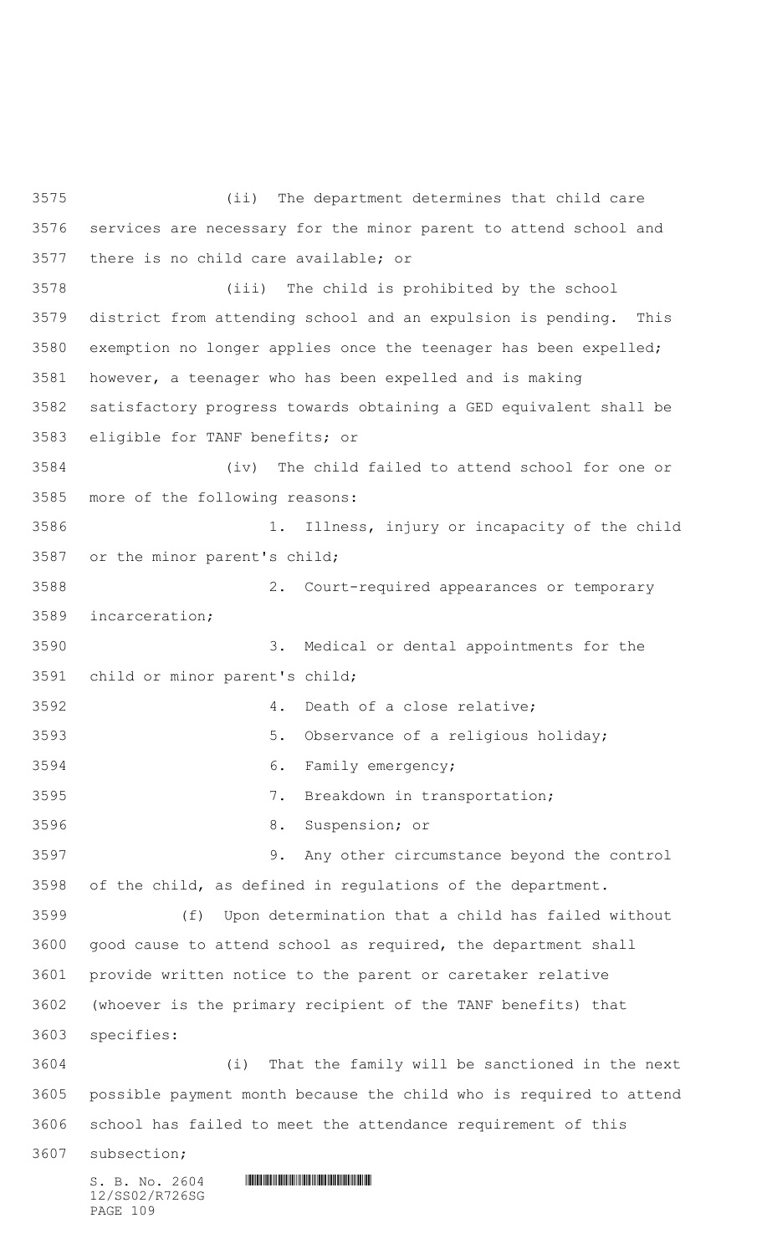$S. B. NO. 2604$  .  $M. 2604$ 12/SS02/R726SG (ii) The department determines that child care services are necessary for the minor parent to attend school and there is no child care available; or (iii) The child is prohibited by the school district from attending school and an expulsion is pending. This exemption no longer applies once the teenager has been expelled; however, a teenager who has been expelled and is making satisfactory progress towards obtaining a GED equivalent shall be eligible for TANF benefits; or (iv) The child failed to attend school for one or more of the following reasons: 1. Illness, injury or incapacity of the child or the minor parent's child; 2. Court-required appearances or temporary incarceration; 3. Medical or dental appointments for the child or minor parent's child; 4. Death of a close relative; 5. Observance of a religious holiday; 6. Family emergency; 7. Breakdown in transportation; 8. Suspension; or 9. Any other circumstance beyond the control of the child, as defined in regulations of the department. (f) Upon determination that a child has failed without good cause to attend school as required, the department shall provide written notice to the parent or caretaker relative (whoever is the primary recipient of the TANF benefits) that specifies: (i) That the family will be sanctioned in the next possible payment month because the child who is required to attend school has failed to meet the attendance requirement of this subsection;

PAGE 109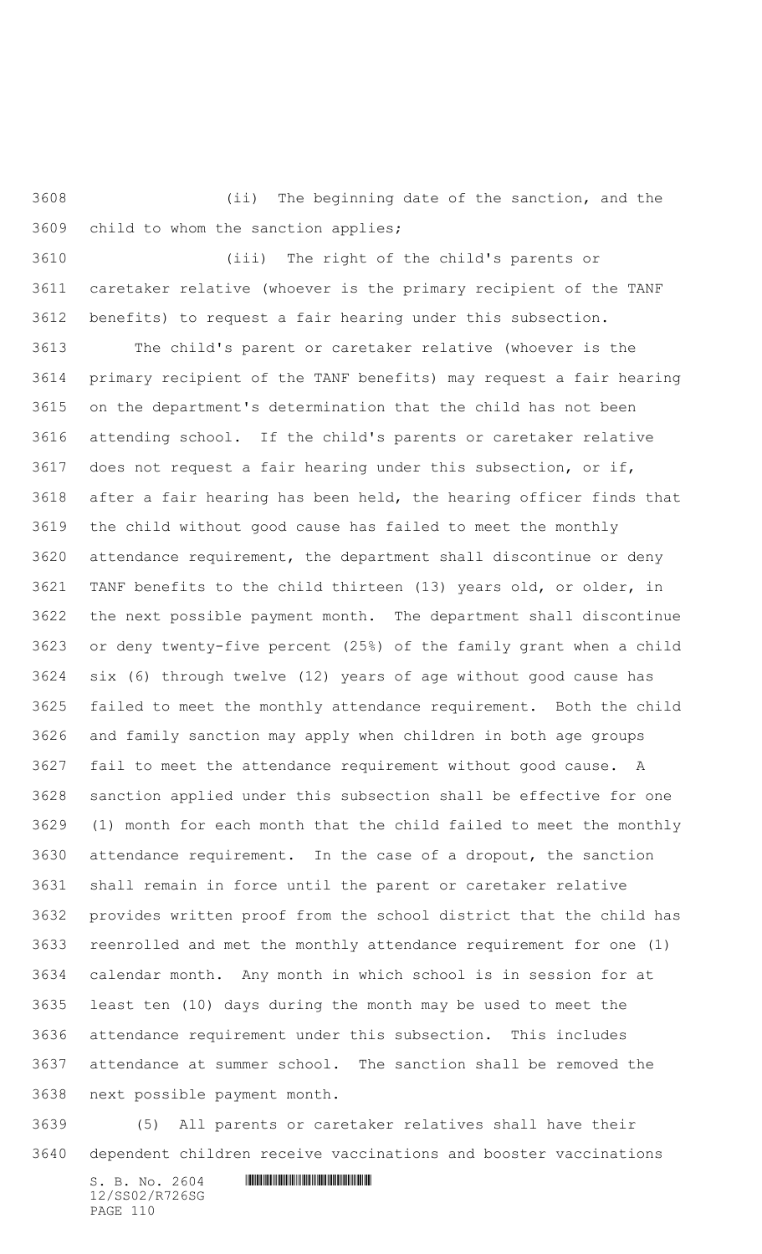(ii) The beginning date of the sanction, and the child to whom the sanction applies;

 (iii) The right of the child's parents or caretaker relative (whoever is the primary recipient of the TANF benefits) to request a fair hearing under this subsection.

 The child's parent or caretaker relative (whoever is the primary recipient of the TANF benefits) may request a fair hearing on the department's determination that the child has not been attending school. If the child's parents or caretaker relative does not request a fair hearing under this subsection, or if, after a fair hearing has been held, the hearing officer finds that the child without good cause has failed to meet the monthly attendance requirement, the department shall discontinue or deny TANF benefits to the child thirteen (13) years old, or older, in the next possible payment month. The department shall discontinue or deny twenty-five percent (25%) of the family grant when a child six (6) through twelve (12) years of age without good cause has failed to meet the monthly attendance requirement. Both the child and family sanction may apply when children in both age groups fail to meet the attendance requirement without good cause. A sanction applied under this subsection shall be effective for one (1) month for each month that the child failed to meet the monthly attendance requirement. In the case of a dropout, the sanction shall remain in force until the parent or caretaker relative provides written proof from the school district that the child has reenrolled and met the monthly attendance requirement for one (1) calendar month. Any month in which school is in session for at least ten (10) days during the month may be used to meet the attendance requirement under this subsection. This includes attendance at summer school. The sanction shall be removed the next possible payment month.

 (5) All parents or caretaker relatives shall have their dependent children receive vaccinations and booster vaccinations

 $S. B. No. 2604$  . The set of the set of  $S. B. N_{O.} 2604$ 12/SS02/R726SG PAGE 110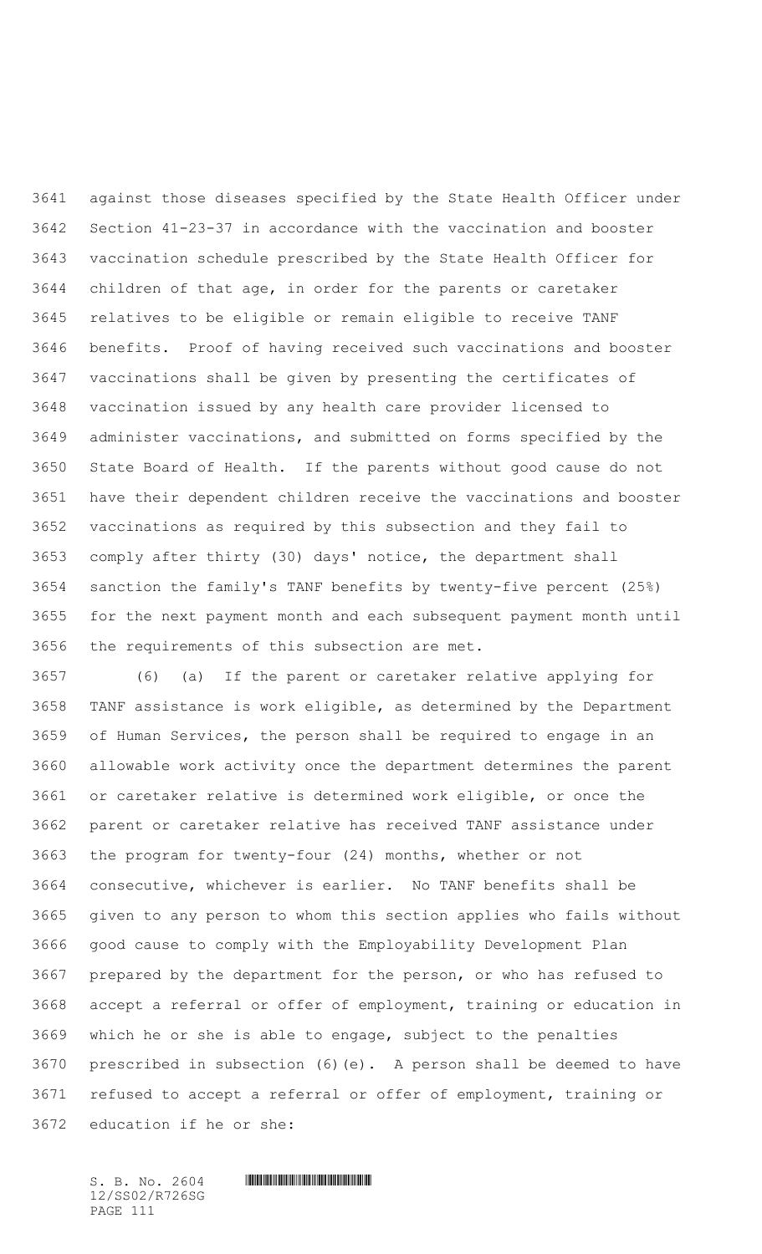against those diseases specified by the State Health Officer under Section 41-23-37 in accordance with the vaccination and booster vaccination schedule prescribed by the State Health Officer for children of that age, in order for the parents or caretaker relatives to be eligible or remain eligible to receive TANF benefits. Proof of having received such vaccinations and booster vaccinations shall be given by presenting the certificates of vaccination issued by any health care provider licensed to administer vaccinations, and submitted on forms specified by the State Board of Health. If the parents without good cause do not have their dependent children receive the vaccinations and booster vaccinations as required by this subsection and they fail to comply after thirty (30) days' notice, the department shall sanction the family's TANF benefits by twenty-five percent (25%) for the next payment month and each subsequent payment month until the requirements of this subsection are met.

 (6) (a) If the parent or caretaker relative applying for TANF assistance is work eligible, as determined by the Department of Human Services, the person shall be required to engage in an allowable work activity once the department determines the parent or caretaker relative is determined work eligible, or once the parent or caretaker relative has received TANF assistance under the program for twenty-four (24) months, whether or not consecutive, whichever is earlier. No TANF benefits shall be given to any person to whom this section applies who fails without good cause to comply with the Employability Development Plan prepared by the department for the person, or who has refused to accept a referral or offer of employment, training or education in which he or she is able to engage, subject to the penalties prescribed in subsection (6)(e). A person shall be deemed to have refused to accept a referral or offer of employment, training or education if he or she:

12/SS02/R726SG PAGE 111

 $S. B. No. 2604$  . The set of the set of  $S. B. N \circ A$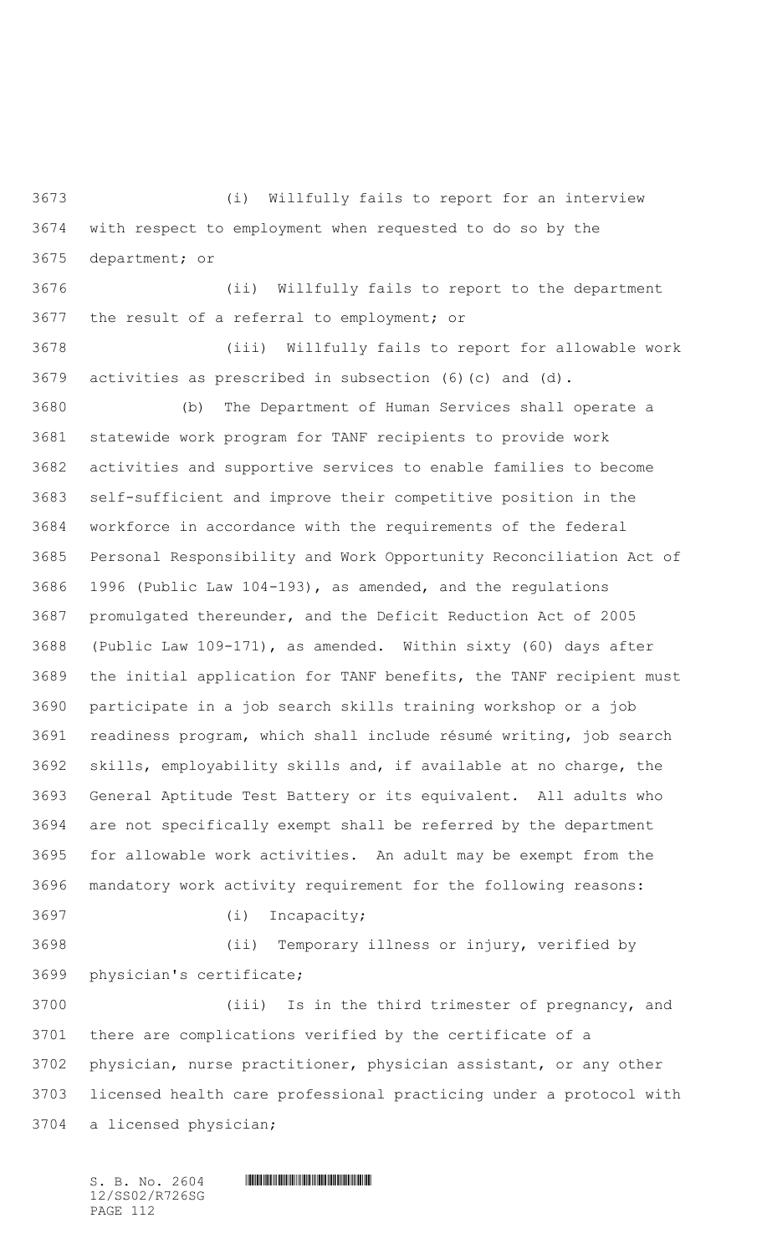(i) Willfully fails to report for an interview with respect to employment when requested to do so by the department; or

 (ii) Willfully fails to report to the department the result of a referral to employment; or

 (iii) Willfully fails to report for allowable work activities as prescribed in subsection (6)(c) and (d).

 (b) The Department of Human Services shall operate a statewide work program for TANF recipients to provide work activities and supportive services to enable families to become self-sufficient and improve their competitive position in the workforce in accordance with the requirements of the federal Personal Responsibility and Work Opportunity Reconciliation Act of 1996 (Public Law 104-193), as amended, and the regulations promulgated thereunder, and the Deficit Reduction Act of 2005 (Public Law 109-171), as amended. Within sixty (60) days after the initial application for TANF benefits, the TANF recipient must participate in a job search skills training workshop or a job readiness program, which shall include résumé writing, job search skills, employability skills and, if available at no charge, the General Aptitude Test Battery or its equivalent. All adults who are not specifically exempt shall be referred by the department for allowable work activities. An adult may be exempt from the mandatory work activity requirement for the following reasons: (i) Incapacity;

 (ii) Temporary illness or injury, verified by physician's certificate;

 (iii) Is in the third trimester of pregnancy, and there are complications verified by the certificate of a physician, nurse practitioner, physician assistant, or any other licensed health care professional practicing under a protocol with a licensed physician;

 $S. B. No. 2604$  .  $M. 2604$ 12/SS02/R726SG PAGE 112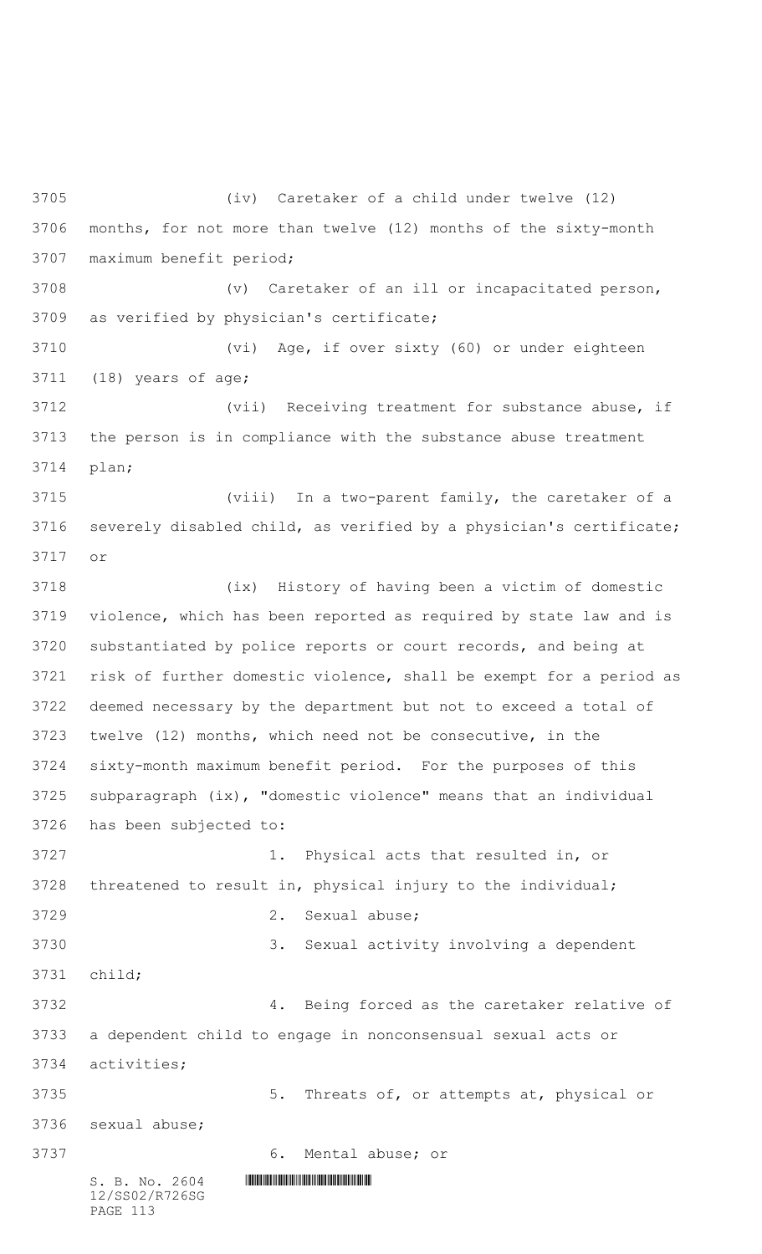$S. B. NO. 2604$  .  $M. 2604$ 12/SS02/R726SG PAGE 113 (iv) Caretaker of a child under twelve (12) months, for not more than twelve (12) months of the sixty-month maximum benefit period; (v) Caretaker of an ill or incapacitated person, as verified by physician's certificate; (vi) Age, if over sixty (60) or under eighteen (18) years of age; (vii) Receiving treatment for substance abuse, if the person is in compliance with the substance abuse treatment plan; (viii) In a two-parent family, the caretaker of a severely disabled child, as verified by a physician's certificate; or (ix) History of having been a victim of domestic violence, which has been reported as required by state law and is substantiated by police reports or court records, and being at risk of further domestic violence, shall be exempt for a period as deemed necessary by the department but not to exceed a total of twelve (12) months, which need not be consecutive, in the sixty-month maximum benefit period. For the purposes of this subparagraph (ix), "domestic violence" means that an individual has been subjected to: 1. Physical acts that resulted in, or threatened to result in, physical injury to the individual; 2. Sexual abuse; 3. Sexual activity involving a dependent child; 4. Being forced as the caretaker relative of a dependent child to engage in nonconsensual sexual acts or activities; 5. Threats of, or attempts at, physical or sexual abuse; 6. Mental abuse; or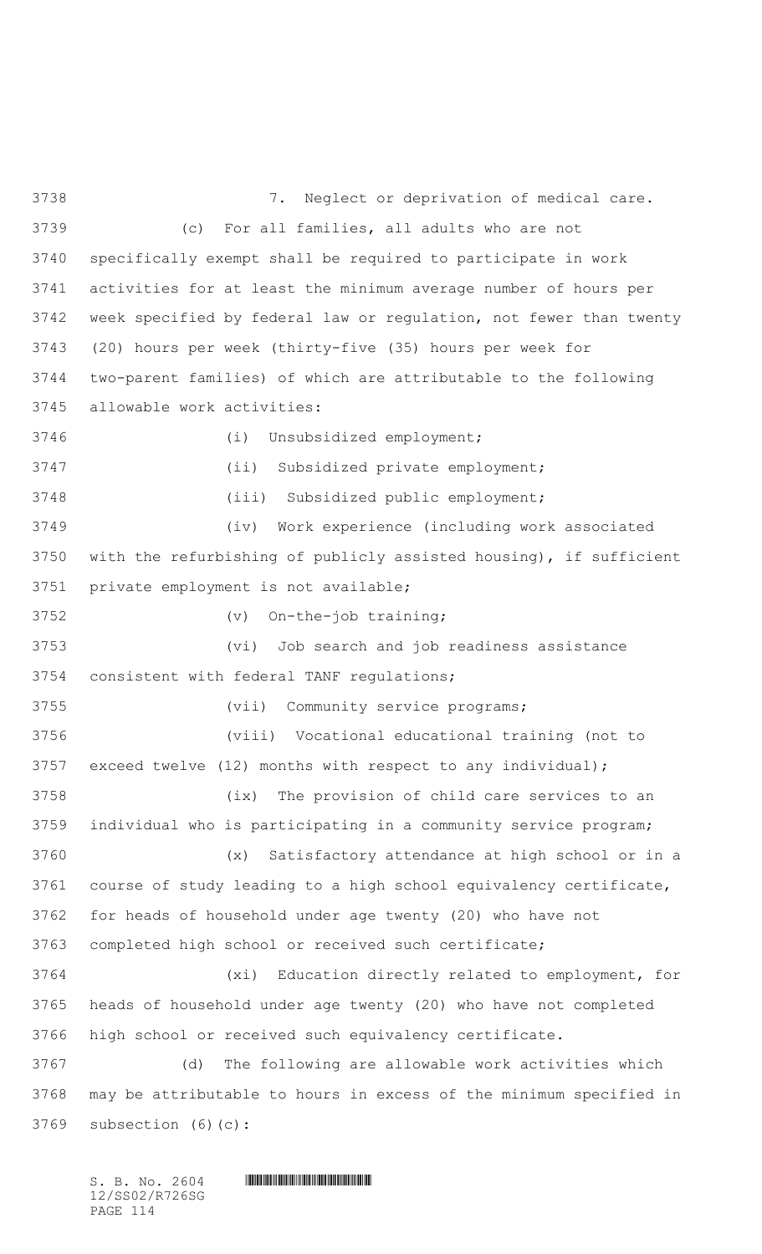7. Neglect or deprivation of medical care. (c) For all families, all adults who are not specifically exempt shall be required to participate in work activities for at least the minimum average number of hours per week specified by federal law or regulation, not fewer than twenty (20) hours per week (thirty-five (35) hours per week for two-parent families) of which are attributable to the following allowable work activities: (i) Unsubsidized employment; (ii) Subsidized private employment; (iii) Subsidized public employment; (iv) Work experience (including work associated with the refurbishing of publicly assisted housing), if sufficient private employment is not available; (v) On-the-job training; (vi) Job search and job readiness assistance consistent with federal TANF regulations; (vii) Community service programs; (viii) Vocational educational training (not to exceed twelve (12) months with respect to any individual); (ix) The provision of child care services to an individual who is participating in a community service program; (x) Satisfactory attendance at high school or in a course of study leading to a high school equivalency certificate, for heads of household under age twenty (20) who have not completed high school or received such certificate; (xi) Education directly related to employment, for heads of household under age twenty (20) who have not completed high school or received such equivalency certificate. (d) The following are allowable work activities which may be attributable to hours in excess of the minimum specified in subsection (6)(c):

 $S. B. No. 2604$  .  $M. 2604$ 12/SS02/R726SG PAGE 114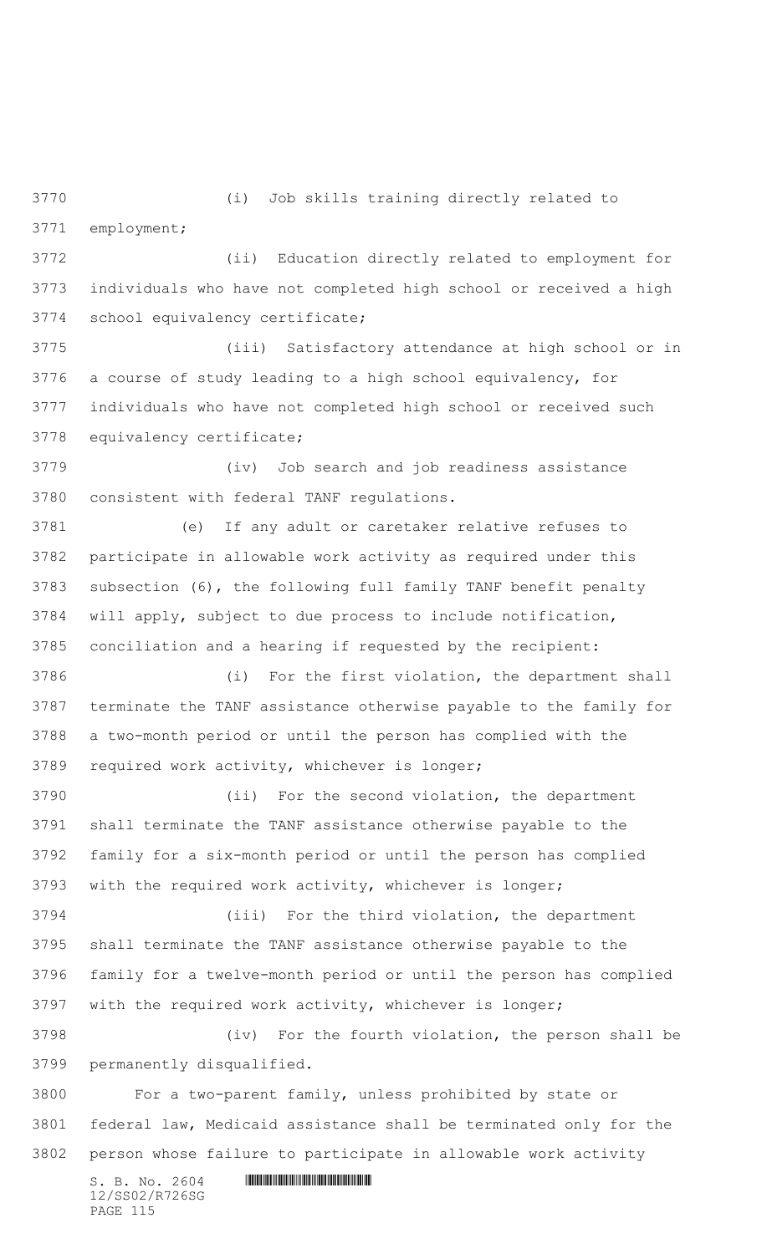(i) Job skills training directly related to

employment;

 (ii) Education directly related to employment for individuals who have not completed high school or received a high school equivalency certificate;

 (iii) Satisfactory attendance at high school or in a course of study leading to a high school equivalency, for individuals who have not completed high school or received such equivalency certificate;

 (iv) Job search and job readiness assistance consistent with federal TANF regulations.

 (e) If any adult or caretaker relative refuses to participate in allowable work activity as required under this subsection (6), the following full family TANF benefit penalty will apply, subject to due process to include notification, conciliation and a hearing if requested by the recipient:

 (i) For the first violation, the department shall terminate the TANF assistance otherwise payable to the family for a two-month period or until the person has complied with the required work activity, whichever is longer;

 (ii) For the second violation, the department shall terminate the TANF assistance otherwise payable to the family for a six-month period or until the person has complied with the required work activity, whichever is longer;

 (iii) For the third violation, the department shall terminate the TANF assistance otherwise payable to the family for a twelve-month period or until the person has complied with the required work activity, whichever is longer;

 (iv) For the fourth violation, the person shall be permanently disqualified.

 For a two-parent family, unless prohibited by state or federal law, Medicaid assistance shall be terminated only for the person whose failure to participate in allowable work activity

 $S. B. No. 2604$  .  $M. 2604$ 12/SS02/R726SG PAGE 115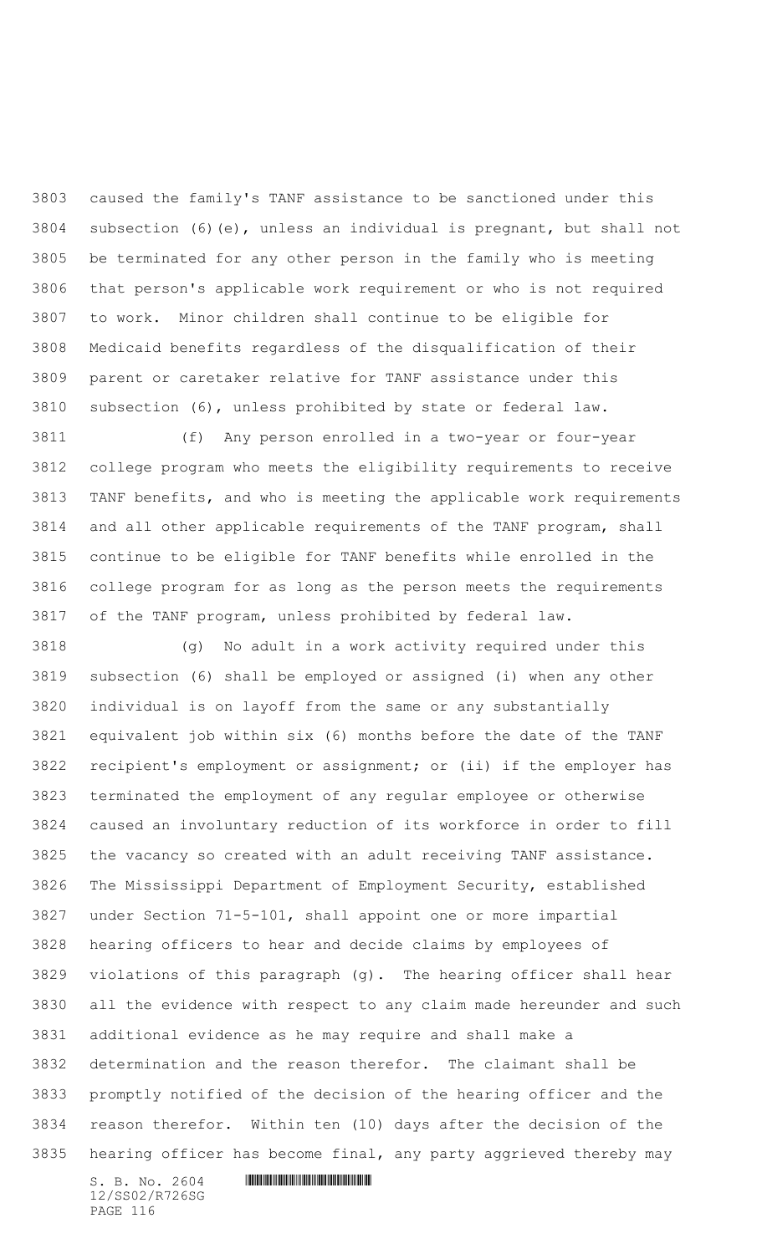caused the family's TANF assistance to be sanctioned under this subsection (6)(e), unless an individual is pregnant, but shall not be terminated for any other person in the family who is meeting that person's applicable work requirement or who is not required to work. Minor children shall continue to be eligible for Medicaid benefits regardless of the disqualification of their parent or caretaker relative for TANF assistance under this subsection (6), unless prohibited by state or federal law.

 (f) Any person enrolled in a two-year or four-year college program who meets the eligibility requirements to receive TANF benefits, and who is meeting the applicable work requirements and all other applicable requirements of the TANF program, shall continue to be eligible for TANF benefits while enrolled in the college program for as long as the person meets the requirements of the TANF program, unless prohibited by federal law.

 (g) No adult in a work activity required under this subsection (6) shall be employed or assigned (i) when any other individual is on layoff from the same or any substantially equivalent job within six (6) months before the date of the TANF recipient's employment or assignment; or (ii) if the employer has terminated the employment of any regular employee or otherwise caused an involuntary reduction of its workforce in order to fill the vacancy so created with an adult receiving TANF assistance. The Mississippi Department of Employment Security, established under Section 71-5-101, shall appoint one or more impartial hearing officers to hear and decide claims by employees of violations of this paragraph (g). The hearing officer shall hear all the evidence with respect to any claim made hereunder and such additional evidence as he may require and shall make a determination and the reason therefor. The claimant shall be promptly notified of the decision of the hearing officer and the reason therefor. Within ten (10) days after the decision of the hearing officer has become final, any party aggrieved thereby may

 $S. B. No. 2604$  . The set of the set of  $S. B. N \circ A$ 12/SS02/R726SG PAGE 116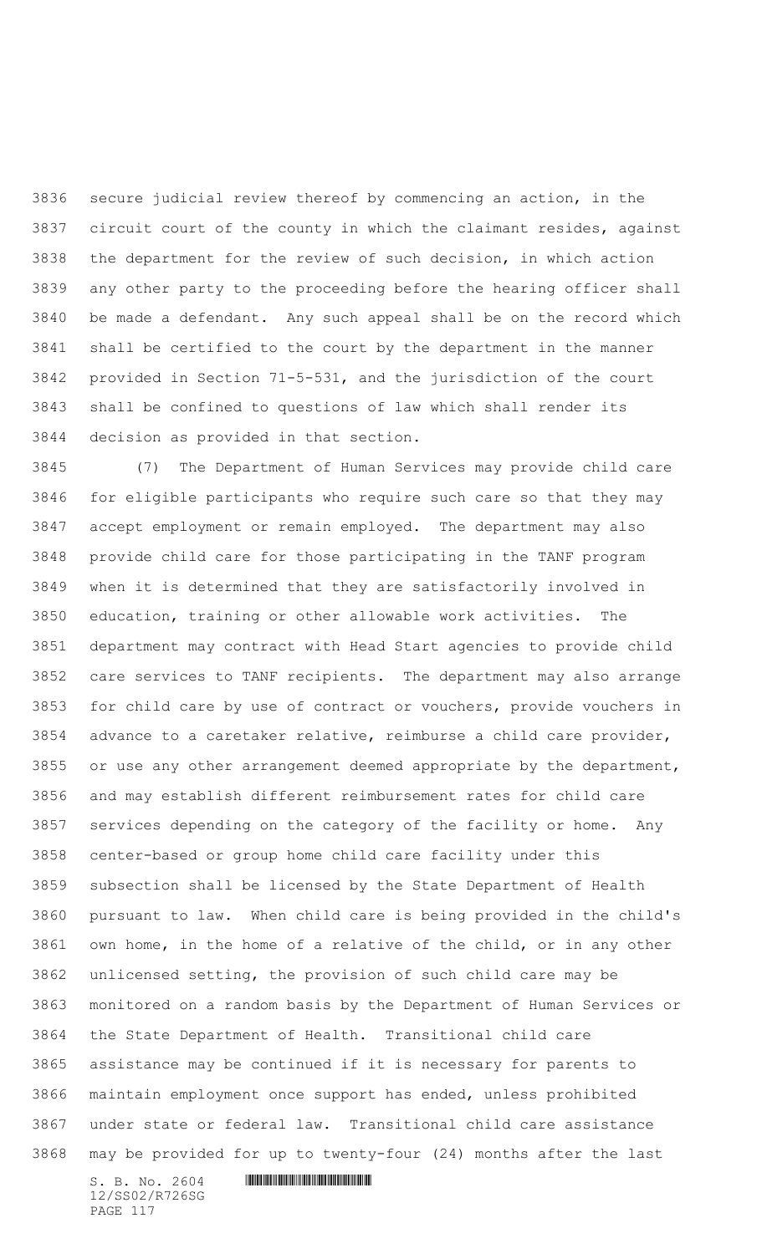secure judicial review thereof by commencing an action, in the circuit court of the county in which the claimant resides, against the department for the review of such decision, in which action any other party to the proceeding before the hearing officer shall be made a defendant. Any such appeal shall be on the record which shall be certified to the court by the department in the manner provided in Section 71-5-531, and the jurisdiction of the court shall be confined to questions of law which shall render its decision as provided in that section.

 (7) The Department of Human Services may provide child care for eligible participants who require such care so that they may accept employment or remain employed. The department may also provide child care for those participating in the TANF program when it is determined that they are satisfactorily involved in education, training or other allowable work activities. The department may contract with Head Start agencies to provide child care services to TANF recipients. The department may also arrange for child care by use of contract or vouchers, provide vouchers in advance to a caretaker relative, reimburse a child care provider, or use any other arrangement deemed appropriate by the department, and may establish different reimbursement rates for child care services depending on the category of the facility or home. Any center-based or group home child care facility under this subsection shall be licensed by the State Department of Health pursuant to law. When child care is being provided in the child's own home, in the home of a relative of the child, or in any other unlicensed setting, the provision of such child care may be monitored on a random basis by the Department of Human Services or the State Department of Health. Transitional child care assistance may be continued if it is necessary for parents to maintain employment once support has ended, unless prohibited under state or federal law. Transitional child care assistance may be provided for up to twenty-four (24) months after the last

12/SS02/R726SG PAGE 117

 $S. B. No. 2604$  .  $M. 2604$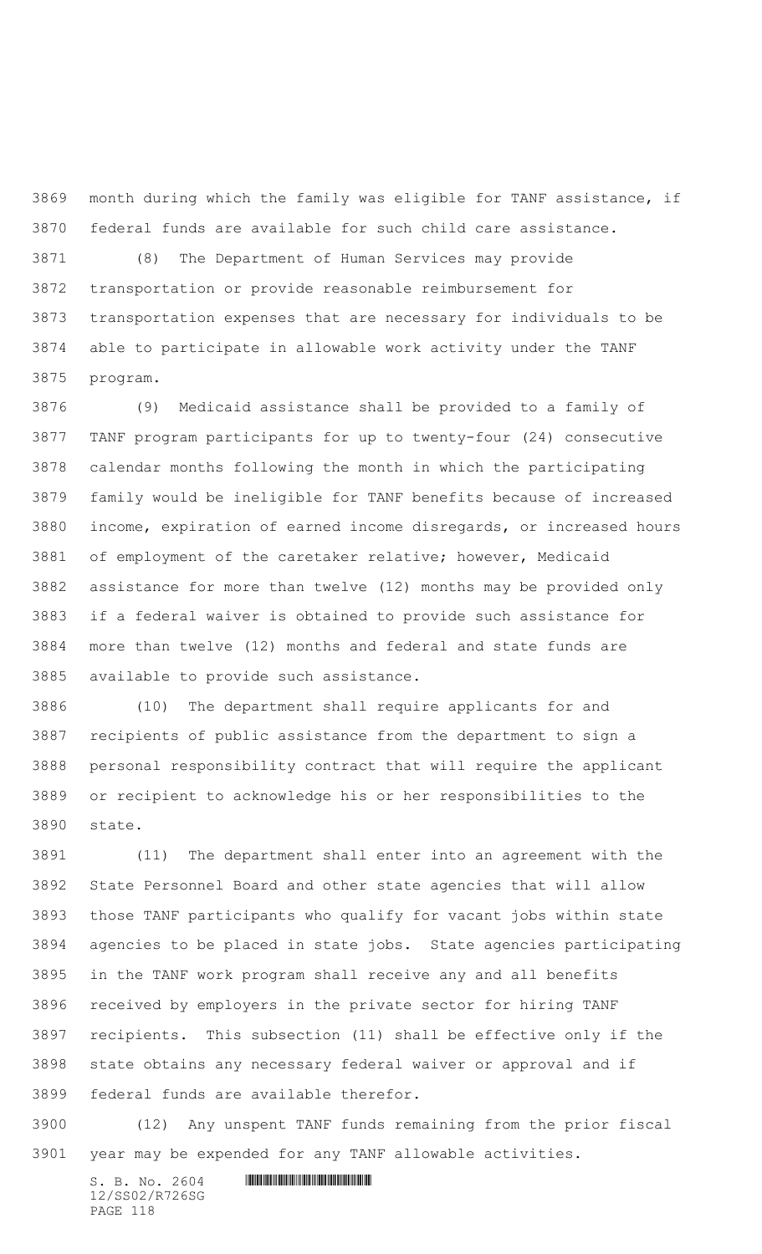month during which the family was eligible for TANF assistance, if federal funds are available for such child care assistance.

 (8) The Department of Human Services may provide transportation or provide reasonable reimbursement for transportation expenses that are necessary for individuals to be able to participate in allowable work activity under the TANF program.

 (9) Medicaid assistance shall be provided to a family of TANF program participants for up to twenty-four (24) consecutive calendar months following the month in which the participating family would be ineligible for TANF benefits because of increased income, expiration of earned income disregards, or increased hours of employment of the caretaker relative; however, Medicaid assistance for more than twelve (12) months may be provided only if a federal waiver is obtained to provide such assistance for more than twelve (12) months and federal and state funds are available to provide such assistance.

 (10) The department shall require applicants for and recipients of public assistance from the department to sign a personal responsibility contract that will require the applicant or recipient to acknowledge his or her responsibilities to the state.

 (11) The department shall enter into an agreement with the State Personnel Board and other state agencies that will allow those TANF participants who qualify for vacant jobs within state agencies to be placed in state jobs. State agencies participating in the TANF work program shall receive any and all benefits received by employers in the private sector for hiring TANF recipients. This subsection (11) shall be effective only if the state obtains any necessary federal waiver or approval and if federal funds are available therefor.

 (12) Any unspent TANF funds remaining from the prior fiscal year may be expended for any TANF allowable activities.

 $S. B. No. 2604$  . The set of the set of  $S. B. N_{O.} 2604$ 12/SS02/R726SG PAGE 118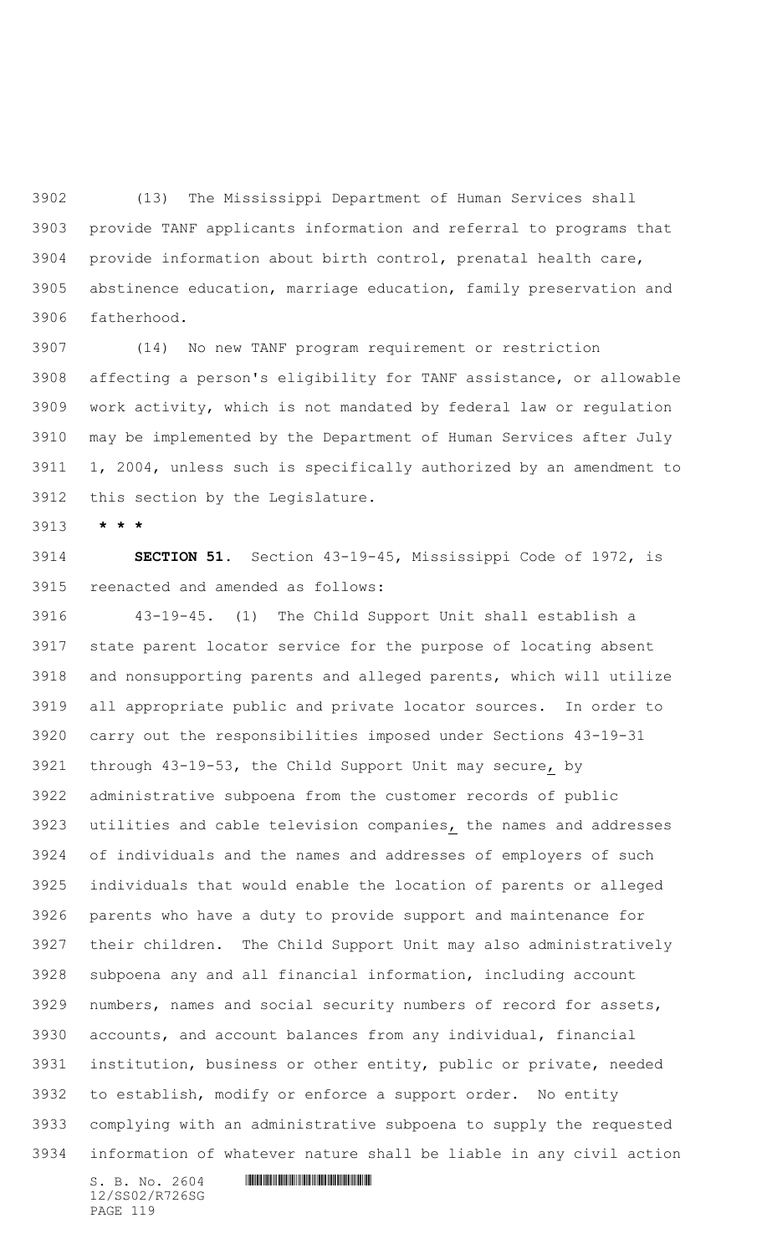(13) The Mississippi Department of Human Services shall provide TANF applicants information and referral to programs that provide information about birth control, prenatal health care, abstinence education, marriage education, family preservation and fatherhood.

 (14) No new TANF program requirement or restriction affecting a person's eligibility for TANF assistance, or allowable work activity, which is not mandated by federal law or regulation may be implemented by the Department of Human Services after July 1, 2004, unless such is specifically authorized by an amendment to this section by the Legislature.

**\* \* \***

 **SECTION 51.** Section 43-19-45, Mississippi Code of 1972, is reenacted and amended as follows:

 43-19-45. (1) The Child Support Unit shall establish a state parent locator service for the purpose of locating absent and nonsupporting parents and alleged parents, which will utilize all appropriate public and private locator sources. In order to carry out the responsibilities imposed under Sections 43-19-31 through 43-19-53, the Child Support Unit may secure, by administrative subpoena from the customer records of public utilities and cable television companies, the names and addresses of individuals and the names and addresses of employers of such individuals that would enable the location of parents or alleged parents who have a duty to provide support and maintenance for their children. The Child Support Unit may also administratively subpoena any and all financial information, including account numbers, names and social security numbers of record for assets, accounts, and account balances from any individual, financial institution, business or other entity, public or private, needed to establish, modify or enforce a support order. No entity complying with an administrative subpoena to supply the requested information of whatever nature shall be liable in any civil action

12/SS02/R726SG PAGE 119

 $S. B. No. 2604$  . The set of the set of  $S. B. N \circ A$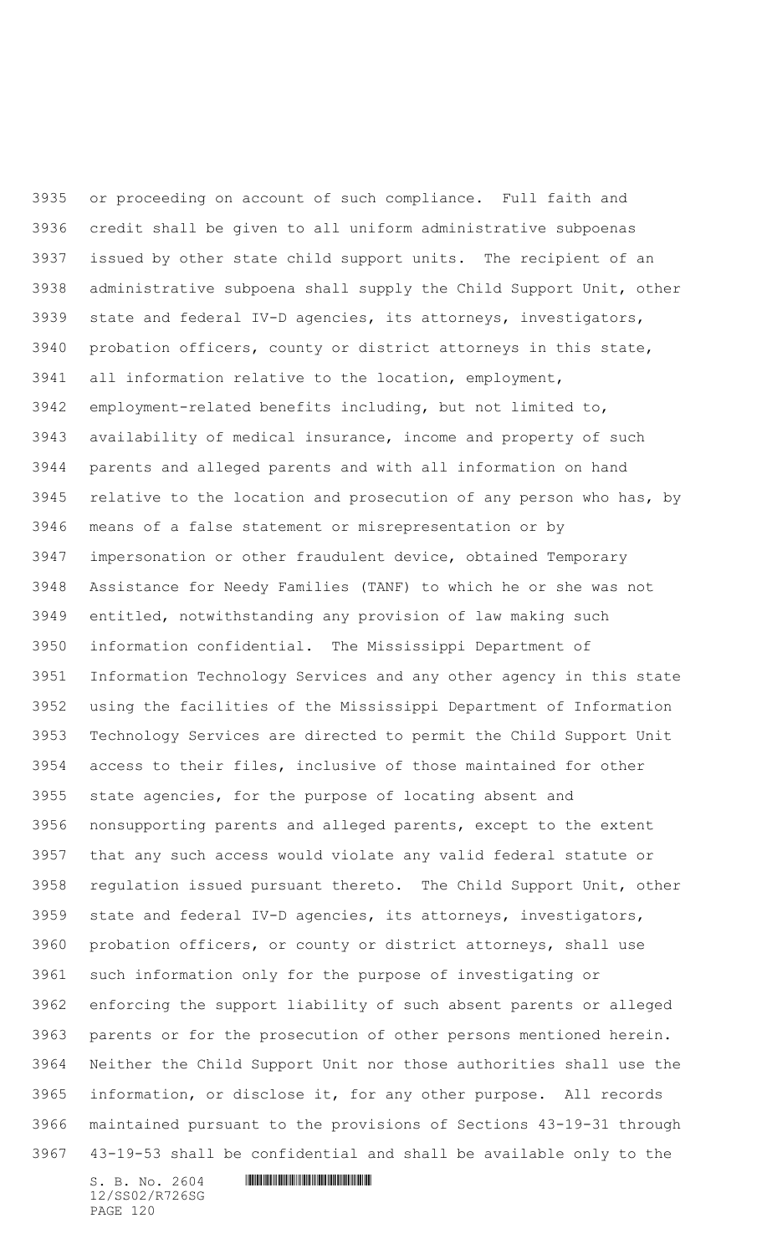or proceeding on account of such compliance. Full faith and credit shall be given to all uniform administrative subpoenas issued by other state child support units. The recipient of an administrative subpoena shall supply the Child Support Unit, other state and federal IV-D agencies, its attorneys, investigators, probation officers, county or district attorneys in this state, all information relative to the location, employment, employment-related benefits including, but not limited to, availability of medical insurance, income and property of such parents and alleged parents and with all information on hand relative to the location and prosecution of any person who has, by means of a false statement or misrepresentation or by impersonation or other fraudulent device, obtained Temporary Assistance for Needy Families (TANF) to which he or she was not entitled, notwithstanding any provision of law making such information confidential. The Mississippi Department of Information Technology Services and any other agency in this state using the facilities of the Mississippi Department of Information Technology Services are directed to permit the Child Support Unit access to their files, inclusive of those maintained for other state agencies, for the purpose of locating absent and nonsupporting parents and alleged parents, except to the extent that any such access would violate any valid federal statute or regulation issued pursuant thereto. The Child Support Unit, other state and federal IV-D agencies, its attorneys, investigators, probation officers, or county or district attorneys, shall use such information only for the purpose of investigating or enforcing the support liability of such absent parents or alleged parents or for the prosecution of other persons mentioned herein. Neither the Child Support Unit nor those authorities shall use the information, or disclose it, for any other purpose. All records maintained pursuant to the provisions of Sections 43-19-31 through 43-19-53 shall be confidential and shall be available only to the

 $S. B. NO. 2604$  .  $M. 2604$ 12/SS02/R726SG PAGE 120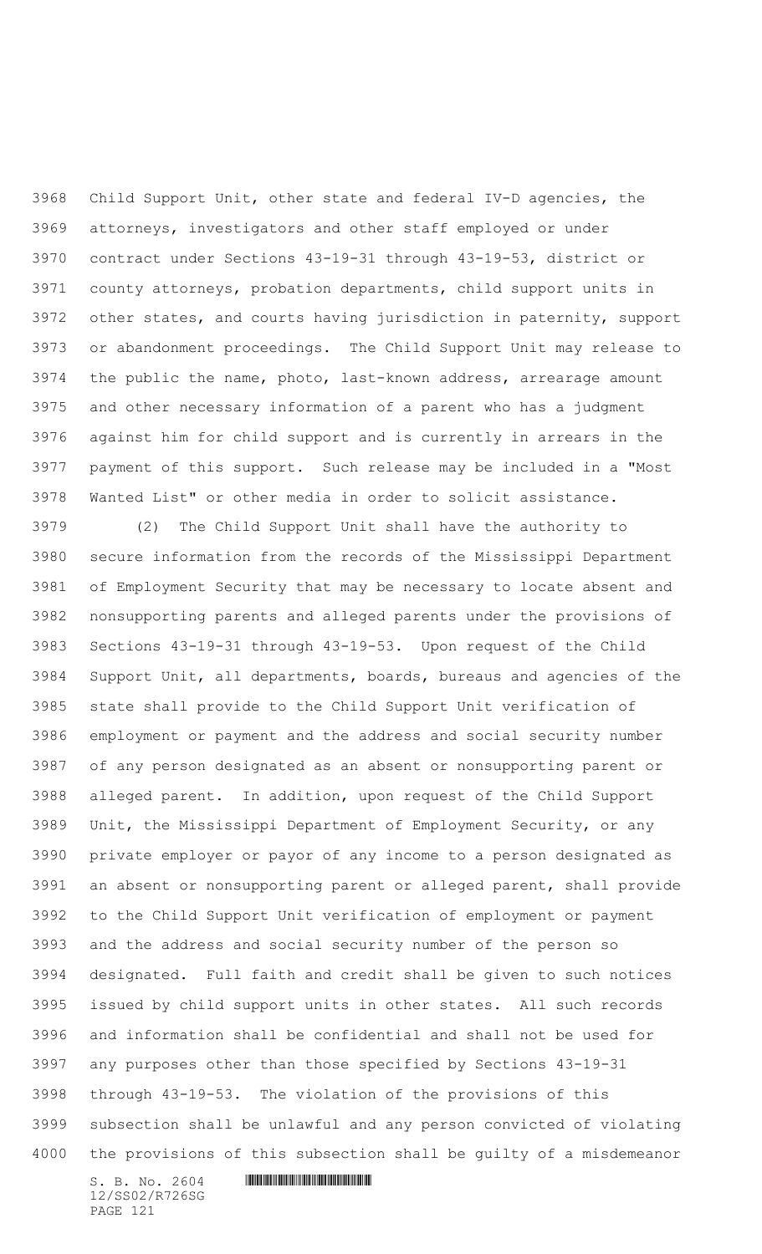Child Support Unit, other state and federal IV-D agencies, the attorneys, investigators and other staff employed or under contract under Sections 43-19-31 through 43-19-53, district or county attorneys, probation departments, child support units in other states, and courts having jurisdiction in paternity, support or abandonment proceedings. The Child Support Unit may release to the public the name, photo, last-known address, arrearage amount and other necessary information of a parent who has a judgment against him for child support and is currently in arrears in the payment of this support. Such release may be included in a "Most Wanted List" or other media in order to solicit assistance.

 (2) The Child Support Unit shall have the authority to secure information from the records of the Mississippi Department of Employment Security that may be necessary to locate absent and nonsupporting parents and alleged parents under the provisions of Sections 43-19-31 through 43-19-53. Upon request of the Child Support Unit, all departments, boards, bureaus and agencies of the state shall provide to the Child Support Unit verification of employment or payment and the address and social security number of any person designated as an absent or nonsupporting parent or alleged parent. In addition, upon request of the Child Support Unit, the Mississippi Department of Employment Security, or any private employer or payor of any income to a person designated as an absent or nonsupporting parent or alleged parent, shall provide to the Child Support Unit verification of employment or payment and the address and social security number of the person so designated. Full faith and credit shall be given to such notices issued by child support units in other states. All such records and information shall be confidential and shall not be used for any purposes other than those specified by Sections 43-19-31 through 43-19-53. The violation of the provisions of this subsection shall be unlawful and any person convicted of violating the provisions of this subsection shall be guilty of a misdemeanor

12/SS02/R726SG PAGE 121

```
S. B. NO. 2604 . M. 2604
```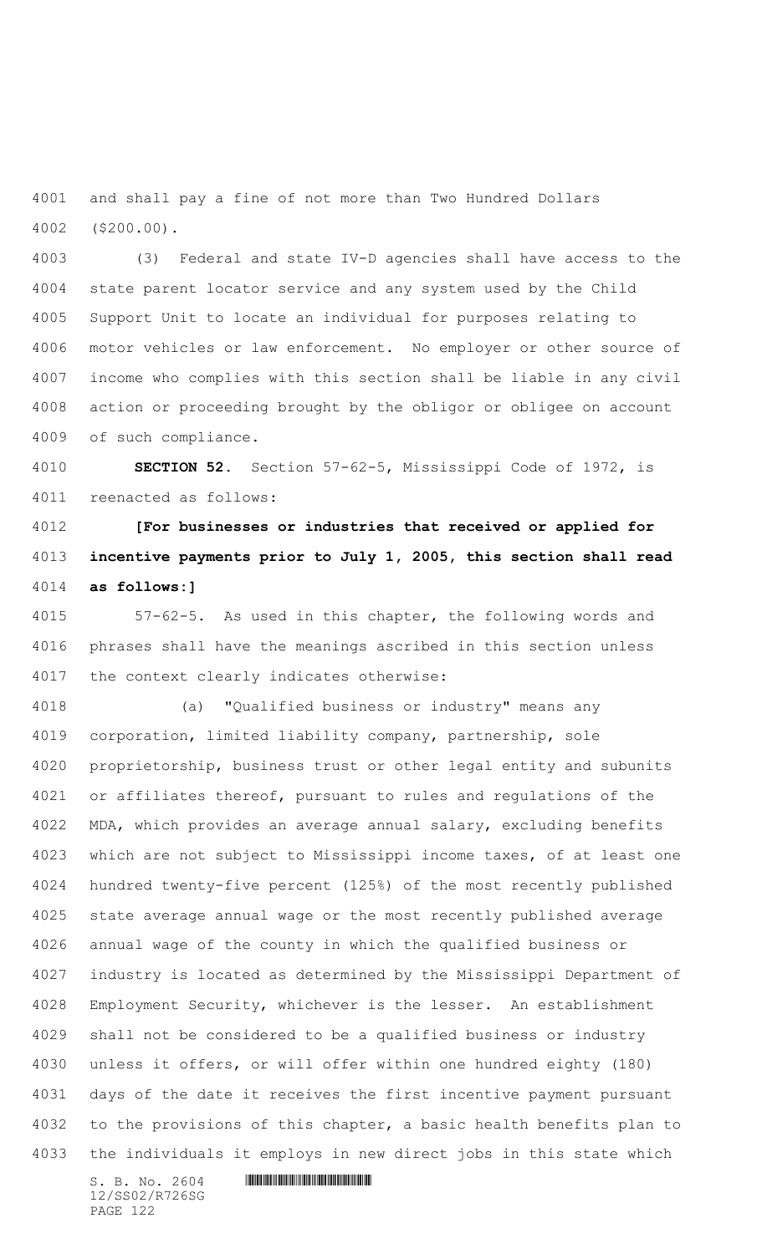and shall pay a fine of not more than Two Hundred Dollars (\$200.00).

 (3) Federal and state IV-D agencies shall have access to the state parent locator service and any system used by the Child Support Unit to locate an individual for purposes relating to motor vehicles or law enforcement. No employer or other source of income who complies with this section shall be liable in any civil action or proceeding brought by the obligor or obligee on account of such compliance.

 **SECTION 52.** Section 57-62-5, Mississippi Code of 1972, is reenacted as follows:

 **[For businesses or industries that received or applied for incentive payments prior to July 1, 2005, this section shall read as follows:]**

 57-62-5. As used in this chapter, the following words and phrases shall have the meanings ascribed in this section unless the context clearly indicates otherwise:

 (a) "Qualified business or industry" means any corporation, limited liability company, partnership, sole proprietorship, business trust or other legal entity and subunits or affiliates thereof, pursuant to rules and regulations of the MDA, which provides an average annual salary, excluding benefits which are not subject to Mississippi income taxes, of at least one hundred twenty-five percent (125%) of the most recently published state average annual wage or the most recently published average annual wage of the county in which the qualified business or industry is located as determined by the Mississippi Department of Employment Security, whichever is the lesser. An establishment shall not be considered to be a qualified business or industry unless it offers, or will offer within one hundred eighty (180) days of the date it receives the first incentive payment pursuant to the provisions of this chapter, a basic health benefits plan to the individuals it employs in new direct jobs in this state which

12/SS02/R726SG PAGE 122

```
S. B. NO. 2604 . M. 2604
```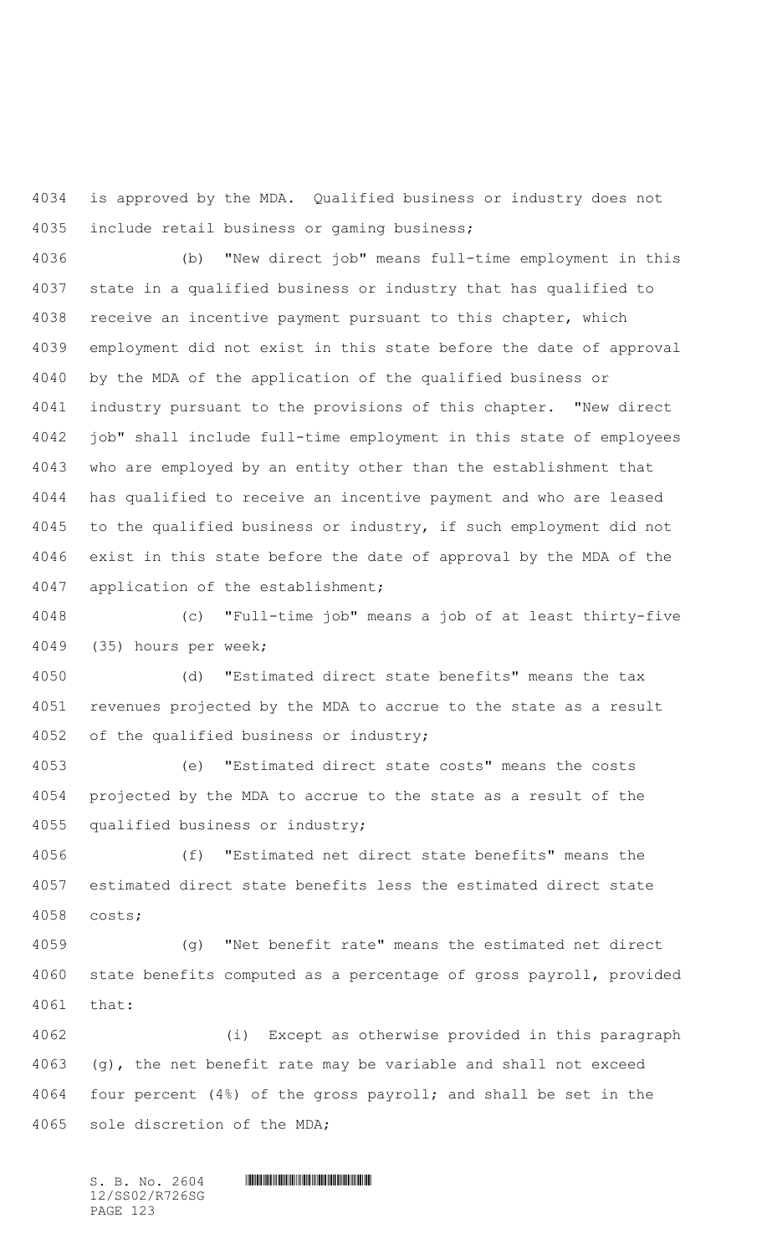is approved by the MDA. Qualified business or industry does not include retail business or gaming business;

 (b) "New direct job" means full-time employment in this state in a qualified business or industry that has qualified to receive an incentive payment pursuant to this chapter, which employment did not exist in this state before the date of approval by the MDA of the application of the qualified business or industry pursuant to the provisions of this chapter. "New direct job" shall include full-time employment in this state of employees who are employed by an entity other than the establishment that has qualified to receive an incentive payment and who are leased to the qualified business or industry, if such employment did not exist in this state before the date of approval by the MDA of the application of the establishment;

 (c) "Full-time job" means a job of at least thirty-five (35) hours per week;

 (d) "Estimated direct state benefits" means the tax revenues projected by the MDA to accrue to the state as a result of the qualified business or industry;

 (e) "Estimated direct state costs" means the costs projected by the MDA to accrue to the state as a result of the qualified business or industry;

 (f) "Estimated net direct state benefits" means the estimated direct state benefits less the estimated direct state costs;

 (g) "Net benefit rate" means the estimated net direct state benefits computed as a percentage of gross payroll, provided that:

 (i) Except as otherwise provided in this paragraph (g), the net benefit rate may be variable and shall not exceed four percent (4%) of the gross payroll; and shall be set in the sole discretion of the MDA;

 $S. B. NO. 2604$  .  $M. 2604$ 12/SS02/R726SG PAGE 123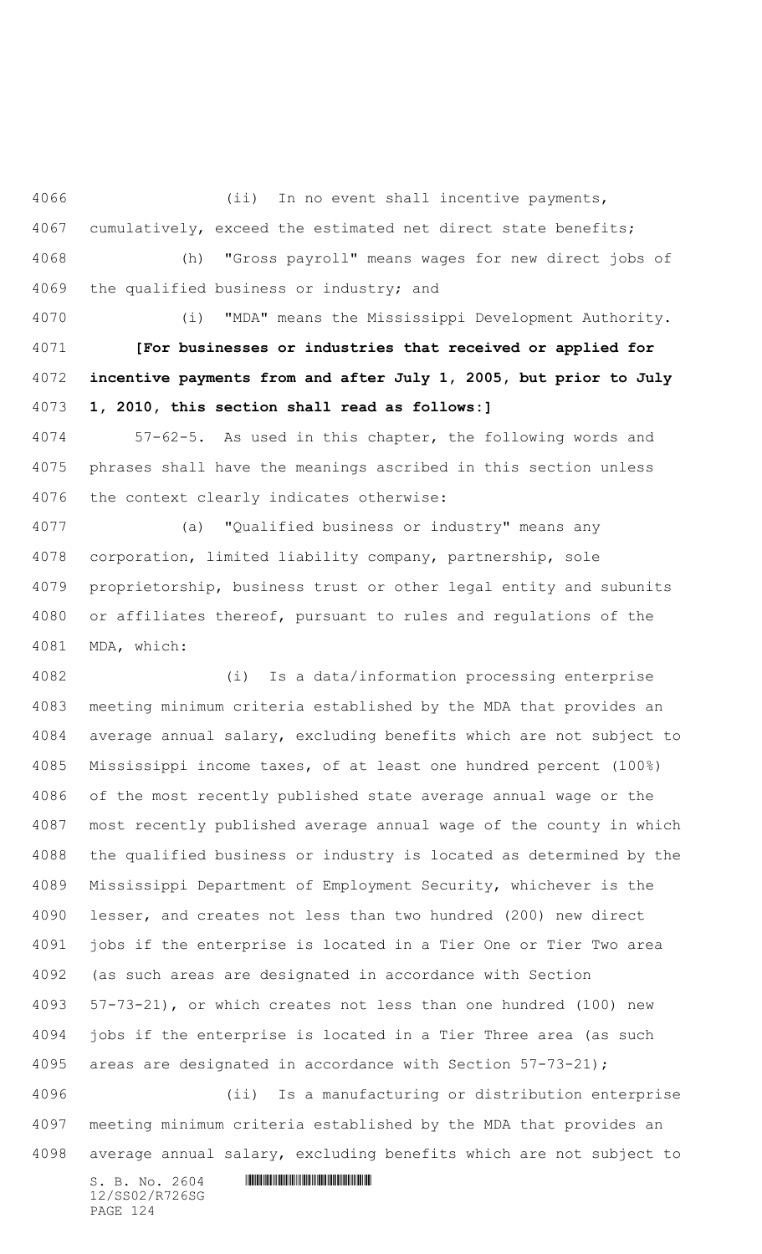(ii) In no event shall incentive payments, cumulatively, exceed the estimated net direct state benefits; (h) "Gross payroll" means wages for new direct jobs of the qualified business or industry; and

 (i) "MDA" means the Mississippi Development Authority. **[For businesses or industries that received or applied for incentive payments from and after July 1, 2005, but prior to July 1, 2010, this section shall read as follows:]**

 57-62-5. As used in this chapter, the following words and phrases shall have the meanings ascribed in this section unless the context clearly indicates otherwise:

 (a) "Qualified business or industry" means any corporation, limited liability company, partnership, sole proprietorship, business trust or other legal entity and subunits or affiliates thereof, pursuant to rules and regulations of the MDA, which:

 (i) Is a data/information processing enterprise meeting minimum criteria established by the MDA that provides an average annual salary, excluding benefits which are not subject to Mississippi income taxes, of at least one hundred percent (100%) of the most recently published state average annual wage or the most recently published average annual wage of the county in which the qualified business or industry is located as determined by the Mississippi Department of Employment Security, whichever is the lesser, and creates not less than two hundred (200) new direct jobs if the enterprise is located in a Tier One or Tier Two area (as such areas are designated in accordance with Section 57-73-21), or which creates not less than one hundred (100) new jobs if the enterprise is located in a Tier Three area (as such areas are designated in accordance with Section 57-73-21); (ii) Is a manufacturing or distribution enterprise

 meeting minimum criteria established by the MDA that provides an average annual salary, excluding benefits which are not subject to

 $S. B. NO. 2604$  .  $M. 2604$ 12/SS02/R726SG PAGE 124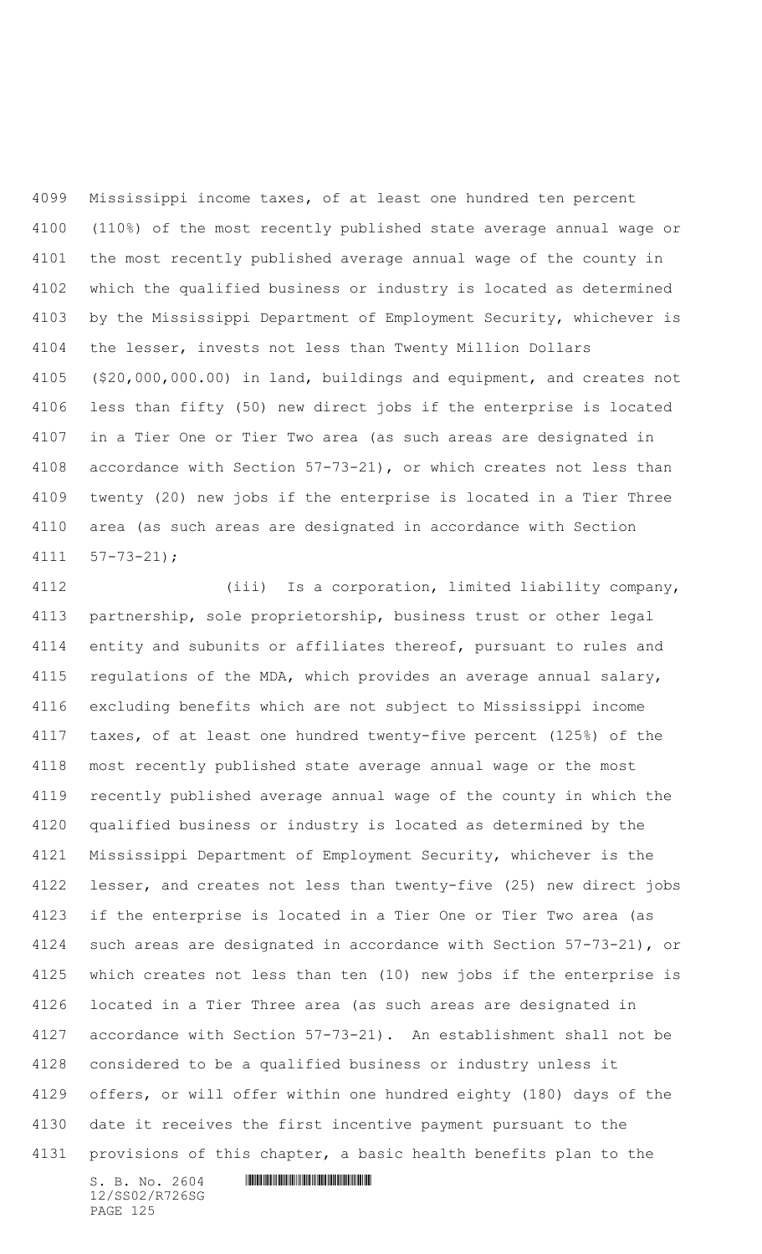Mississippi income taxes, of at least one hundred ten percent (110%) of the most recently published state average annual wage or the most recently published average annual wage of the county in which the qualified business or industry is located as determined by the Mississippi Department of Employment Security, whichever is the lesser, invests not less than Twenty Million Dollars (\$20,000,000.00) in land, buildings and equipment, and creates not less than fifty (50) new direct jobs if the enterprise is located in a Tier One or Tier Two area (as such areas are designated in accordance with Section 57-73-21), or which creates not less than twenty (20) new jobs if the enterprise is located in a Tier Three area (as such areas are designated in accordance with Section 57-73-21);

 (iii) Is a corporation, limited liability company, partnership, sole proprietorship, business trust or other legal entity and subunits or affiliates thereof, pursuant to rules and 4115 regulations of the MDA, which provides an average annual salary, excluding benefits which are not subject to Mississippi income taxes, of at least one hundred twenty-five percent (125%) of the most recently published state average annual wage or the most recently published average annual wage of the county in which the qualified business or industry is located as determined by the Mississippi Department of Employment Security, whichever is the lesser, and creates not less than twenty-five (25) new direct jobs if the enterprise is located in a Tier One or Tier Two area (as such areas are designated in accordance with Section 57-73-21), or which creates not less than ten (10) new jobs if the enterprise is located in a Tier Three area (as such areas are designated in accordance with Section 57-73-21). An establishment shall not be considered to be a qualified business or industry unless it offers, or will offer within one hundred eighty (180) days of the date it receives the first incentive payment pursuant to the provisions of this chapter, a basic health benefits plan to the

12/SS02/R726SG PAGE 125

 $S. B. NO. 2604$  .  $M. 2604$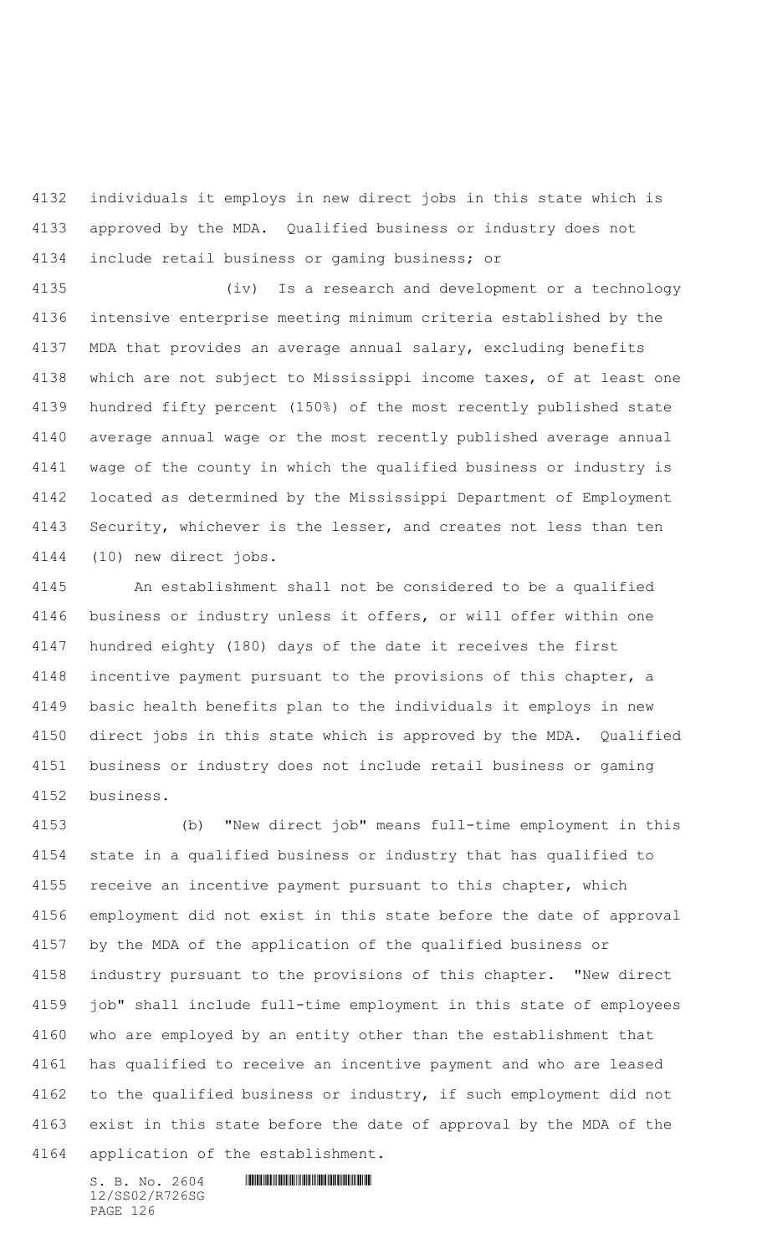individuals it employs in new direct jobs in this state which is approved by the MDA. Qualified business or industry does not include retail business or gaming business; or

 (iv) Is a research and development or a technology intensive enterprise meeting minimum criteria established by the MDA that provides an average annual salary, excluding benefits which are not subject to Mississippi income taxes, of at least one hundred fifty percent (150%) of the most recently published state average annual wage or the most recently published average annual wage of the county in which the qualified business or industry is located as determined by the Mississippi Department of Employment Security, whichever is the lesser, and creates not less than ten (10) new direct jobs.

 An establishment shall not be considered to be a qualified business or industry unless it offers, or will offer within one hundred eighty (180) days of the date it receives the first incentive payment pursuant to the provisions of this chapter, a basic health benefits plan to the individuals it employs in new direct jobs in this state which is approved by the MDA. Qualified business or industry does not include retail business or gaming business.

 (b) "New direct job" means full-time employment in this state in a qualified business or industry that has qualified to receive an incentive payment pursuant to this chapter, which employment did not exist in this state before the date of approval by the MDA of the application of the qualified business or industry pursuant to the provisions of this chapter. "New direct job" shall include full-time employment in this state of employees who are employed by an entity other than the establishment that has qualified to receive an incentive payment and who are leased to the qualified business or industry, if such employment did not exist in this state before the date of approval by the MDA of the application of the establishment.

 $S. B. No. 2604$  . The set of the set of  $S. B. N \circ A$ 12/SS02/R726SG PAGE 126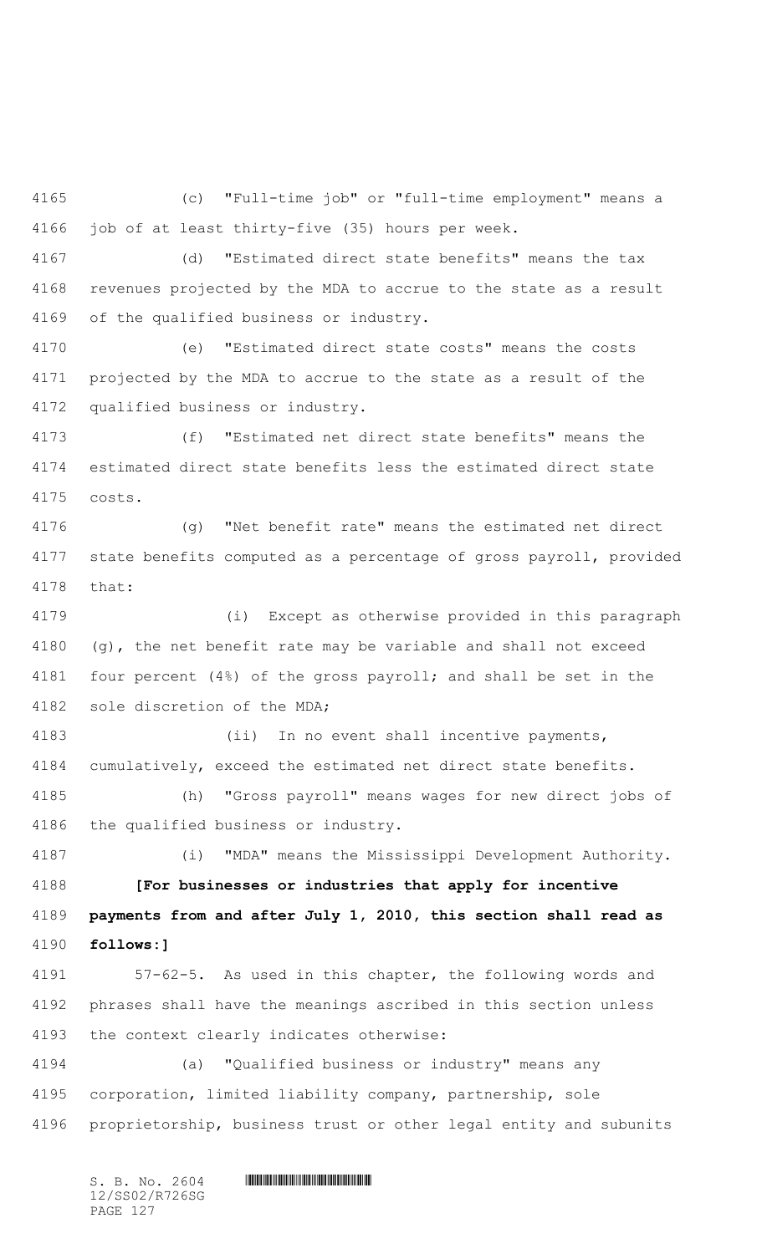(c) "Full-time job" or "full-time employment" means a job of at least thirty-five (35) hours per week.

 (d) "Estimated direct state benefits" means the tax revenues projected by the MDA to accrue to the state as a result of the qualified business or industry.

 (e) "Estimated direct state costs" means the costs projected by the MDA to accrue to the state as a result of the qualified business or industry.

 (f) "Estimated net direct state benefits" means the estimated direct state benefits less the estimated direct state costs.

 (g) "Net benefit rate" means the estimated net direct state benefits computed as a percentage of gross payroll, provided that:

 (i) Except as otherwise provided in this paragraph (g), the net benefit rate may be variable and shall not exceed four percent (4%) of the gross payroll; and shall be set in the sole discretion of the MDA;

 (ii) In no event shall incentive payments, cumulatively, exceed the estimated net direct state benefits.

 (h) "Gross payroll" means wages for new direct jobs of the qualified business or industry.

 (i) "MDA" means the Mississippi Development Authority. **[For businesses or industries that apply for incentive payments from and after July 1, 2010, this section shall read as follows:]**

 57-62-5. As used in this chapter, the following words and phrases shall have the meanings ascribed in this section unless the context clearly indicates otherwise:

 (a) "Qualified business or industry" means any corporation, limited liability company, partnership, sole proprietorship, business trust or other legal entity and subunits

 $S. B. No. 2604$  .  $M. 2604$ 12/SS02/R726SG PAGE 127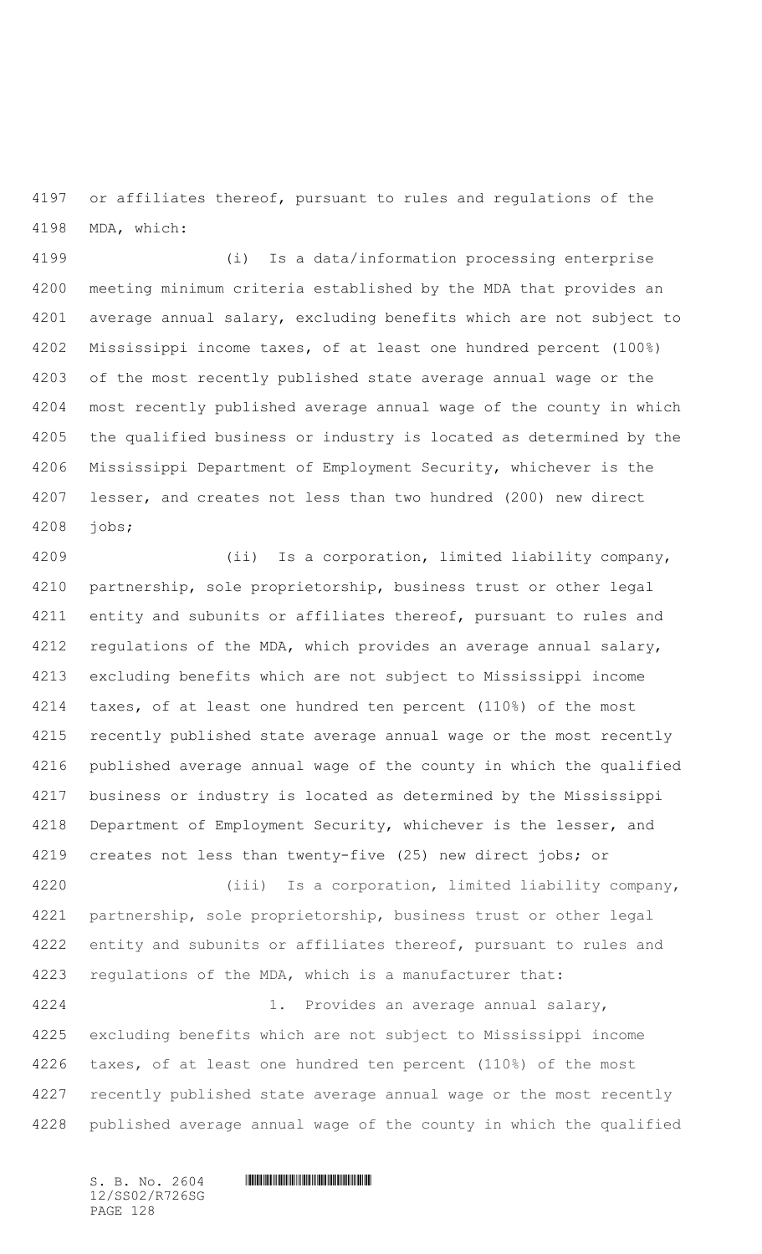or affiliates thereof, pursuant to rules and regulations of the MDA, which:

 (i) Is a data/information processing enterprise meeting minimum criteria established by the MDA that provides an average annual salary, excluding benefits which are not subject to Mississippi income taxes, of at least one hundred percent (100%) of the most recently published state average annual wage or the most recently published average annual wage of the county in which the qualified business or industry is located as determined by the Mississippi Department of Employment Security, whichever is the lesser, and creates not less than two hundred (200) new direct jobs;

 (ii) Is a corporation, limited liability company, partnership, sole proprietorship, business trust or other legal 4211 entity and subunits or affiliates thereof, pursuant to rules and 4212 regulations of the MDA, which provides an average annual salary, excluding benefits which are not subject to Mississippi income taxes, of at least one hundred ten percent (110%) of the most recently published state average annual wage or the most recently published average annual wage of the county in which the qualified business or industry is located as determined by the Mississippi Department of Employment Security, whichever is the lesser, and creates not less than twenty-five (25) new direct jobs; or (iii) Is a corporation, limited liability company, partnership, sole proprietorship, business trust or other legal 4222 entity and subunits or affiliates thereof, pursuant to rules and regulations of the MDA, which is a manufacturer that: 1. Provides an average annual salary,

 excluding benefits which are not subject to Mississippi income taxes, of at least one hundred ten percent (110%) of the most recently published state average annual wage or the most recently published average annual wage of the county in which the qualified

12/SS02/R726SG PAGE 128

 $S. B. NO. 2604$  .  $M. 2604$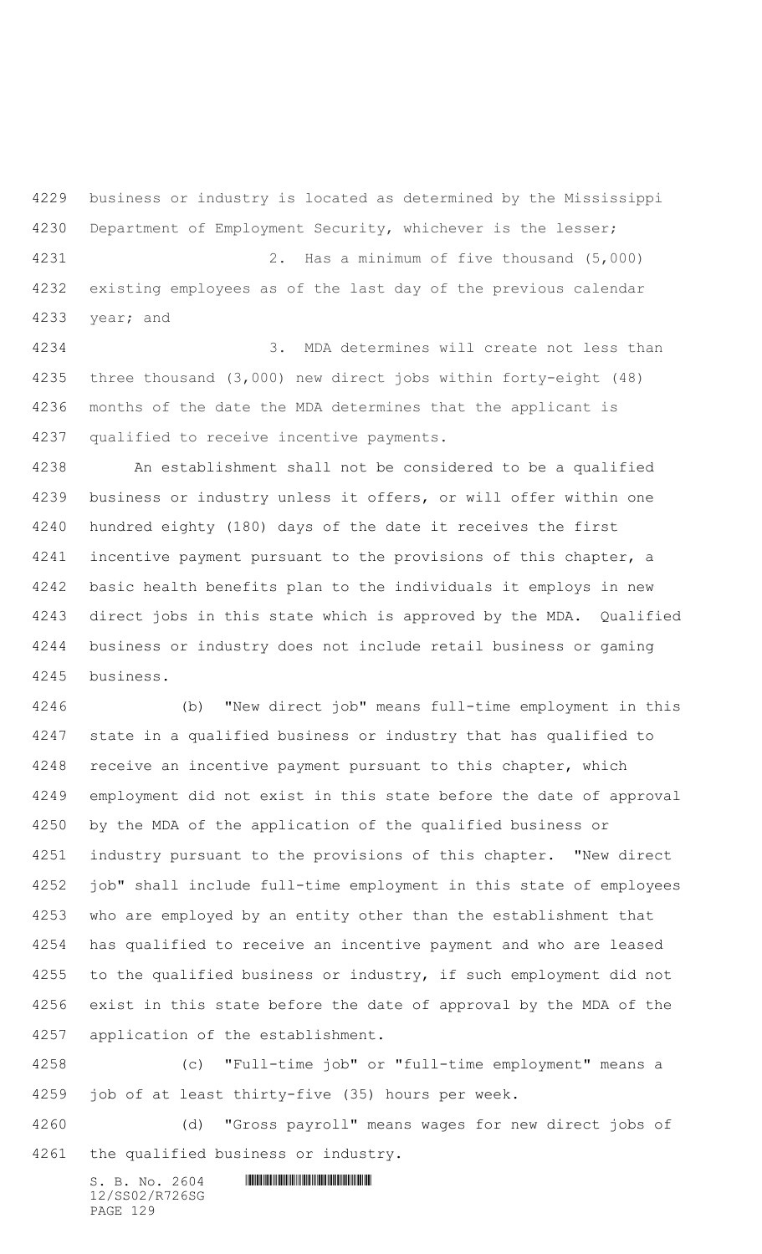business or industry is located as determined by the Mississippi Department of Employment Security, whichever is the lesser; 2. Has a minimum of five thousand (5,000) existing employees as of the last day of the previous calendar year; and

 3. MDA determines will create not less than three thousand (3,000) new direct jobs within forty-eight (48) months of the date the MDA determines that the applicant is qualified to receive incentive payments.

 An establishment shall not be considered to be a qualified business or industry unless it offers, or will offer within one hundred eighty (180) days of the date it receives the first incentive payment pursuant to the provisions of this chapter, a basic health benefits plan to the individuals it employs in new direct jobs in this state which is approved by the MDA. Qualified business or industry does not include retail business or gaming business.

 (b) "New direct job" means full-time employment in this state in a qualified business or industry that has qualified to receive an incentive payment pursuant to this chapter, which employment did not exist in this state before the date of approval by the MDA of the application of the qualified business or industry pursuant to the provisions of this chapter. "New direct job" shall include full-time employment in this state of employees who are employed by an entity other than the establishment that has qualified to receive an incentive payment and who are leased to the qualified business or industry, if such employment did not exist in this state before the date of approval by the MDA of the application of the establishment.

 (c) "Full-time job" or "full-time employment" means a job of at least thirty-five (35) hours per week.

 (d) "Gross payroll" means wages for new direct jobs of the qualified business or industry.

 $S. B. No. 2604$  .  $M. 2604$ 12/SS02/R726SG PAGE 129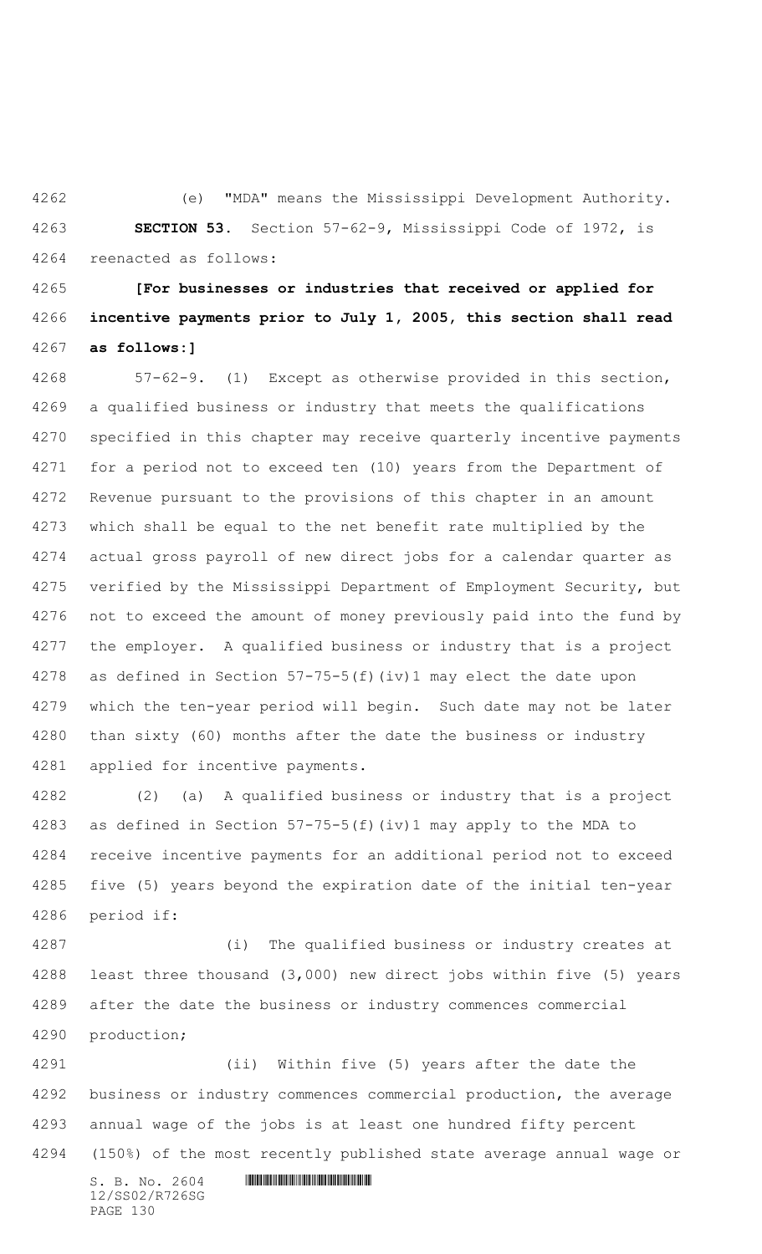(e) "MDA" means the Mississippi Development Authority. **SECTION 53.** Section 57-62-9, Mississippi Code of 1972, is reenacted as follows:

 **[For businesses or industries that received or applied for incentive payments prior to July 1, 2005, this section shall read as follows:]**

 57-62-9. (1) Except as otherwise provided in this section, a qualified business or industry that meets the qualifications specified in this chapter may receive quarterly incentive payments for a period not to exceed ten (10) years from the Department of Revenue pursuant to the provisions of this chapter in an amount which shall be equal to the net benefit rate multiplied by the actual gross payroll of new direct jobs for a calendar quarter as verified by the Mississippi Department of Employment Security, but not to exceed the amount of money previously paid into the fund by the employer. A qualified business or industry that is a project as defined in Section 57-75-5(f)(iv)1 may elect the date upon which the ten-year period will begin. Such date may not be later than sixty (60) months after the date the business or industry applied for incentive payments.

 (2) (a) A qualified business or industry that is a project as defined in Section 57-75-5(f)(iv)1 may apply to the MDA to receive incentive payments for an additional period not to exceed five (5) years beyond the expiration date of the initial ten-year period if:

 (i) The qualified business or industry creates at least three thousand (3,000) new direct jobs within five (5) years after the date the business or industry commences commercial production;

 (ii) Within five (5) years after the date the business or industry commences commercial production, the average annual wage of the jobs is at least one hundred fifty percent (150%) of the most recently published state average annual wage or

12/SS02/R726SG PAGE 130

 $S. B. No. 2604$  . The set of the set of  $S. B. N \circ A$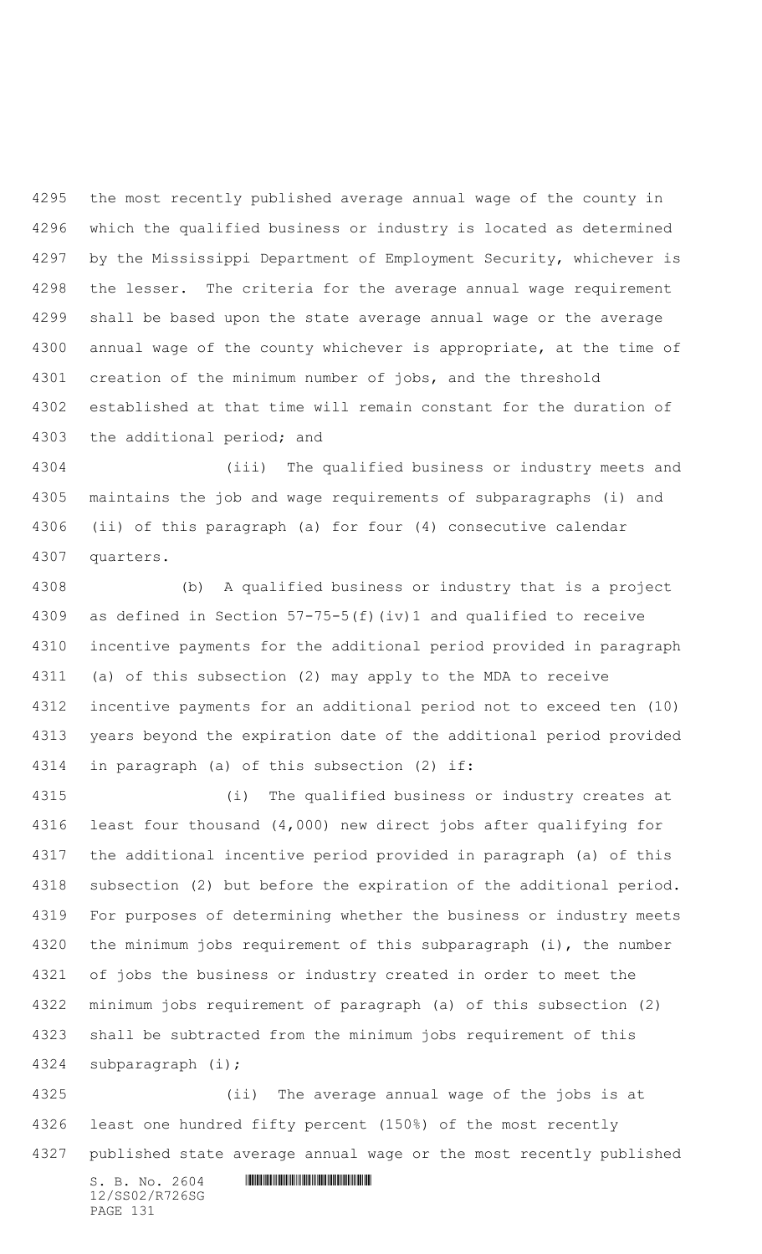the most recently published average annual wage of the county in which the qualified business or industry is located as determined by the Mississippi Department of Employment Security, whichever is the lesser. The criteria for the average annual wage requirement shall be based upon the state average annual wage or the average annual wage of the county whichever is appropriate, at the time of creation of the minimum number of jobs, and the threshold established at that time will remain constant for the duration of the additional period; and

 (iii) The qualified business or industry meets and maintains the job and wage requirements of subparagraphs (i) and (ii) of this paragraph (a) for four (4) consecutive calendar quarters.

 (b) A qualified business or industry that is a project as defined in Section 57-75-5(f)(iv)1 and qualified to receive incentive payments for the additional period provided in paragraph (a) of this subsection (2) may apply to the MDA to receive incentive payments for an additional period not to exceed ten (10) years beyond the expiration date of the additional period provided in paragraph (a) of this subsection (2) if:

 (i) The qualified business or industry creates at least four thousand (4,000) new direct jobs after qualifying for the additional incentive period provided in paragraph (a) of this subsection (2) but before the expiration of the additional period. For purposes of determining whether the business or industry meets the minimum jobs requirement of this subparagraph (i), the number of jobs the business or industry created in order to meet the minimum jobs requirement of paragraph (a) of this subsection (2) shall be subtracted from the minimum jobs requirement of this subparagraph (i);

 (ii) The average annual wage of the jobs is at least one hundred fifty percent (150%) of the most recently published state average annual wage or the most recently published

 $S. B. NO. 2604$  .  $M. 2604$ 12/SS02/R726SG PAGE 131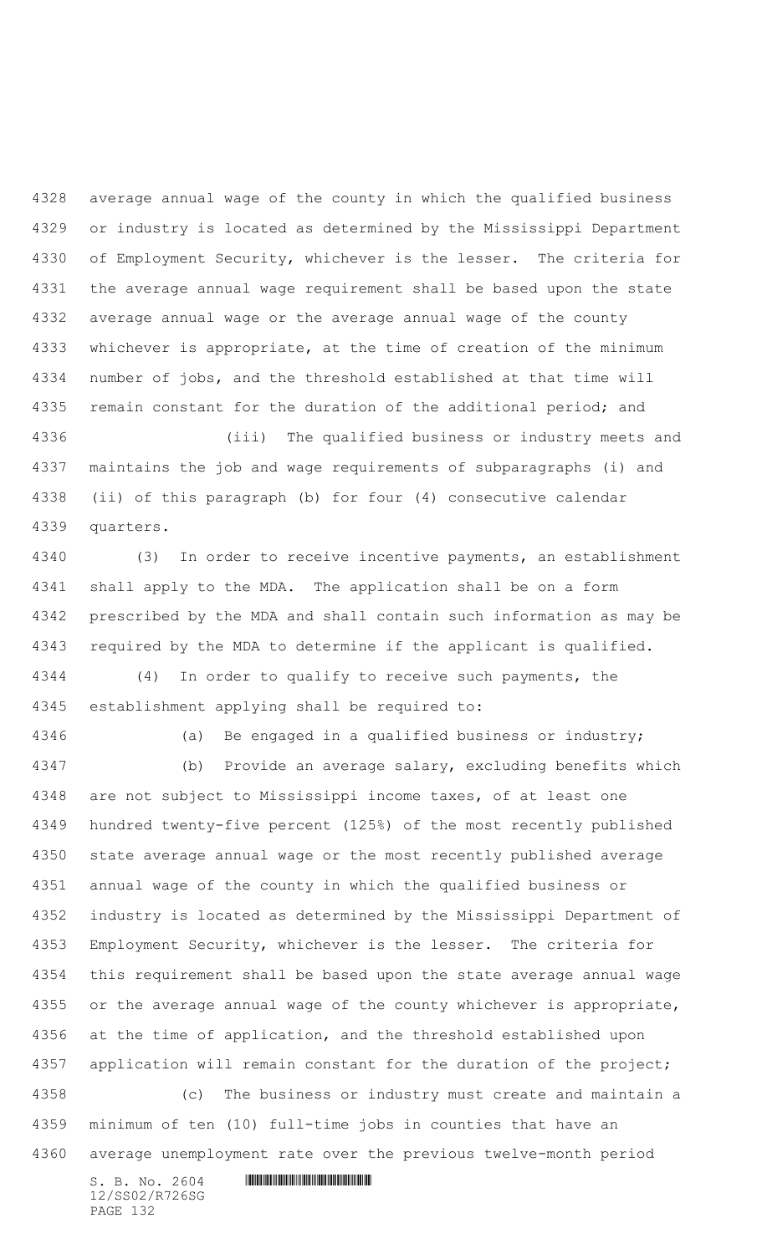average annual wage of the county in which the qualified business or industry is located as determined by the Mississippi Department of Employment Security, whichever is the lesser. The criteria for the average annual wage requirement shall be based upon the state average annual wage or the average annual wage of the county whichever is appropriate, at the time of creation of the minimum number of jobs, and the threshold established at that time will 4335 remain constant for the duration of the additional period; and

 (iii) The qualified business or industry meets and maintains the job and wage requirements of subparagraphs (i) and (ii) of this paragraph (b) for four (4) consecutive calendar quarters.

 (3) In order to receive incentive payments, an establishment shall apply to the MDA. The application shall be on a form prescribed by the MDA and shall contain such information as may be required by the MDA to determine if the applicant is qualified. (4) In order to qualify to receive such payments, the

establishment applying shall be required to:

(a) Be engaged in a qualified business or industry;

 (b) Provide an average salary, excluding benefits which are not subject to Mississippi income taxes, of at least one hundred twenty-five percent (125%) of the most recently published state average annual wage or the most recently published average annual wage of the county in which the qualified business or industry is located as determined by the Mississippi Department of Employment Security, whichever is the lesser. The criteria for this requirement shall be based upon the state average annual wage 4355 or the average annual wage of the county whichever is appropriate, at the time of application, and the threshold established upon 4357 application will remain constant for the duration of the project; (c) The business or industry must create and maintain a minimum of ten (10) full-time jobs in counties that have an average unemployment rate over the previous twelve-month period

12/SS02/R726SG PAGE 132

 $S. B. NO. 2604$  .  $M. 2604$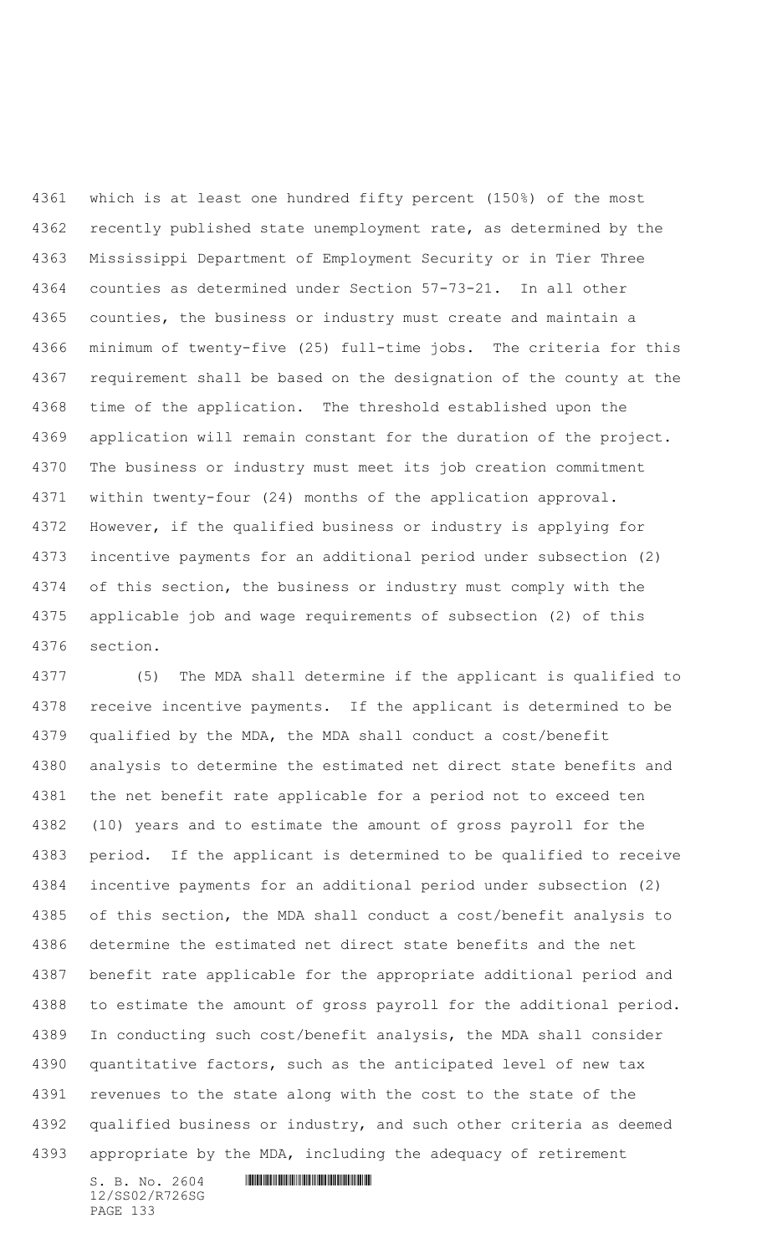which is at least one hundred fifty percent (150%) of the most recently published state unemployment rate, as determined by the Mississippi Department of Employment Security or in Tier Three counties as determined under Section 57-73-21. In all other counties, the business or industry must create and maintain a minimum of twenty-five (25) full-time jobs. The criteria for this requirement shall be based on the designation of the county at the time of the application. The threshold established upon the application will remain constant for the duration of the project. The business or industry must meet its job creation commitment within twenty-four (24) months of the application approval. However, if the qualified business or industry is applying for incentive payments for an additional period under subsection (2) of this section, the business or industry must comply with the applicable job and wage requirements of subsection (2) of this section.

 (5) The MDA shall determine if the applicant is qualified to receive incentive payments. If the applicant is determined to be qualified by the MDA, the MDA shall conduct a cost/benefit analysis to determine the estimated net direct state benefits and the net benefit rate applicable for a period not to exceed ten (10) years and to estimate the amount of gross payroll for the period. If the applicant is determined to be qualified to receive incentive payments for an additional period under subsection (2) of this section, the MDA shall conduct a cost/benefit analysis to determine the estimated net direct state benefits and the net benefit rate applicable for the appropriate additional period and to estimate the amount of gross payroll for the additional period. In conducting such cost/benefit analysis, the MDA shall consider quantitative factors, such as the anticipated level of new tax revenues to the state along with the cost to the state of the 4392 qualified business or industry, and such other criteria as deemed appropriate by the MDA, including the adequacy of retirement

12/SS02/R726SG PAGE 133

 $S. B. No. 2604$  .  $M. 2604$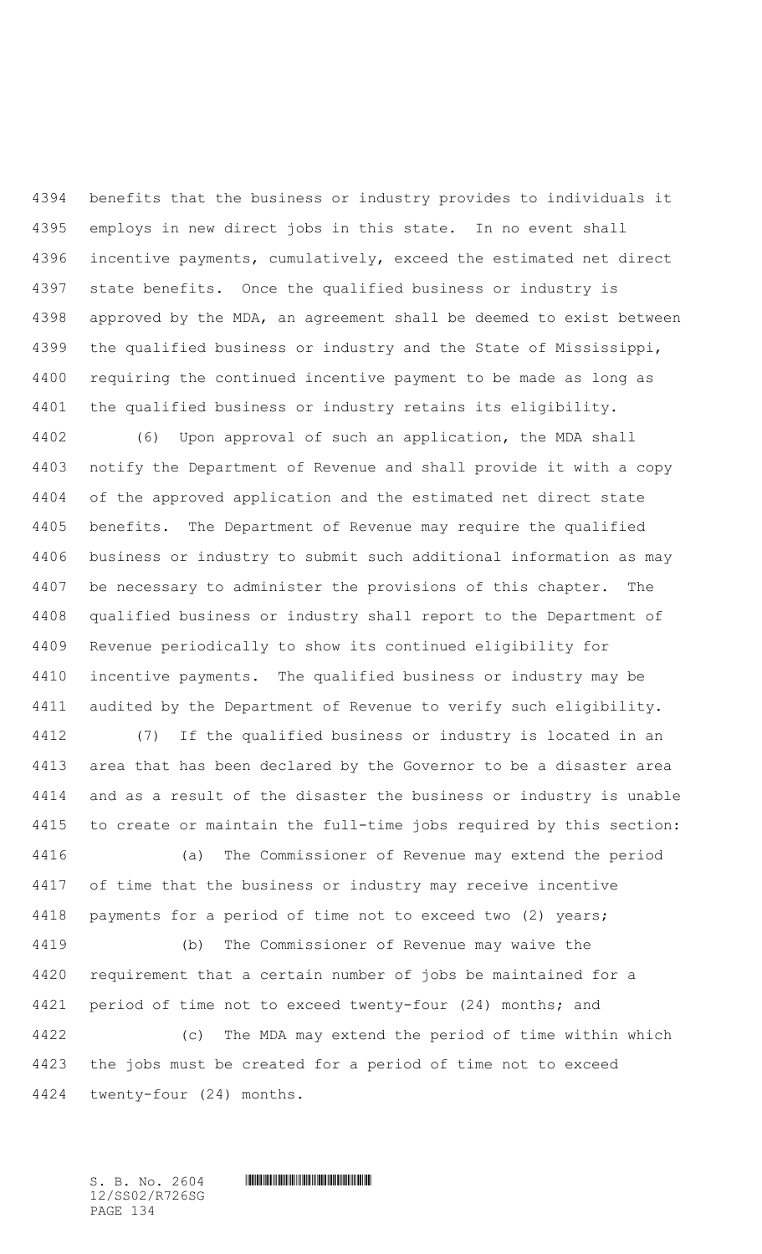benefits that the business or industry provides to individuals it employs in new direct jobs in this state. In no event shall incentive payments, cumulatively, exceed the estimated net direct state benefits. Once the qualified business or industry is approved by the MDA, an agreement shall be deemed to exist between the qualified business or industry and the State of Mississippi, requiring the continued incentive payment to be made as long as the qualified business or industry retains its eligibility.

 (6) Upon approval of such an application, the MDA shall notify the Department of Revenue and shall provide it with a copy of the approved application and the estimated net direct state benefits. The Department of Revenue may require the qualified business or industry to submit such additional information as may be necessary to administer the provisions of this chapter. The qualified business or industry shall report to the Department of Revenue periodically to show its continued eligibility for incentive payments. The qualified business or industry may be audited by the Department of Revenue to verify such eligibility.

 (7) If the qualified business or industry is located in an area that has been declared by the Governor to be a disaster area and as a result of the disaster the business or industry is unable to create or maintain the full-time jobs required by this section:

 (a) The Commissioner of Revenue may extend the period of time that the business or industry may receive incentive payments for a period of time not to exceed two (2) years;

 (b) The Commissioner of Revenue may waive the requirement that a certain number of jobs be maintained for a 4421 period of time not to exceed twenty-four (24) months; and

 (c) The MDA may extend the period of time within which the jobs must be created for a period of time not to exceed twenty-four (24) months.

12/SS02/R726SG PAGE 134

 $S. B. NO. 2604$  .  $M. 2604$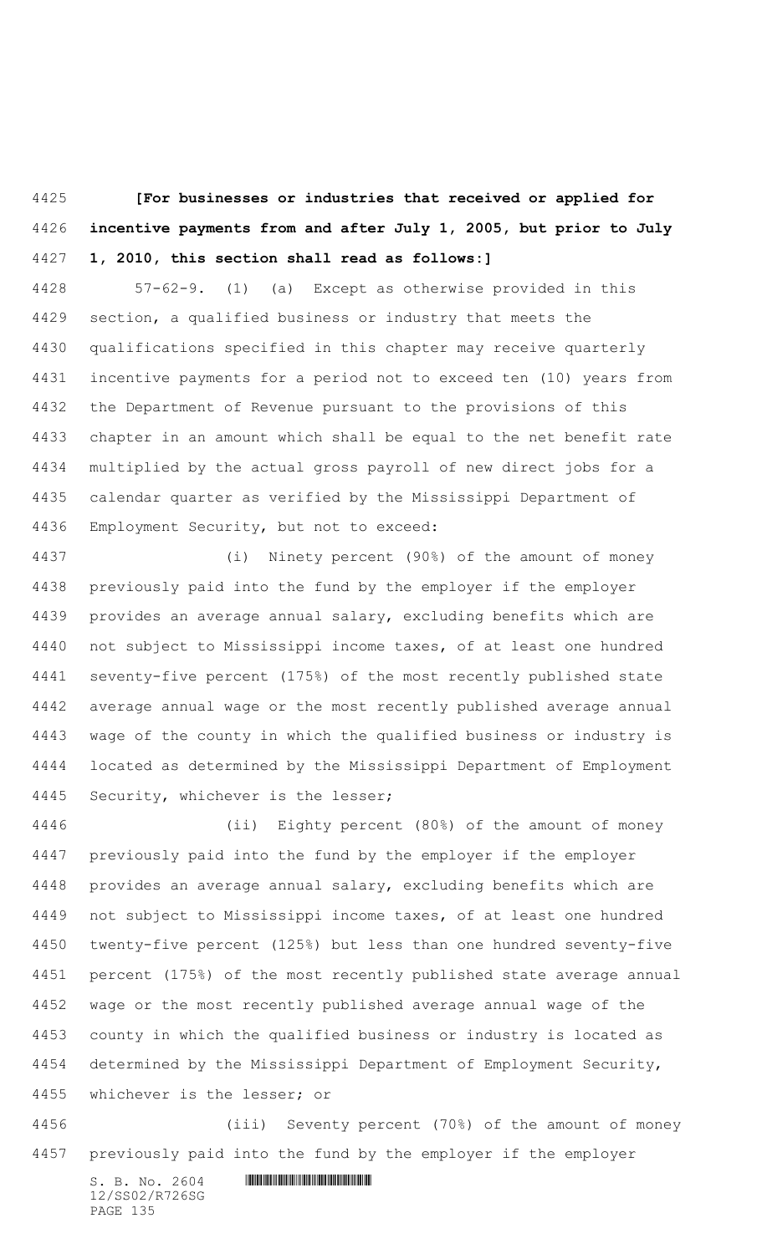**[For businesses or industries that received or applied for incentive payments from and after July 1, 2005, but prior to July 1, 2010, this section shall read as follows:]**

 57-62-9. (1) (a) Except as otherwise provided in this section, a qualified business or industry that meets the qualifications specified in this chapter may receive quarterly incentive payments for a period not to exceed ten (10) years from the Department of Revenue pursuant to the provisions of this chapter in an amount which shall be equal to the net benefit rate multiplied by the actual gross payroll of new direct jobs for a calendar quarter as verified by the Mississippi Department of Employment Security, but not to exceed:

 (i) Ninety percent (90%) of the amount of money previously paid into the fund by the employer if the employer provides an average annual salary, excluding benefits which are not subject to Mississippi income taxes, of at least one hundred seventy-five percent (175%) of the most recently published state average annual wage or the most recently published average annual wage of the county in which the qualified business or industry is located as determined by the Mississippi Department of Employment Security, whichever is the lesser;

 (ii) Eighty percent (80%) of the amount of money previously paid into the fund by the employer if the employer provides an average annual salary, excluding benefits which are not subject to Mississippi income taxes, of at least one hundred twenty-five percent (125%) but less than one hundred seventy-five percent (175%) of the most recently published state average annual wage or the most recently published average annual wage of the county in which the qualified business or industry is located as determined by the Mississippi Department of Employment Security, whichever is the lesser; or

 (iii) Seventy percent (70%) of the amount of money previously paid into the fund by the employer if the employer

 $S. B. No. 2604$  . The set of the set of  $S. B. N \circ A$ 12/SS02/R726SG PAGE 135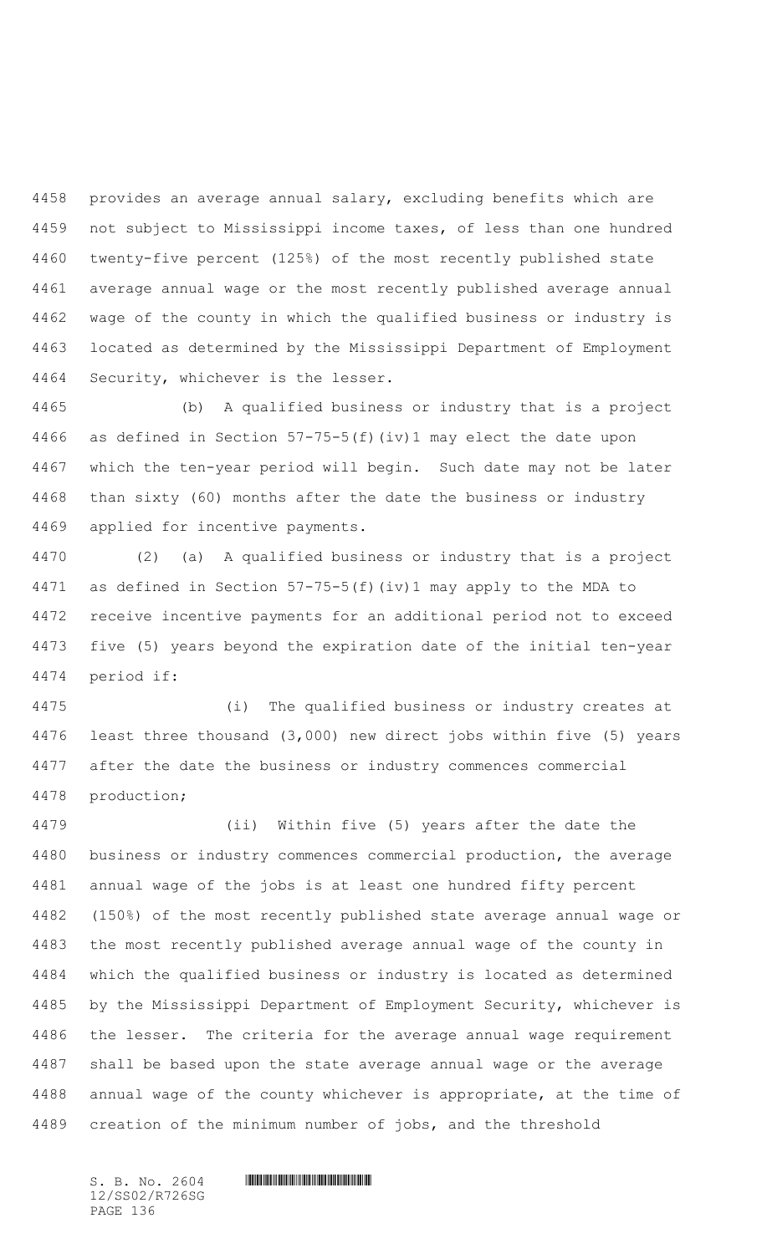provides an average annual salary, excluding benefits which are not subject to Mississippi income taxes, of less than one hundred twenty-five percent (125%) of the most recently published state average annual wage or the most recently published average annual wage of the county in which the qualified business or industry is located as determined by the Mississippi Department of Employment Security, whichever is the lesser.

 (b) A qualified business or industry that is a project as defined in Section 57-75-5(f)(iv)1 may elect the date upon which the ten-year period will begin. Such date may not be later than sixty (60) months after the date the business or industry applied for incentive payments.

 (2) (a) A qualified business or industry that is a project as defined in Section 57-75-5(f)(iv)1 may apply to the MDA to receive incentive payments for an additional period not to exceed five (5) years beyond the expiration date of the initial ten-year period if:

 (i) The qualified business or industry creates at least three thousand (3,000) new direct jobs within five (5) years after the date the business or industry commences commercial production;

 (ii) Within five (5) years after the date the business or industry commences commercial production, the average annual wage of the jobs is at least one hundred fifty percent (150%) of the most recently published state average annual wage or the most recently published average annual wage of the county in which the qualified business or industry is located as determined by the Mississippi Department of Employment Security, whichever is the lesser. The criteria for the average annual wage requirement shall be based upon the state average annual wage or the average annual wage of the county whichever is appropriate, at the time of creation of the minimum number of jobs, and the threshold

12/SS02/R726SG PAGE 136

 $S. B. NO. 2604$  .  $M. 2604$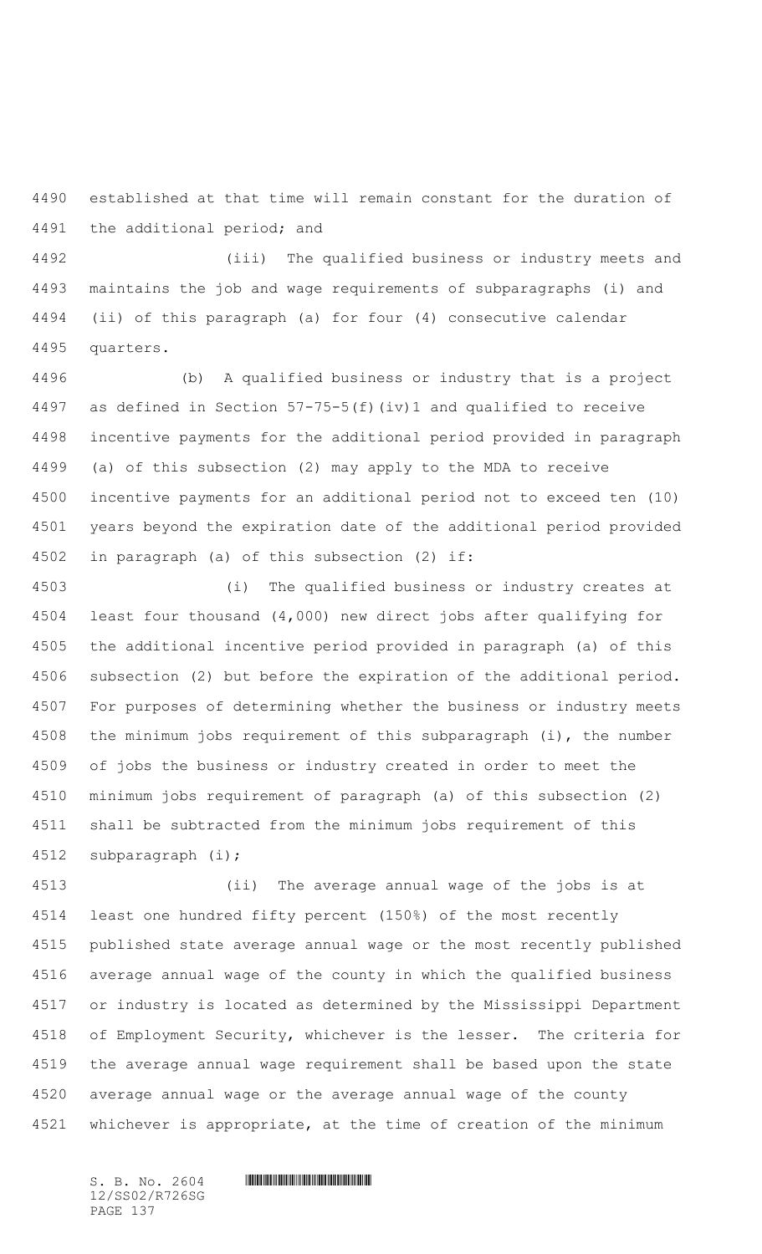established at that time will remain constant for the duration of the additional period; and

 (iii) The qualified business or industry meets and maintains the job and wage requirements of subparagraphs (i) and (ii) of this paragraph (a) for four (4) consecutive calendar quarters.

 (b) A qualified business or industry that is a project as defined in Section 57-75-5(f)(iv)1 and qualified to receive incentive payments for the additional period provided in paragraph (a) of this subsection (2) may apply to the MDA to receive incentive payments for an additional period not to exceed ten (10) years beyond the expiration date of the additional period provided in paragraph (a) of this subsection (2) if:

 (i) The qualified business or industry creates at least four thousand (4,000) new direct jobs after qualifying for the additional incentive period provided in paragraph (a) of this subsection (2) but before the expiration of the additional period. For purposes of determining whether the business or industry meets the minimum jobs requirement of this subparagraph (i), the number of jobs the business or industry created in order to meet the minimum jobs requirement of paragraph (a) of this subsection (2) shall be subtracted from the minimum jobs requirement of this subparagraph (i);

 (ii) The average annual wage of the jobs is at least one hundred fifty percent (150%) of the most recently published state average annual wage or the most recently published average annual wage of the county in which the qualified business or industry is located as determined by the Mississippi Department of Employment Security, whichever is the lesser. The criteria for the average annual wage requirement shall be based upon the state average annual wage or the average annual wage of the county whichever is appropriate, at the time of creation of the minimum

12/SS02/R726SG PAGE 137

 $S. B. No. 2604$  .  $M. 2604$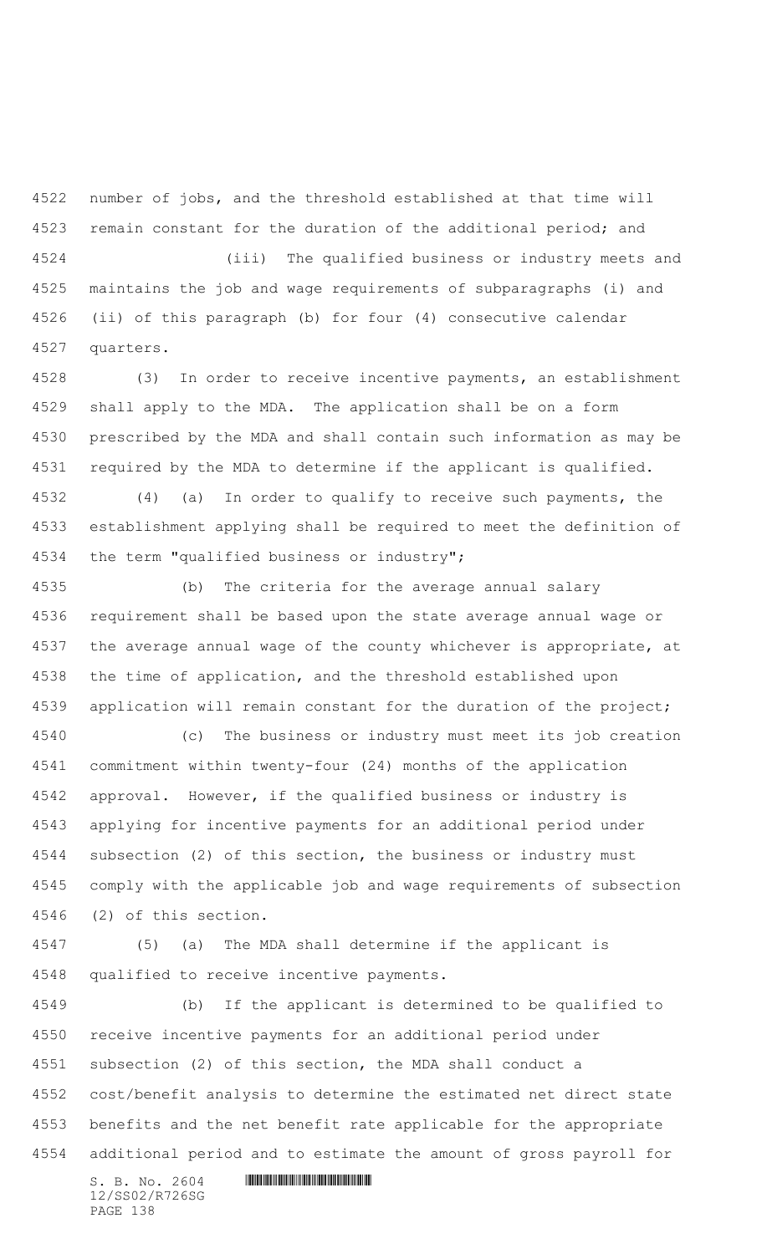number of jobs, and the threshold established at that time will remain constant for the duration of the additional period; and

 (iii) The qualified business or industry meets and maintains the job and wage requirements of subparagraphs (i) and (ii) of this paragraph (b) for four (4) consecutive calendar quarters.

 (3) In order to receive incentive payments, an establishment shall apply to the MDA. The application shall be on a form prescribed by the MDA and shall contain such information as may be required by the MDA to determine if the applicant is qualified.

 (4) (a) In order to qualify to receive such payments, the establishment applying shall be required to meet the definition of the term "qualified business or industry";

 (b) The criteria for the average annual salary requirement shall be based upon the state average annual wage or the average annual wage of the county whichever is appropriate, at the time of application, and the threshold established upon 4539 application will remain constant for the duration of the project;

 (c) The business or industry must meet its job creation commitment within twenty-four (24) months of the application approval. However, if the qualified business or industry is applying for incentive payments for an additional period under subsection (2) of this section, the business or industry must comply with the applicable job and wage requirements of subsection (2) of this section.

 (5) (a) The MDA shall determine if the applicant is qualified to receive incentive payments.

 (b) If the applicant is determined to be qualified to receive incentive payments for an additional period under subsection (2) of this section, the MDA shall conduct a cost/benefit analysis to determine the estimated net direct state benefits and the net benefit rate applicable for the appropriate additional period and to estimate the amount of gross payroll for

12/SS02/R726SG PAGE 138

 $S. B. No. 2604$  . The set of the set of  $S. B. N_{O.} 2604$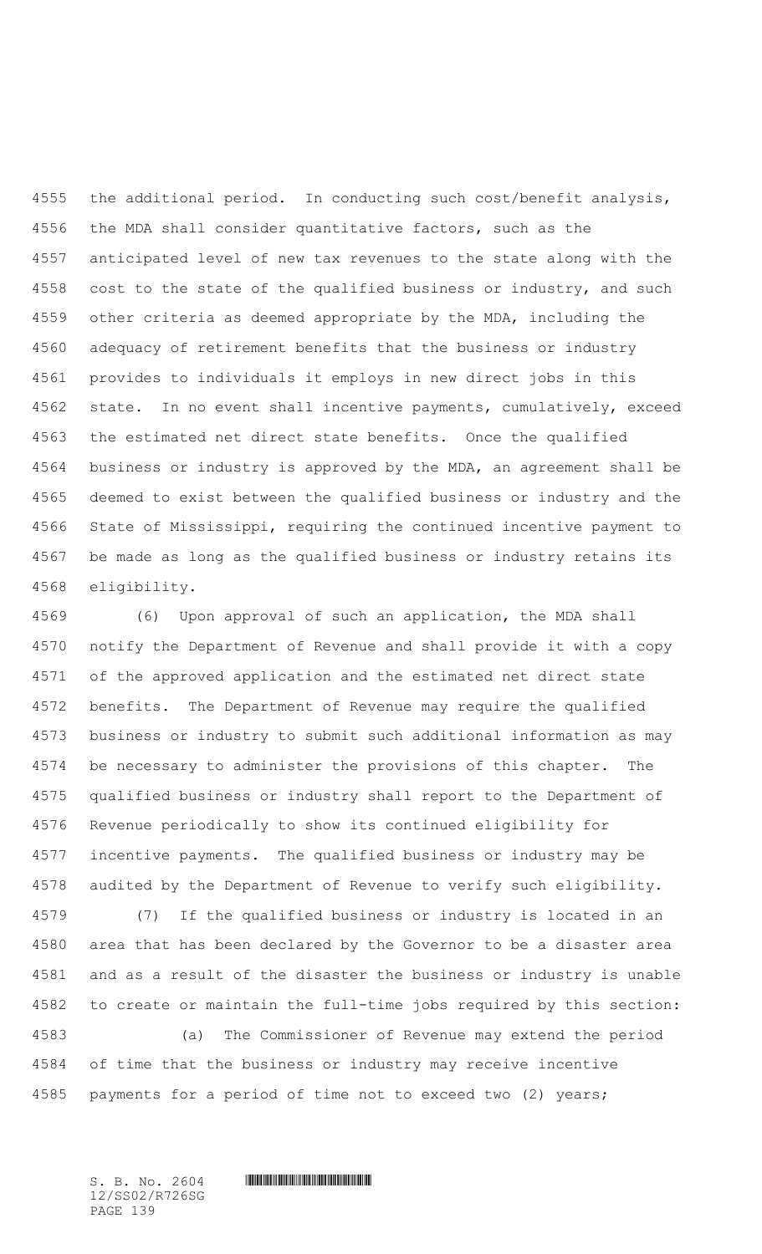the additional period. In conducting such cost/benefit analysis, the MDA shall consider quantitative factors, such as the anticipated level of new tax revenues to the state along with the 4558 cost to the state of the qualified business or industry, and such other criteria as deemed appropriate by the MDA, including the adequacy of retirement benefits that the business or industry provides to individuals it employs in new direct jobs in this state. In no event shall incentive payments, cumulatively, exceed the estimated net direct state benefits. Once the qualified business or industry is approved by the MDA, an agreement shall be deemed to exist between the qualified business or industry and the State of Mississippi, requiring the continued incentive payment to be made as long as the qualified business or industry retains its eligibility.

 (6) Upon approval of such an application, the MDA shall notify the Department of Revenue and shall provide it with a copy of the approved application and the estimated net direct state benefits. The Department of Revenue may require the qualified business or industry to submit such additional information as may be necessary to administer the provisions of this chapter. The qualified business or industry shall report to the Department of Revenue periodically to show its continued eligibility for incentive payments. The qualified business or industry may be audited by the Department of Revenue to verify such eligibility.

 (7) If the qualified business or industry is located in an area that has been declared by the Governor to be a disaster area and as a result of the disaster the business or industry is unable to create or maintain the full-time jobs required by this section:

 (a) The Commissioner of Revenue may extend the period of time that the business or industry may receive incentive payments for a period of time not to exceed two (2) years;

12/SS02/R726SG PAGE 139

 $S. B. NO. 2604$  .  $M. 2604$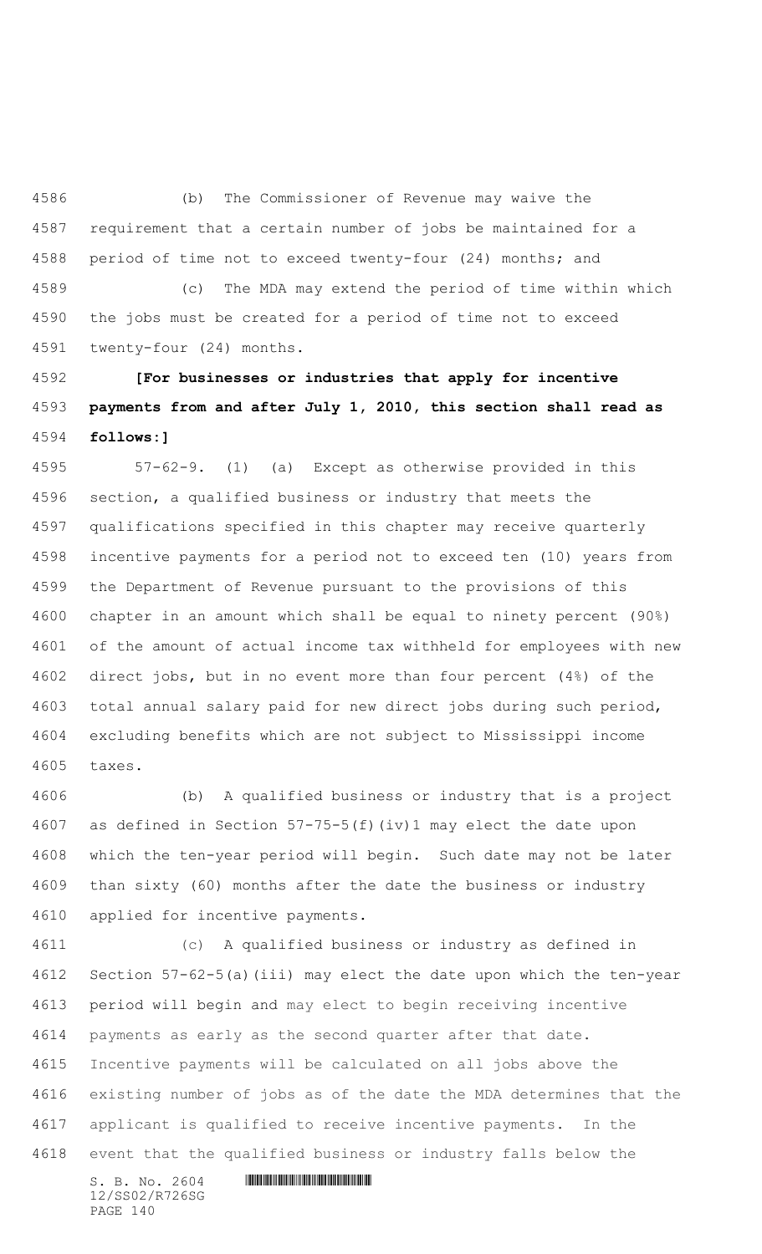(b) The Commissioner of Revenue may waive the requirement that a certain number of jobs be maintained for a period of time not to exceed twenty-four (24) months; and

 (c) The MDA may extend the period of time within which the jobs must be created for a period of time not to exceed twenty-four (24) months.

 **[For businesses or industries that apply for incentive payments from and after July 1, 2010, this section shall read as follows:]**

 57-62-9. (1) (a) Except as otherwise provided in this section, a qualified business or industry that meets the qualifications specified in this chapter may receive quarterly incentive payments for a period not to exceed ten (10) years from the Department of Revenue pursuant to the provisions of this chapter in an amount which shall be equal to ninety percent (90%) of the amount of actual income tax withheld for employees with new direct jobs, but in no event more than four percent (4%) of the total annual salary paid for new direct jobs during such period, excluding benefits which are not subject to Mississippi income taxes.

 (b) A qualified business or industry that is a project as defined in Section 57-75-5(f)(iv)1 may elect the date upon which the ten-year period will begin. Such date may not be later than sixty (60) months after the date the business or industry applied for incentive payments.

 (c) A qualified business or industry as defined in Section 57-62-5(a)(iii) may elect the date upon which the ten-year period will begin and may elect to begin receiving incentive payments as early as the second quarter after that date. Incentive payments will be calculated on all jobs above the existing number of jobs as of the date the MDA determines that the applicant is qualified to receive incentive payments. In the event that the qualified business or industry falls below the

12/SS02/R726SG PAGE 140

 $S. B. NO. 2604$  .  $M. 2604$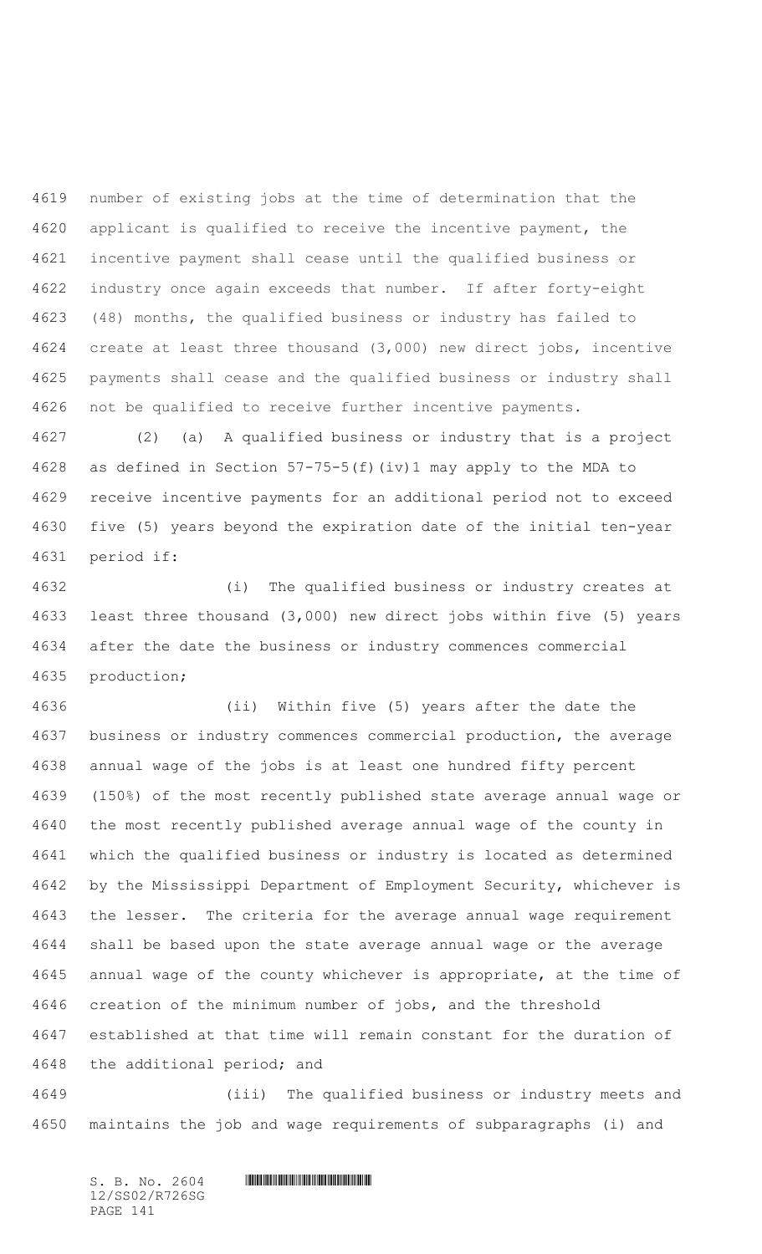number of existing jobs at the time of determination that the applicant is qualified to receive the incentive payment, the incentive payment shall cease until the qualified business or industry once again exceeds that number. If after forty-eight (48) months, the qualified business or industry has failed to create at least three thousand (3,000) new direct jobs, incentive payments shall cease and the qualified business or industry shall not be qualified to receive further incentive payments.

 (2) (a) A qualified business or industry that is a project as defined in Section 57-75-5(f)(iv)1 may apply to the MDA to receive incentive payments for an additional period not to exceed five (5) years beyond the expiration date of the initial ten-year period if:

 (i) The qualified business or industry creates at least three thousand (3,000) new direct jobs within five (5) years after the date the business or industry commences commercial production;

 (ii) Within five (5) years after the date the business or industry commences commercial production, the average annual wage of the jobs is at least one hundred fifty percent (150%) of the most recently published state average annual wage or the most recently published average annual wage of the county in which the qualified business or industry is located as determined by the Mississippi Department of Employment Security, whichever is the lesser. The criteria for the average annual wage requirement shall be based upon the state average annual wage or the average annual wage of the county whichever is appropriate, at the time of creation of the minimum number of jobs, and the threshold established at that time will remain constant for the duration of the additional period; and

 (iii) The qualified business or industry meets and maintains the job and wage requirements of subparagraphs (i) and

 $S. B. NO. 2604$  .  $M. 2604$ 12/SS02/R726SG PAGE 141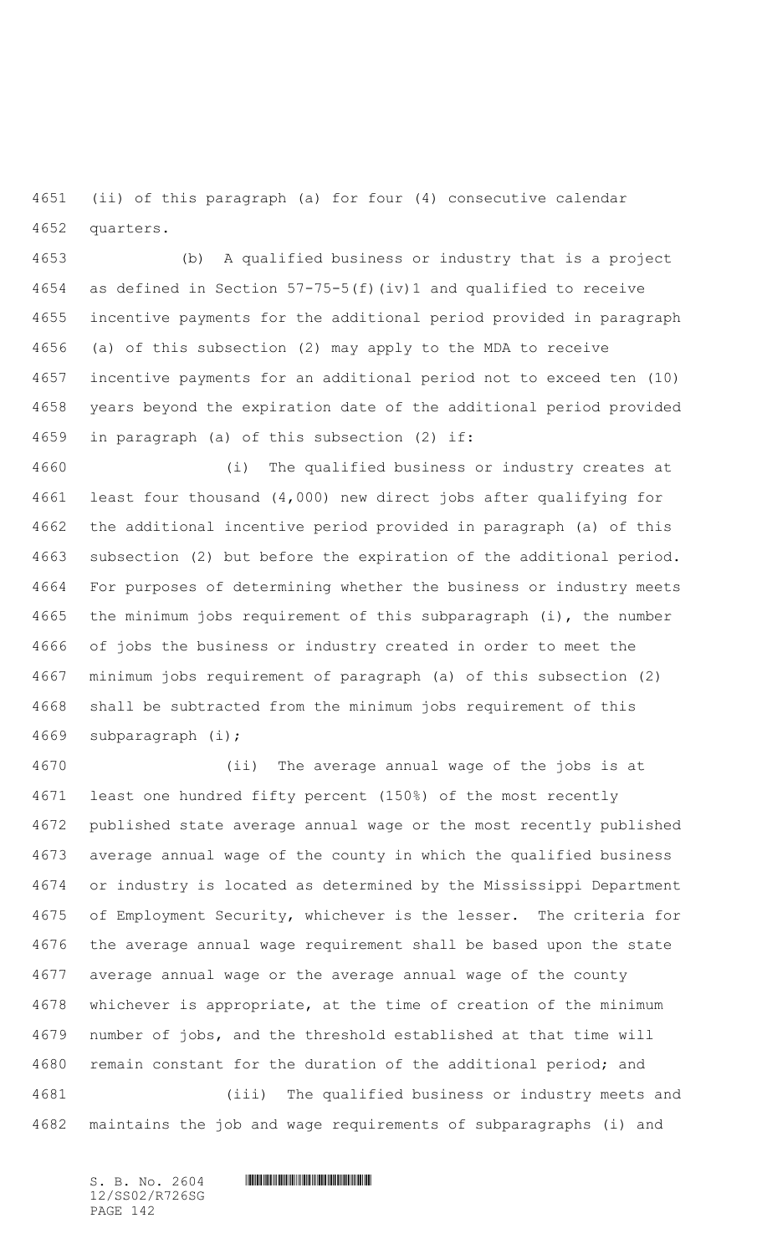(ii) of this paragraph (a) for four (4) consecutive calendar quarters.

 (b) A qualified business or industry that is a project as defined in Section 57-75-5(f)(iv)1 and qualified to receive incentive payments for the additional period provided in paragraph (a) of this subsection (2) may apply to the MDA to receive incentive payments for an additional period not to exceed ten (10) years beyond the expiration date of the additional period provided in paragraph (a) of this subsection (2) if:

 (i) The qualified business or industry creates at least four thousand (4,000) new direct jobs after qualifying for the additional incentive period provided in paragraph (a) of this subsection (2) but before the expiration of the additional period. For purposes of determining whether the business or industry meets the minimum jobs requirement of this subparagraph (i), the number of jobs the business or industry created in order to meet the minimum jobs requirement of paragraph (a) of this subsection (2) shall be subtracted from the minimum jobs requirement of this subparagraph (i);

 (ii) The average annual wage of the jobs is at least one hundred fifty percent (150%) of the most recently published state average annual wage or the most recently published average annual wage of the county in which the qualified business or industry is located as determined by the Mississippi Department of Employment Security, whichever is the lesser. The criteria for the average annual wage requirement shall be based upon the state average annual wage or the average annual wage of the county whichever is appropriate, at the time of creation of the minimum number of jobs, and the threshold established at that time will remain constant for the duration of the additional period; and (iii) The qualified business or industry meets and maintains the job and wage requirements of subparagraphs (i) and

12/SS02/R726SG PAGE 142

 $S. B. No. 2604$  .  $M. 2604$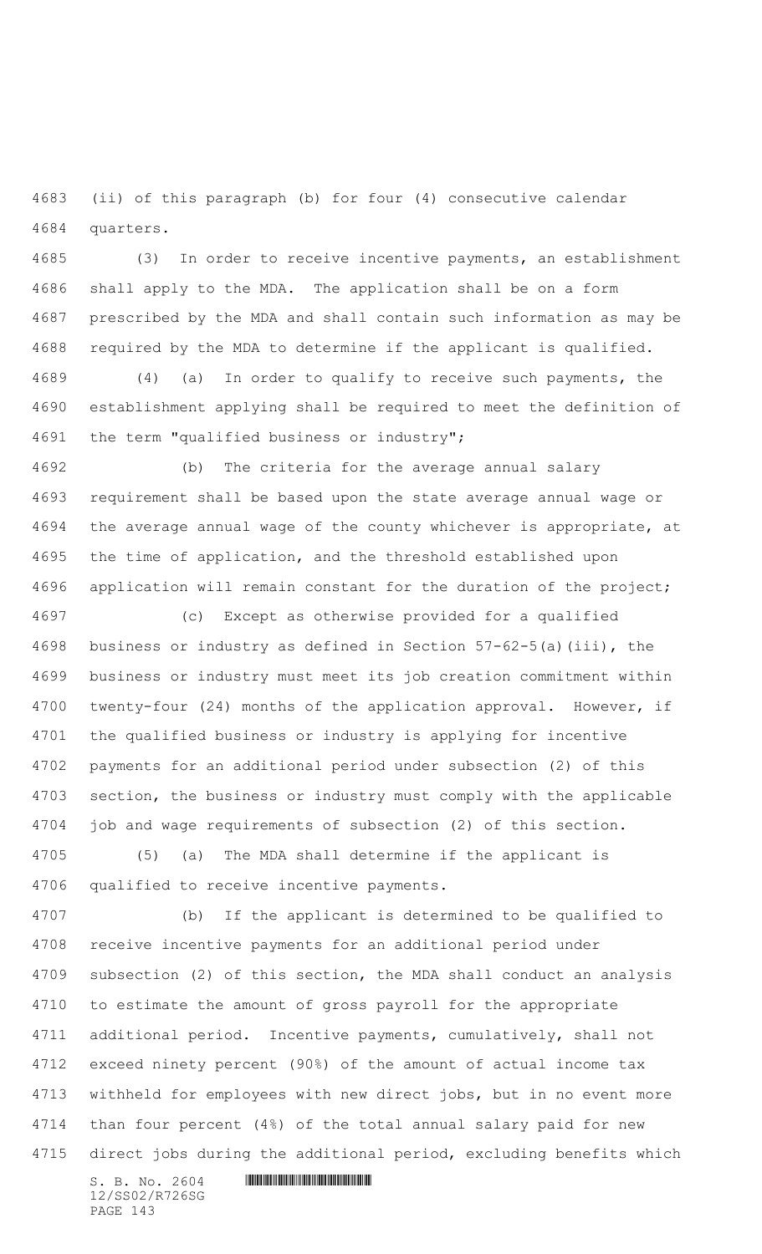(ii) of this paragraph (b) for four (4) consecutive calendar quarters.

 (3) In order to receive incentive payments, an establishment shall apply to the MDA. The application shall be on a form prescribed by the MDA and shall contain such information as may be required by the MDA to determine if the applicant is qualified.

 (4) (a) In order to qualify to receive such payments, the establishment applying shall be required to meet the definition of the term "qualified business or industry";

 (b) The criteria for the average annual salary requirement shall be based upon the state average annual wage or the average annual wage of the county whichever is appropriate, at the time of application, and the threshold established upon application will remain constant for the duration of the project;

 (c) Except as otherwise provided for a qualified business or industry as defined in Section 57-62-5(a)(iii), the business or industry must meet its job creation commitment within twenty-four (24) months of the application approval. However, if the qualified business or industry is applying for incentive payments for an additional period under subsection (2) of this section, the business or industry must comply with the applicable job and wage requirements of subsection (2) of this section.

 (5) (a) The MDA shall determine if the applicant is qualified to receive incentive payments.

 (b) If the applicant is determined to be qualified to receive incentive payments for an additional period under subsection (2) of this section, the MDA shall conduct an analysis to estimate the amount of gross payroll for the appropriate additional period. Incentive payments, cumulatively, shall not exceed ninety percent (90%) of the amount of actual income tax withheld for employees with new direct jobs, but in no event more than four percent (4%) of the total annual salary paid for new direct jobs during the additional period, excluding benefits which

 $S. B. No. 2604$  . The set of the set of  $S. B. N \circ A$ 12/SS02/R726SG PAGE 143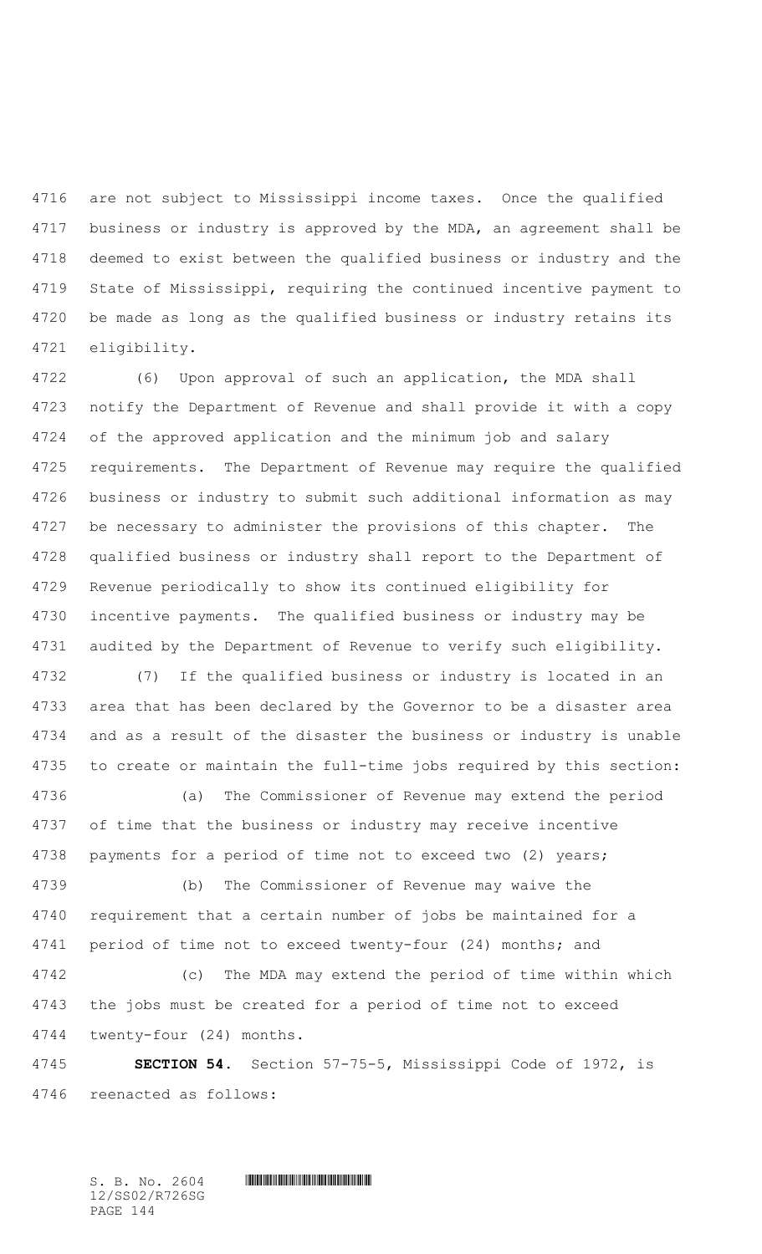are not subject to Mississippi income taxes. Once the qualified business or industry is approved by the MDA, an agreement shall be deemed to exist between the qualified business or industry and the State of Mississippi, requiring the continued incentive payment to be made as long as the qualified business or industry retains its eligibility.

 (6) Upon approval of such an application, the MDA shall notify the Department of Revenue and shall provide it with a copy of the approved application and the minimum job and salary requirements. The Department of Revenue may require the qualified business or industry to submit such additional information as may be necessary to administer the provisions of this chapter. The qualified business or industry shall report to the Department of Revenue periodically to show its continued eligibility for incentive payments. The qualified business or industry may be audited by the Department of Revenue to verify such eligibility.

 (7) If the qualified business or industry is located in an area that has been declared by the Governor to be a disaster area and as a result of the disaster the business or industry is unable to create or maintain the full-time jobs required by this section:

 (a) The Commissioner of Revenue may extend the period of time that the business or industry may receive incentive payments for a period of time not to exceed two (2) years;

 (b) The Commissioner of Revenue may waive the requirement that a certain number of jobs be maintained for a period of time not to exceed twenty-four (24) months; and

 (c) The MDA may extend the period of time within which the jobs must be created for a period of time not to exceed twenty-four (24) months.

 **SECTION 54.** Section 57-75-5, Mississippi Code of 1972, is reenacted as follows:

 $S. B. NO. 2604$  .  $M. 2604$ 12/SS02/R726SG PAGE 144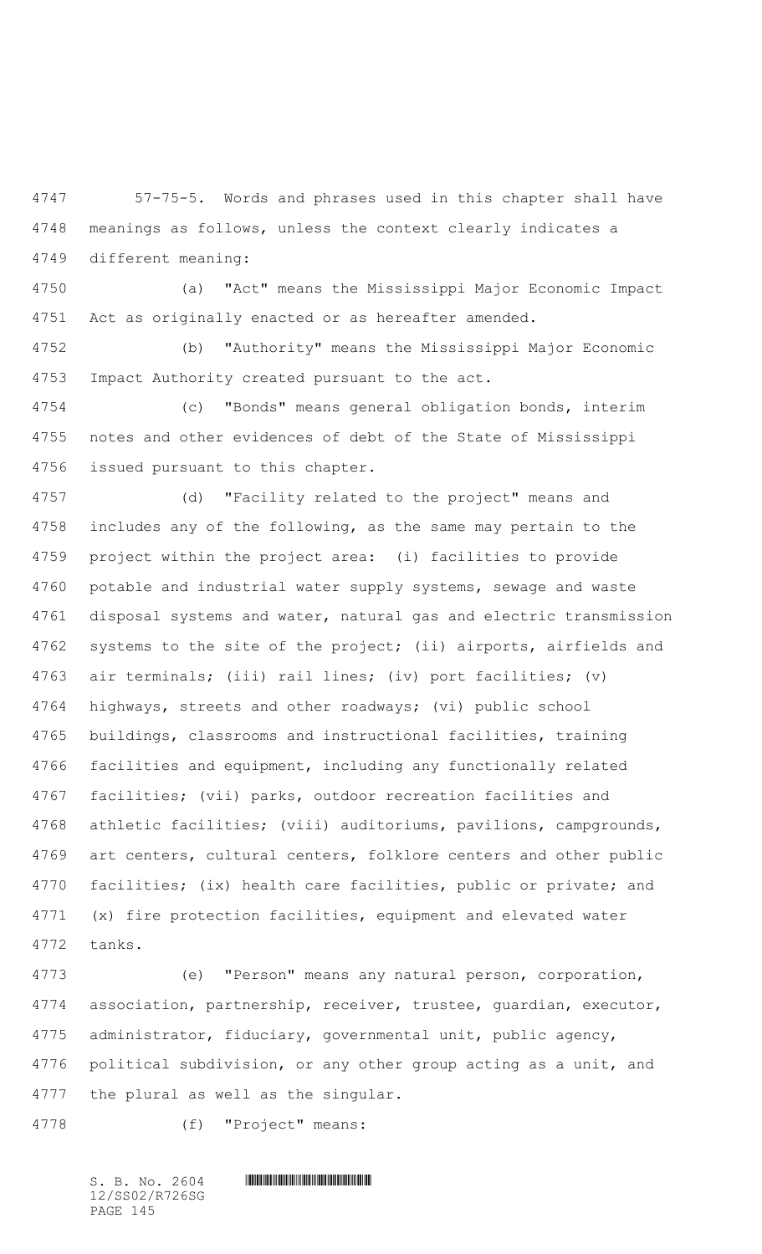57-75-5. Words and phrases used in this chapter shall have meanings as follows, unless the context clearly indicates a different meaning:

 (a) "Act" means the Mississippi Major Economic Impact Act as originally enacted or as hereafter amended.

 (b) "Authority" means the Mississippi Major Economic Impact Authority created pursuant to the act.

 (c) "Bonds" means general obligation bonds, interim notes and other evidences of debt of the State of Mississippi issued pursuant to this chapter.

 (d) "Facility related to the project" means and includes any of the following, as the same may pertain to the project within the project area: (i) facilities to provide potable and industrial water supply systems, sewage and waste disposal systems and water, natural gas and electric transmission systems to the site of the project; (ii) airports, airfields and air terminals; (iii) rail lines; (iv) port facilities; (v) highways, streets and other roadways; (vi) public school buildings, classrooms and instructional facilities, training facilities and equipment, including any functionally related facilities; (vii) parks, outdoor recreation facilities and athletic facilities; (viii) auditoriums, pavilions, campgrounds, art centers, cultural centers, folklore centers and other public facilities; (ix) health care facilities, public or private; and (x) fire protection facilities, equipment and elevated water tanks.

 (e) "Person" means any natural person, corporation, association, partnership, receiver, trustee, guardian, executor, administrator, fiduciary, governmental unit, public agency, political subdivision, or any other group acting as a unit, and the plural as well as the singular.

(f) "Project" means:

12/SS02/R726SG PAGE 145

 $S. B. No. 2604$  .  $M. 2604$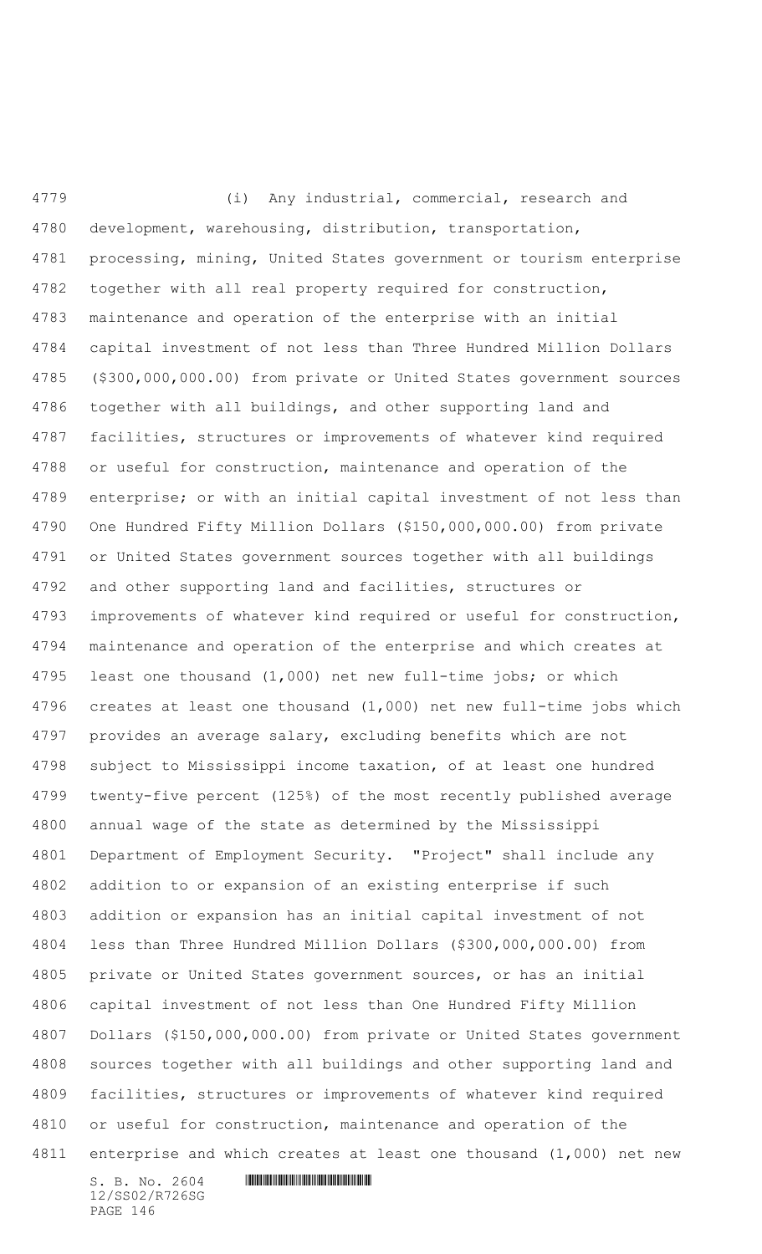(i) Any industrial, commercial, research and development, warehousing, distribution, transportation, processing, mining, United States government or tourism enterprise together with all real property required for construction, maintenance and operation of the enterprise with an initial capital investment of not less than Three Hundred Million Dollars (\$300,000,000.00) from private or United States government sources together with all buildings, and other supporting land and facilities, structures or improvements of whatever kind required or useful for construction, maintenance and operation of the enterprise; or with an initial capital investment of not less than One Hundred Fifty Million Dollars (\$150,000,000.00) from private or United States government sources together with all buildings and other supporting land and facilities, structures or improvements of whatever kind required or useful for construction, maintenance and operation of the enterprise and which creates at least one thousand (1,000) net new full-time jobs; or which creates at least one thousand (1,000) net new full-time jobs which provides an average salary, excluding benefits which are not subject to Mississippi income taxation, of at least one hundred twenty-five percent (125%) of the most recently published average annual wage of the state as determined by the Mississippi Department of Employment Security. "Project" shall include any addition to or expansion of an existing enterprise if such addition or expansion has an initial capital investment of not less than Three Hundred Million Dollars (\$300,000,000.00) from private or United States government sources, or has an initial capital investment of not less than One Hundred Fifty Million Dollars (\$150,000,000.00) from private or United States government sources together with all buildings and other supporting land and facilities, structures or improvements of whatever kind required or useful for construction, maintenance and operation of the enterprise and which creates at least one thousand (1,000) net new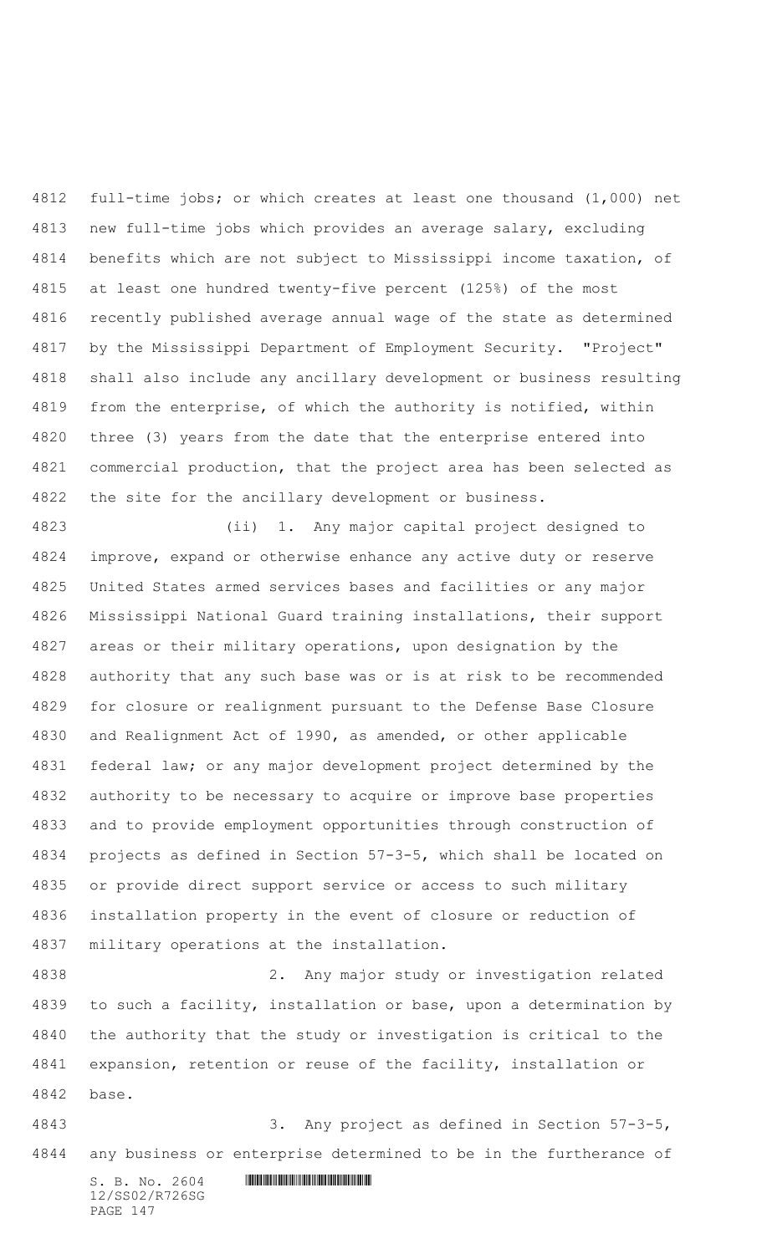full-time jobs; or which creates at least one thousand (1,000) net new full-time jobs which provides an average salary, excluding benefits which are not subject to Mississippi income taxation, of at least one hundred twenty-five percent (125%) of the most recently published average annual wage of the state as determined by the Mississippi Department of Employment Security. "Project" shall also include any ancillary development or business resulting from the enterprise, of which the authority is notified, within three (3) years from the date that the enterprise entered into commercial production, that the project area has been selected as the site for the ancillary development or business.

 (ii) 1. Any major capital project designed to improve, expand or otherwise enhance any active duty or reserve United States armed services bases and facilities or any major Mississippi National Guard training installations, their support areas or their military operations, upon designation by the authority that any such base was or is at risk to be recommended for closure or realignment pursuant to the Defense Base Closure and Realignment Act of 1990, as amended, or other applicable federal law; or any major development project determined by the authority to be necessary to acquire or improve base properties and to provide employment opportunities through construction of projects as defined in Section 57-3-5, which shall be located on or provide direct support service or access to such military installation property in the event of closure or reduction of military operations at the installation.

 2. Any major study or investigation related to such a facility, installation or base, upon a determination by the authority that the study or investigation is critical to the expansion, retention or reuse of the facility, installation or base.

 3. Any project as defined in Section 57-3-5, any business or enterprise determined to be in the furtherance of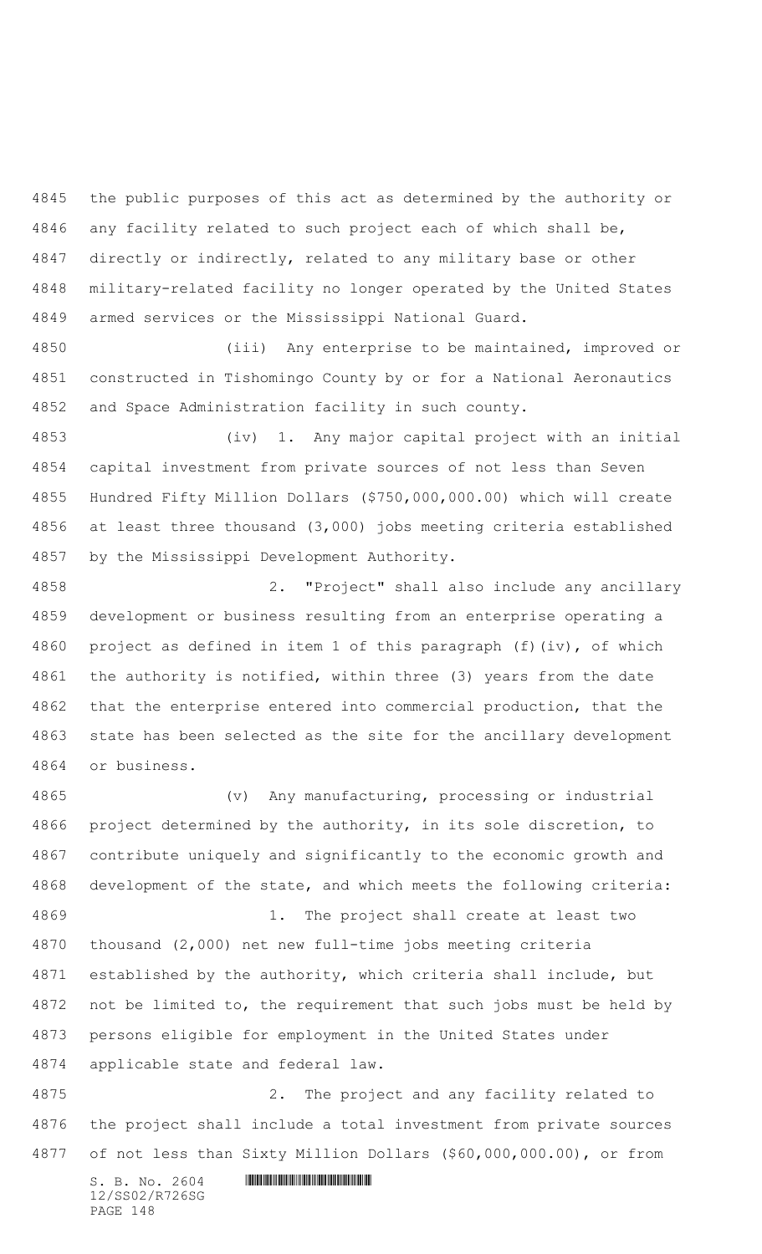the public purposes of this act as determined by the authority or any facility related to such project each of which shall be, directly or indirectly, related to any military base or other military-related facility no longer operated by the United States armed services or the Mississippi National Guard.

 (iii) Any enterprise to be maintained, improved or constructed in Tishomingo County by or for a National Aeronautics and Space Administration facility in such county.

 (iv) 1. Any major capital project with an initial capital investment from private sources of not less than Seven Hundred Fifty Million Dollars (\$750,000,000.00) which will create at least three thousand (3,000) jobs meeting criteria established by the Mississippi Development Authority.

 2. "Project" shall also include any ancillary development or business resulting from an enterprise operating a project as defined in item 1 of this paragraph (f)(iv), of which 4861 the authority is notified, within three (3) years from the date that the enterprise entered into commercial production, that the state has been selected as the site for the ancillary development or business.

 (v) Any manufacturing, processing or industrial project determined by the authority, in its sole discretion, to contribute uniquely and significantly to the economic growth and development of the state, and which meets the following criteria: 1. The project shall create at least two thousand (2,000) net new full-time jobs meeting criteria established by the authority, which criteria shall include, but not be limited to, the requirement that such jobs must be held by persons eligible for employment in the United States under applicable state and federal law.

 2. The project and any facility related to the project shall include a total investment from private sources of not less than Sixty Million Dollars (\$60,000,000.00), or from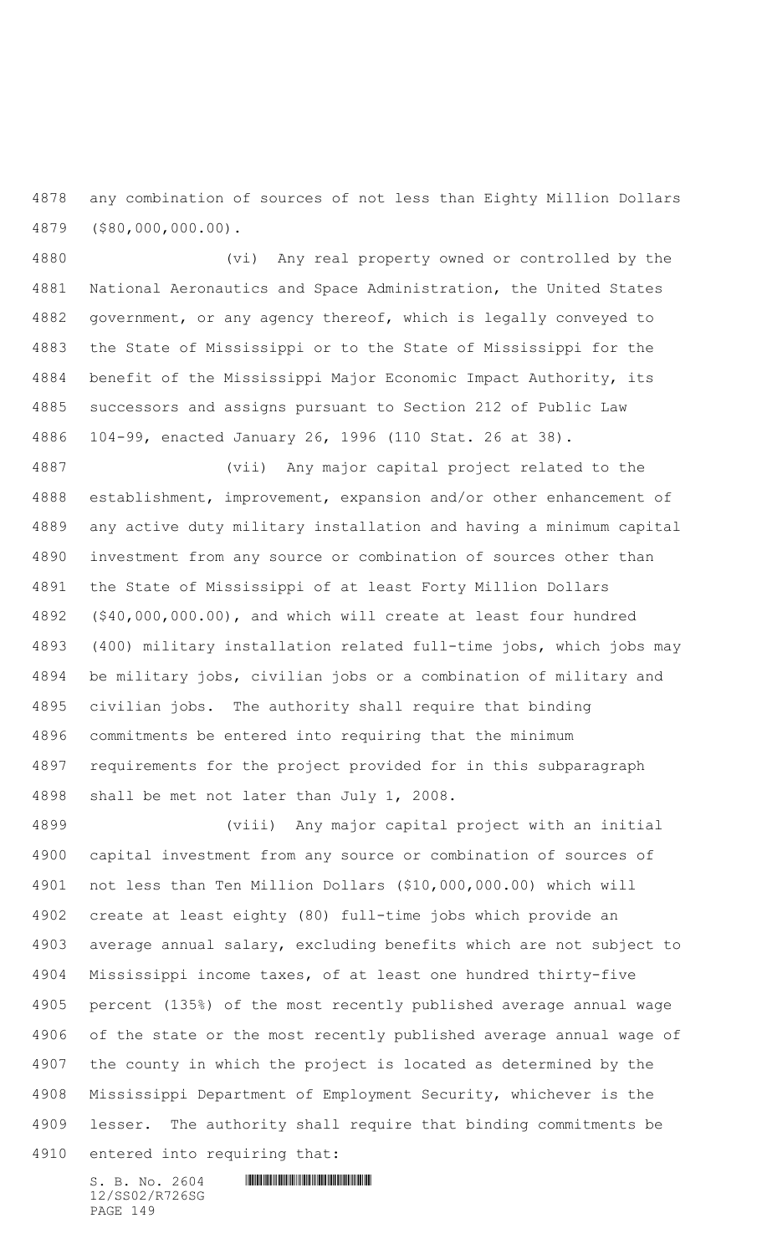any combination of sources of not less than Eighty Million Dollars (\$80,000,000.00).

 (vi) Any real property owned or controlled by the National Aeronautics and Space Administration, the United States government, or any agency thereof, which is legally conveyed to the State of Mississippi or to the State of Mississippi for the benefit of the Mississippi Major Economic Impact Authority, its successors and assigns pursuant to Section 212 of Public Law 104-99, enacted January 26, 1996 (110 Stat. 26 at 38).

 (vii) Any major capital project related to the establishment, improvement, expansion and/or other enhancement of any active duty military installation and having a minimum capital investment from any source or combination of sources other than the State of Mississippi of at least Forty Million Dollars (\$40,000,000.00), and which will create at least four hundred (400) military installation related full-time jobs, which jobs may be military jobs, civilian jobs or a combination of military and civilian jobs. The authority shall require that binding commitments be entered into requiring that the minimum requirements for the project provided for in this subparagraph shall be met not later than July 1, 2008.

 (viii) Any major capital project with an initial capital investment from any source or combination of sources of not less than Ten Million Dollars (\$10,000,000.00) which will create at least eighty (80) full-time jobs which provide an average annual salary, excluding benefits which are not subject to Mississippi income taxes, of at least one hundred thirty-five percent (135%) of the most recently published average annual wage of the state or the most recently published average annual wage of the county in which the project is located as determined by the Mississippi Department of Employment Security, whichever is the lesser. The authority shall require that binding commitments be entered into requiring that: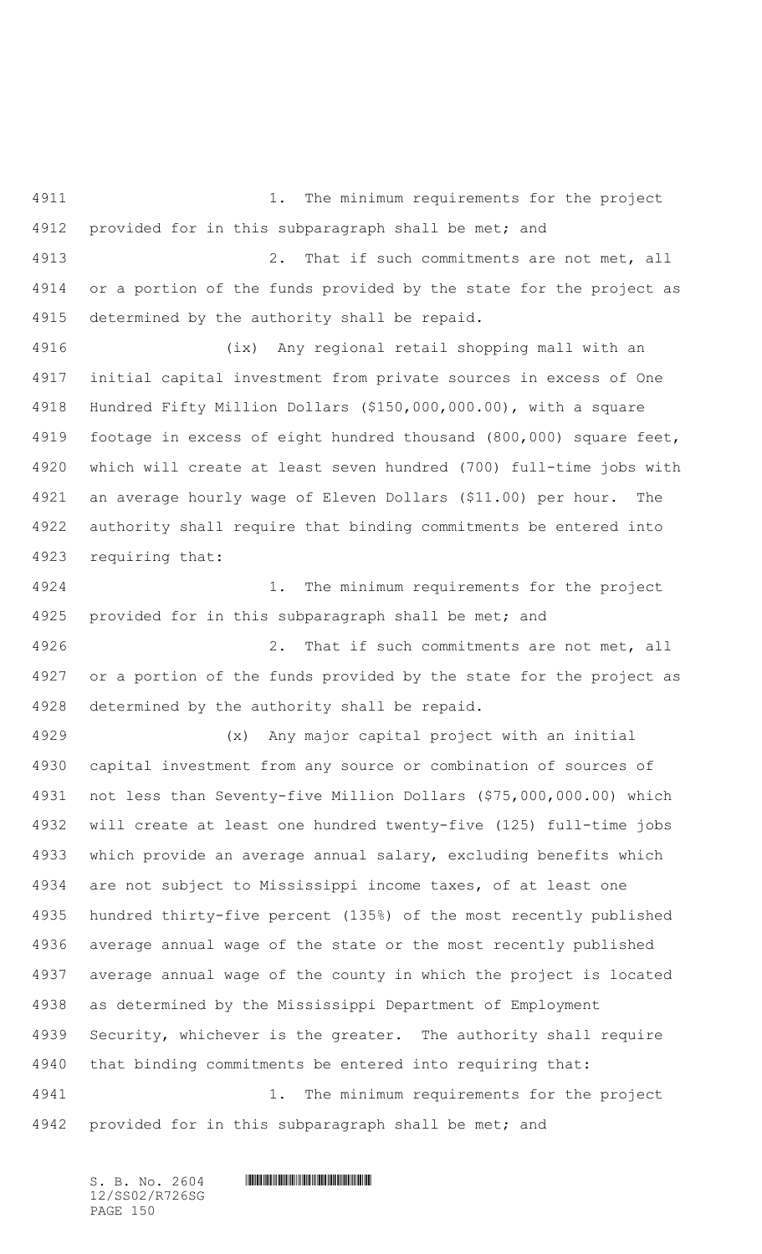4911 1. The minimum requirements for the project 4912 provided for in this subparagraph shall be met; and 2. That if such commitments are not met, all or a portion of the funds provided by the state for the project as determined by the authority shall be repaid. (ix) Any regional retail shopping mall with an initial capital investment from private sources in excess of One Hundred Fifty Million Dollars (\$150,000,000.00), with a square footage in excess of eight hundred thousand (800,000) square feet, which will create at least seven hundred (700) full-time jobs with an average hourly wage of Eleven Dollars (\$11.00) per hour. The authority shall require that binding commitments be entered into requiring that: 1. The minimum requirements for the project provided for in this subparagraph shall be met; and 2. That if such commitments are not met, all or a portion of the funds provided by the state for the project as determined by the authority shall be repaid. (x) Any major capital project with an initial capital investment from any source or combination of sources of not less than Seventy-five Million Dollars (\$75,000,000.00) which will create at least one hundred twenty-five (125) full-time jobs which provide an average annual salary, excluding benefits which are not subject to Mississippi income taxes, of at least one hundred thirty-five percent (135%) of the most recently published average annual wage of the state or the most recently published average annual wage of the county in which the project is located as determined by the Mississippi Department of Employment Security, whichever is the greater. The authority shall require that binding commitments be entered into requiring that: 1. The minimum requirements for the project 4942 provided for in this subparagraph shall be met; and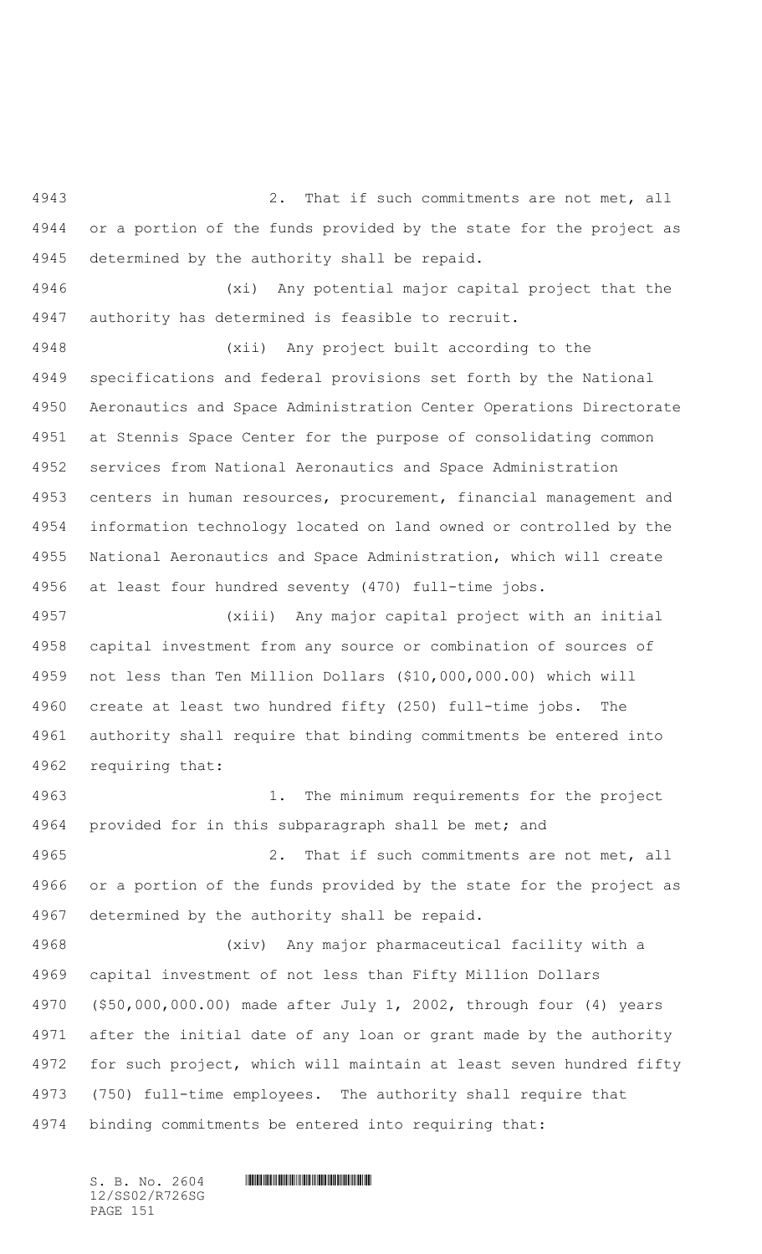2. That if such commitments are not met, all or a portion of the funds provided by the state for the project as determined by the authority shall be repaid.

 (xi) Any potential major capital project that the authority has determined is feasible to recruit.

 (xii) Any project built according to the specifications and federal provisions set forth by the National Aeronautics and Space Administration Center Operations Directorate at Stennis Space Center for the purpose of consolidating common services from National Aeronautics and Space Administration centers in human resources, procurement, financial management and information technology located on land owned or controlled by the National Aeronautics and Space Administration, which will create at least four hundred seventy (470) full-time jobs.

 (xiii) Any major capital project with an initial capital investment from any source or combination of sources of not less than Ten Million Dollars (\$10,000,000.00) which will create at least two hundred fifty (250) full-time jobs. The authority shall require that binding commitments be entered into requiring that:

 1. The minimum requirements for the project 4964 provided for in this subparagraph shall be met; and 2. That if such commitments are not met, all or a portion of the funds provided by the state for the project as determined by the authority shall be repaid. (xiv) Any major pharmaceutical facility with a

 capital investment of not less than Fifty Million Dollars (\$50,000,000.00) made after July 1, 2002, through four (4) years after the initial date of any loan or grant made by the authority for such project, which will maintain at least seven hundred fifty (750) full-time employees. The authority shall require that binding commitments be entered into requiring that:

12/SS02/R726SG PAGE 151

## $S. B. NO. 2604$  .  $M. 2604$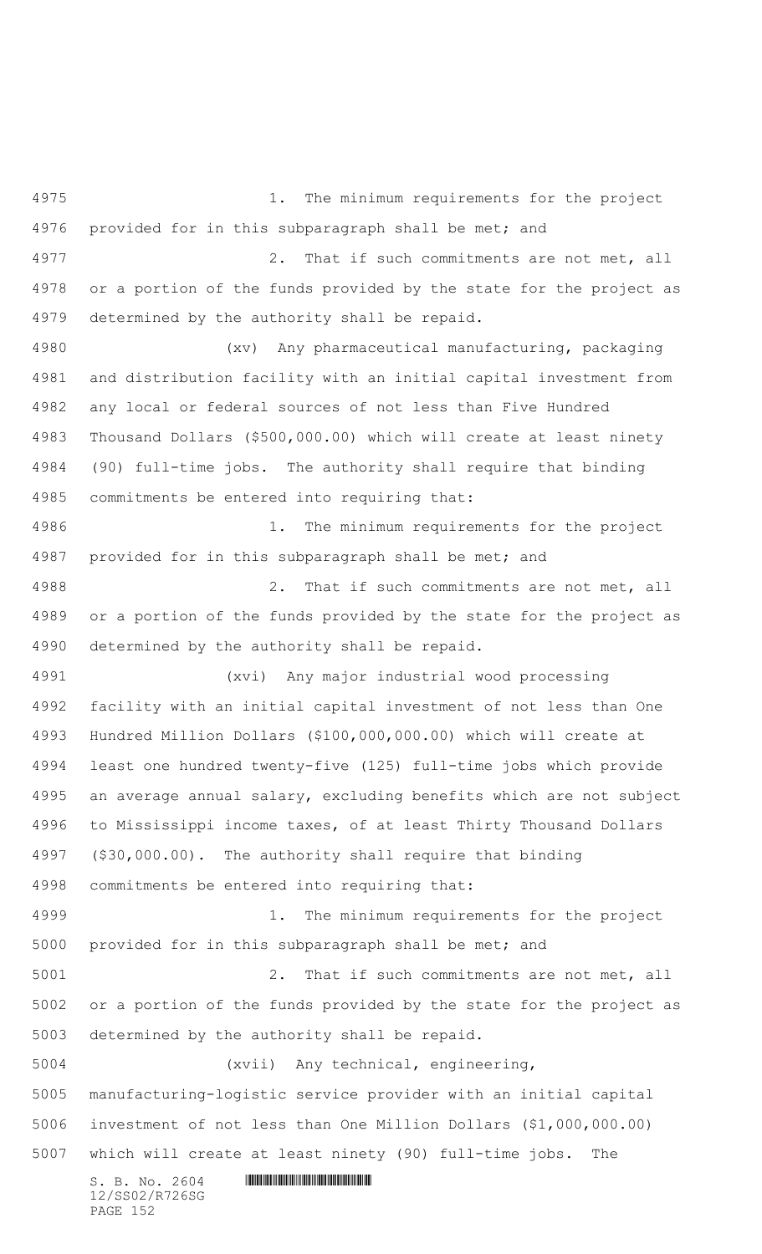$S. B. No. 2604$  . The set of the set of  $S. B. N \circ A$ 12/SS02/R726SG 1. The minimum requirements for the project 4976 provided for in this subparagraph shall be met; and 2. That if such commitments are not met, all or a portion of the funds provided by the state for the project as determined by the authority shall be repaid. (xv) Any pharmaceutical manufacturing, packaging and distribution facility with an initial capital investment from any local or federal sources of not less than Five Hundred Thousand Dollars (\$500,000.00) which will create at least ninety (90) full-time jobs. The authority shall require that binding commitments be entered into requiring that: 1. The minimum requirements for the project 4987 provided for in this subparagraph shall be met; and 2. That if such commitments are not met, all or a portion of the funds provided by the state for the project as determined by the authority shall be repaid. (xvi) Any major industrial wood processing facility with an initial capital investment of not less than One Hundred Million Dollars (\$100,000,000.00) which will create at least one hundred twenty-five (125) full-time jobs which provide an average annual salary, excluding benefits which are not subject to Mississippi income taxes, of at least Thirty Thousand Dollars (\$30,000.00). The authority shall require that binding commitments be entered into requiring that: 1. The minimum requirements for the project provided for in this subparagraph shall be met; and 2. That if such commitments are not met, all or a portion of the funds provided by the state for the project as determined by the authority shall be repaid. (xvii) Any technical, engineering, manufacturing-logistic service provider with an initial capital investment of not less than One Million Dollars (\$1,000,000.00) which will create at least ninety (90) full-time jobs. The

PAGE 152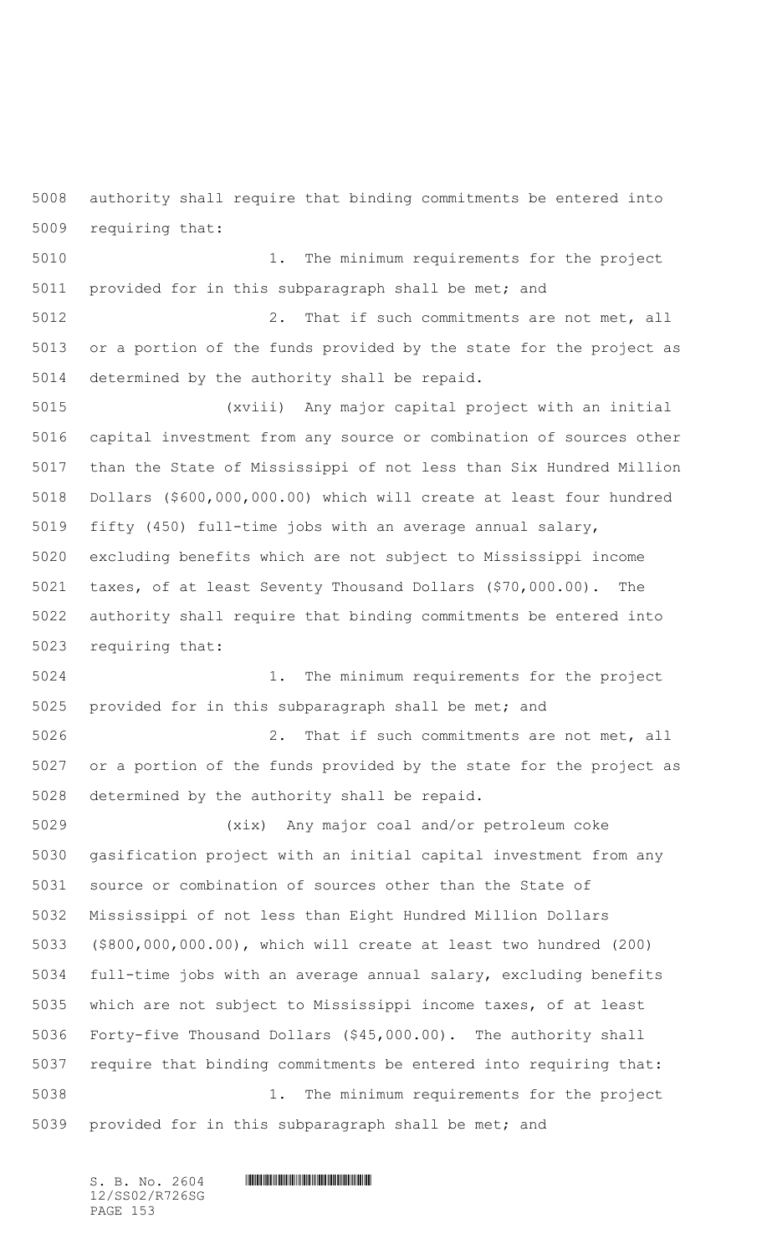authority shall require that binding commitments be entered into requiring that:

 1. The minimum requirements for the project provided for in this subparagraph shall be met; and

 2. That if such commitments are not met, all or a portion of the funds provided by the state for the project as determined by the authority shall be repaid.

 (xviii) Any major capital project with an initial capital investment from any source or combination of sources other than the State of Mississippi of not less than Six Hundred Million Dollars (\$600,000,000.00) which will create at least four hundred fifty (450) full-time jobs with an average annual salary, excluding benefits which are not subject to Mississippi income taxes, of at least Seventy Thousand Dollars (\$70,000.00). The authority shall require that binding commitments be entered into requiring that:

 1. The minimum requirements for the project provided for in this subparagraph shall be met; and

 2. That if such commitments are not met, all or a portion of the funds provided by the state for the project as determined by the authority shall be repaid.

 (xix) Any major coal and/or petroleum coke gasification project with an initial capital investment from any source or combination of sources other than the State of Mississippi of not less than Eight Hundred Million Dollars (\$800,000,000.00), which will create at least two hundred (200) full-time jobs with an average annual salary, excluding benefits which are not subject to Mississippi income taxes, of at least Forty-five Thousand Dollars (\$45,000.00). The authority shall require that binding commitments be entered into requiring that: 1. The minimum requirements for the project provided for in this subparagraph shall be met; and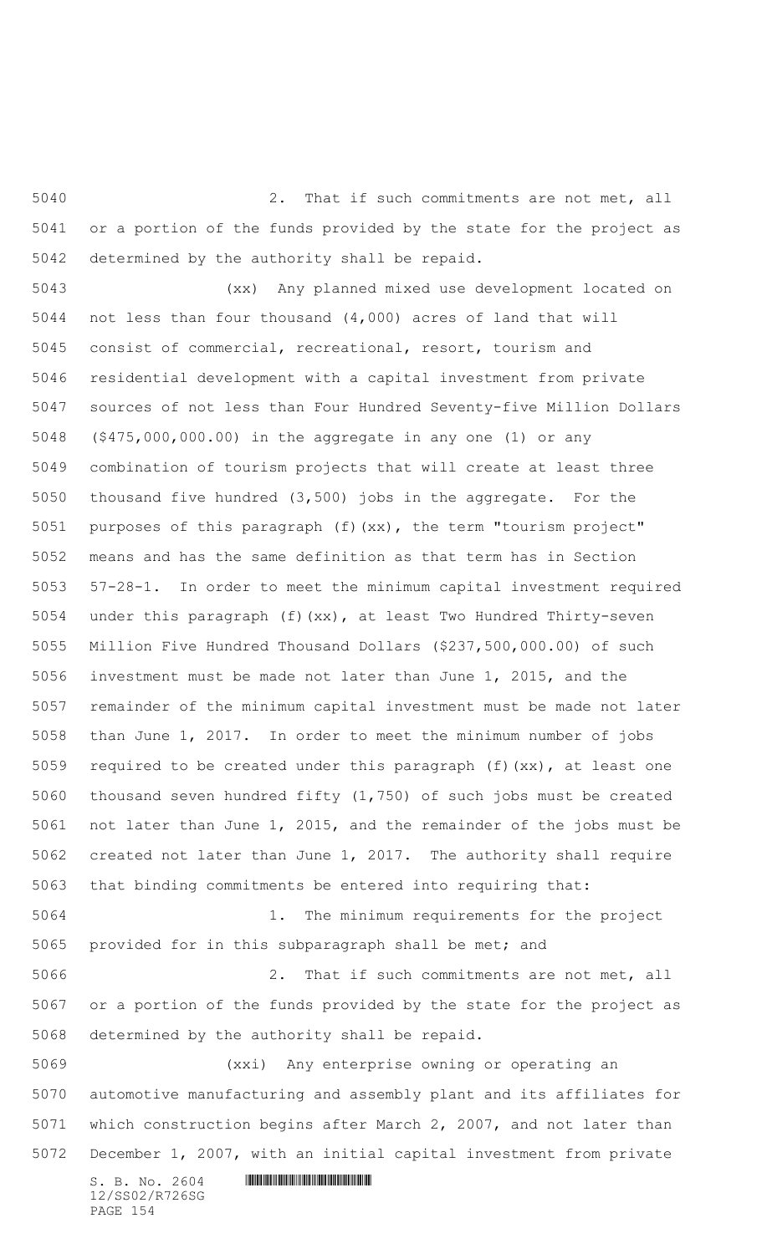2. That if such commitments are not met, all or a portion of the funds provided by the state for the project as determined by the authority shall be repaid.

 (xx) Any planned mixed use development located on not less than four thousand (4,000) acres of land that will consist of commercial, recreational, resort, tourism and residential development with a capital investment from private sources of not less than Four Hundred Seventy-five Million Dollars (\$475,000,000.00) in the aggregate in any one (1) or any combination of tourism projects that will create at least three thousand five hundred (3,500) jobs in the aggregate. For the purposes of this paragraph (f)(xx), the term "tourism project" means and has the same definition as that term has in Section 57-28-1. In order to meet the minimum capital investment required under this paragraph (f)(xx), at least Two Hundred Thirty-seven Million Five Hundred Thousand Dollars (\$237,500,000.00) of such investment must be made not later than June 1, 2015, and the remainder of the minimum capital investment must be made not later than June 1, 2017. In order to meet the minimum number of jobs required to be created under this paragraph (f)(xx), at least one thousand seven hundred fifty (1,750) of such jobs must be created not later than June 1, 2015, and the remainder of the jobs must be created not later than June 1, 2017. The authority shall require that binding commitments be entered into requiring that: 1. The minimum requirements for the project provided for in this subparagraph shall be met; and 2. That if such commitments are not met, all or a portion of the funds provided by the state for the project as determined by the authority shall be repaid. (xxi) Any enterprise owning or operating an

 automotive manufacturing and assembly plant and its affiliates for which construction begins after March 2, 2007, and not later than December 1, 2007, with an initial capital investment from private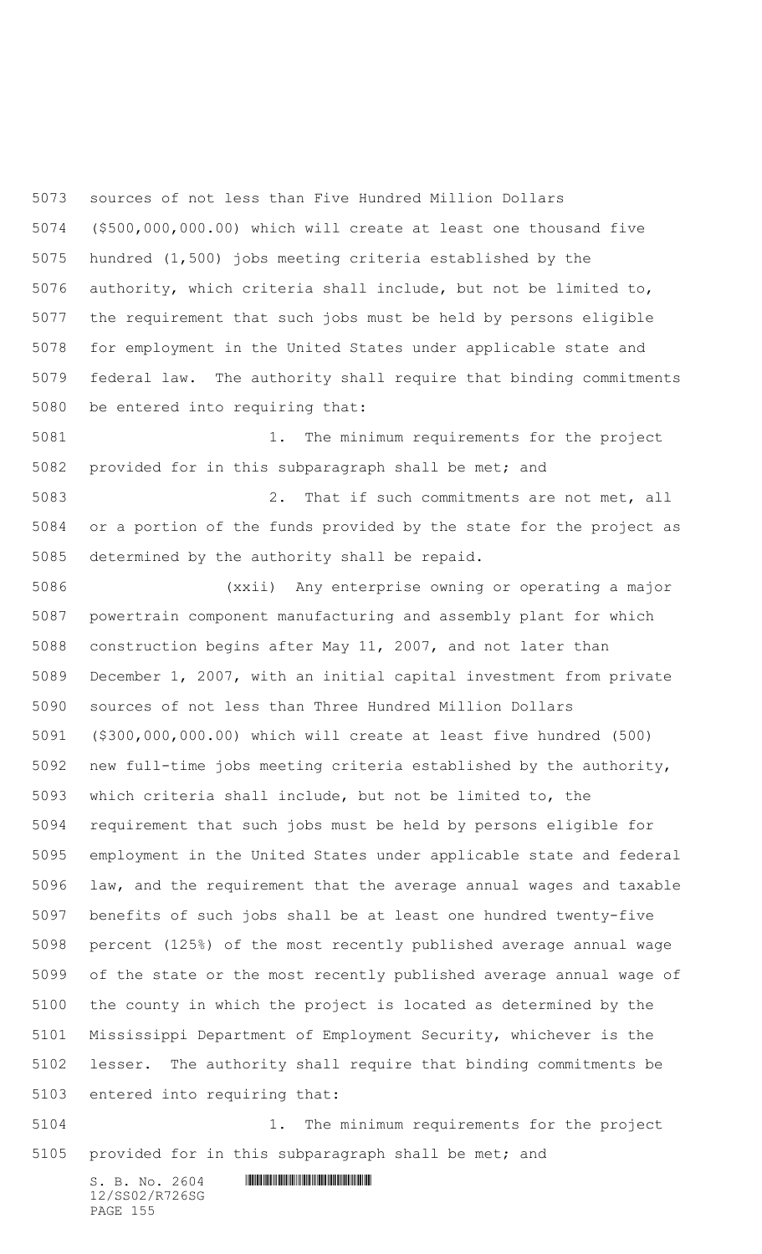sources of not less than Five Hundred Million Dollars (\$500,000,000.00) which will create at least one thousand five hundred (1,500) jobs meeting criteria established by the authority, which criteria shall include, but not be limited to, the requirement that such jobs must be held by persons eligible for employment in the United States under applicable state and federal law. The authority shall require that binding commitments be entered into requiring that:

 1. The minimum requirements for the project provided for in this subparagraph shall be met; and

 2. That if such commitments are not met, all or a portion of the funds provided by the state for the project as determined by the authority shall be repaid.

 (xxii) Any enterprise owning or operating a major powertrain component manufacturing and assembly plant for which construction begins after May 11, 2007, and not later than December 1, 2007, with an initial capital investment from private sources of not less than Three Hundred Million Dollars (\$300,000,000.00) which will create at least five hundred (500) new full-time jobs meeting criteria established by the authority, which criteria shall include, but not be limited to, the requirement that such jobs must be held by persons eligible for employment in the United States under applicable state and federal law, and the requirement that the average annual wages and taxable benefits of such jobs shall be at least one hundred twenty-five percent (125%) of the most recently published average annual wage of the state or the most recently published average annual wage of the county in which the project is located as determined by the Mississippi Department of Employment Security, whichever is the lesser. The authority shall require that binding commitments be entered into requiring that:

 1. The minimum requirements for the project provided for in this subparagraph shall be met; and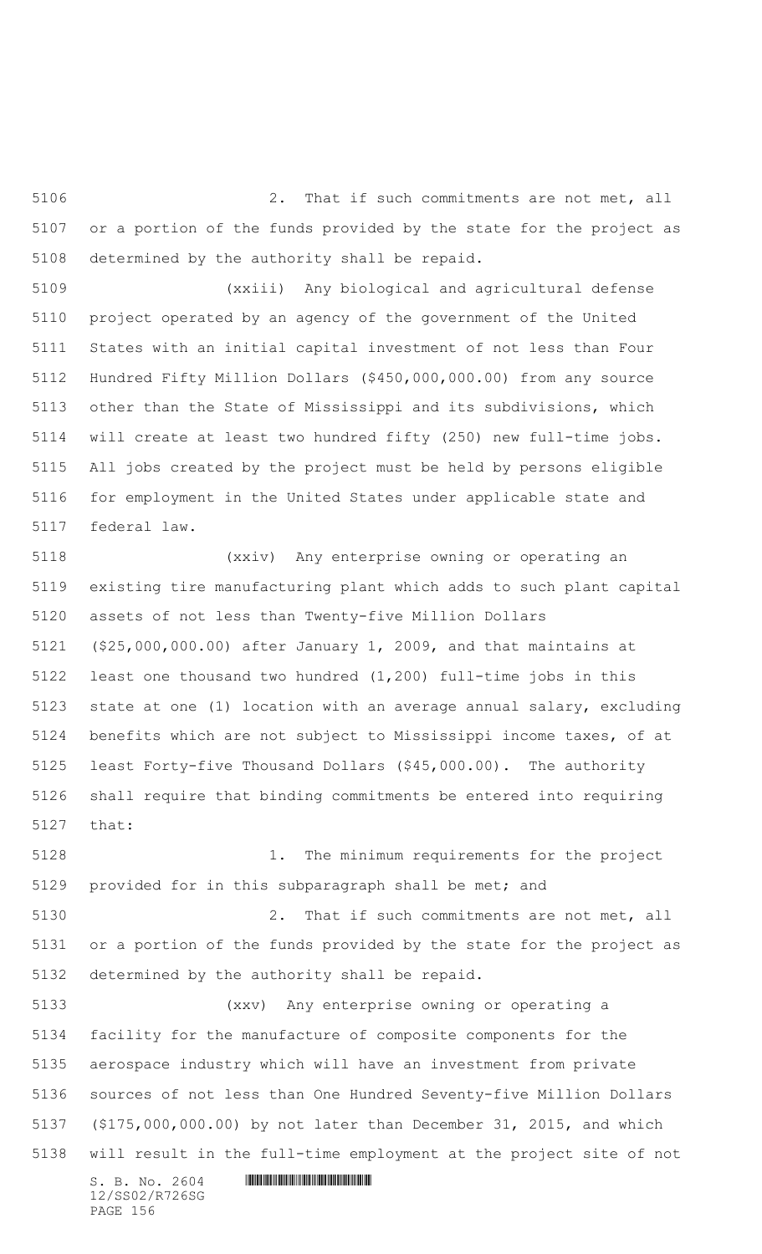2. That if such commitments are not met, all or a portion of the funds provided by the state for the project as determined by the authority shall be repaid.

 (xxiii) Any biological and agricultural defense project operated by an agency of the government of the United States with an initial capital investment of not less than Four Hundred Fifty Million Dollars (\$450,000,000.00) from any source other than the State of Mississippi and its subdivisions, which will create at least two hundred fifty (250) new full-time jobs. All jobs created by the project must be held by persons eligible for employment in the United States under applicable state and federal law.

 (xxiv) Any enterprise owning or operating an existing tire manufacturing plant which adds to such plant capital assets of not less than Twenty-five Million Dollars (\$25,000,000.00) after January 1, 2009, and that maintains at least one thousand two hundred (1,200) full-time jobs in this state at one (1) location with an average annual salary, excluding benefits which are not subject to Mississippi income taxes, of at least Forty-five Thousand Dollars (\$45,000.00). The authority shall require that binding commitments be entered into requiring that:

 1. The minimum requirements for the project provided for in this subparagraph shall be met; and

 2. That if such commitments are not met, all or a portion of the funds provided by the state for the project as determined by the authority shall be repaid.

 (xxv) Any enterprise owning or operating a facility for the manufacture of composite components for the aerospace industry which will have an investment from private sources of not less than One Hundred Seventy-five Million Dollars (\$175,000,000.00) by not later than December 31, 2015, and which will result in the full-time employment at the project site of not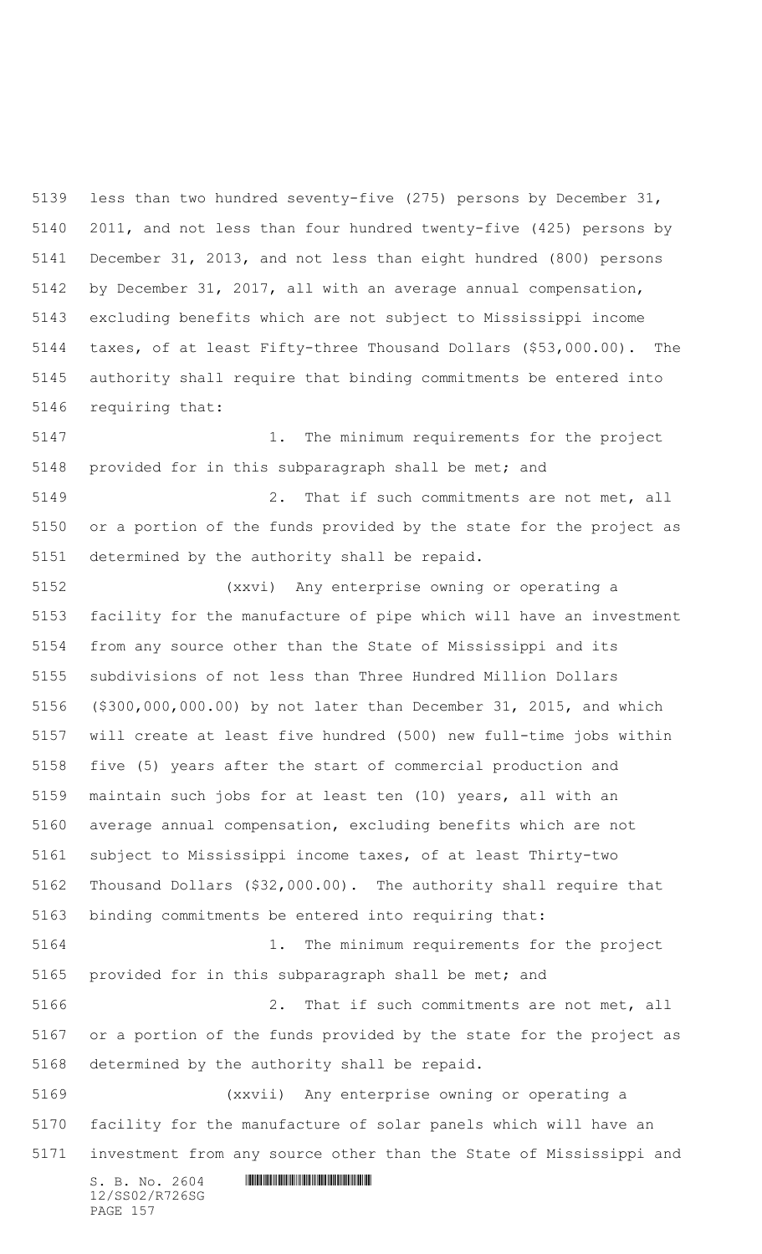less than two hundred seventy-five (275) persons by December 31, 2011, and not less than four hundred twenty-five (425) persons by December 31, 2013, and not less than eight hundred (800) persons by December 31, 2017, all with an average annual compensation, excluding benefits which are not subject to Mississippi income taxes, of at least Fifty-three Thousand Dollars (\$53,000.00). The authority shall require that binding commitments be entered into requiring that:

 1. The minimum requirements for the project provided for in this subparagraph shall be met; and

 2. That if such commitments are not met, all or a portion of the funds provided by the state for the project as determined by the authority shall be repaid.

 (xxvi) Any enterprise owning or operating a facility for the manufacture of pipe which will have an investment from any source other than the State of Mississippi and its subdivisions of not less than Three Hundred Million Dollars (\$300,000,000.00) by not later than December 31, 2015, and which will create at least five hundred (500) new full-time jobs within five (5) years after the start of commercial production and maintain such jobs for at least ten (10) years, all with an average annual compensation, excluding benefits which are not subject to Mississippi income taxes, of at least Thirty-two Thousand Dollars (\$32,000.00). The authority shall require that binding commitments be entered into requiring that: 1. The minimum requirements for the project provided for in this subparagraph shall be met; and 2. That if such commitments are not met, all

 or a portion of the funds provided by the state for the project as determined by the authority shall be repaid.

 (xxvii) Any enterprise owning or operating a facility for the manufacture of solar panels which will have an investment from any source other than the State of Mississippi and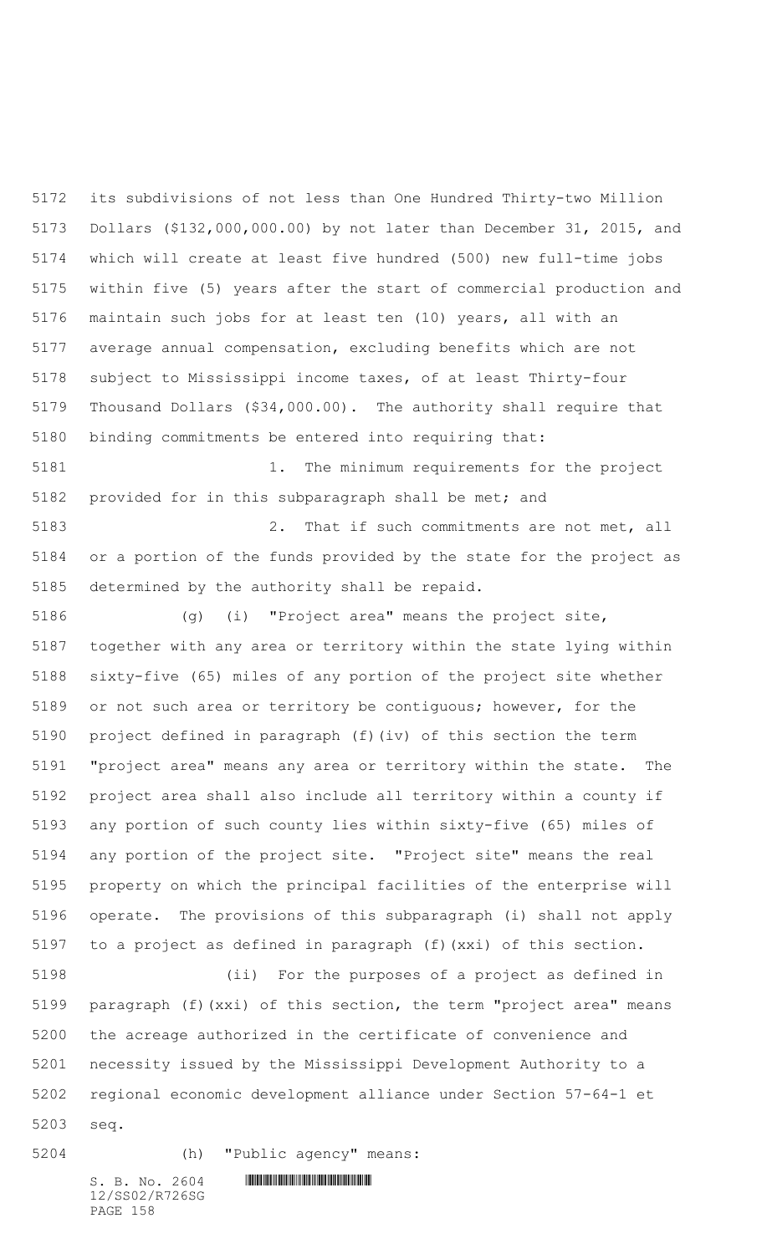its subdivisions of not less than One Hundred Thirty-two Million Dollars (\$132,000,000.00) by not later than December 31, 2015, and which will create at least five hundred (500) new full-time jobs within five (5) years after the start of commercial production and maintain such jobs for at least ten (10) years, all with an average annual compensation, excluding benefits which are not subject to Mississippi income taxes, of at least Thirty-four Thousand Dollars (\$34,000.00). The authority shall require that binding commitments be entered into requiring that:

 1. The minimum requirements for the project provided for in this subparagraph shall be met; and

 2. That if such commitments are not met, all or a portion of the funds provided by the state for the project as determined by the authority shall be repaid.

 (g) (i) "Project area" means the project site, together with any area or territory within the state lying within sixty-five (65) miles of any portion of the project site whether or not such area or territory be contiguous; however, for the project defined in paragraph (f)(iv) of this section the term "project area" means any area or territory within the state. The project area shall also include all territory within a county if any portion of such county lies within sixty-five (65) miles of any portion of the project site. "Project site" means the real property on which the principal facilities of the enterprise will operate. The provisions of this subparagraph (i) shall not apply to a project as defined in paragraph (f)(xxi) of this section.

 (ii) For the purposes of a project as defined in paragraph (f)(xxi) of this section, the term "project area" means the acreage authorized in the certificate of convenience and necessity issued by the Mississippi Development Authority to a regional economic development alliance under Section 57-64-1 et seq.

(h) "Public agency" means:

12/SS02/R726SG PAGE 158

 $S. B. No. 2604$  . The set of the set of  $S. B. N \circ A$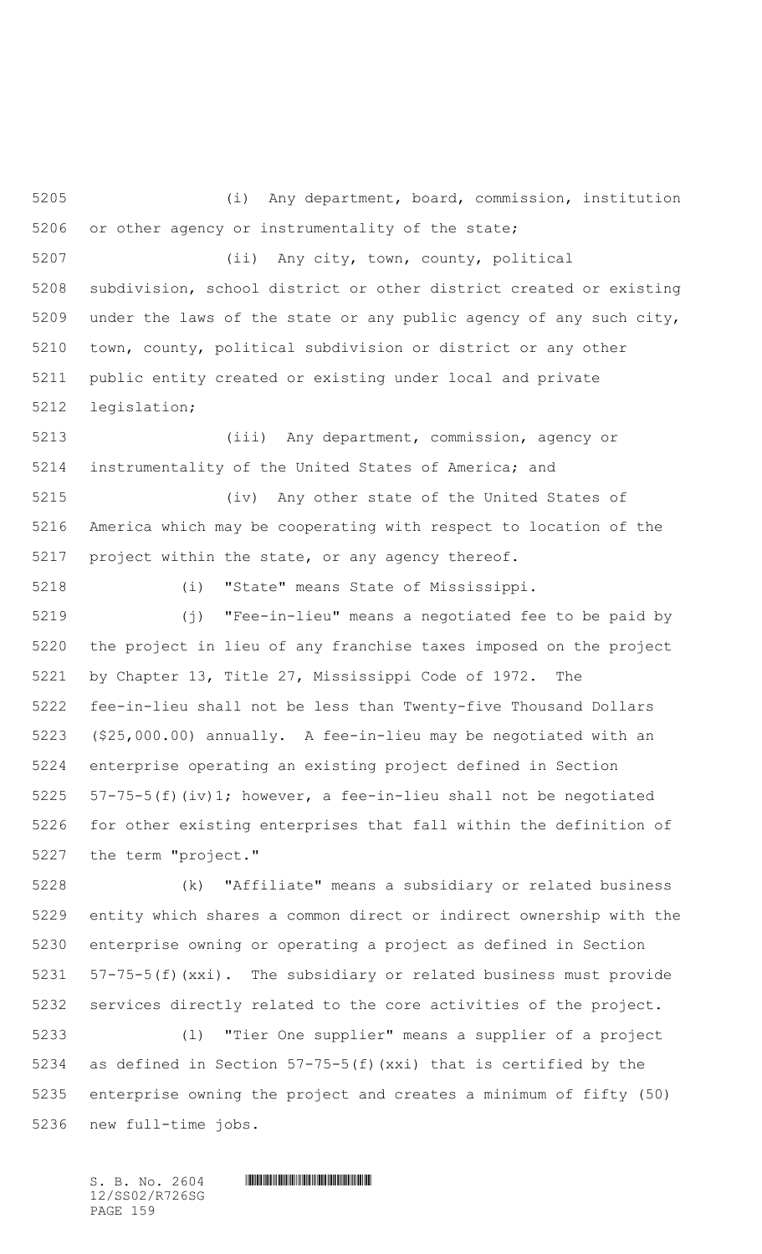(i) Any department, board, commission, institution or other agency or instrumentality of the state; (ii) Any city, town, county, political subdivision, school district or other district created or existing under the laws of the state or any public agency of any such city, town, county, political subdivision or district or any other public entity created or existing under local and private legislation;

 (iii) Any department, commission, agency or instrumentality of the United States of America; and

 (iv) Any other state of the United States of America which may be cooperating with respect to location of the project within the state, or any agency thereof.

(i) "State" means State of Mississippi.

 (j) "Fee-in-lieu" means a negotiated fee to be paid by the project in lieu of any franchise taxes imposed on the project by Chapter 13, Title 27, Mississippi Code of 1972. The fee-in-lieu shall not be less than Twenty-five Thousand Dollars (\$25,000.00) annually. A fee-in-lieu may be negotiated with an enterprise operating an existing project defined in Section 57-75-5(f)(iv)1; however, a fee-in-lieu shall not be negotiated for other existing enterprises that fall within the definition of the term "project."

 (k) "Affiliate" means a subsidiary or related business entity which shares a common direct or indirect ownership with the enterprise owning or operating a project as defined in Section 57-75-5(f)(xxi). The subsidiary or related business must provide services directly related to the core activities of the project.

 (l) "Tier One supplier" means a supplier of a project as defined in Section 57-75-5(f)(xxi) that is certified by the enterprise owning the project and creates a minimum of fifty (50) new full-time jobs.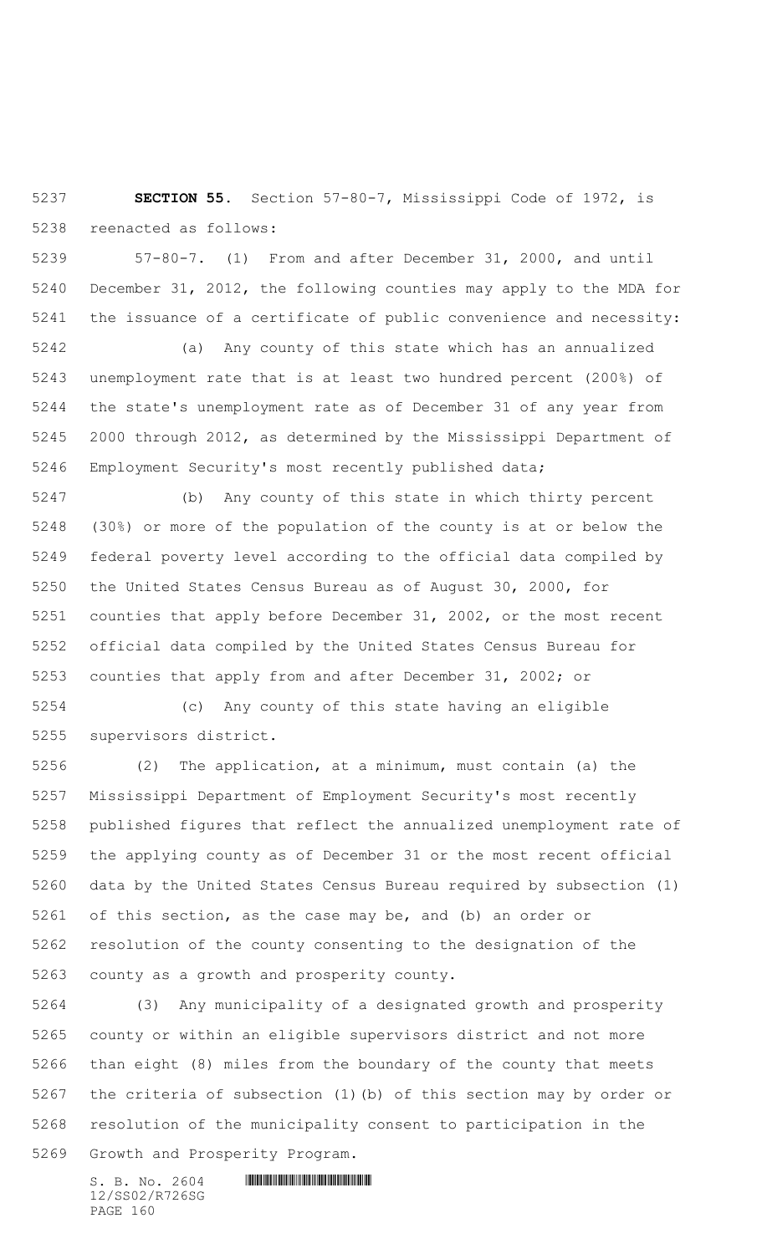**SECTION 55.** Section 57-80-7, Mississippi Code of 1972, is reenacted as follows:

 57-80-7. (1) From and after December 31, 2000, and until December 31, 2012, the following counties may apply to the MDA for the issuance of a certificate of public convenience and necessity:

 (a) Any county of this state which has an annualized unemployment rate that is at least two hundred percent (200%) of the state's unemployment rate as of December 31 of any year from 2000 through 2012, as determined by the Mississippi Department of Employment Security's most recently published data;

 (b) Any county of this state in which thirty percent (30%) or more of the population of the county is at or below the federal poverty level according to the official data compiled by the United States Census Bureau as of August 30, 2000, for counties that apply before December 31, 2002, or the most recent official data compiled by the United States Census Bureau for counties that apply from and after December 31, 2002; or

 (c) Any county of this state having an eligible supervisors district.

 (2) The application, at a minimum, must contain (a) the Mississippi Department of Employment Security's most recently published figures that reflect the annualized unemployment rate of the applying county as of December 31 or the most recent official data by the United States Census Bureau required by subsection (1) of this section, as the case may be, and (b) an order or resolution of the county consenting to the designation of the county as a growth and prosperity county.

 (3) Any municipality of a designated growth and prosperity county or within an eligible supervisors district and not more than eight (8) miles from the boundary of the county that meets the criteria of subsection (1)(b) of this section may by order or resolution of the municipality consent to participation in the

Growth and Prosperity Program.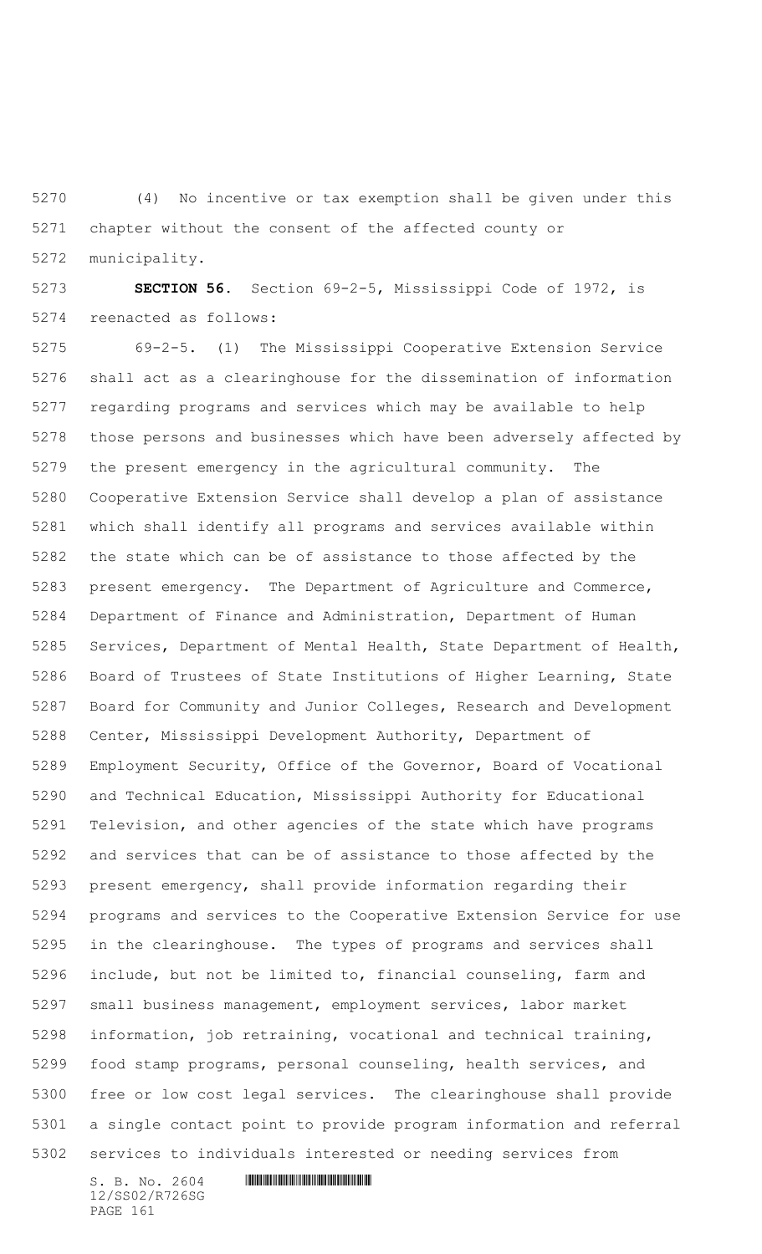(4) No incentive or tax exemption shall be given under this chapter without the consent of the affected county or municipality.

 **SECTION 56.** Section 69-2-5, Mississippi Code of 1972, is reenacted as follows:

 69-2-5. (1) The Mississippi Cooperative Extension Service shall act as a clearinghouse for the dissemination of information regarding programs and services which may be available to help those persons and businesses which have been adversely affected by the present emergency in the agricultural community. The Cooperative Extension Service shall develop a plan of assistance which shall identify all programs and services available within the state which can be of assistance to those affected by the present emergency. The Department of Agriculture and Commerce, Department of Finance and Administration, Department of Human Services, Department of Mental Health, State Department of Health, Board of Trustees of State Institutions of Higher Learning, State Board for Community and Junior Colleges, Research and Development Center, Mississippi Development Authority, Department of Employment Security, Office of the Governor, Board of Vocational and Technical Education, Mississippi Authority for Educational Television, and other agencies of the state which have programs and services that can be of assistance to those affected by the present emergency, shall provide information regarding their programs and services to the Cooperative Extension Service for use in the clearinghouse. The types of programs and services shall include, but not be limited to, financial counseling, farm and small business management, employment services, labor market information, job retraining, vocational and technical training, food stamp programs, personal counseling, health services, and free or low cost legal services. The clearinghouse shall provide a single contact point to provide program information and referral services to individuals interested or needing services from

12/SS02/R726SG PAGE 161

 $S. B. No. 2604$  . The set of the set of  $S. B. N \circ A$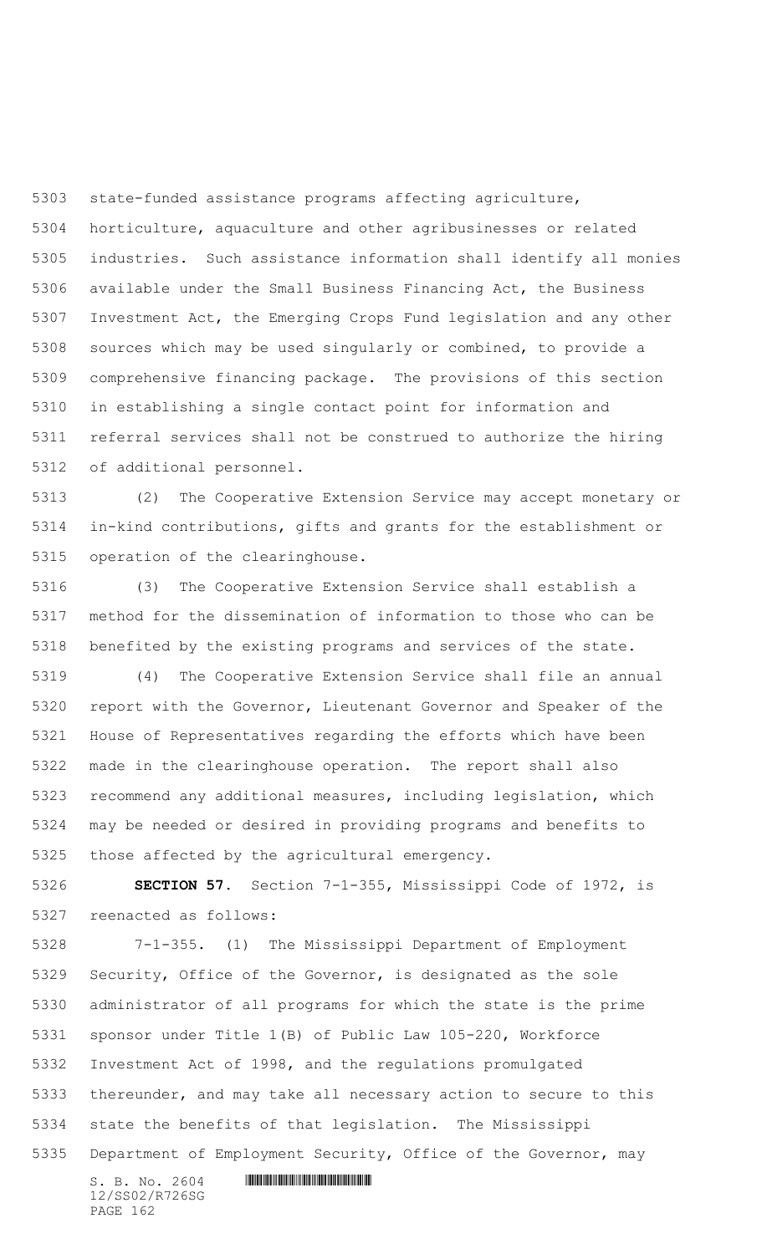state-funded assistance programs affecting agriculture, horticulture, aquaculture and other agribusinesses or related industries. Such assistance information shall identify all monies available under the Small Business Financing Act, the Business Investment Act, the Emerging Crops Fund legislation and any other sources which may be used singularly or combined, to provide a comprehensive financing package. The provisions of this section in establishing a single contact point for information and referral services shall not be construed to authorize the hiring of additional personnel.

 (2) The Cooperative Extension Service may accept monetary or in-kind contributions, gifts and grants for the establishment or operation of the clearinghouse.

 (3) The Cooperative Extension Service shall establish a method for the dissemination of information to those who can be benefited by the existing programs and services of the state.

 (4) The Cooperative Extension Service shall file an annual report with the Governor, Lieutenant Governor and Speaker of the House of Representatives regarding the efforts which have been made in the clearinghouse operation. The report shall also recommend any additional measures, including legislation, which may be needed or desired in providing programs and benefits to those affected by the agricultural emergency.

 **SECTION 57.** Section 7-1-355, Mississippi Code of 1972, is reenacted as follows:

 7-1-355. (1) The Mississippi Department of Employment Security, Office of the Governor, is designated as the sole administrator of all programs for which the state is the prime sponsor under Title 1(B) of Public Law 105-220, Workforce Investment Act of 1998, and the regulations promulgated thereunder, and may take all necessary action to secure to this state the benefits of that legislation. The Mississippi Department of Employment Security, Office of the Governor, may

12/SS02/R726SG PAGE 162

 $S. B. No. 2604$  . The set of the set of  $S. B. N_{O.} 2604$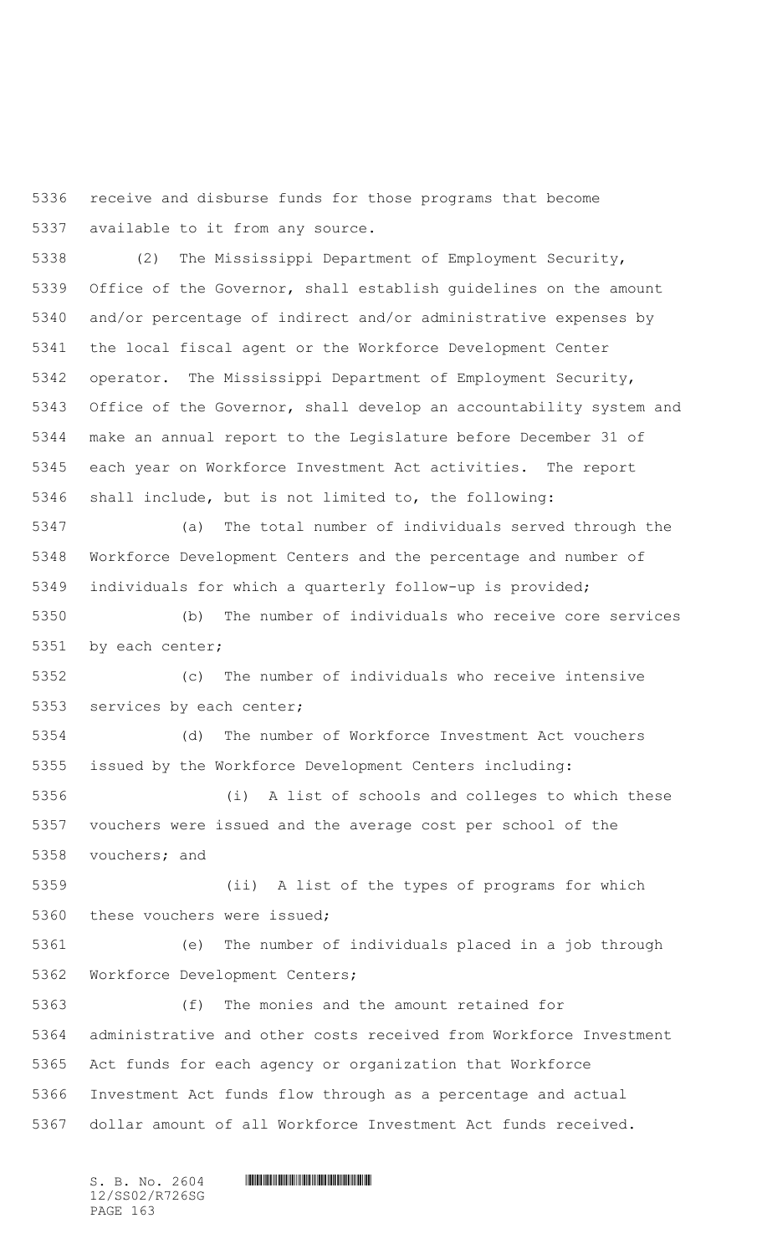receive and disburse funds for those programs that become available to it from any source.

 (2) The Mississippi Department of Employment Security, Office of the Governor, shall establish guidelines on the amount and/or percentage of indirect and/or administrative expenses by the local fiscal agent or the Workforce Development Center operator. The Mississippi Department of Employment Security, Office of the Governor, shall develop an accountability system and make an annual report to the Legislature before December 31 of each year on Workforce Investment Act activities. The report shall include, but is not limited to, the following:

 (a) The total number of individuals served through the Workforce Development Centers and the percentage and number of individuals for which a quarterly follow-up is provided;

 (b) The number of individuals who receive core services by each center;

 (c) The number of individuals who receive intensive services by each center;

 (d) The number of Workforce Investment Act vouchers issued by the Workforce Development Centers including:

 (i) A list of schools and colleges to which these vouchers were issued and the average cost per school of the vouchers; and

 (ii) A list of the types of programs for which these vouchers were issued;

 (e) The number of individuals placed in a job through Workforce Development Centers;

 (f) The monies and the amount retained for administrative and other costs received from Workforce Investment Act funds for each agency or organization that Workforce Investment Act funds flow through as a percentage and actual dollar amount of all Workforce Investment Act funds received.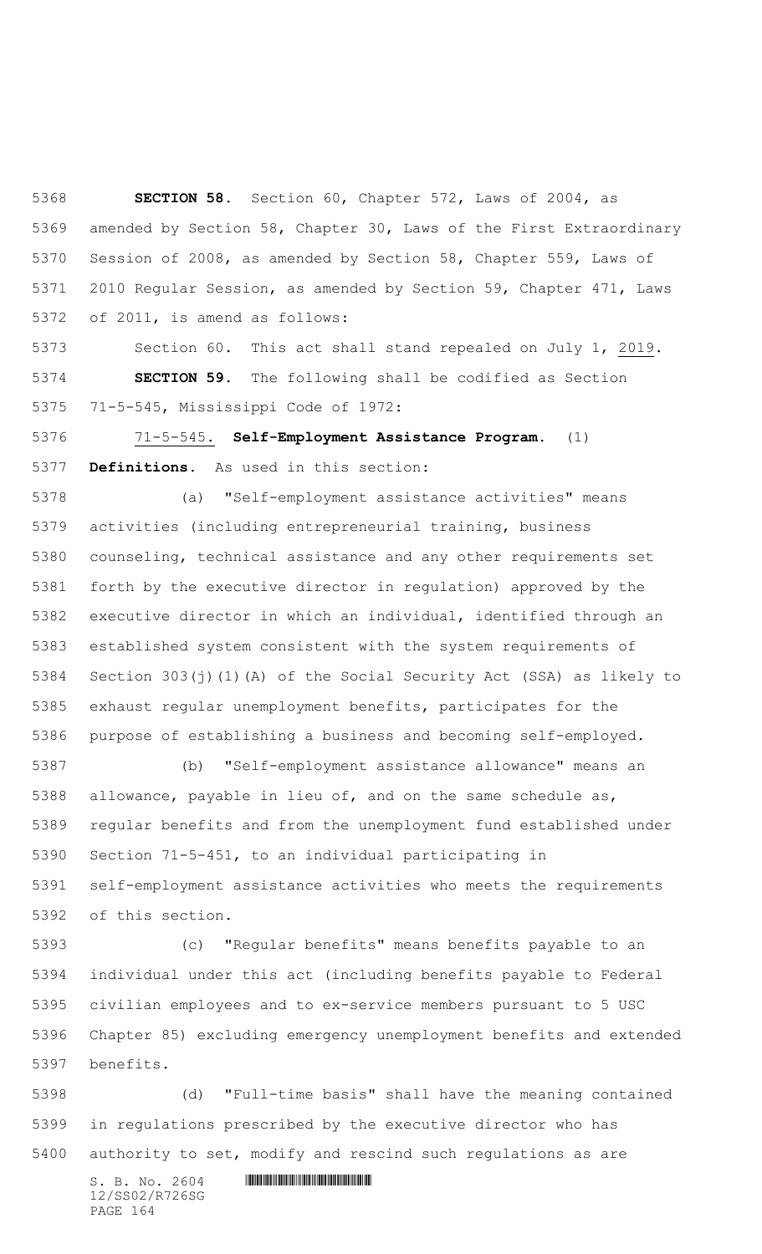**SECTION 58.** Section 60, Chapter 572, Laws of 2004, as amended by Section 58, Chapter 30, Laws of the First Extraordinary Session of 2008, as amended by Section 58, Chapter 559, Laws of 2010 Regular Session, as amended by Section 59, Chapter 471, Laws of 2011, is amend as follows:

 Section 60. This act shall stand repealed on July 1, 2019. **SECTION 59.** The following shall be codified as Section 71-5-545, Mississippi Code of 1972:

 71-5-545. **Self-Employment Assistance Program.** (1) **Definitions.** As used in this section:

 (a) "Self-employment assistance activities" means activities (including entrepreneurial training, business counseling, technical assistance and any other requirements set forth by the executive director in regulation) approved by the executive director in which an individual, identified through an established system consistent with the system requirements of Section 303(j)(1)(A) of the Social Security Act (SSA) as likely to exhaust regular unemployment benefits, participates for the purpose of establishing a business and becoming self-employed.

 (b) "Self-employment assistance allowance" means an allowance, payable in lieu of, and on the same schedule as, regular benefits and from the unemployment fund established under Section 71-5-451, to an individual participating in self-employment assistance activities who meets the requirements of this section.

 (c) "Regular benefits" means benefits payable to an individual under this act (including benefits payable to Federal civilian employees and to ex-service members pursuant to 5 USC Chapter 85) excluding emergency unemployment benefits and extended benefits.

 (d) "Full-time basis" shall have the meaning contained in regulations prescribed by the executive director who has authority to set, modify and rescind such regulations as are

12/SS02/R726SG PAGE 164

 $S. B. NO. 2604$  .  $M. 2604$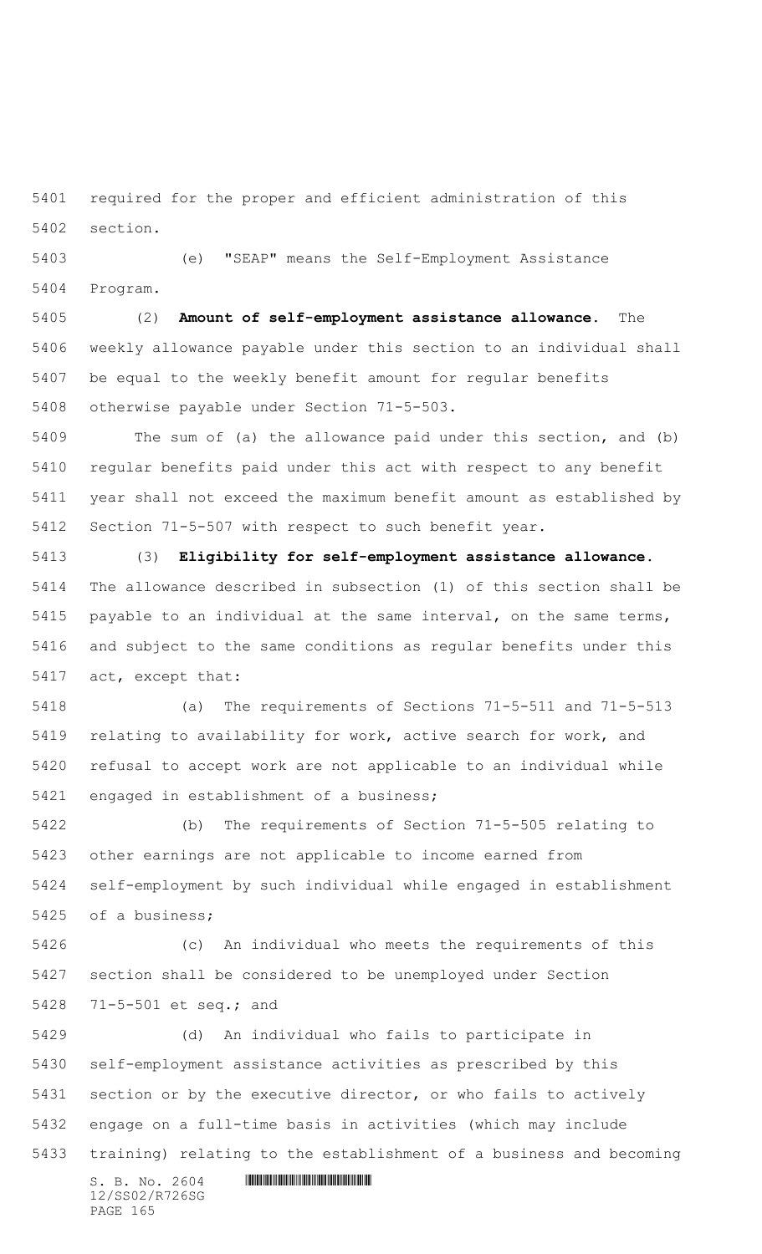required for the proper and efficient administration of this section.

 (e) "SEAP" means the Self-Employment Assistance Program.

 (2) **Amount of self-employment assistance allowance.** The weekly allowance payable under this section to an individual shall be equal to the weekly benefit amount for regular benefits otherwise payable under Section 71-5-503.

 The sum of (a) the allowance paid under this section, and (b) regular benefits paid under this act with respect to any benefit year shall not exceed the maximum benefit amount as established by Section 71-5-507 with respect to such benefit year.

 (3) **Eligibility for self-employment assistance allowance.** The allowance described in subsection (1) of this section shall be payable to an individual at the same interval, on the same terms, and subject to the same conditions as regular benefits under this act, except that:

 (a) The requirements of Sections 71-5-511 and 71-5-513 relating to availability for work, active search for work, and refusal to accept work are not applicable to an individual while engaged in establishment of a business;

 (b) The requirements of Section 71-5-505 relating to other earnings are not applicable to income earned from self-employment by such individual while engaged in establishment of a business;

 (c) An individual who meets the requirements of this section shall be considered to be unemployed under Section 71-5-501 et seq.; and

 (d) An individual who fails to participate in self-employment assistance activities as prescribed by this section or by the executive director, or who fails to actively engage on a full-time basis in activities (which may include training) relating to the establishment of a business and becoming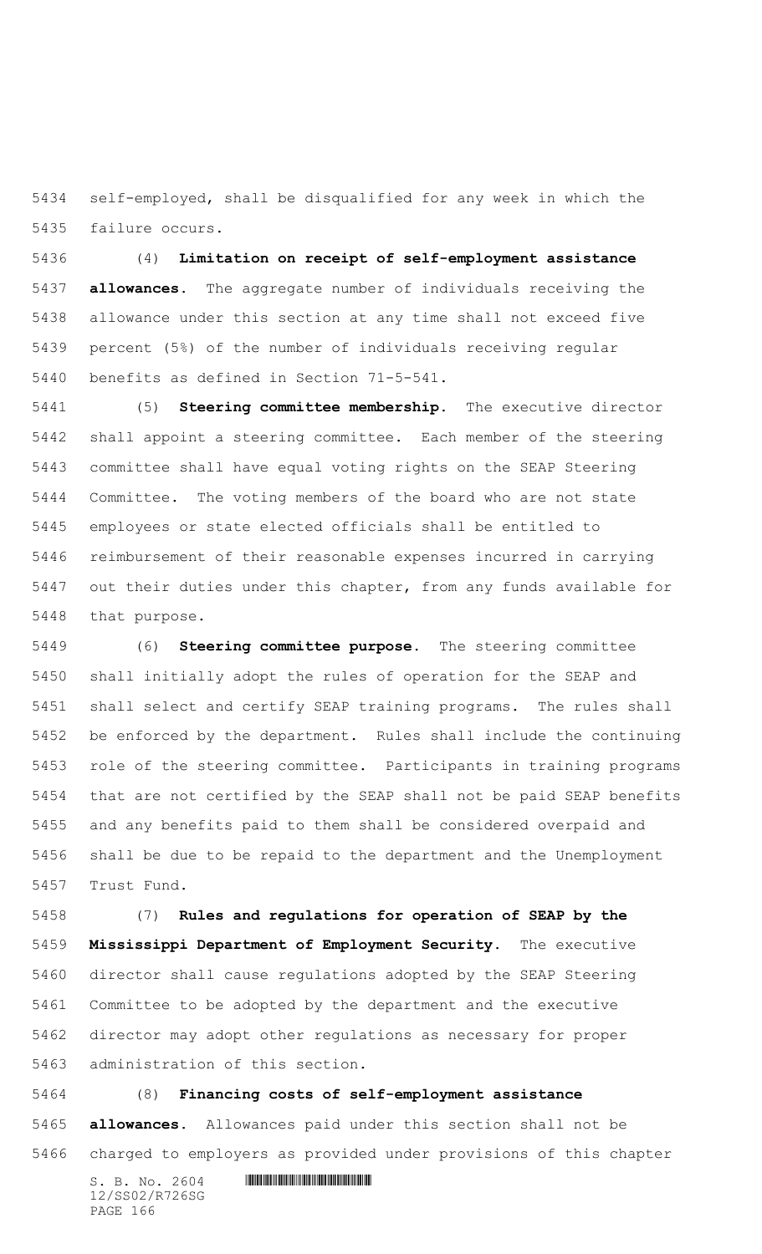self-employed, shall be disqualified for any week in which the failure occurs.

 (4) **Limitation on receipt of self-employment assistance allowances.** The aggregate number of individuals receiving the allowance under this section at any time shall not exceed five percent (5%) of the number of individuals receiving regular benefits as defined in Section 71-5-541.

 (5) **Steering committee membership.** The executive director shall appoint a steering committee. Each member of the steering committee shall have equal voting rights on the SEAP Steering Committee. The voting members of the board who are not state employees or state elected officials shall be entitled to reimbursement of their reasonable expenses incurred in carrying out their duties under this chapter, from any funds available for that purpose.

 (6) **Steering committee purpose.** The steering committee shall initially adopt the rules of operation for the SEAP and shall select and certify SEAP training programs. The rules shall be enforced by the department. Rules shall include the continuing role of the steering committee. Participants in training programs that are not certified by the SEAP shall not be paid SEAP benefits and any benefits paid to them shall be considered overpaid and shall be due to be repaid to the department and the Unemployment Trust Fund.

 (7) **Rules and regulations for operation of SEAP by the Mississippi Department of Employment Security**. The executive director shall cause regulations adopted by the SEAP Steering Committee to be adopted by the department and the executive director may adopt other regulations as necessary for proper administration of this section.

 (8) **Financing costs of self-employment assistance allowances.** Allowances paid under this section shall not be charged to employers as provided under provisions of this chapter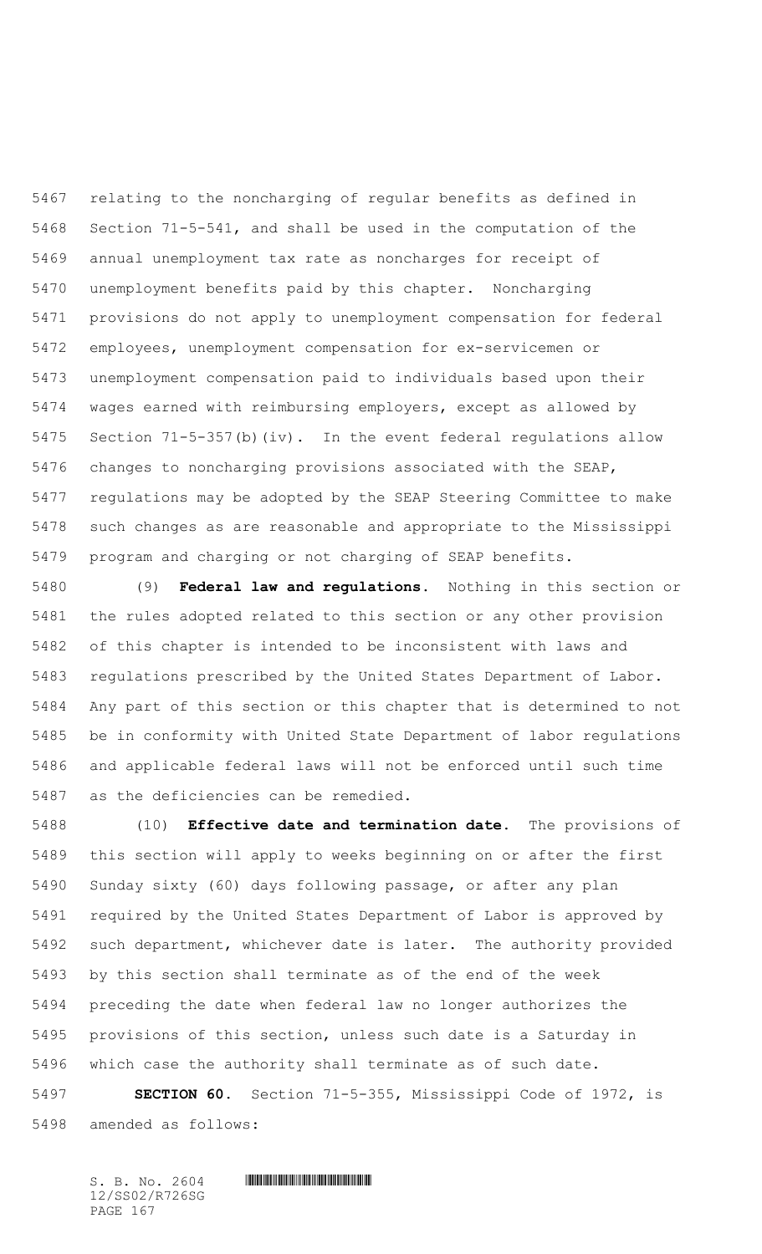relating to the noncharging of regular benefits as defined in Section 71-5-541, and shall be used in the computation of the annual unemployment tax rate as noncharges for receipt of unemployment benefits paid by this chapter. Noncharging provisions do not apply to unemployment compensation for federal employees, unemployment compensation for ex-servicemen or unemployment compensation paid to individuals based upon their wages earned with reimbursing employers, except as allowed by Section 71-5-357(b)(iv). In the event federal regulations allow changes to noncharging provisions associated with the SEAP, regulations may be adopted by the SEAP Steering Committee to make such changes as are reasonable and appropriate to the Mississippi program and charging or not charging of SEAP benefits.

 (9) **Federal law and regulations.** Nothing in this section or the rules adopted related to this section or any other provision of this chapter is intended to be inconsistent with laws and regulations prescribed by the United States Department of Labor. Any part of this section or this chapter that is determined to not be in conformity with United State Department of labor regulations and applicable federal laws will not be enforced until such time as the deficiencies can be remedied.

 (10) **Effective date and termination date.** The provisions of this section will apply to weeks beginning on or after the first Sunday sixty (60) days following passage, or after any plan required by the United States Department of Labor is approved by such department, whichever date is later. The authority provided by this section shall terminate as of the end of the week preceding the date when federal law no longer authorizes the provisions of this section, unless such date is a Saturday in which case the authority shall terminate as of such date.

 **SECTION 60.** Section 71-5-355, Mississippi Code of 1972, is amended as follows: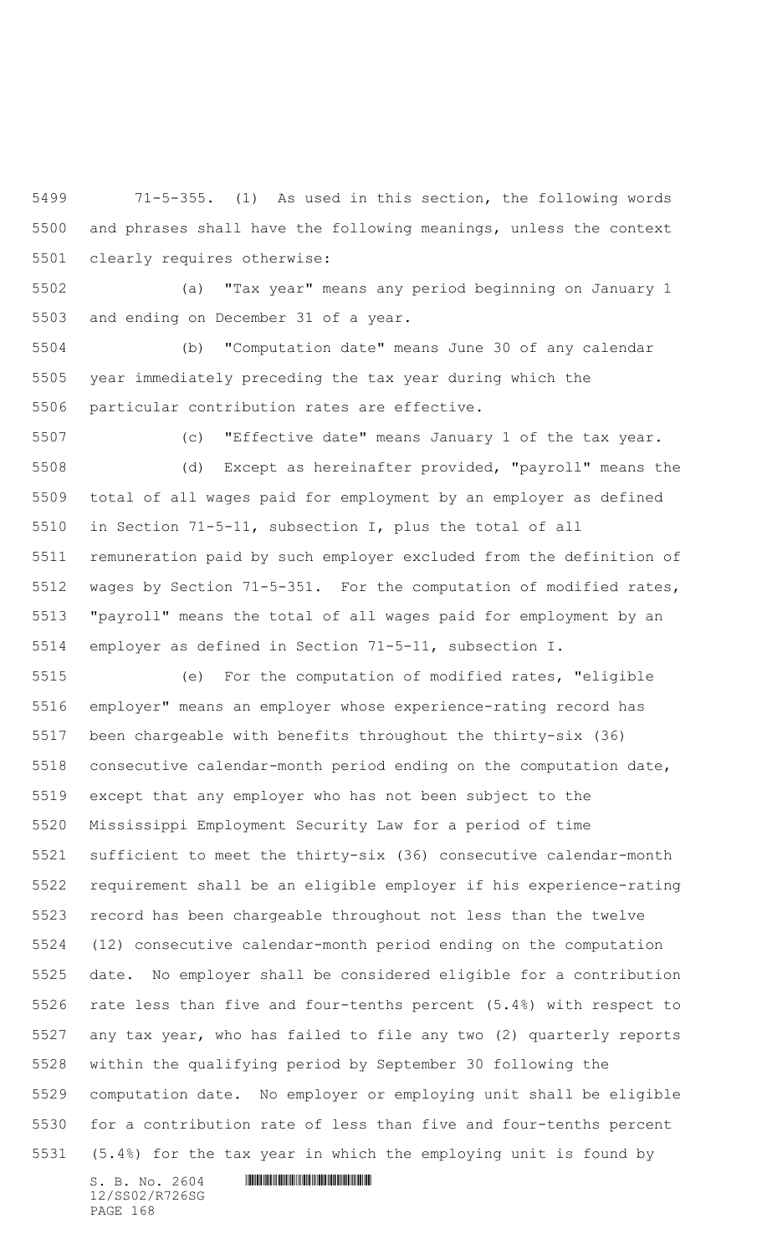71-5-355. (1) As used in this section, the following words and phrases shall have the following meanings, unless the context clearly requires otherwise:

 (a) "Tax year" means any period beginning on January 1 and ending on December 31 of a year.

 (b) "Computation date" means June 30 of any calendar year immediately preceding the tax year during which the particular contribution rates are effective.

 (c) "Effective date" means January 1 of the tax year. (d) Except as hereinafter provided, "payroll" means the total of all wages paid for employment by an employer as defined in Section 71-5-11, subsection I, plus the total of all remuneration paid by such employer excluded from the definition of

 wages by Section 71-5-351. For the computation of modified rates, "payroll" means the total of all wages paid for employment by an employer as defined in Section 71-5-11, subsection I.

 (e) For the computation of modified rates, "eligible employer" means an employer whose experience-rating record has been chargeable with benefits throughout the thirty-six (36) consecutive calendar-month period ending on the computation date, except that any employer who has not been subject to the Mississippi Employment Security Law for a period of time sufficient to meet the thirty-six (36) consecutive calendar-month requirement shall be an eligible employer if his experience-rating record has been chargeable throughout not less than the twelve (12) consecutive calendar-month period ending on the computation date. No employer shall be considered eligible for a contribution rate less than five and four-tenths percent (5.4%) with respect to any tax year, who has failed to file any two (2) quarterly reports within the qualifying period by September 30 following the computation date. No employer or employing unit shall be eligible for a contribution rate of less than five and four-tenths percent (5.4%) for the tax year in which the employing unit is found by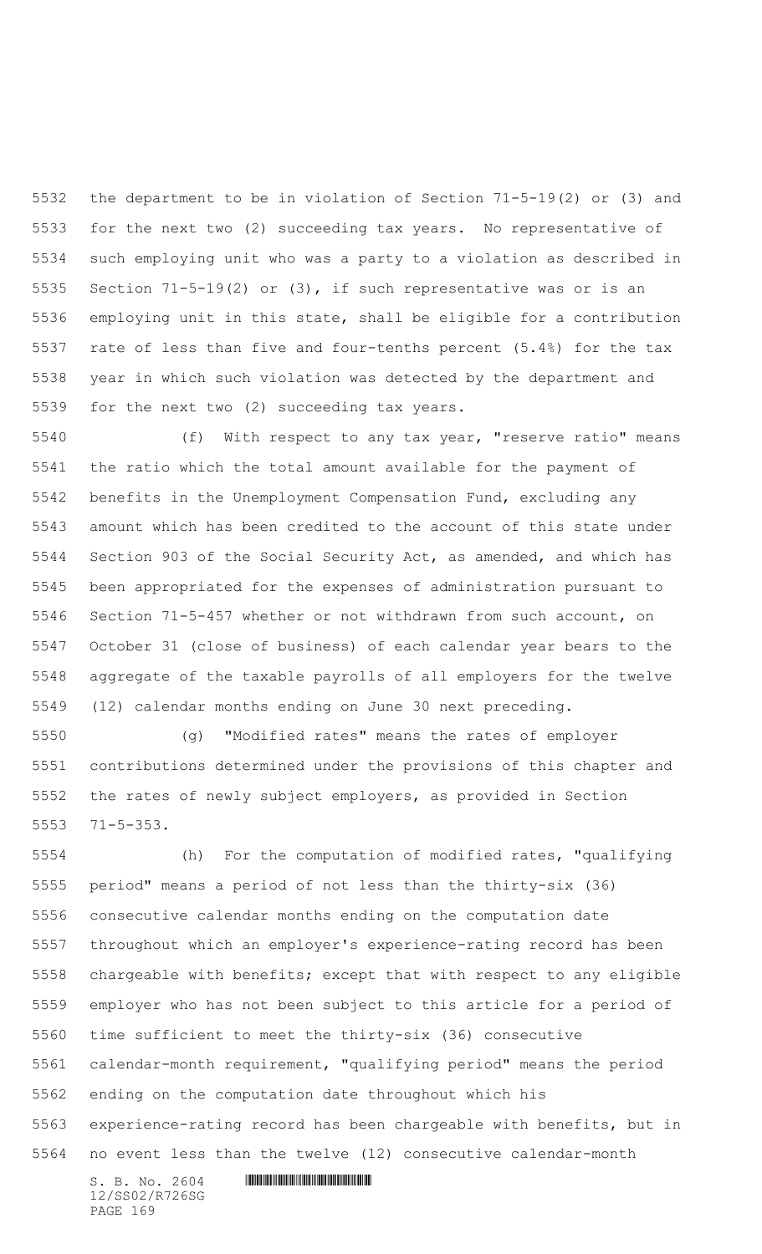the department to be in violation of Section 71-5-19(2) or (3) and for the next two (2) succeeding tax years. No representative of such employing unit who was a party to a violation as described in Section 71-5-19(2) or (3), if such representative was or is an employing unit in this state, shall be eligible for a contribution rate of less than five and four-tenths percent (5.4%) for the tax year in which such violation was detected by the department and for the next two (2) succeeding tax years.

 (f) With respect to any tax year, "reserve ratio" means the ratio which the total amount available for the payment of benefits in the Unemployment Compensation Fund, excluding any amount which has been credited to the account of this state under Section 903 of the Social Security Act, as amended, and which has been appropriated for the expenses of administration pursuant to Section 71-5-457 whether or not withdrawn from such account, on October 31 (close of business) of each calendar year bears to the aggregate of the taxable payrolls of all employers for the twelve (12) calendar months ending on June 30 next preceding.

 (g) "Modified rates" means the rates of employer contributions determined under the provisions of this chapter and the rates of newly subject employers, as provided in Section 71-5-353.

 (h) For the computation of modified rates, "qualifying period" means a period of not less than the thirty-six (36) consecutive calendar months ending on the computation date throughout which an employer's experience-rating record has been chargeable with benefits; except that with respect to any eligible employer who has not been subject to this article for a period of time sufficient to meet the thirty-six (36) consecutive calendar-month requirement, "qualifying period" means the period ending on the computation date throughout which his experience-rating record has been chargeable with benefits, but in no event less than the twelve (12) consecutive calendar-month

12/SS02/R726SG PAGE 169

```
S. B. No. 2604 . The set of the set of S. B. N \circ A
```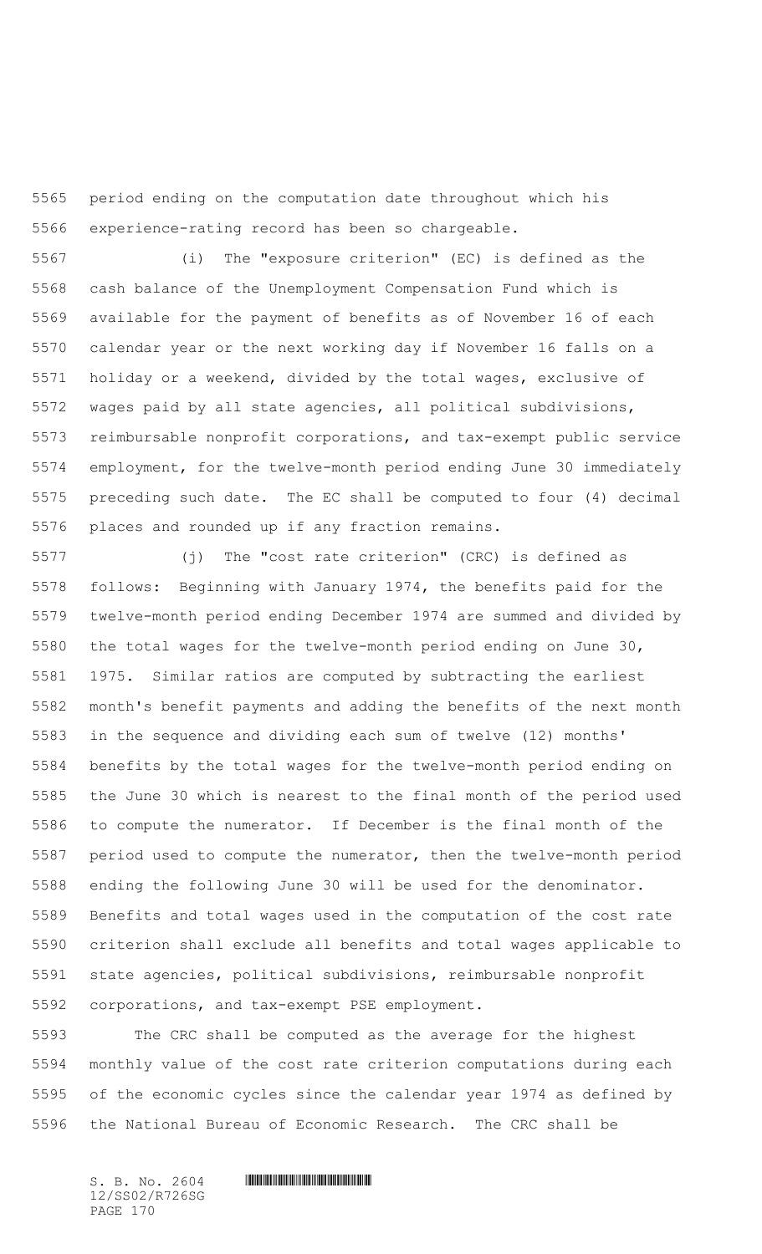period ending on the computation date throughout which his experience-rating record has been so chargeable.

 (i) The "exposure criterion" (EC) is defined as the cash balance of the Unemployment Compensation Fund which is available for the payment of benefits as of November 16 of each calendar year or the next working day if November 16 falls on a holiday or a weekend, divided by the total wages, exclusive of wages paid by all state agencies, all political subdivisions, reimbursable nonprofit corporations, and tax-exempt public service employment, for the twelve-month period ending June 30 immediately preceding such date. The EC shall be computed to four (4) decimal places and rounded up if any fraction remains.

 (j) The "cost rate criterion" (CRC) is defined as follows: Beginning with January 1974, the benefits paid for the twelve-month period ending December 1974 are summed and divided by the total wages for the twelve-month period ending on June 30, 1975. Similar ratios are computed by subtracting the earliest month's benefit payments and adding the benefits of the next month in the sequence and dividing each sum of twelve (12) months' benefits by the total wages for the twelve-month period ending on the June 30 which is nearest to the final month of the period used to compute the numerator. If December is the final month of the period used to compute the numerator, then the twelve-month period ending the following June 30 will be used for the denominator. Benefits and total wages used in the computation of the cost rate criterion shall exclude all benefits and total wages applicable to state agencies, political subdivisions, reimbursable nonprofit corporations, and tax-exempt PSE employment.

 The CRC shall be computed as the average for the highest monthly value of the cost rate criterion computations during each of the economic cycles since the calendar year 1974 as defined by the National Bureau of Economic Research. The CRC shall be

12/SS02/R726SG PAGE 170

## $S. B. NO. 2604$  .  $M. 2604$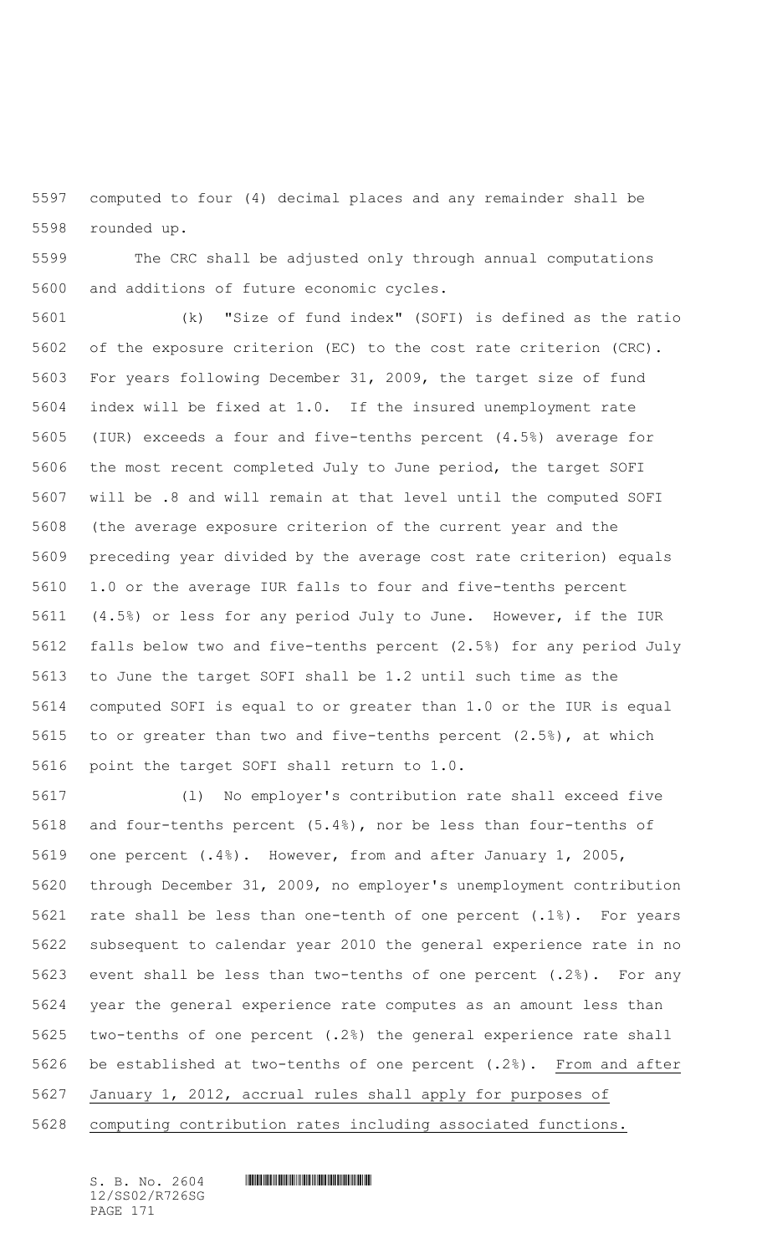computed to four (4) decimal places and any remainder shall be rounded up.

 The CRC shall be adjusted only through annual computations and additions of future economic cycles.

 (k) "Size of fund index" (SOFI) is defined as the ratio of the exposure criterion (EC) to the cost rate criterion (CRC). For years following December 31, 2009, the target size of fund index will be fixed at 1.0. If the insured unemployment rate (IUR) exceeds a four and five-tenths percent (4.5%) average for the most recent completed July to June period, the target SOFI will be .8 and will remain at that level until the computed SOFI (the average exposure criterion of the current year and the preceding year divided by the average cost rate criterion) equals 1.0 or the average IUR falls to four and five-tenths percent (4.5%) or less for any period July to June. However, if the IUR falls below two and five-tenths percent (2.5%) for any period July to June the target SOFI shall be 1.2 until such time as the computed SOFI is equal to or greater than 1.0 or the IUR is equal to or greater than two and five-tenths percent (2.5%), at which point the target SOFI shall return to 1.0.

 (l) No employer's contribution rate shall exceed five and four-tenths percent (5.4%), nor be less than four-tenths of one percent (.4%). However, from and after January 1, 2005, through December 31, 2009, no employer's unemployment contribution rate shall be less than one-tenth of one percent (.1%). For years subsequent to calendar year 2010 the general experience rate in no event shall be less than two-tenths of one percent (.2%). For any year the general experience rate computes as an amount less than two-tenths of one percent (.2%) the general experience rate shall be established at two-tenths of one percent (.2%). From and after January 1, 2012, accrual rules shall apply for purposes of computing contribution rates including associated functions.

12/SS02/R726SG PAGE 171

 $S. B. NO. 2604$  .  $M. 2604$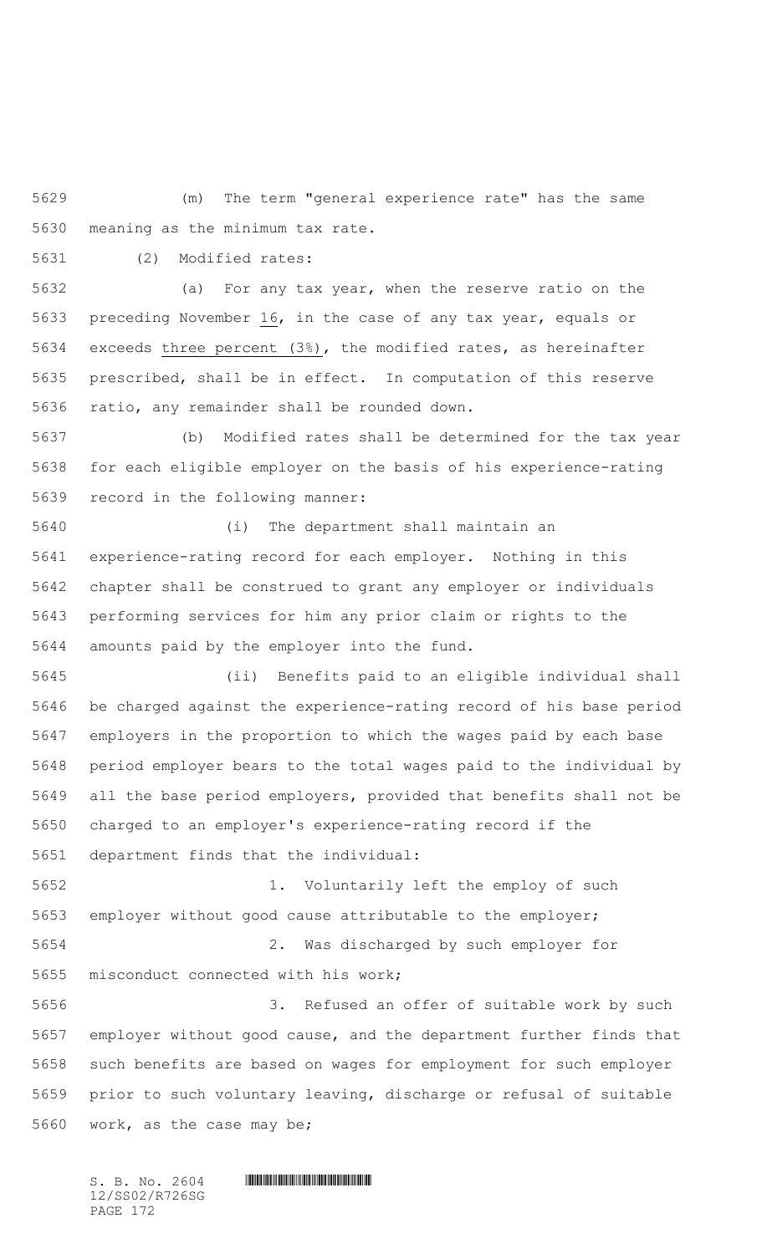(m) The term "general experience rate" has the same meaning as the minimum tax rate.

(2) Modified rates:

 (a) For any tax year, when the reserve ratio on the 5633 preceding November , in the case of any tax year, equals or exceeds three percent (3%), the modified rates, as hereinafter prescribed, shall be in effect. In computation of this reserve ratio, any remainder shall be rounded down.

 (b) Modified rates shall be determined for the tax year for each eligible employer on the basis of his experience-rating record in the following manner:

 (i) The department shall maintain an experience-rating record for each employer. Nothing in this chapter shall be construed to grant any employer or individuals performing services for him any prior claim or rights to the amounts paid by the employer into the fund.

 (ii) Benefits paid to an eligible individual shall be charged against the experience-rating record of his base period employers in the proportion to which the wages paid by each base period employer bears to the total wages paid to the individual by all the base period employers, provided that benefits shall not be charged to an employer's experience-rating record if the department finds that the individual:

 1. Voluntarily left the employ of such employer without good cause attributable to the employer; 2. Was discharged by such employer for misconduct connected with his work; 3. Refused an offer of suitable work by such

 employer without good cause, and the department further finds that such benefits are based on wages for employment for such employer prior to such voluntary leaving, discharge or refusal of suitable work, as the case may be;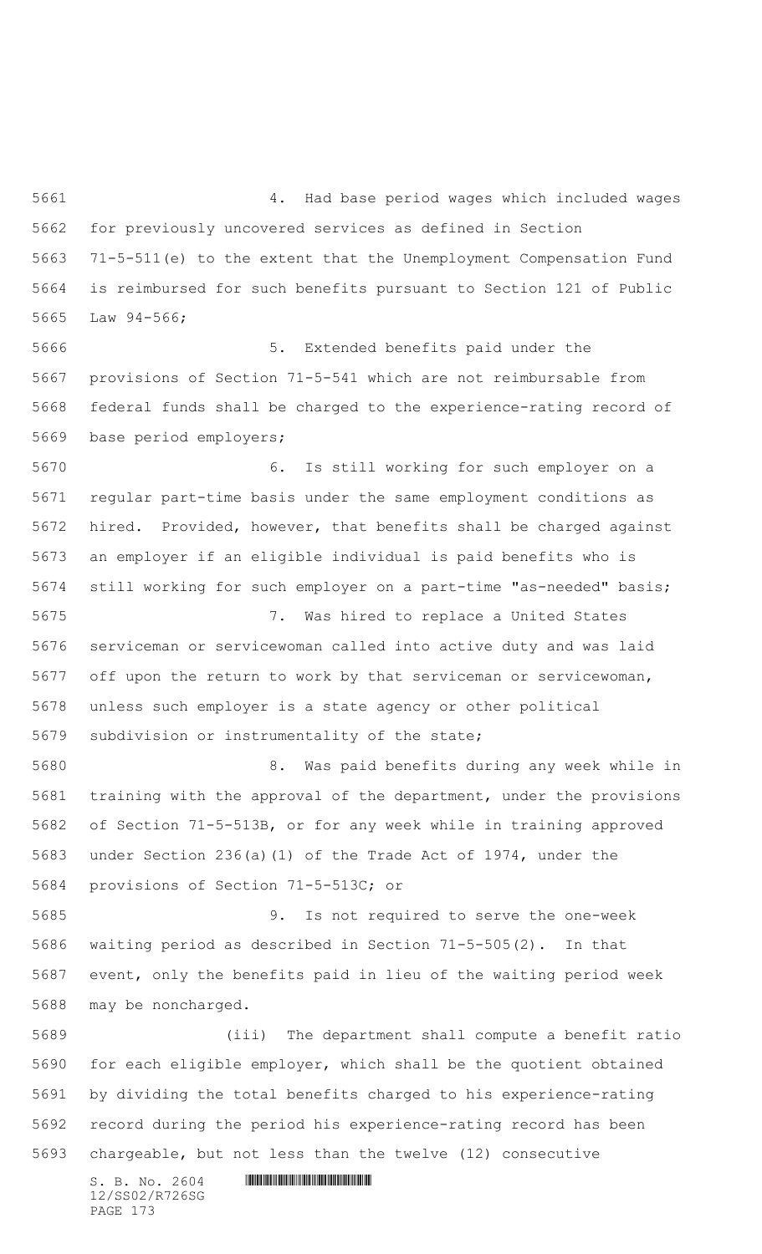4. Had base period wages which included wages for previously uncovered services as defined in Section 71-5-511(e) to the extent that the Unemployment Compensation Fund is reimbursed for such benefits pursuant to Section 121 of Public Law 94-566;

 5. Extended benefits paid under the provisions of Section 71-5-541 which are not reimbursable from federal funds shall be charged to the experience-rating record of base period employers;

 6. Is still working for such employer on a regular part-time basis under the same employment conditions as hired. Provided, however, that benefits shall be charged against an employer if an eligible individual is paid benefits who is still working for such employer on a part-time "as-needed" basis;

 7. Was hired to replace a United States serviceman or servicewoman called into active duty and was laid off upon the return to work by that serviceman or servicewoman, unless such employer is a state agency or other political subdivision or instrumentality of the state;

 8. Was paid benefits during any week while in training with the approval of the department, under the provisions of Section 71-5-513B, or for any week while in training approved under Section 236(a)(1) of the Trade Act of 1974, under the provisions of Section 71-5-513C; or

 9. Is not required to serve the one-week waiting period as described in Section 71-5-505(2). In that event, only the benefits paid in lieu of the waiting period week may be noncharged.

 (iii) The department shall compute a benefit ratio for each eligible employer, which shall be the quotient obtained by dividing the total benefits charged to his experience-rating record during the period his experience-rating record has been chargeable, but not less than the twelve (12) consecutive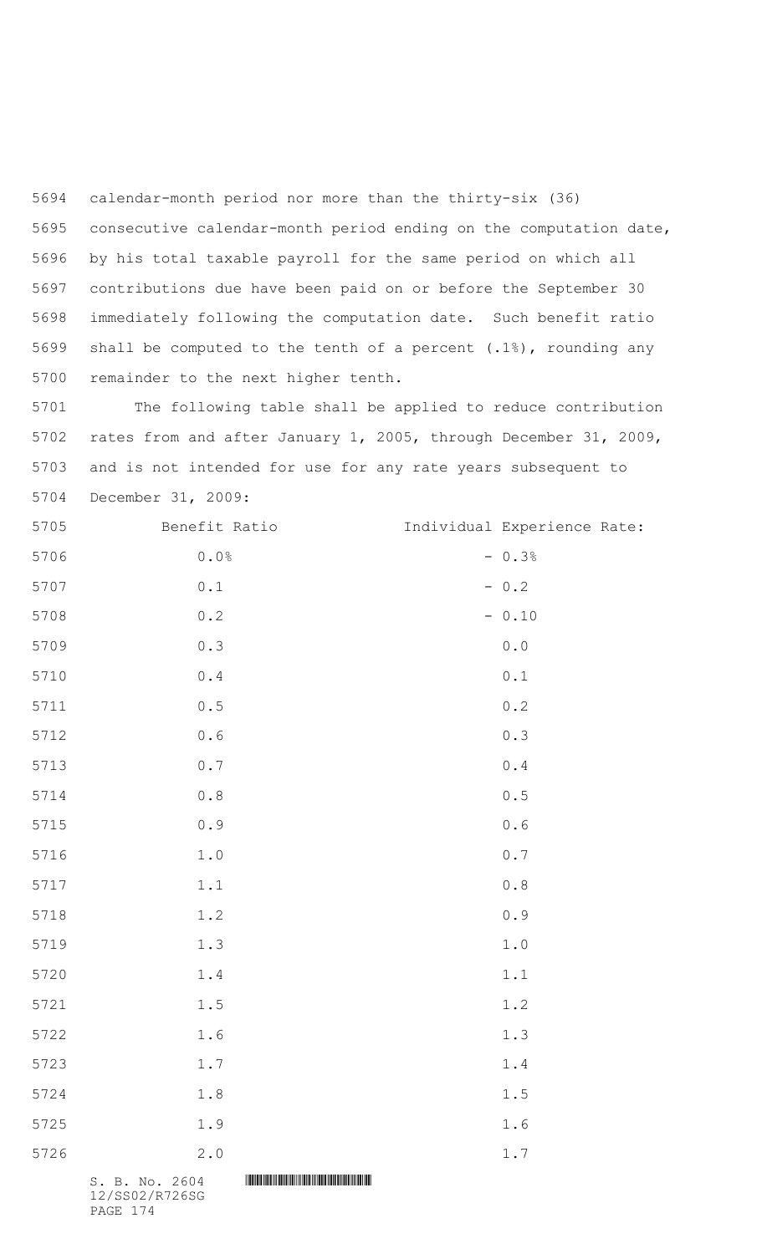calendar-month period nor more than the thirty-six (36) consecutive calendar-month period ending on the computation date, by his total taxable payroll for the same period on which all contributions due have been paid on or before the September 30 immediately following the computation date. Such benefit ratio shall be computed to the tenth of a percent (.1%), rounding any remainder to the next higher tenth.

 The following table shall be applied to reduce contribution rates from and after January 1, 2005, through December 31, 2009, and is not intended for use for any rate years subsequent to December 31, 2009:

| 5705 | Benefit Ratio                                         |  | Individual Experience Rate:                           |  |
|------|-------------------------------------------------------|--|-------------------------------------------------------|--|
| 5706 | $0.0\,$                                               |  | $-0.3%$                                               |  |
| 5707 | $0.1$                                                 |  | $-0.2$                                                |  |
| 5708 | $0\centerdot 2$                                       |  | $-0.10$                                               |  |
| 5709 | 0.3                                                   |  | ${\bf 0}$ . ${\bf 0}$                                 |  |
| 5710 | $\ensuremath{\mathsf{0}}$ . $\ensuremath{\mathsf{4}}$ |  | $0.1\,$                                               |  |
| 5711 | $\ensuremath{\mathsf{0}}\xspace$ .<br>5               |  | $0\,$ . $2\,$                                         |  |
| 5712 | $0.6$                                                 |  | 0.3                                                   |  |
| 5713 | $0\,$ . $7$                                           |  | $\ensuremath{\mathsf{0}}$ . $\ensuremath{\mathsf{4}}$ |  |
| 5714 | $\ensuremath{\mathsf{0}}$ . $\ensuremath{\mathsf{8}}$ |  | $\ensuremath{\mathsf{0}}$ . $\ensuremath{\mathsf{5}}$ |  |
| 5715 | $0.9$                                                 |  | $0.6$                                                 |  |
| 5716 | $1\,.$ $0\,$                                          |  | $0.7$                                                 |  |
| 5717 | $1\,.1$                                               |  | $\ensuremath{\mathbf{0}}$ . $\ensuremath{\mathbf{8}}$ |  |
| 5718 | 1.2                                                   |  | $0.9$                                                 |  |
| 5719 | 1.3                                                   |  | $1\,.$ $0\,$                                          |  |
| 5720 | $1\,.4$                                               |  | 1.1                                                   |  |
| 5721 | $1.5\,$                                               |  | 1.2                                                   |  |
| 5722 | 1.6                                                   |  | 1.3                                                   |  |
| 5723 | $1.7\,$                                               |  | 1.4                                                   |  |
| 5724 | 1.8                                                   |  | 1.5                                                   |  |
| 5725 | 1.9                                                   |  | 1.6                                                   |  |
| 5726 | 2.0                                                   |  | 1.7                                                   |  |
|      | S. B. No. 2604                                        |  |                                                       |  |

12/SS02/R726SG PAGE 174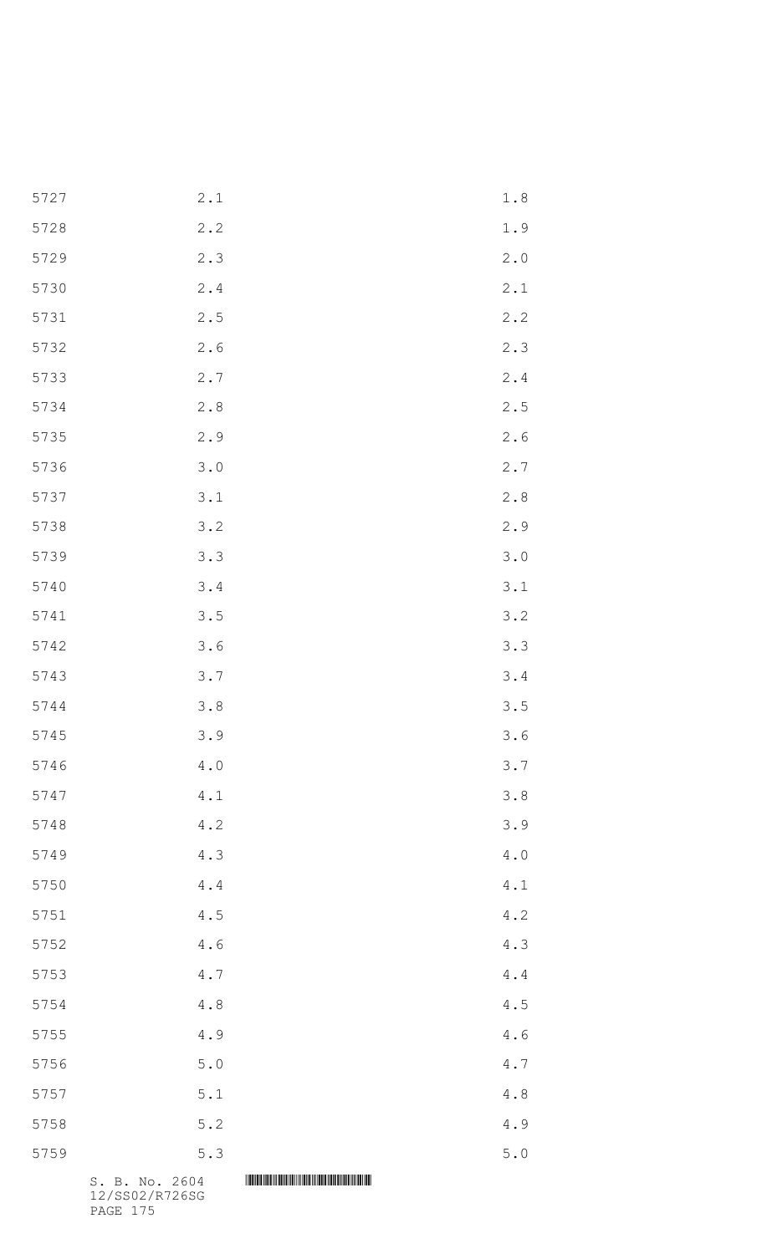|      | S. B. No. 2604 |                 |  |
|------|----------------|-----------------|--|
| 5759 | $5.3$          | $5.0$           |  |
| 5758 | $5.2$          | 4.9             |  |
| 5757 | $5.1\,$        | $4\,.8$         |  |
| 5756 | $5.0$          | $4.7\,$         |  |
| 5755 | 4.9            | $4\centerdot 6$ |  |
| 5754 | $4.8$          | $4\,.5$         |  |
| 5753 | $4\,.7$        | $4.4$           |  |
| 5752 | 4.6            | 4.3             |  |
| 5751 | 4.5            | 4.2             |  |
| 5750 | $4.4$          | $4 \cdot 1$     |  |
| 5749 | 4.3            | $4.0$           |  |
| 5748 | 4.2            | 3.9             |  |
| 5747 | 4.1            | 3.8             |  |
| 5746 | $4.0$          | 3.7             |  |
| 5745 | 3.9            | 3.6             |  |
| 5744 | 3.8            | 3.5             |  |
| 5743 | 3.7            | 3.4             |  |
| 5742 | 3.6            | 3.3             |  |
| 5741 | 3.5            | 3.2             |  |
| 5740 | 3.4            | 3.1             |  |
| 5739 | 3.3            | 3.0             |  |
| 5738 | 3.2            | 2.9             |  |
| 5737 | 3.1            | 2.8             |  |
| 5736 | 3.0            | 2.7             |  |
| 5735 | 2.9            | $2\cdot 6$      |  |
| 5734 | 2.8            | 2.5             |  |
| 5733 | 2.7            | $2 \cdot 4$     |  |
| 5732 | 2.6            | 2.3             |  |
| 5731 | 2.5            | 2.2             |  |
| 5730 | 2.4            | 2.1             |  |
| 5729 | 2.3            | 2.0             |  |
| 5728 | 2.2            | 1.9             |  |
| 5727 | 2.1            | 1.8             |  |

12/SS02/R726SG PAGE 175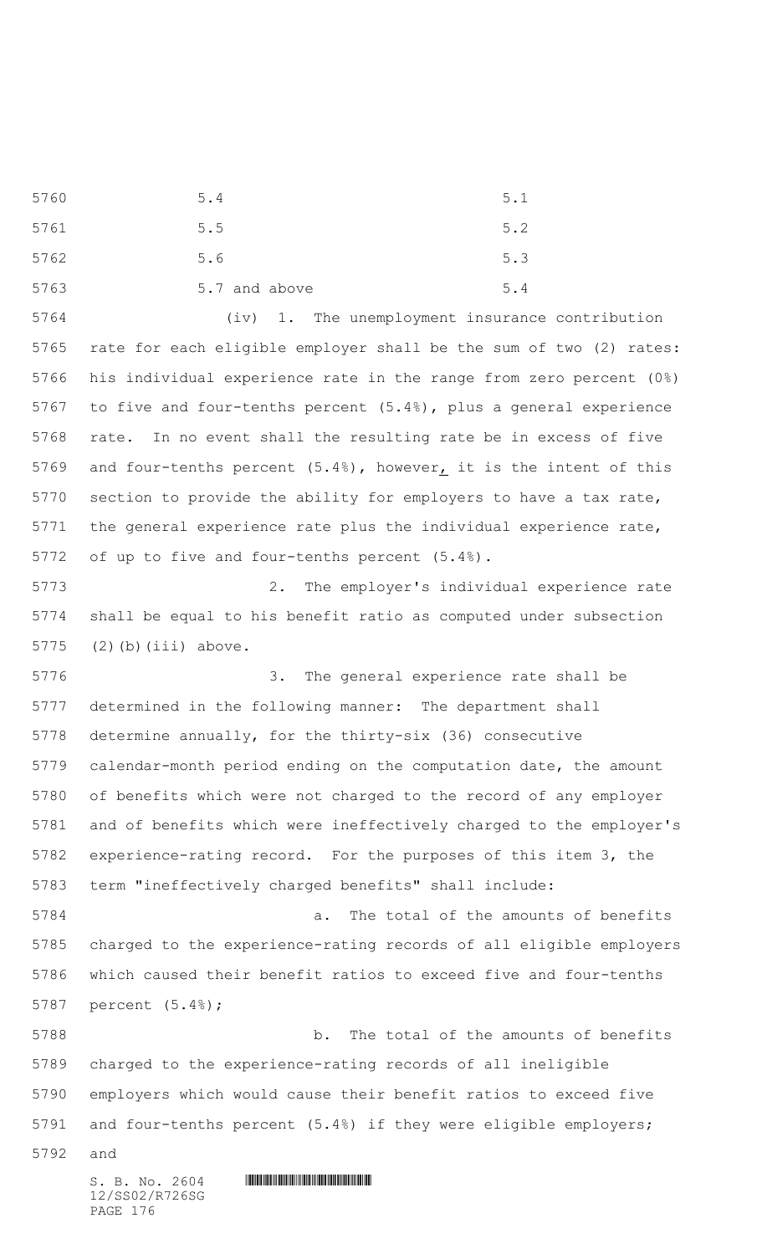5760 5.4 5.1 5761 5.5 5.2 5762 5.6 5.3 5763 5.7 and above 5.4

 (iv) 1. The unemployment insurance contribution rate for each eligible employer shall be the sum of two (2) rates: his individual experience rate in the range from zero percent (0%) to five and four-tenths percent (5.4%), plus a general experience rate. In no event shall the resulting rate be in excess of five and four-tenths percent (5.4%), however, it is the intent of this section to provide the ability for employers to have a tax rate, the general experience rate plus the individual experience rate, of up to five and four-tenths percent (5.4%).

 2. The employer's individual experience rate shall be equal to his benefit ratio as computed under subsection (2)(b)(iii) above.

 3. The general experience rate shall be determined in the following manner: The department shall determine annually, for the thirty-six (36) consecutive calendar-month period ending on the computation date, the amount of benefits which were not charged to the record of any employer and of benefits which were ineffectively charged to the employer's experience-rating record. For the purposes of this item 3, the term "ineffectively charged benefits" shall include:

 a. The total of the amounts of benefits charged to the experience-rating records of all eligible employers which caused their benefit ratios to exceed five and four-tenths percent (5.4%);

 b. The total of the amounts of benefits charged to the experience-rating records of all ineligible employers which would cause their benefit ratios to exceed five and four-tenths percent (5.4%) if they were eligible employers;

and

12/SS02/R726SG PAGE 176

 $S. B. No. 2604$  . The set of the set of  $S. B. N \circ A$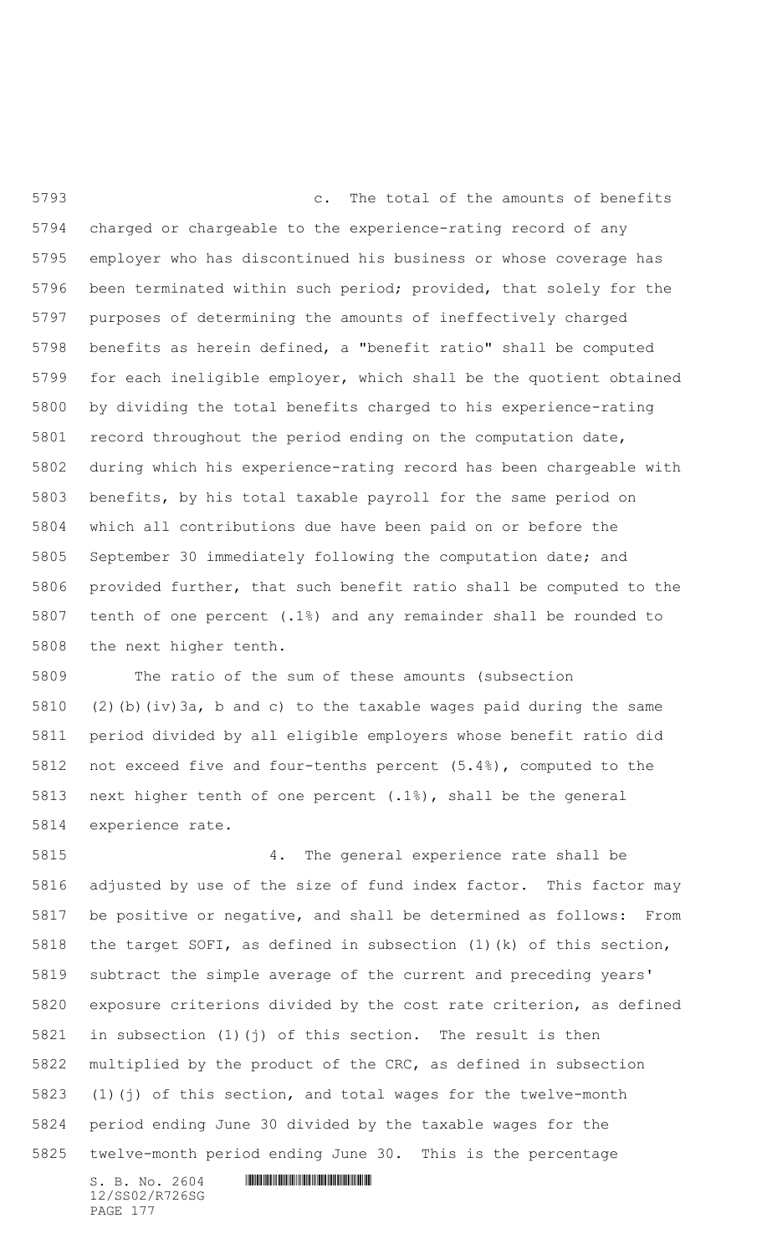c. The total of the amounts of benefits charged or chargeable to the experience-rating record of any employer who has discontinued his business or whose coverage has been terminated within such period; provided, that solely for the purposes of determining the amounts of ineffectively charged benefits as herein defined, a "benefit ratio" shall be computed for each ineligible employer, which shall be the quotient obtained by dividing the total benefits charged to his experience-rating record throughout the period ending on the computation date, during which his experience-rating record has been chargeable with benefits, by his total taxable payroll for the same period on which all contributions due have been paid on or before the September 30 immediately following the computation date; and provided further, that such benefit ratio shall be computed to the tenth of one percent (.1%) and any remainder shall be rounded to the next higher tenth.

 The ratio of the sum of these amounts (subsection (2)(b)(iv)3a, b and c) to the taxable wages paid during the same period divided by all eligible employers whose benefit ratio did not exceed five and four-tenths percent (5.4%), computed to the next higher tenth of one percent (.1%), shall be the general experience rate.

 4. The general experience rate shall be adjusted by use of the size of fund index factor. This factor may be positive or negative, and shall be determined as follows: From the target SOFI, as defined in subsection (1)(k) of this section, subtract the simple average of the current and preceding years' exposure criterions divided by the cost rate criterion, as defined in subsection (1)(j) of this section. The result is then multiplied by the product of the CRC, as defined in subsection (1)(j) of this section, and total wages for the twelve-month period ending June 30 divided by the taxable wages for the twelve-month period ending June 30. This is the percentage

12/SS02/R726SG PAGE 177

 $S. B. NO. 2604$  .  $M. 2604$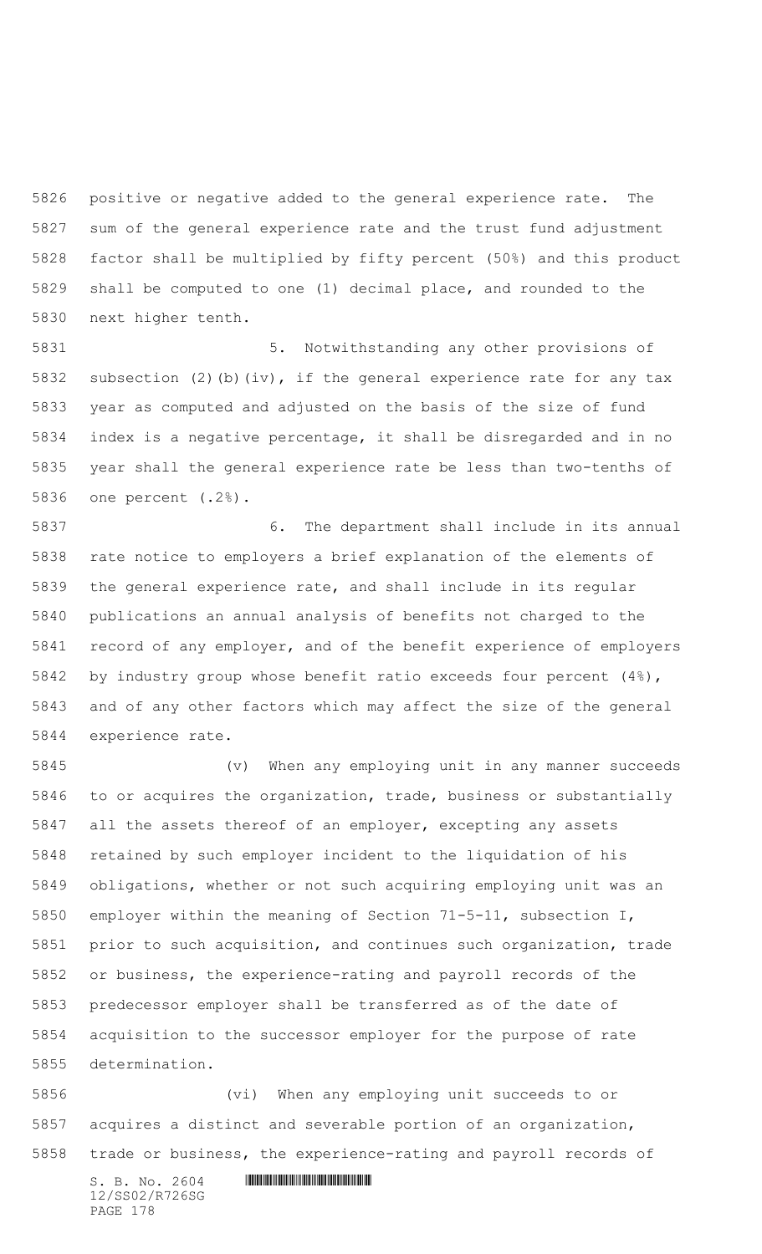positive or negative added to the general experience rate. The sum of the general experience rate and the trust fund adjustment factor shall be multiplied by fifty percent (50%) and this product shall be computed to one (1) decimal place, and rounded to the next higher tenth.

 5. Notwithstanding any other provisions of subsection (2)(b)(iv), if the general experience rate for any tax year as computed and adjusted on the basis of the size of fund index is a negative percentage, it shall be disregarded and in no year shall the general experience rate be less than two-tenths of one percent (.2%).

 6. The department shall include in its annual rate notice to employers a brief explanation of the elements of the general experience rate, and shall include in its regular publications an annual analysis of benefits not charged to the record of any employer, and of the benefit experience of employers by industry group whose benefit ratio exceeds four percent (4%), and of any other factors which may affect the size of the general experience rate.

 (v) When any employing unit in any manner succeeds to or acquires the organization, trade, business or substantially all the assets thereof of an employer, excepting any assets retained by such employer incident to the liquidation of his obligations, whether or not such acquiring employing unit was an employer within the meaning of Section 71-5-11, subsection I, prior to such acquisition, and continues such organization, trade or business, the experience-rating and payroll records of the predecessor employer shall be transferred as of the date of acquisition to the successor employer for the purpose of rate determination.

 (vi) When any employing unit succeeds to or acquires a distinct and severable portion of an organization, trade or business, the experience-rating and payroll records of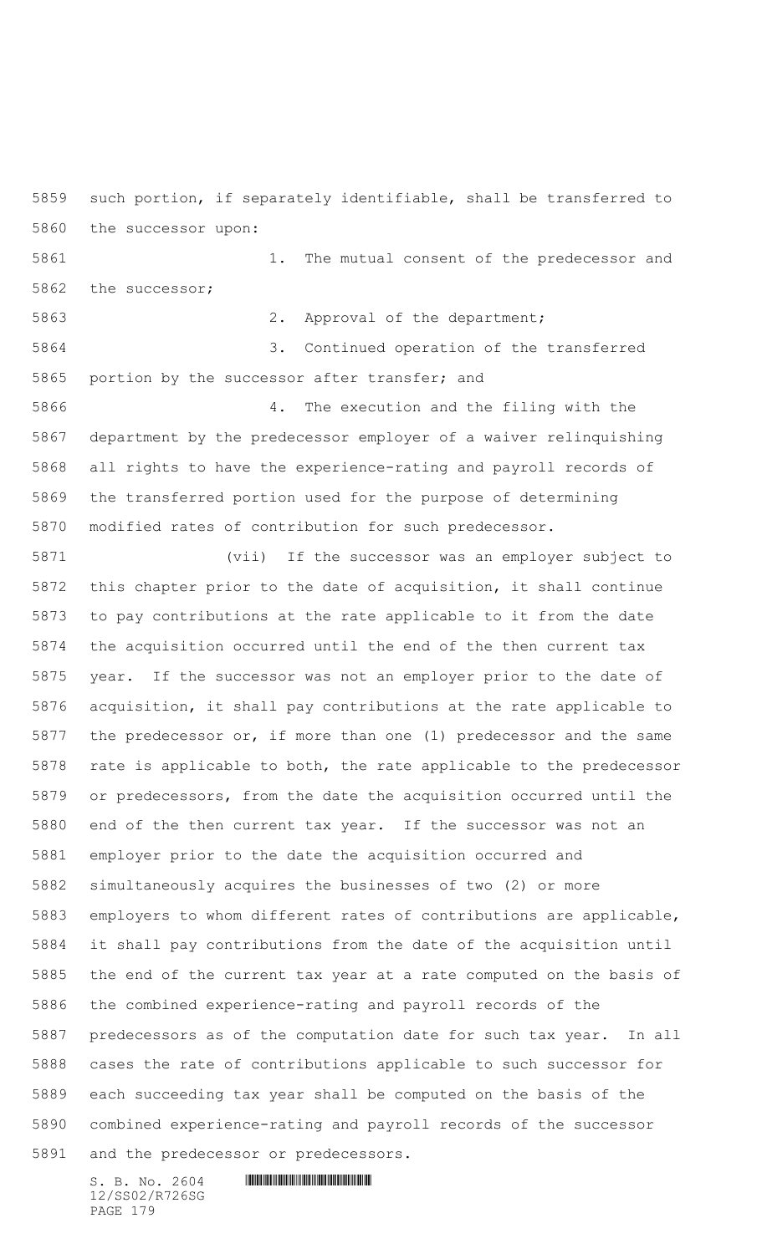such portion, if separately identifiable, shall be transferred to the successor upon:

 1. The mutual consent of the predecessor and the successor;

5863 2. Approval of the department;

 3. Continued operation of the transferred portion by the successor after transfer; and

 4. The execution and the filing with the department by the predecessor employer of a waiver relinquishing all rights to have the experience-rating and payroll records of the transferred portion used for the purpose of determining modified rates of contribution for such predecessor.

 (vii) If the successor was an employer subject to this chapter prior to the date of acquisition, it shall continue to pay contributions at the rate applicable to it from the date the acquisition occurred until the end of the then current tax year. If the successor was not an employer prior to the date of acquisition, it shall pay contributions at the rate applicable to the predecessor or, if more than one (1) predecessor and the same rate is applicable to both, the rate applicable to the predecessor or predecessors, from the date the acquisition occurred until the end of the then current tax year. If the successor was not an employer prior to the date the acquisition occurred and simultaneously acquires the businesses of two (2) or more employers to whom different rates of contributions are applicable, it shall pay contributions from the date of the acquisition until the end of the current tax year at a rate computed on the basis of the combined experience-rating and payroll records of the predecessors as of the computation date for such tax year. In all cases the rate of contributions applicable to such successor for each succeeding tax year shall be computed on the basis of the combined experience-rating and payroll records of the successor and the predecessor or predecessors.

12/SS02/R726SG PAGE 179

 $S. B. No. 2604$  . The set of the set of  $S. B. N \circ A$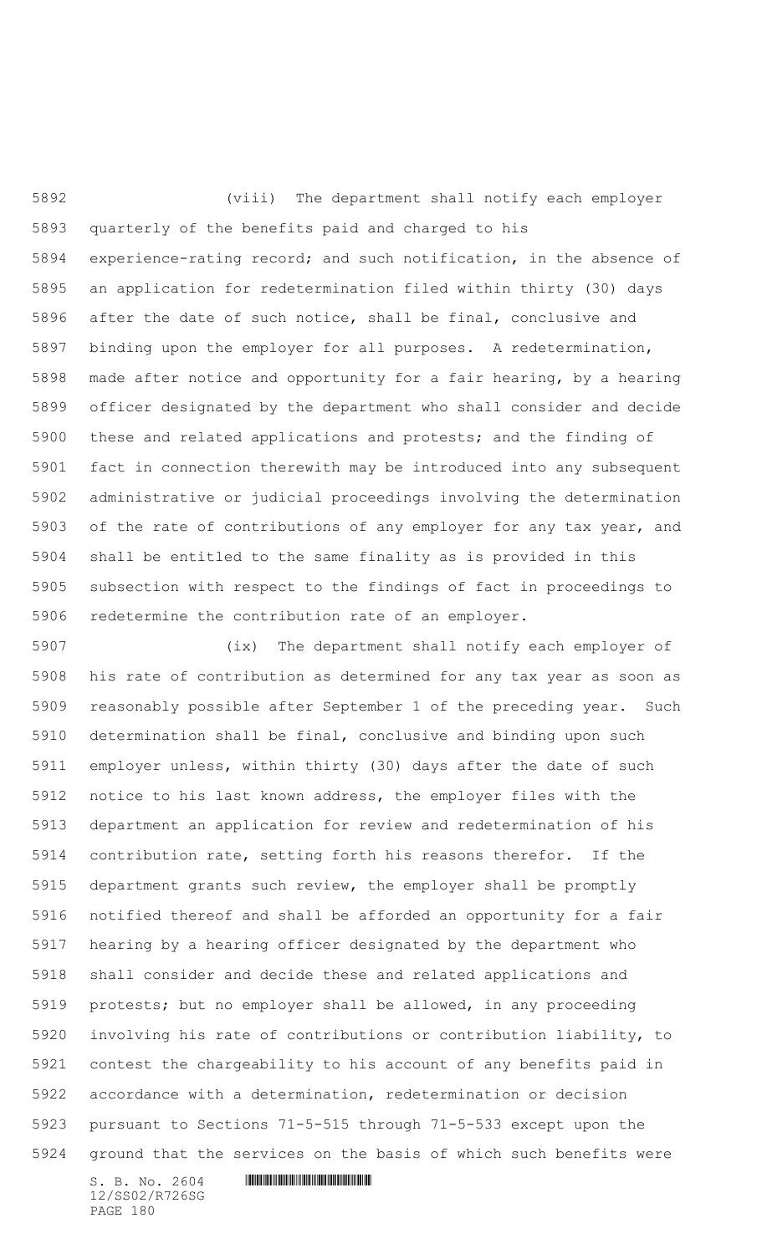(viii) The department shall notify each employer quarterly of the benefits paid and charged to his experience-rating record; and such notification, in the absence of an application for redetermination filed within thirty (30) days after the date of such notice, shall be final, conclusive and binding upon the employer for all purposes. A redetermination, made after notice and opportunity for a fair hearing, by a hearing officer designated by the department who shall consider and decide these and related applications and protests; and the finding of fact in connection therewith may be introduced into any subsequent administrative or judicial proceedings involving the determination of the rate of contributions of any employer for any tax year, and shall be entitled to the same finality as is provided in this subsection with respect to the findings of fact in proceedings to redetermine the contribution rate of an employer.

 (ix) The department shall notify each employer of his rate of contribution as determined for any tax year as soon as reasonably possible after September 1 of the preceding year. Such determination shall be final, conclusive and binding upon such employer unless, within thirty (30) days after the date of such notice to his last known address, the employer files with the department an application for review and redetermination of his contribution rate, setting forth his reasons therefor. If the department grants such review, the employer shall be promptly notified thereof and shall be afforded an opportunity for a fair hearing by a hearing officer designated by the department who shall consider and decide these and related applications and protests; but no employer shall be allowed, in any proceeding involving his rate of contributions or contribution liability, to contest the chargeability to his account of any benefits paid in accordance with a determination, redetermination or decision pursuant to Sections 71-5-515 through 71-5-533 except upon the ground that the services on the basis of which such benefits were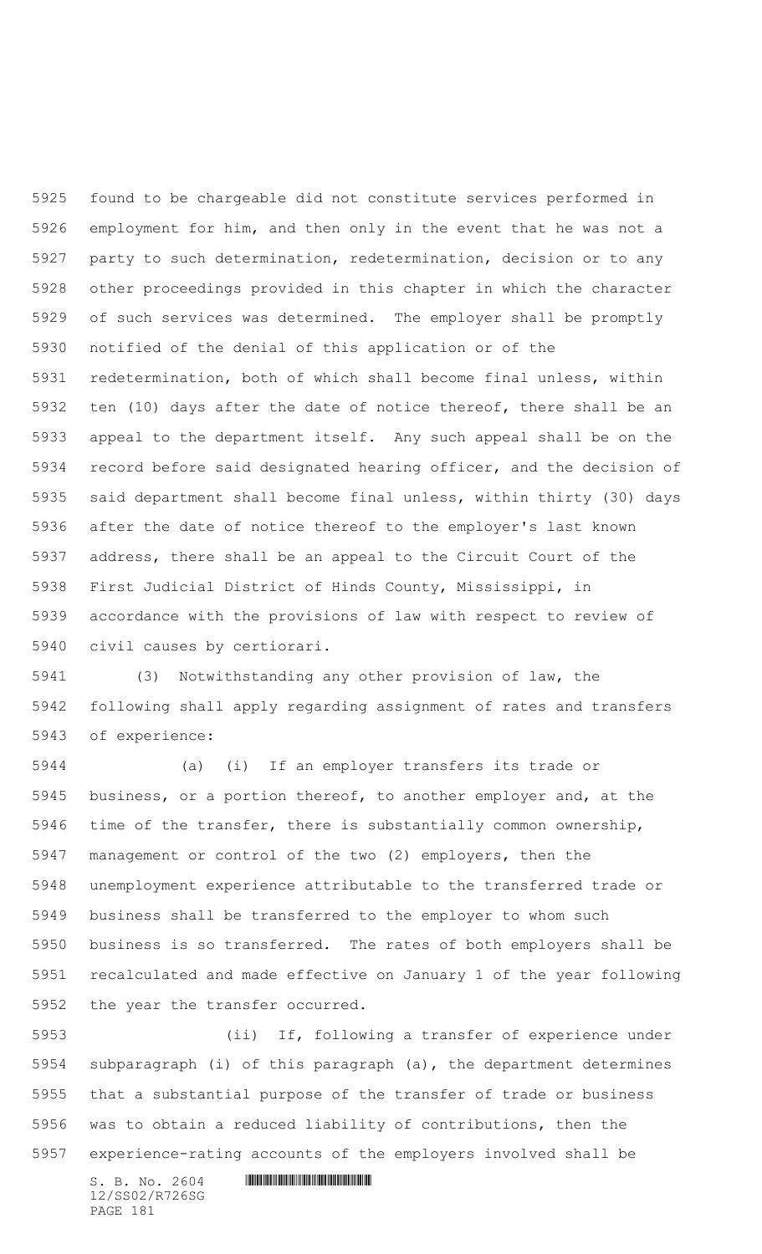found to be chargeable did not constitute services performed in employment for him, and then only in the event that he was not a party to such determination, redetermination, decision or to any other proceedings provided in this chapter in which the character of such services was determined. The employer shall be promptly notified of the denial of this application or of the redetermination, both of which shall become final unless, within ten (10) days after the date of notice thereof, there shall be an appeal to the department itself. Any such appeal shall be on the record before said designated hearing officer, and the decision of said department shall become final unless, within thirty (30) days after the date of notice thereof to the employer's last known address, there shall be an appeal to the Circuit Court of the First Judicial District of Hinds County, Mississippi, in accordance with the provisions of law with respect to review of civil causes by certiorari.

 (3) Notwithstanding any other provision of law, the following shall apply regarding assignment of rates and transfers of experience:

 (a) (i) If an employer transfers its trade or business, or a portion thereof, to another employer and, at the time of the transfer, there is substantially common ownership, management or control of the two (2) employers, then the unemployment experience attributable to the transferred trade or business shall be transferred to the employer to whom such business is so transferred. The rates of both employers shall be recalculated and made effective on January 1 of the year following the year the transfer occurred.

 (ii) If, following a transfer of experience under subparagraph (i) of this paragraph (a), the department determines that a substantial purpose of the transfer of trade or business was to obtain a reduced liability of contributions, then the experience-rating accounts of the employers involved shall be

 $S. B. NO. 2604$  .  $M. 2604$ 12/SS02/R726SG PAGE 181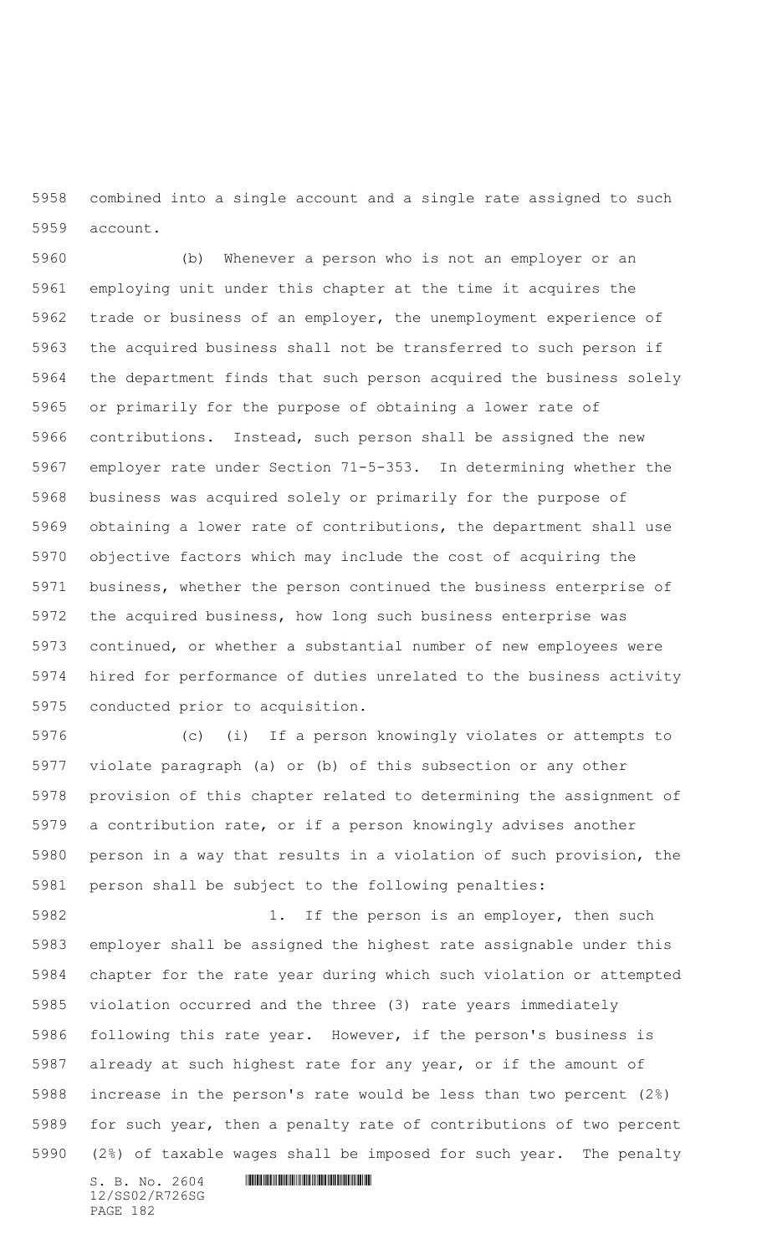combined into a single account and a single rate assigned to such account.

 (b) Whenever a person who is not an employer or an employing unit under this chapter at the time it acquires the trade or business of an employer, the unemployment experience of the acquired business shall not be transferred to such person if the department finds that such person acquired the business solely or primarily for the purpose of obtaining a lower rate of contributions. Instead, such person shall be assigned the new employer rate under Section 71-5-353. In determining whether the business was acquired solely or primarily for the purpose of obtaining a lower rate of contributions, the department shall use objective factors which may include the cost of acquiring the business, whether the person continued the business enterprise of the acquired business, how long such business enterprise was continued, or whether a substantial number of new employees were hired for performance of duties unrelated to the business activity conducted prior to acquisition.

 (c) (i) If a person knowingly violates or attempts to violate paragraph (a) or (b) of this subsection or any other provision of this chapter related to determining the assignment of a contribution rate, or if a person knowingly advises another person in a way that results in a violation of such provision, the person shall be subject to the following penalties:

5982 1. If the person is an employer, then such employer shall be assigned the highest rate assignable under this chapter for the rate year during which such violation or attempted violation occurred and the three (3) rate years immediately following this rate year. However, if the person's business is already at such highest rate for any year, or if the amount of increase in the person's rate would be less than two percent (2%) for such year, then a penalty rate of contributions of two percent (2%) of taxable wages shall be imposed for such year. The penalty

 $S. B. No. 2604$  . The set of the set of  $S. B. N \circ A$ 12/SS02/R726SG PAGE 182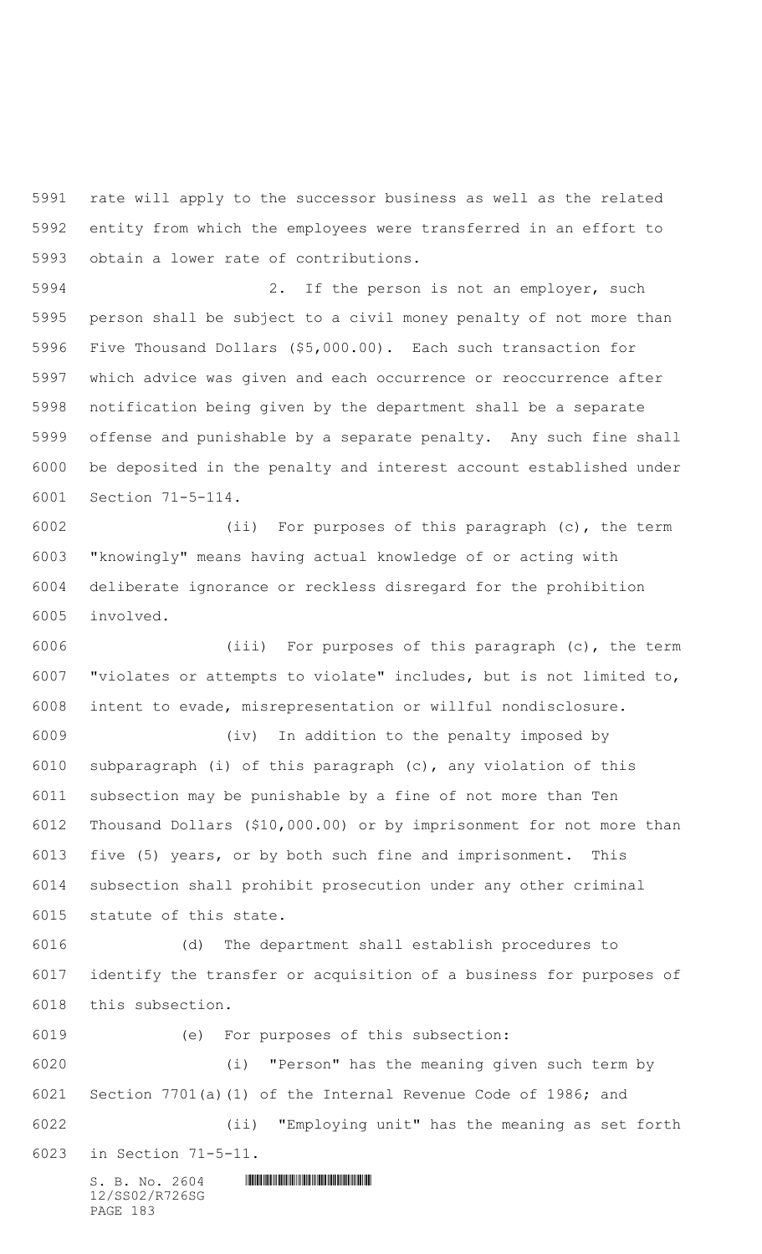rate will apply to the successor business as well as the related entity from which the employees were transferred in an effort to obtain a lower rate of contributions.

 2. If the person is not an employer, such person shall be subject to a civil money penalty of not more than Five Thousand Dollars (\$5,000.00). Each such transaction for which advice was given and each occurrence or reoccurrence after notification being given by the department shall be a separate offense and punishable by a separate penalty. Any such fine shall be deposited in the penalty and interest account established under Section 71-5-114.

 (ii) For purposes of this paragraph (c), the term "knowingly" means having actual knowledge of or acting with deliberate ignorance or reckless disregard for the prohibition involved.

 (iii) For purposes of this paragraph (c), the term "violates or attempts to violate" includes, but is not limited to, intent to evade, misrepresentation or willful nondisclosure.

 (iv) In addition to the penalty imposed by subparagraph (i) of this paragraph (c), any violation of this subsection may be punishable by a fine of not more than Ten Thousand Dollars (\$10,000.00) or by imprisonment for not more than five (5) years, or by both such fine and imprisonment. This subsection shall prohibit prosecution under any other criminal statute of this state.

 (d) The department shall establish procedures to identify the transfer or acquisition of a business for purposes of this subsection.

 $S. B. No. 2604$  . The set of the set of  $S. B. N \circ A$  (e) For purposes of this subsection: (i) "Person" has the meaning given such term by Section 7701(a)(1) of the Internal Revenue Code of 1986; and (ii) "Employing unit" has the meaning as set forth in Section 71-5-11.

12/SS02/R726SG PAGE 183